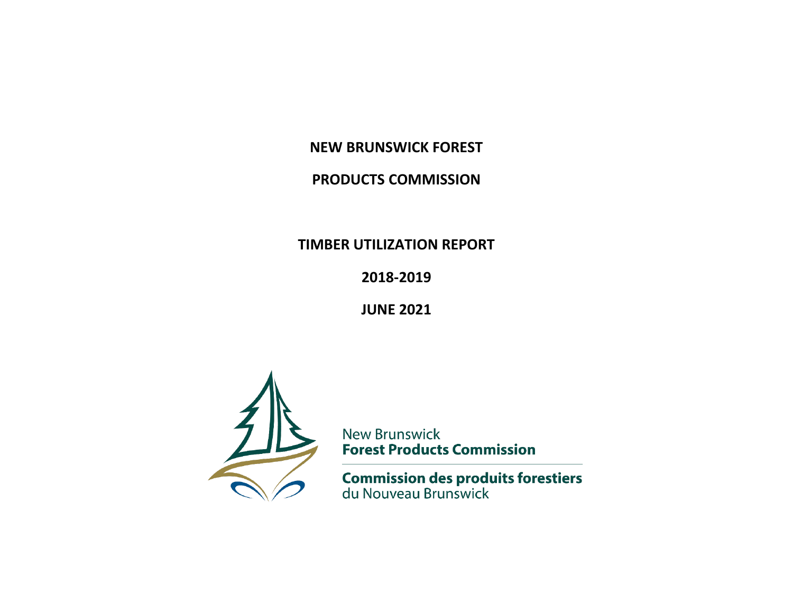**NEW BRUNSWICK FOREST**

## **PRODUCTS COMMISSION**

**TIMBER UTILIZATION REPORT**

**2018-2019**

**JUNE 2021**



**New Brunswick Forest Products Commission** 

**Commission des produits forestiers**<br>du Nouveau Brunswick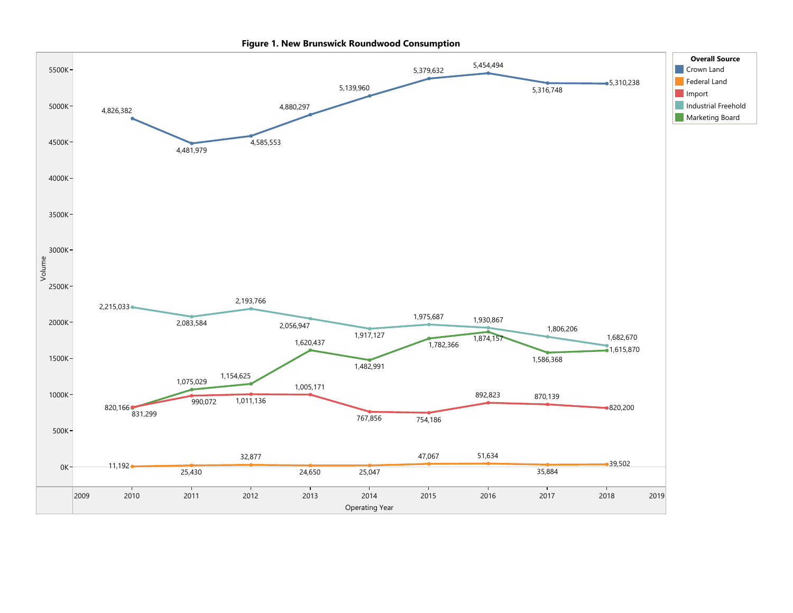

Figure 1. New Brunswick Roundwood Consumption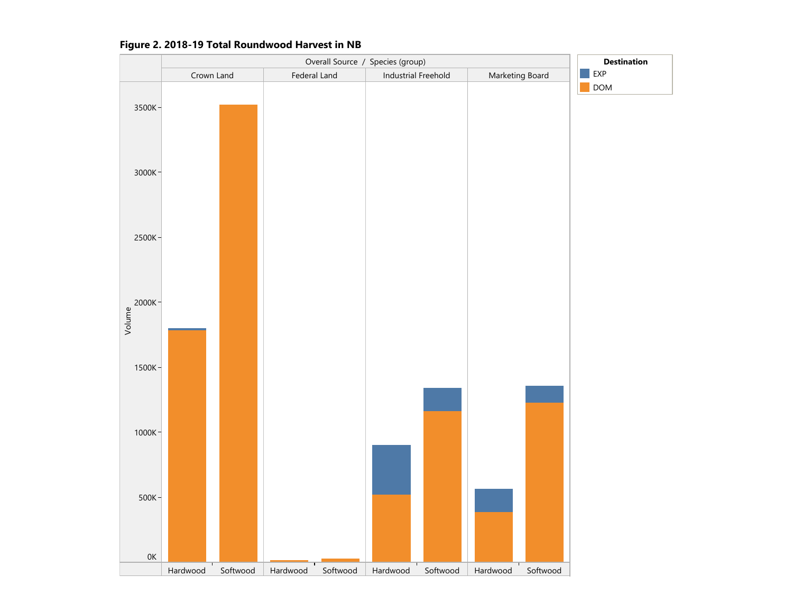

#### Figure 2. 2018-19 Total Roundwood Harvest in NB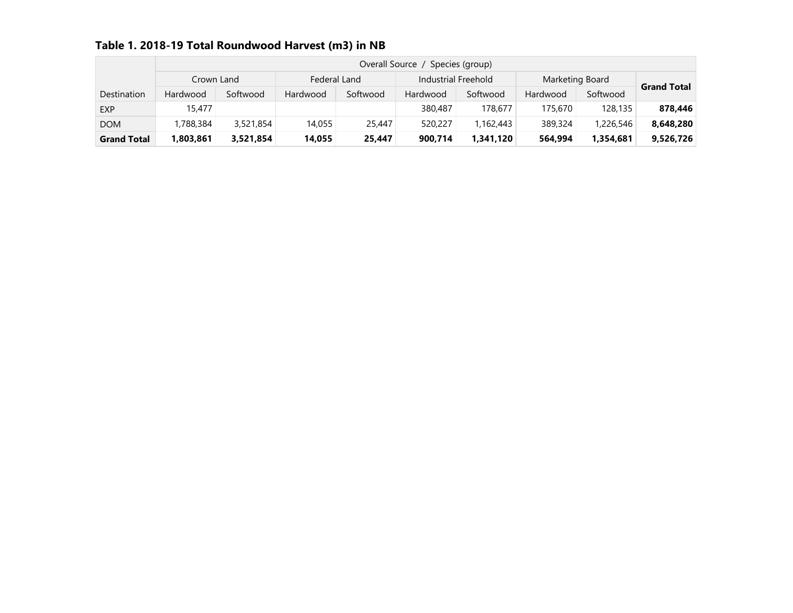| Table 1. 2018-19 Total Roundwood Harvest (m3) in NB |
|-----------------------------------------------------|
|-----------------------------------------------------|

|                    |           |           |              | Overall Source |                     | Species (group) |                 |           |                    |
|--------------------|-----------|-----------|--------------|----------------|---------------------|-----------------|-----------------|-----------|--------------------|
| Crown Land         |           |           | Federal Land |                | Industrial Freehold |                 | Marketing Board |           | <b>Grand Total</b> |
| Destination        | Hardwood  | Softwood  | Hardwood     | Softwood       | Hardwood            | Softwood        | Hardwood        | Softwood  |                    |
| <b>EXP</b>         | 15,477    |           |              |                | 380,487             | 178,677         | 175,670         | 128,135   | 878,446            |
| <b>DOM</b>         | 1,788,384 | 3,521,854 | 14,055       | 25,447         | 520,227             | 1,162,443       | 389,324         | 1,226,546 | 8,648,280          |
| <b>Grand Total</b> | 803,861,ا | 3,521,854 | 14,055       | 25,447         | 900.714             | 1,341,120       | 564.994         | 1.354.681 | 9,526,726          |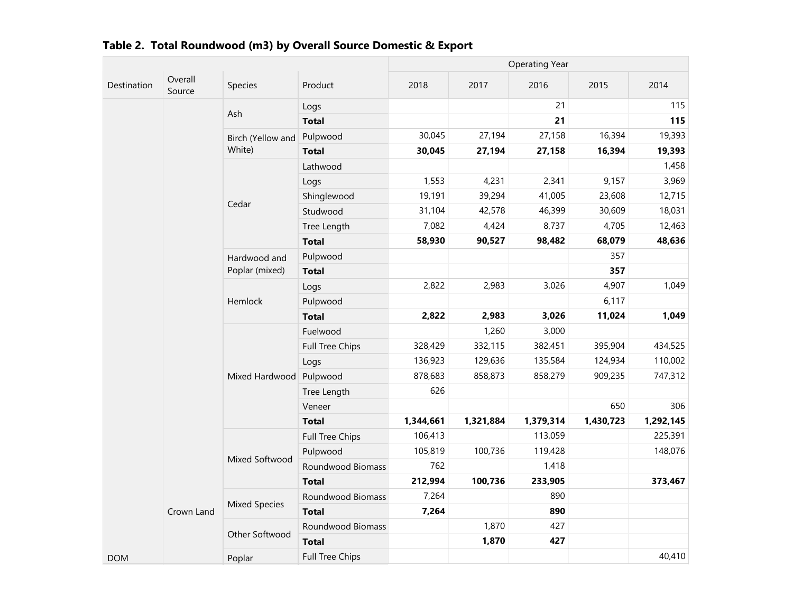|             |                   |                                           |                        | <b>Operating Year</b> |           |           |           |           |  |
|-------------|-------------------|-------------------------------------------|------------------------|-----------------------|-----------|-----------|-----------|-----------|--|
| Destination | Overall<br>Source | Species                                   | Product                | 2018                  | 2017      | 2016      | 2015      | 2014      |  |
|             |                   | Ash                                       | Logs                   |                       |           | 21        |           | 115       |  |
|             |                   |                                           | <b>Total</b>           |                       |           | 21        |           | 115       |  |
|             |                   | Birch (Yellow and                         | Pulpwood               | 30,045                | 27,194    | 27,158    | 16,394    | 19,393    |  |
|             |                   | White)                                    | <b>Total</b>           | 30,045                | 27,194    | 27,158    | 16,394    | 19,393    |  |
|             |                   |                                           | Lathwood               |                       |           |           |           | 1,458     |  |
|             |                   |                                           | Logs                   | 1,553                 | 4,231     | 2,341     | 9,157     | 3,969     |  |
|             |                   |                                           | Shinglewood            | 19,191                | 39,294    | 41,005    | 23,608    | 12,715    |  |
|             |                   | Cedar                                     | Studwood               | 31,104                | 42,578    | 46,399    | 30,609    | 18,031    |  |
|             |                   |                                           | Tree Length            | 7,082                 | 4,424     | 8,737     | 4,705     | 12,463    |  |
|             |                   |                                           | <b>Total</b>           | 58,930                | 90,527    | 98,482    | 68,079    | 48,636    |  |
|             |                   | Hardwood and<br>Poplar (mixed)<br>Hemlock | Pulpwood               |                       |           |           | 357       |           |  |
|             |                   |                                           | <b>Total</b>           |                       |           |           | 357       |           |  |
|             |                   |                                           | Logs                   | 2,822                 | 2,983     | 3,026     | 4,907     | 1,049     |  |
|             |                   |                                           | Pulpwood               |                       |           |           | 6,117     |           |  |
|             |                   |                                           | <b>Total</b>           | 2,822                 | 2,983     | 3,026     | 11,024    | 1,049     |  |
|             |                   |                                           | Fuelwood               |                       | 1,260     | 3,000     |           |           |  |
|             |                   |                                           | Full Tree Chips        | 328,429               | 332,115   | 382,451   | 395,904   | 434,525   |  |
|             |                   |                                           | Logs                   | 136,923               | 129,636   | 135,584   | 124,934   | 110,002   |  |
|             |                   | Mixed Hardwood                            | Pulpwood               | 878,683               | 858,873   | 858,279   | 909,235   | 747,312   |  |
|             |                   |                                           | Tree Length            | 626                   |           |           |           |           |  |
|             |                   |                                           | Veneer                 |                       |           |           | 650       | 306       |  |
|             |                   |                                           | <b>Total</b>           | 1,344,661             | 1,321,884 | 1,379,314 | 1,430,723 | 1,292,145 |  |
|             |                   |                                           | Full Tree Chips        | 106,413               |           | 113,059   |           | 225,391   |  |
|             |                   |                                           | Pulpwood               | 105,819               | 100,736   | 119,428   |           | 148,076   |  |
|             | Mixed Softwood    | Roundwood Biomass                         | 762                    |                       | 1,418     |           |           |           |  |
|             |                   | <b>Total</b>                              | 212,994                | 100,736               | 233,905   |           | 373,467   |           |  |
|             |                   |                                           | Roundwood Biomass      | 7,264                 |           | 890       |           |           |  |
|             | Crown Land        | <b>Mixed Species</b>                      | <b>Total</b>           | 7,264                 |           | 890       |           |           |  |
|             |                   | Other Softwood                            | Roundwood Biomass      |                       | 1,870     | 427       |           |           |  |
|             |                   |                                           | <b>Total</b>           |                       | 1,870     | 427       |           |           |  |
| <b>DOM</b>  |                   | Poplar                                    | <b>Full Tree Chips</b> |                       |           |           |           | 40,410    |  |

|  |  |  | Table 2. Total Roundwood (m3) by Overall Source Domestic & Export |  |
|--|--|--|-------------------------------------------------------------------|--|
|--|--|--|-------------------------------------------------------------------|--|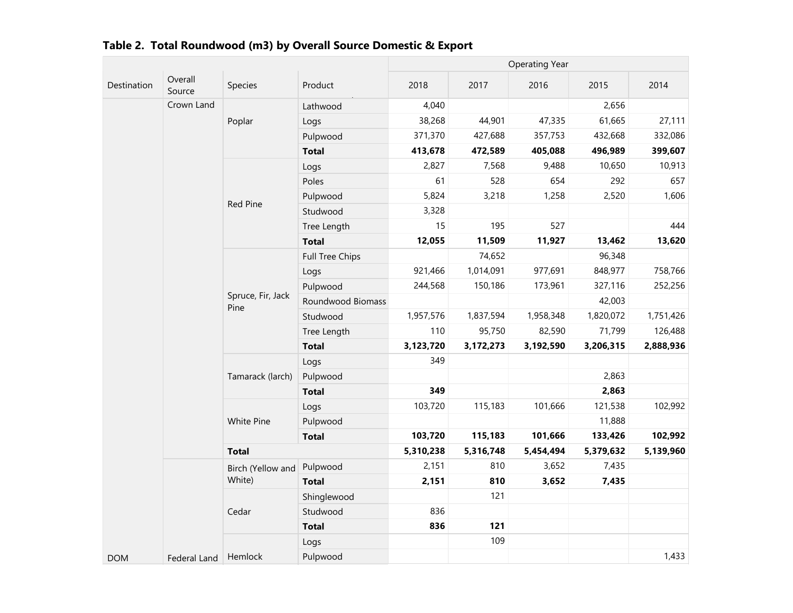|             |                   |                           |                   | <b>Operating Year</b> |           |           |           |           |  |
|-------------|-------------------|---------------------------|-------------------|-----------------------|-----------|-----------|-----------|-----------|--|
| Destination | Overall<br>Source | Species                   | Product           | 2018                  | 2017      | 2016      | 2015      | 2014      |  |
|             | Crown Land        | Poplar                    | Lathwood          | 4,040                 |           |           | 2,656     |           |  |
|             |                   |                           | Logs              | 38,268                | 44,901    | 47,335    | 61,665    | 27,111    |  |
|             |                   |                           | Pulpwood          | 371,370               | 427,688   | 357,753   | 432,668   | 332,086   |  |
|             |                   |                           | <b>Total</b>      | 413,678               | 472,589   | 405,088   | 496,989   | 399,607   |  |
|             |                   |                           | Logs              | 2,827                 | 7,568     | 9,488     | 10,650    | 10,913    |  |
|             |                   |                           | Poles             | 61                    | 528       | 654       | 292       | 657       |  |
|             |                   |                           | Pulpwood          | 5,824                 | 3,218     | 1,258     | 2,520     | 1,606     |  |
|             |                   | Red Pine                  | Studwood          | 3,328                 |           |           |           |           |  |
|             |                   |                           | Tree Length       | 15                    | 195       | 527       |           | 444       |  |
|             |                   |                           | <b>Total</b>      | 12,055                | 11,509    | 11,927    | 13,462    | 13,620    |  |
|             |                   | Full Tree Chips           |                   | 74,652                |           | 96,348    |           |           |  |
|             |                   |                           | Logs              | 921,466               | 1,014,091 | 977,691   | 848,977   | 758,766   |  |
|             |                   | Spruce, Fir, Jack<br>Pine | Pulpwood          | 244,568               | 150,186   | 173,961   | 327,116   | 252,256   |  |
|             |                   |                           | Roundwood Biomass |                       |           |           | 42,003    |           |  |
|             |                   |                           | Studwood          | 1,957,576             | 1,837,594 | 1,958,348 | 1,820,072 | 1,751,426 |  |
|             |                   |                           | Tree Length       | 110                   | 95,750    | 82,590    | 71,799    | 126,488   |  |
|             |                   |                           | <b>Total</b>      | 3,123,720             | 3,172,273 | 3,192,590 | 3,206,315 | 2,888,936 |  |
|             |                   | Tamarack (larch)          | Logs              | 349                   |           |           |           |           |  |
|             |                   |                           | Pulpwood          |                       |           |           | 2,863     |           |  |
|             |                   |                           | <b>Total</b>      | 349                   |           |           | 2,863     |           |  |
|             |                   |                           | Logs              | 103,720               | 115,183   | 101,666   | 121,538   | 102,992   |  |
|             |                   | White Pine                | Pulpwood          |                       |           |           | 11,888    |           |  |
|             |                   |                           | <b>Total</b>      | 103,720               | 115,183   | 101,666   | 133,426   | 102,992   |  |
|             | <b>Total</b>      |                           | 5,310,238         | 5,316,748             | 5,454,494 | 5,379,632 | 5,139,960 |           |  |
|             |                   | Birch (Yellow and         | Pulpwood          | 2,151                 | 810       | 3,652     | 7,435     |           |  |
|             |                   | White)                    | <b>Total</b>      | 2,151                 | 810       | 3,652     | 7,435     |           |  |
|             |                   |                           | Shinglewood       |                       | 121       |           |           |           |  |
|             |                   | Cedar                     | Studwood          | 836                   |           |           |           |           |  |
|             |                   |                           | <b>Total</b>      | 836                   | 121       |           |           |           |  |
|             |                   |                           | Logs              |                       | 109       |           |           |           |  |
| <b>DOM</b>  | Federal Land      | Hemlock                   | Pulpwood          |                       |           |           |           | 1,433     |  |

|  | Table 2. Total Roundwood (m3) by Overall Source Domestic & Export |  |
|--|-------------------------------------------------------------------|--|
|  |                                                                   |  |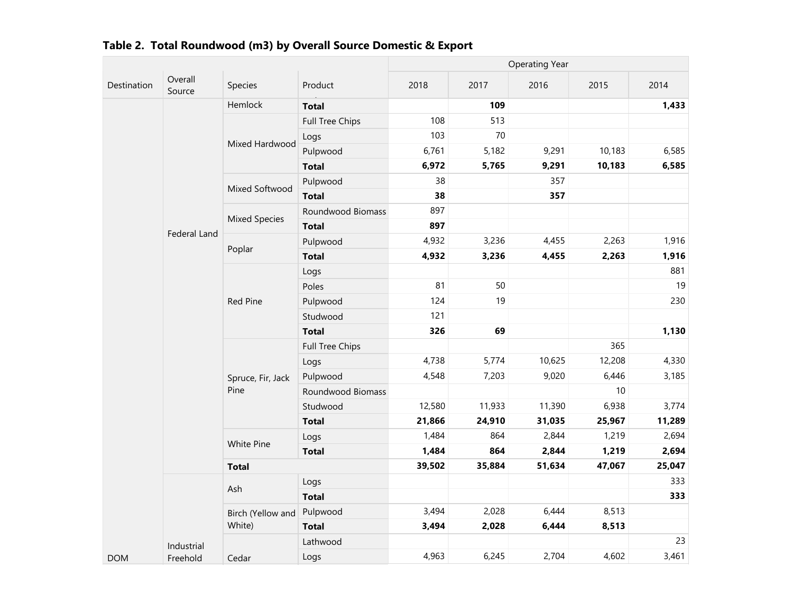|             |                    |                      |                        | <b>Operating Year</b> |        |        |        |        |  |
|-------------|--------------------|----------------------|------------------------|-----------------------|--------|--------|--------|--------|--|
| Destination | Overall<br>Source  | Species              | Product                | 2018                  | 2017   | 2016   | 2015   | 2014   |  |
|             |                    | Hemlock              | <b>Total</b>           |                       | 109    |        |        | 1,433  |  |
|             |                    |                      | <b>Full Tree Chips</b> | 108                   | 513    |        |        |        |  |
|             |                    |                      | Logs                   | 103                   | 70     |        |        |        |  |
|             |                    | Mixed Hardwood       | Pulpwood               | 6,761                 | 5,182  | 9,291  | 10,183 | 6,585  |  |
|             |                    |                      | <b>Total</b>           | 6,972                 | 5,765  | 9,291  | 10,183 | 6,585  |  |
|             |                    | Mixed Softwood       | Pulpwood               | 38                    |        | 357    |        |        |  |
|             |                    |                      | <b>Total</b>           | 38                    |        | 357    |        |        |  |
|             |                    |                      | Roundwood Biomass      | 897                   |        |        |        |        |  |
|             | Federal Land       | <b>Mixed Species</b> | <b>Total</b>           | 897                   |        |        |        |        |  |
|             | Poplar<br>Red Pine |                      | Pulpwood               | 4,932                 | 3,236  | 4,455  | 2,263  | 1,916  |  |
|             |                    | <b>Total</b>         | 4,932                  | 3,236                 | 4,455  | 2,263  | 1,916  |        |  |
|             |                    |                      | Logs                   |                       |        |        |        | 881    |  |
|             |                    |                      | Poles                  | 81                    | 50     |        |        | 19     |  |
|             |                    |                      | Pulpwood               | 124                   | 19     |        |        | 230    |  |
|             |                    |                      | Studwood               | 121                   |        |        |        |        |  |
|             |                    |                      | <b>Total</b>           | 326                   | 69     |        |        | 1,130  |  |
|             |                    |                      | Full Tree Chips        |                       |        |        | 365    |        |  |
|             |                    |                      | Logs                   | 4,738                 | 5,774  | 10,625 | 12,208 | 4,330  |  |
|             |                    | Spruce, Fir, Jack    | Pulpwood               | 4,548                 | 7,203  | 9,020  | 6,446  | 3,185  |  |
|             |                    | Pine                 | Roundwood Biomass      |                       |        |        | 10     |        |  |
|             |                    |                      | Studwood               | 12,580                | 11,933 | 11,390 | 6,938  | 3,774  |  |
|             |                    |                      | <b>Total</b>           | 21,866                | 24,910 | 31,035 | 25,967 | 11,289 |  |
|             |                    | <b>White Pine</b>    | Logs                   | 1,484                 | 864    | 2,844  | 1,219  | 2,694  |  |
|             |                    |                      | <b>Total</b>           | 1,484                 | 864    | 2,844  | 1,219  | 2,694  |  |
|             |                    | <b>Total</b>         |                        | 39,502                | 35,884 | 51,634 | 47,067 | 25,047 |  |
|             |                    | Ash                  | Logs                   |                       |        |        |        | 333    |  |
|             |                    |                      | <b>Total</b>           |                       |        |        |        | 333    |  |
|             |                    | Birch (Yellow and    | Pulpwood               | 3,494                 | 2,028  | 6,444  | 8,513  |        |  |
|             |                    | White)               | <b>Total</b>           | 3,494                 | 2,028  | 6,444  | 8,513  |        |  |
|             | Industrial         |                      | Lathwood               |                       |        |        |        | 23     |  |
| <b>DOM</b>  | Freehold           | Cedar                | Logs                   | 4,963                 | 6,245  | 2,704  | 4,602  | 3,461  |  |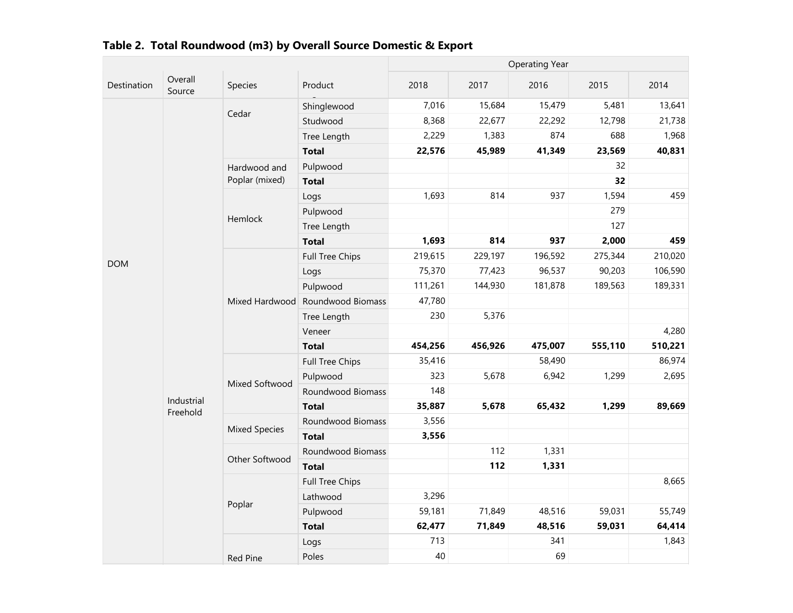|             |                        |                      |                   | <b>Operating Year</b> |         |         |         |         |
|-------------|------------------------|----------------------|-------------------|-----------------------|---------|---------|---------|---------|
| Destination | Overall<br>Source      | Species              | Product           | 2018                  | 2017    | 2016    | 2015    | 2014    |
|             |                        | Cedar                | Shinglewood       | 7,016                 | 15,684  | 15,479  | 5,481   | 13,641  |
|             |                        |                      | Studwood          | 8,368                 | 22,677  | 22,292  | 12,798  | 21,738  |
|             |                        |                      | Tree Length       | 2,229                 | 1,383   | 874     | 688     | 1,968   |
|             |                        |                      | <b>Total</b>      | 22,576                | 45,989  | 41,349  | 23,569  | 40,831  |
|             |                        | Hardwood and         | Pulpwood          |                       |         |         | 32      |         |
|             |                        | Poplar (mixed)       | <b>Total</b>      |                       |         |         | 32      |         |
|             |                        | Logs                 | 1,693             | 814                   | 937     | 1,594   | 459     |         |
|             |                        | Pulpwood             |                   |                       |         | 279     |         |         |
|             |                        | Hemlock              | Tree Length       |                       |         |         | 127     |         |
|             |                        |                      | <b>Total</b>      | 1,693                 | 814     | 937     | 2,000   | 459     |
|             |                        |                      | Full Tree Chips   | 219,615               | 229,197 | 196,592 | 275,344 | 210,020 |
|             | <b>DOM</b>             |                      | Logs              | 75,370                | 77,423  | 96,537  | 90,203  | 106,590 |
|             |                        |                      | Pulpwood          | 111,261               | 144,930 | 181,878 | 189,563 | 189,331 |
|             |                        | Mixed Hardwood       | Roundwood Biomass | 47,780                |         |         |         |         |
|             |                        |                      | Tree Length       | 230                   | 5,376   |         |         |         |
|             |                        |                      | Veneer            |                       |         |         |         | 4,280   |
|             |                        |                      | <b>Total</b>      | 454,256               | 456,926 | 475,007 | 555,110 | 510,221 |
|             |                        | Mixed Softwood       | Full Tree Chips   | 35,416                |         | 58,490  |         | 86,974  |
|             |                        |                      | Pulpwood          | 323                   | 5,678   | 6,942   | 1,299   | 2,695   |
|             |                        |                      | Roundwood Biomass | 148                   |         |         |         |         |
|             | Industrial<br>Freehold |                      | <b>Total</b>      | 35,887                | 5,678   | 65,432  | 1,299   | 89,669  |
|             |                        | <b>Mixed Species</b> | Roundwood Biomass | 3,556                 |         |         |         |         |
|             |                        |                      | <b>Total</b>      | 3,556                 |         |         |         |         |
|             |                        | Other Softwood       | Roundwood Biomass |                       | 112     | 1,331   |         |         |
|             |                        |                      | <b>Total</b>      |                       | 112     | 1,331   |         |         |
|             |                        |                      | Full Tree Chips   |                       |         |         |         | 8,665   |
|             |                        |                      | Lathwood          | 3,296                 |         |         |         |         |
|             |                        | Poplar               | Pulpwood          | 59,181                | 71,849  | 48,516  | 59,031  | 55,749  |
|             |                        |                      | <b>Total</b>      | 62,477                | 71,849  | 48,516  | 59,031  | 64,414  |
|             |                        |                      | Logs              | 713                   |         | 341     |         | 1,843   |
|             | <b>Red Pine</b>        | Poles                | 40                |                       | 69      |         |         |         |

| Table 2. Total Roundwood (m3) by Overall Source Domestic & Export |
|-------------------------------------------------------------------|
|-------------------------------------------------------------------|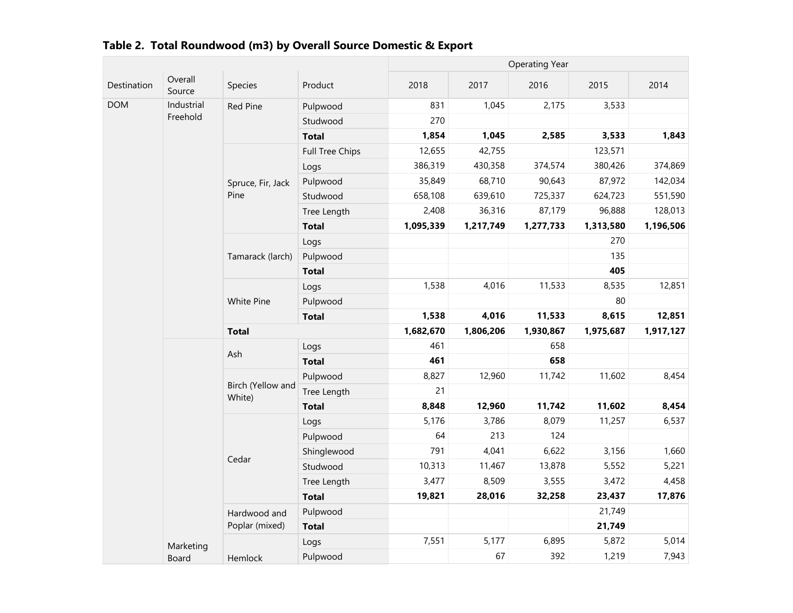|             |                   |                   |                 | <b>Operating Year</b> |           |           |           |           |
|-------------|-------------------|-------------------|-----------------|-----------------------|-----------|-----------|-----------|-----------|
| Destination | Overall<br>Source | Species           | Product         | 2018                  | 2017      | 2016      | 2015      | 2014      |
| <b>DOM</b>  | Industrial        | Red Pine          | Pulpwood        | 831                   | 1,045     | 2,175     | 3,533     |           |
|             | Freehold          |                   | Studwood        | 270                   |           |           |           |           |
|             |                   |                   | <b>Total</b>    | 1,854                 | 1,045     | 2,585     | 3,533     | 1,843     |
|             |                   |                   | Full Tree Chips | 12,655                | 42,755    |           | 123,571   |           |
|             |                   |                   | Logs            | 386,319               | 430,358   | 374,574   | 380,426   | 374,869   |
|             |                   | Spruce, Fir, Jack | Pulpwood        | 35,849                | 68,710    | 90,643    | 87,972    | 142,034   |
|             |                   | Pine              | Studwood        | 658,108               | 639,610   | 725,337   | 624,723   | 551,590   |
|             |                   |                   | Tree Length     | 2,408                 | 36,316    | 87,179    | 96,888    | 128,013   |
|             |                   |                   | <b>Total</b>    | 1,095,339             | 1,217,749 | 1,277,733 | 1,313,580 | 1,196,506 |
|             |                   |                   | Logs            |                       |           |           | 270       |           |
|             |                   | Tamarack (larch)  | Pulpwood        |                       |           |           | 135       |           |
|             |                   |                   | <b>Total</b>    |                       |           |           | 405       |           |
|             |                   |                   | Logs            | 1,538                 | 4,016     | 11,533    | 8,535     | 12,851    |
|             |                   | White Pine        | Pulpwood        |                       |           |           | 80        | 12,851    |
|             |                   |                   | <b>Total</b>    | 1,538                 | 4,016     | 11,533    | 8,615     |           |
|             |                   |                   |                 |                       |           |           |           |           |
|             |                   | <b>Total</b>      |                 | 1,682,670             | 1,806,206 | 1,930,867 | 1,975,687 | 1,917,127 |
|             |                   |                   | Logs            | 461                   |           | 658       |           |           |
|             |                   | Ash               | <b>Total</b>    | 461                   |           | 658       |           |           |
|             |                   |                   | Pulpwood        | 8,827                 | 12,960    | 11,742    | 11,602    | 8,454     |
|             |                   | Birch (Yellow and | Tree Length     | 21                    |           |           |           |           |
|             |                   | White)            | <b>Total</b>    | 8,848                 | 12,960    | 11,742    | 11,602    | 8,454     |
|             |                   |                   | Logs            | 5,176                 | 3,786     | 8,079     | 11,257    | 6,537     |
|             |                   |                   | Pulpwood        | 64                    | 213       | 124       |           |           |
|             |                   |                   | Shinglewood     | 791                   | 4,041     | 6,622     | 3,156     | 1,660     |
|             |                   | Cedar             | Studwood        | 10,313                | 11,467    | 13,878    | 5,552     | 5,221     |
|             |                   |                   | Tree Length     | 3,477                 | 8,509     | 3,555     | 3,472     | 4,458     |
|             |                   |                   | <b>Total</b>    | 19,821                | 28,016    | 32,258    | 23,437    | 17,876    |
|             |                   | Hardwood and      | Pulpwood        |                       |           |           | 21,749    |           |
|             |                   | Poplar (mixed)    | <b>Total</b>    |                       |           |           | 21,749    |           |
|             | Marketing         |                   | Logs            | 7,551                 | 5,177     | 6,895     | 5,872     | 5,014     |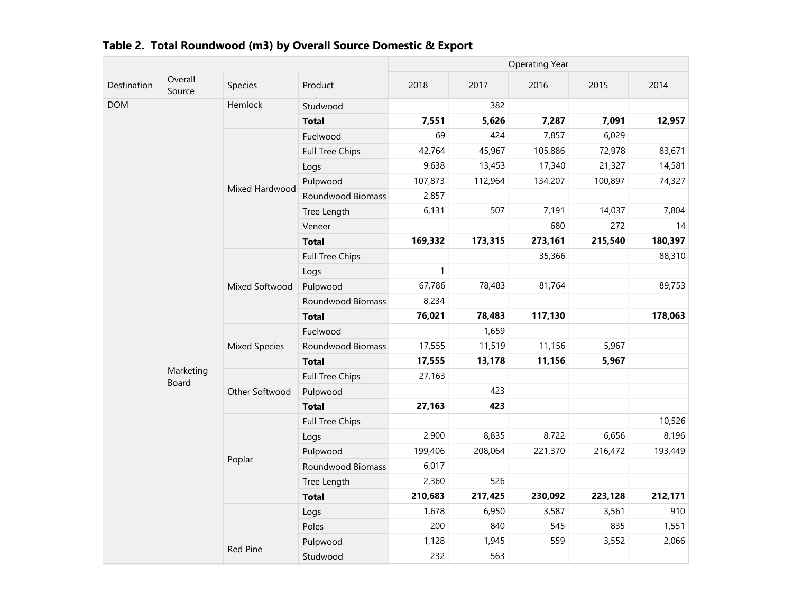|             |                    |                        |                   | <b>Operating Year</b> |         |         |         |         |
|-------------|--------------------|------------------------|-------------------|-----------------------|---------|---------|---------|---------|
| Destination | Overall<br>Source  | Species                | Product           | 2018                  | 2017    | 2016    | 2015    | 2014    |
| <b>DOM</b>  |                    | Hemlock                | Studwood          |                       | 382     |         |         |         |
|             |                    |                        | <b>Total</b>      | 7,551                 | 5,626   | 7,287   | 7,091   | 12,957  |
|             |                    | Fuelwood               | 69                | 424                   | 7,857   | 6,029   |         |         |
|             |                    | <b>Full Tree Chips</b> | 42,764            | 45,967                | 105,886 | 72,978  | 83,671  |         |
|             |                    | Logs                   | 9,638             | 13,453                | 17,340  | 21,327  | 14,581  |         |
|             |                    | Mixed Hardwood         | Pulpwood          | 107,873               | 112,964 | 134,207 | 100,897 | 74,327  |
|             |                    |                        | Roundwood Biomass | 2,857                 |         |         |         |         |
|             |                    |                        | Tree Length       | 6,131                 | 507     | 7,191   | 14,037  | 7,804   |
|             |                    |                        | Veneer            |                       |         | 680     | 272     | 14      |
|             |                    |                        | <b>Total</b>      | 169,332               | 173,315 | 273,161 | 215,540 | 180,397 |
|             |                    |                        | Full Tree Chips   |                       |         | 35,366  |         | 88,310  |
|             |                    |                        | Logs              | $\mathbf{1}$          |         |         |         |         |
|             |                    | Mixed Softwood         | Pulpwood          | 67,786                | 78,483  | 81,764  |         | 89,753  |
|             |                    |                        | Roundwood Biomass | 8,234                 |         |         |         |         |
|             |                    |                        | <b>Total</b>      | 76,021                | 78,483  | 117,130 |         | 178,063 |
|             |                    | <b>Mixed Species</b>   | Fuelwood          |                       | 1,659   |         |         |         |
|             |                    |                        | Roundwood Biomass | 17,555                | 11,519  | 11,156  | 5,967   |         |
|             | Marketing<br>Board |                        | <b>Total</b>      | 17,555                | 13,178  | 11,156  | 5,967   |         |
|             |                    |                        | Full Tree Chips   | 27,163                |         |         |         |         |
|             |                    | Other Softwood         | Pulpwood          |                       | 423     |         |         |         |
|             |                    |                        | <b>Total</b>      | 27,163                | 423     |         |         |         |
|             |                    |                        | Full Tree Chips   |                       |         |         |         | 10,526  |
|             |                    |                        | Logs              | 2,900                 | 8,835   | 8,722   | 6,656   | 8,196   |
|             |                    | Poplar                 | Pulpwood          | 199,406               | 208,064 | 221,370 | 216,472 | 193,449 |
|             |                    |                        | Roundwood Biomass | 6,017                 |         |         |         |         |
|             |                    |                        | Tree Length       | 2,360                 | 526     |         |         |         |
|             |                    |                        | <b>Total</b>      | 210,683               | 217,425 | 230,092 | 223,128 | 212,171 |
|             |                    |                        | Logs              | 1,678                 | 6,950   | 3,587   | 3,561   | 910     |
|             |                    |                        | Poles             | 200                   | 840     | 545     | 835     | 1,551   |
|             |                    | <b>Red Pine</b>        | Pulpwood          | 1,128                 | 1,945   | 559     | 3,552   | 2,066   |
|             |                    |                        | Studwood          | 232                   | 563     |         |         |         |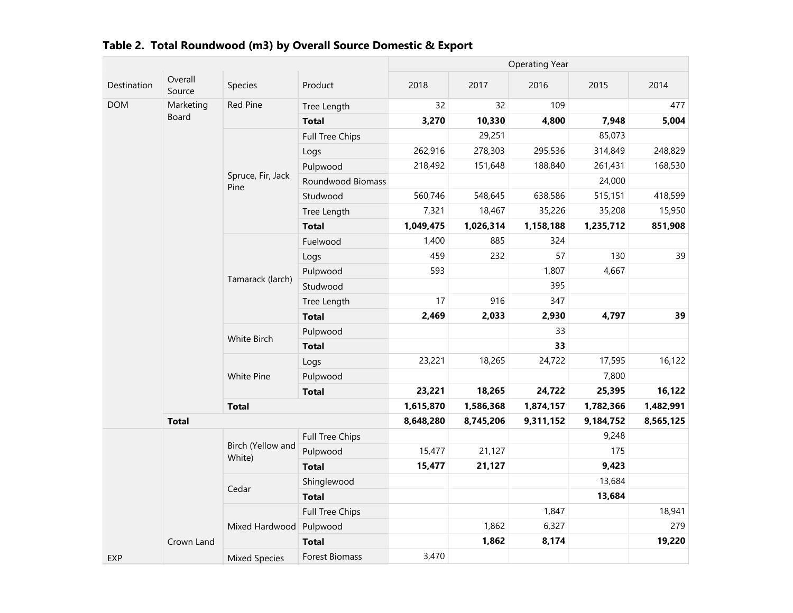|             |                   |                             |                       |           |           | <b>Operating Year</b> |           |           |
|-------------|-------------------|-----------------------------|-----------------------|-----------|-----------|-----------------------|-----------|-----------|
| Destination | Overall<br>Source | Species                     | Product               | 2018      | 2017      | 2016                  | 2015      | 2014      |
| <b>DOM</b>  | Marketing         | Red Pine                    | Tree Length           | 32        | 32        | 109                   |           | 477       |
|             | Board             |                             | <b>Total</b>          | 3,270     | 10,330    | 4,800                 | 7,948     | 5,004     |
|             |                   |                             | Full Tree Chips       |           | 29,251    |                       | 85,073    |           |
|             |                   |                             | Logs                  | 262,916   | 278,303   | 295,536               | 314,849   | 248,829   |
|             |                   |                             | Pulpwood              | 218,492   | 151,648   | 188,840               | 261,431   | 168,530   |
|             |                   | Spruce, Fir, Jack<br>Pine   | Roundwood Biomass     |           |           |                       | 24,000    |           |
|             |                   |                             | Studwood              | 560,746   | 548,645   | 638,586               | 515,151   | 418,599   |
|             |                   |                             | Tree Length           | 7,321     | 18,467    | 35,226                | 35,208    | 15,950    |
|             |                   |                             | <b>Total</b>          | 1,049,475 | 1,026,314 | 1,158,188             | 1,235,712 | 851,908   |
|             |                   |                             | Fuelwood              | 1,400     | 885       | 324                   |           |           |
|             |                   |                             | Logs                  | 459       | 232       | 57                    | 130       | 39        |
|             |                   |                             | Pulpwood              | 593       |           | 1,807                 | 4,667     |           |
|             |                   | Tamarack (larch)            | Studwood              |           |           | 395                   | 347       |           |
|             |                   |                             | Tree Length           | 17        | 916       |                       |           |           |
|             |                   |                             | <b>Total</b>          | 2,469     | 2,033     | 2,930                 | 4,797     | 39        |
|             |                   | White Birch                 | Pulpwood              |           |           | 33                    |           |           |
|             |                   |                             | <b>Total</b>          |           |           | 33                    |           |           |
|             |                   | White Pine                  | Logs                  | 23,221    | 18,265    | 24,722                | 17,595    | 16,122    |
|             |                   |                             | Pulpwood              |           |           |                       | 7,800     |           |
|             |                   |                             | <b>Total</b>          | 23,221    | 18,265    | 24,722                | 25,395    | 16,122    |
|             |                   | <b>Total</b>                |                       | 1,615,870 | 1,586,368 | 1,874,157             | 1,782,366 | 1,482,991 |
|             | <b>Total</b>      |                             |                       | 8,648,280 | 8,745,206 | 9,311,152             | 9,184,752 | 8,565,125 |
|             |                   |                             | Full Tree Chips       |           |           |                       | 9,248     |           |
|             |                   | Birch (Yellow and<br>White) | Pulpwood              | 15,477    | 21,127    |                       | 175       |           |
|             |                   |                             | <b>Total</b>          | 15,477    | 21,127    |                       | 9,423     |           |
|             |                   | Cedar                       | Shinglewood           |           |           |                       | 13,684    |           |
|             |                   |                             | <b>Total</b>          |           |           |                       | 13,684    |           |
|             |                   |                             | Full Tree Chips       |           |           | 1,847                 |           | 18,941    |
|             |                   | Mixed Hardwood              | Pulpwood              |           | 1,862     | 6,327                 |           | 279       |
|             | Crown Land        |                             | <b>Total</b>          |           | 1,862     | 8,174                 |           | 19,220    |
| <b>EXP</b>  |                   | <b>Mixed Species</b>        | <b>Forest Biomass</b> | 3,470     |           |                       |           |           |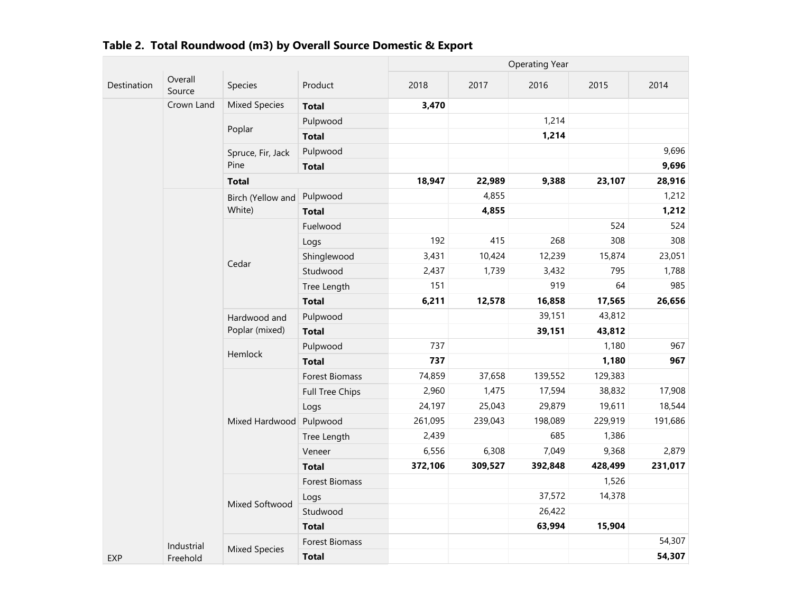|             |                                 |                                           |                       |         |         | <b>Operating Year</b> |         |         |
|-------------|---------------------------------|-------------------------------------------|-----------------------|---------|---------|-----------------------|---------|---------|
| Destination | Overall<br>Source<br>Crown Land | Species                                   | Product               | 2018    | 2017    | 2016                  | 2015    | 2014    |
|             |                                 | <b>Mixed Species</b>                      | <b>Total</b>          | 3,470   |         |                       |         |         |
|             |                                 | Poplar                                    | Pulpwood              |         |         | 1,214                 |         |         |
|             |                                 |                                           | <b>Total</b>          |         |         | 1,214                 |         |         |
|             |                                 | Spruce, Fir, Jack                         | Pulpwood              |         |         |                       |         | 9,696   |
|             |                                 | Pine                                      | <b>Total</b>          |         |         |                       |         | 9,696   |
|             |                                 | <b>Total</b>                              |                       | 18,947  | 22,989  | 9,388                 | 23,107  | 28,916  |
|             |                                 | Birch (Yellow and                         | Pulpwood              |         | 4,855   |                       |         | 1,212   |
|             |                                 | White)                                    | <b>Total</b>          |         | 4,855   |                       |         | 1,212   |
|             |                                 |                                           | Fuelwood              |         |         |                       | 524     | 524     |
|             |                                 |                                           | Logs                  | 192     | 415     | 268                   | 308     | 308     |
|             |                                 | Cedar                                     | Shinglewood           | 3,431   | 10,424  | 12,239                | 15,874  | 23,051  |
|             |                                 |                                           | Studwood              | 2,437   | 1,739   | 3,432                 | 795     | 1,788   |
|             |                                 |                                           | Tree Length           | 151     |         | 919                   | 64      | 985     |
|             |                                 |                                           | <b>Total</b>          | 6,211   | 12,578  | 16,858                | 17,565  | 26,656  |
|             |                                 | Hardwood and<br>Poplar (mixed)<br>Hemlock | Pulpwood              |         |         | 39,151                | 43,812  |         |
|             |                                 |                                           | <b>Total</b>          |         |         | 39,151                | 43,812  |         |
|             |                                 |                                           | Pulpwood              | 737     |         |                       | 1,180   | 967     |
|             |                                 |                                           | <b>Total</b>          | 737     |         |                       | 1,180   | 967     |
|             |                                 |                                           | <b>Forest Biomass</b> | 74,859  | 37,658  | 139,552               | 129,383 |         |
|             |                                 |                                           | Full Tree Chips       | 2,960   | 1,475   | 17,594                | 38,832  | 17,908  |
|             |                                 |                                           | Logs                  | 24,197  | 25,043  | 29,879                | 19,611  | 18,544  |
|             |                                 | Mixed Hardwood                            | Pulpwood              | 261,095 | 239,043 | 198,089               | 229,919 | 191,686 |
|             |                                 |                                           | Tree Length           | 2,439   |         | 685                   | 1,386   |         |
|             |                                 |                                           | Veneer                | 6,556   | 6,308   | 7,049                 | 9,368   | 2,879   |
|             |                                 |                                           | <b>Total</b>          | 372,106 | 309,527 | 392,848               | 428,499 | 231,017 |
|             |                                 |                                           | Forest Biomass        |         |         |                       | 1,526   |         |
|             |                                 | Mixed Softwood                            | Logs                  |         |         | 37,572                | 14,378  |         |
|             |                                 |                                           | Studwood              |         |         | 26,422                |         |         |
|             |                                 |                                           | <b>Total</b>          |         |         | 63,994                | 15,904  |         |
|             | Industrial                      | <b>Mixed Species</b>                      | Forest Biomass        |         |         |                       |         | 54,307  |
| <b>EXP</b>  | Freehold                        |                                           | <b>Total</b>          |         |         |                       |         | 54,307  |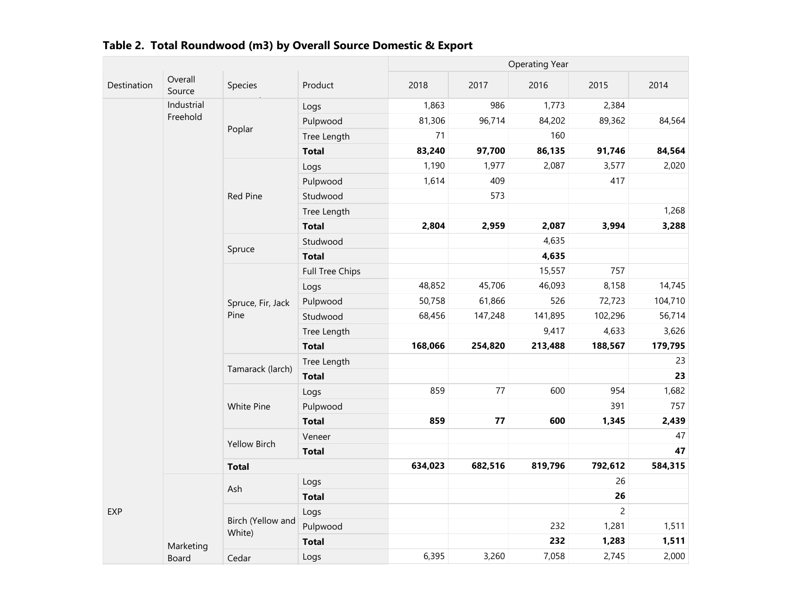|             |                    |                             |                 |         |            | <b>Operating Year</b> |                |         |
|-------------|--------------------|-----------------------------|-----------------|---------|------------|-----------------------|----------------|---------|
| Destination | Overall<br>Source  | Species                     | Product         | 2018    | 2017       | 2016                  | 2015           | 2014    |
|             | Industrial         |                             | Logs            | 1,863   | 986        | 1,773                 | 2,384          |         |
|             | Freehold           |                             | Pulpwood        | 81,306  | 96,714     | 84,202                | 89,362         | 84,564  |
|             |                    | Poplar                      | Tree Length     | 71      |            | 160                   |                |         |
|             |                    |                             | <b>Total</b>    | 83,240  | 97,700     | 86,135                | 91,746         | 84,564  |
|             |                    |                             | Logs            | 1,190   | 1,977      | 2,087                 | 3,577          | 2,020   |
|             |                    |                             | Pulpwood        | 1,614   | 409        |                       | 417            |         |
|             |                    | <b>Red Pine</b>             | Studwood        |         | 573        |                       |                |         |
|             |                    |                             | Tree Length     |         |            |                       |                | 1,268   |
|             |                    |                             | <b>Total</b>    | 2,804   | 2,959      | 2,087                 | 3,994          | 3,288   |
|             |                    | Spruce                      | Studwood        |         |            | 4,635                 |                |         |
|             |                    |                             | <b>Total</b>    |         |            | 4,635                 |                |         |
|             |                    |                             | Full Tree Chips |         |            | 15,557                | 757            |         |
|             |                    |                             | Logs            | 48,852  | 45,706     | 46,093                | 8,158          | 14,745  |
|             |                    | Spruce, Fir, Jack           | Pulpwood        | 50,758  | 61,866     | 526                   | 72,723         | 104,710 |
|             |                    | Pine                        | Studwood        | 68,456  | 147,248    | 141,895               | 102,296        | 56,714  |
|             |                    |                             | Tree Length     |         |            | 9,417                 | 4,633          | 3,626   |
|             |                    |                             | <b>Total</b>    | 168,066 | 254,820    | 213,488               | 188,567        | 179,795 |
|             |                    |                             | Tree Length     |         |            |                       |                | 23      |
|             |                    | Tamarack (larch)            | <b>Total</b>    |         |            |                       |                | 23      |
|             |                    |                             | Logs            | 859     | $77 \,$    | 600                   | 954            | 1,682   |
|             |                    | White Pine                  | Pulpwood        |         |            |                       | 391            | 757     |
|             |                    |                             | <b>Total</b>    | 859     | ${\bf 77}$ | 600                   | 1,345          | 2,439   |
|             |                    | <b>Yellow Birch</b>         | Veneer          |         |            |                       |                | 47      |
|             |                    |                             | <b>Total</b>    |         |            |                       |                | 47      |
|             |                    | <b>Total</b>                |                 | 634,023 | 682,516    | 819,796               | 792,612        | 584,315 |
|             |                    | Ash                         | Logs            |         |            |                       | 26             |         |
|             |                    |                             | <b>Total</b>    |         |            |                       | 26             |         |
| <b>EXP</b>  |                    |                             | Logs            |         |            |                       | $\overline{c}$ |         |
|             |                    | Birch (Yellow and<br>White) | Pulpwood        |         |            | 232                   | 1,281          | 1,511   |
|             |                    |                             | <b>Total</b>    |         |            | 232                   | 1,283          | 1,511   |
|             | Marketing<br>Board | Cedar                       | Logs            | 6,395   | 3,260      | 7,058                 | 2,745          | 2,000   |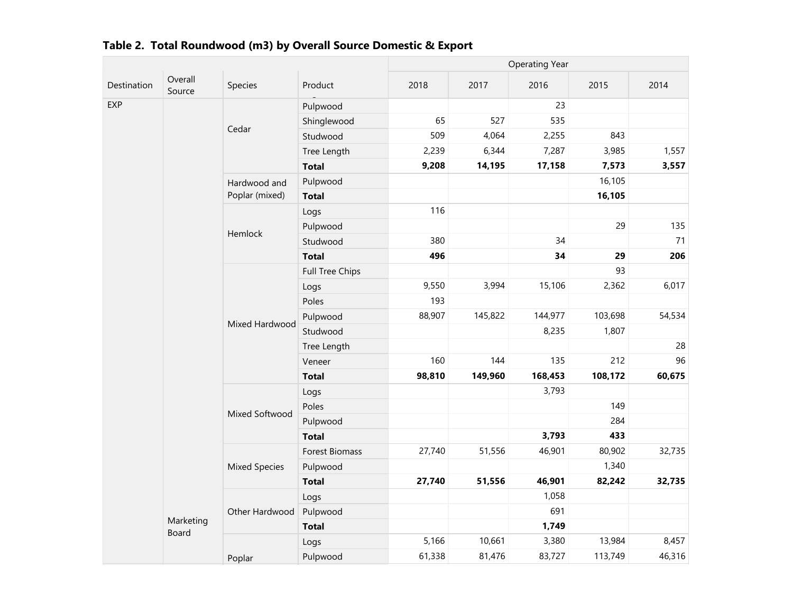|             |                    |                      |                        |        |         | <b>Operating Year</b> |                                                                                                      |        |
|-------------|--------------------|----------------------|------------------------|--------|---------|-----------------------|------------------------------------------------------------------------------------------------------|--------|
| Destination | Overall<br>Source  | Species              | Product                | 2018   | 2017    | 2016                  | 2015                                                                                                 | 2014   |
| EXP         |                    |                      | Pulpwood               |        |         | 23                    |                                                                                                      |        |
|             |                    |                      | Shinglewood            | 65     | 527     | 535                   |                                                                                                      |        |
|             |                    | Cedar                | Studwood               | 509    | 4,064   | 2,255                 | 843                                                                                                  |        |
|             |                    |                      | Tree Length            | 2,239  | 6,344   | 7,287                 | 3,985                                                                                                | 1,557  |
|             |                    |                      | <b>Total</b>           | 9,208  | 14,195  | 17,158                | 7,573                                                                                                | 3,557  |
|             |                    | Hardwood and         | Pulpwood               |        |         |                       | 16,105                                                                                               |        |
|             |                    | Poplar (mixed)       | <b>Total</b>           |        |         |                       | 16,105                                                                                               |        |
|             |                    |                      | Logs                   | 116    |         |                       |                                                                                                      |        |
|             |                    |                      | Pulpwood               |        |         |                       | 29                                                                                                   | 135    |
|             |                    | Hemlock              | Studwood               | 380    |         | 34                    |                                                                                                      | 71     |
|             |                    |                      | <b>Total</b>           | 496    |         | 34                    | 29                                                                                                   | 206    |
|             |                    |                      | <b>Full Tree Chips</b> |        |         |                       | 93                                                                                                   |        |
|             |                    |                      | Logs                   | 9,550  | 3,994   | 15,106                | 2,362<br>103,698<br>1,807<br>212<br>135<br>108,172<br>149<br>284<br>433<br>80,902<br>1,340<br>82,242 | 6,017  |
|             |                    |                      | Poles                  | 193    |         |                       |                                                                                                      |        |
|             |                    | Mixed Hardwood       | Pulpwood               | 88,907 | 145,822 | 144,977               |                                                                                                      | 54,534 |
|             |                    |                      | Studwood               |        |         | 8,235                 |                                                                                                      |        |
|             |                    |                      | Tree Length            |        |         |                       |                                                                                                      | 28     |
|             |                    |                      | Veneer                 | 160    | 144     |                       |                                                                                                      | 96     |
|             |                    |                      | <b>Total</b>           | 98,810 | 149,960 | 168,453               |                                                                                                      | 60,675 |
|             |                    |                      | Logs                   |        |         | 3,793                 |                                                                                                      |        |
|             |                    |                      | Poles                  |        |         |                       |                                                                                                      |        |
|             |                    | Mixed Softwood       | Pulpwood               |        |         |                       |                                                                                                      |        |
|             |                    |                      | <b>Total</b>           |        |         | 3,793                 |                                                                                                      |        |
|             |                    |                      | Forest Biomass         | 27,740 | 51,556  | 46,901                |                                                                                                      | 32,735 |
|             |                    | <b>Mixed Species</b> | Pulpwood               |        |         |                       |                                                                                                      |        |
|             |                    |                      | <b>Total</b>           | 27,740 | 51,556  | 46,901                |                                                                                                      | 32,735 |
|             |                    |                      | Logs                   |        |         | 1,058                 |                                                                                                      |        |
|             |                    | Other Hardwood       | Pulpwood               |        |         | 691                   |                                                                                                      |        |
|             | Marketing<br>Board |                      | <b>Total</b>           |        |         | 1,749                 |                                                                                                      |        |
|             |                    |                      | Logs                   | 5,166  | 10,661  | 3,380                 | 13,984                                                                                               | 8,457  |
|             |                    | Poplar               | Pulpwood               | 61,338 | 81,476  | 83,727                | 113,749                                                                                              | 46,316 |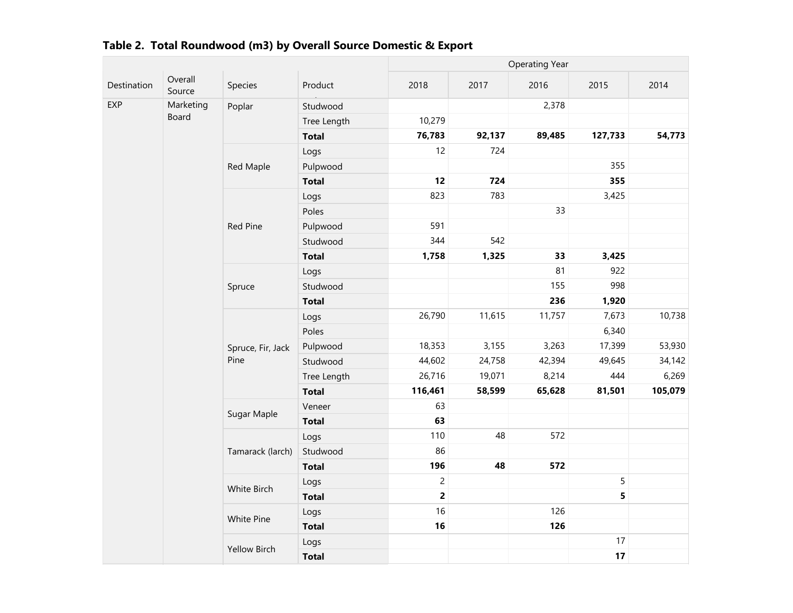|              |                   |                     |              |                         |        | <b>Operating Year</b> |         |         |
|--------------|-------------------|---------------------|--------------|-------------------------|--------|-----------------------|---------|---------|
| Destination  | Overall<br>Source | Species             | Product      | 2018                    | 2017   | 2016                  | 2015    | 2014    |
| EXP<br>Board | Marketing         | Poplar              | Studwood     |                         |        | 2,378                 |         |         |
|              |                   |                     | Tree Length  | 10,279                  |        |                       |         |         |
|              |                   |                     | <b>Total</b> | 76,783                  | 92,137 | 89,485                | 127,733 | 54,773  |
|              |                   |                     | Logs         | 12                      | 724    |                       |         |         |
|              |                   | Red Maple           | Pulpwood     |                         |        |                       | 355     |         |
|              |                   |                     | <b>Total</b> | 12                      | 724    |                       | 355     |         |
|              |                   |                     | Logs         | 823                     | 783    |                       | 3,425   |         |
|              |                   |                     | Poles        |                         |        | 33                    |         |         |
|              |                   | Red Pine            | Pulpwood     | 591                     |        |                       |         |         |
|              |                   |                     | Studwood     | 344                     | 542    |                       |         |         |
|              |                   |                     | <b>Total</b> | 1,758                   | 1,325  | 33                    | 3,425   |         |
|              |                   |                     | Logs         |                         |        | 81                    | 922     |         |
|              |                   | Spruce              | Studwood     |                         |        | 155                   | 998     |         |
|              |                   |                     | <b>Total</b> |                         |        | 236                   | 1,920   |         |
|              |                   | Spruce, Fir, Jack   | Logs         | 26,790                  | 11,615 | 11,757                | 7,673   | 10,738  |
|              |                   |                     | Poles        |                         |        |                       | 6,340   |         |
|              |                   |                     | Pulpwood     | 18,353                  | 3,155  | 3,263                 | 17,399  | 53,930  |
|              |                   | Pine                | Studwood     | 44,602                  | 24,758 | 42,394                | 49,645  | 34,142  |
|              |                   |                     | Tree Length  | 26,716                  | 19,071 | 8,214                 | 444     | 6,269   |
|              |                   |                     | <b>Total</b> | 116,461                 | 58,599 | 65,628                | 81,501  | 105,079 |
|              |                   | Sugar Maple         | Veneer       | 63                      |        |                       |         |         |
|              |                   |                     | <b>Total</b> | 63                      |        |                       |         |         |
|              |                   |                     | Logs         | 110                     | 48     | 572                   |         |         |
|              |                   | Tamarack (larch)    | Studwood     | 86                      |        |                       |         |         |
|              |                   |                     | <b>Total</b> | 196                     | 48     | 572                   |         |         |
|              |                   | White Birch         | Logs         | $\overline{2}$          |        |                       | 5       |         |
|              |                   |                     | <b>Total</b> | $\overline{\mathbf{c}}$ |        |                       | 5       |         |
|              |                   | White Pine          | Logs         | 16                      |        | 126                   |         |         |
|              |                   |                     | <b>Total</b> | 16                      |        | 126                   |         |         |
|              |                   |                     | Logs         |                         |        |                       | 17      |         |
|              |                   | <b>Yellow Birch</b> | <b>Total</b> |                         |        |                       | 17      |         |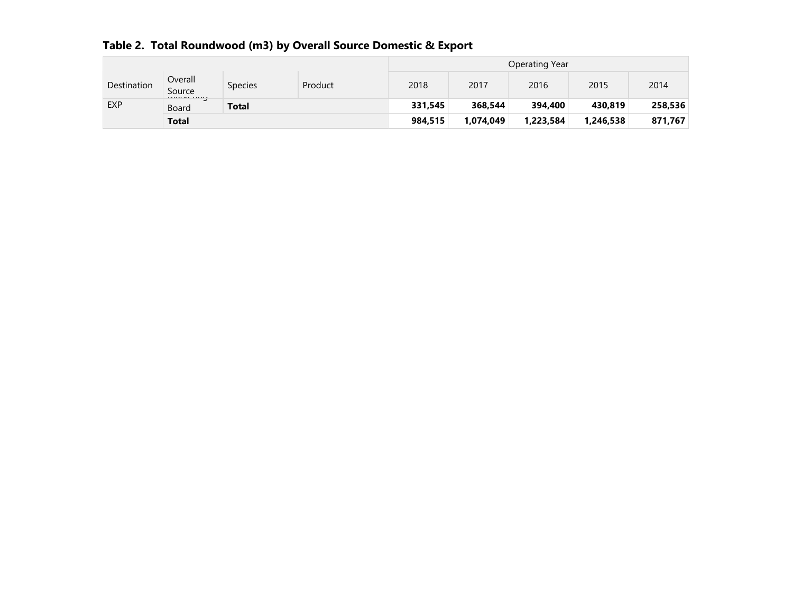|  |  |  | Table 2. Total Roundwood (m3) by Overall Source Domestic & Export |
|--|--|--|-------------------------------------------------------------------|
|--|--|--|-------------------------------------------------------------------|

|             |                                       |         |         | Operating Year |           |          |         |         |  |
|-------------|---------------------------------------|---------|---------|----------------|-----------|----------|---------|---------|--|
| Destination | Overall<br>Source<br>residence accept | Species | Product | 2018           | 2017      | 2016     | 2015    | 2014    |  |
| <b>EXP</b>  | Board                                 | Total   |         | 331,545        | 368,544   | 394,400  | 430,819 | 258,536 |  |
|             | <b>Total</b>                          |         | 984,515 | 1,074,049      | 1,223,584 | ,246,538 | 871,767 |         |  |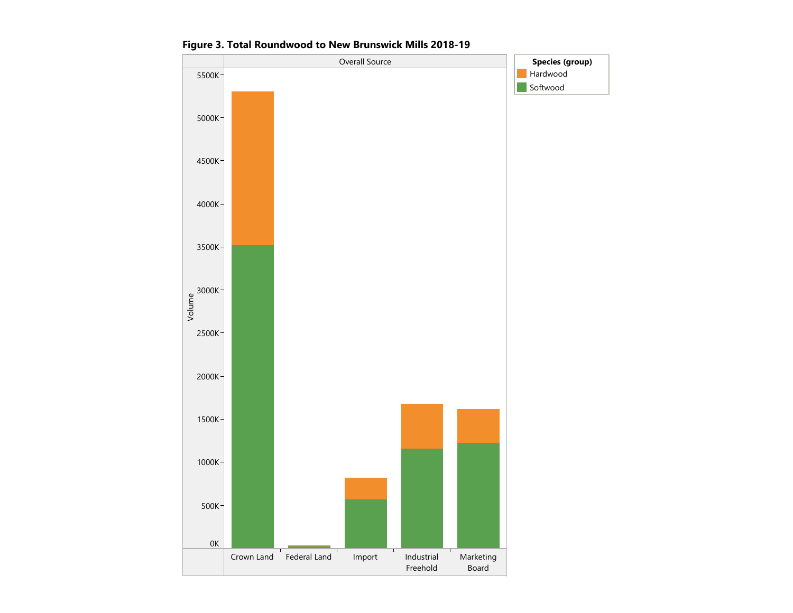

Figure 3. Total Roundwood to New Brunswick Mills 2018-19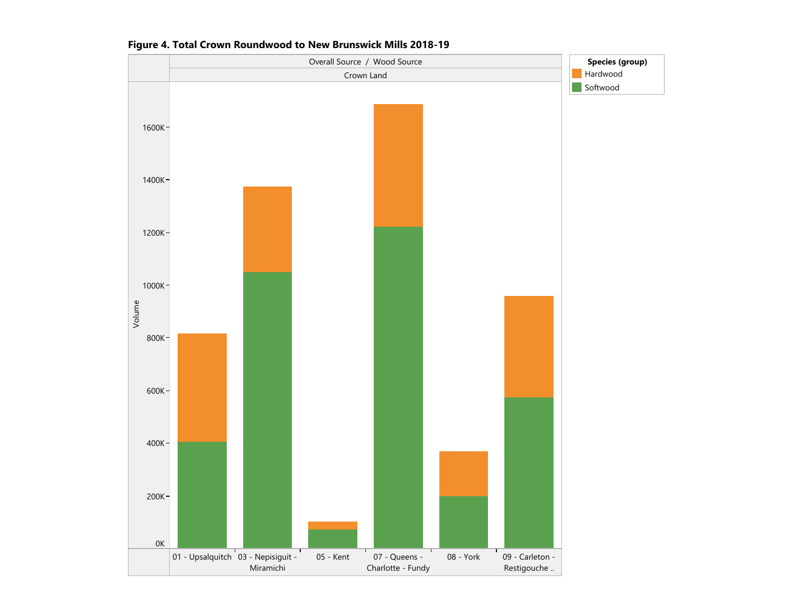

#### Figure 4. Total Crown Roundwood to New Brunswick Mills 2018-19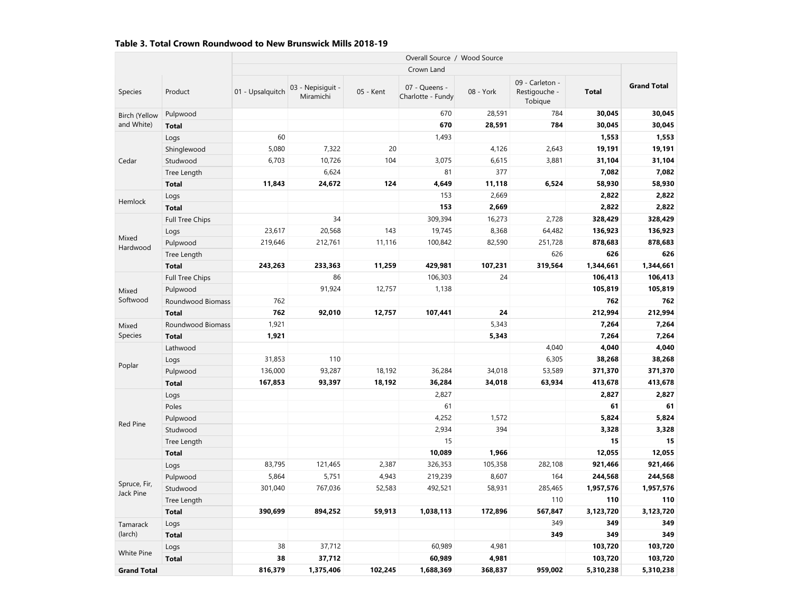#### Table 3. Total Crown Roundwood to New Brunswick Mills 2018-19

|                              |                   |                  |                                |           | Overall Source / Wood Source       |           |                                             |              |                    |
|------------------------------|-------------------|------------------|--------------------------------|-----------|------------------------------------|-----------|---------------------------------------------|--------------|--------------------|
|                              |                   |                  |                                |           | Crown Land                         |           |                                             |              |                    |
| Species                      | Product           | 01 - Upsalquitch | 03 - Nepisiguit -<br>Miramichi | 05 - Kent | 07 - Queens -<br>Charlotte - Fundy | 08 - York | 09 - Carleton -<br>Restigouche -<br>Tobique | <b>Total</b> | <b>Grand Total</b> |
| <b>Birch (Yellow</b>         | Pulpwood          |                  |                                |           | 670                                | 28,591    | 784                                         | 30,045       | 30,045             |
| and White)                   | <b>Total</b>      |                  |                                |           | 670                                | 28,591    | 784                                         | 30,045       | 30,045             |
|                              | Logs              | 60               |                                |           | 1,493                              |           |                                             | 1,553        | 1,553              |
|                              | Shinglewood       | 5,080            | 7,322                          | 20        |                                    | 4,126     | 2,643                                       | 19,191       | 19,191             |
| Cedar                        | Studwood          | 6,703            | 10,726                         | 104       | 3,075                              | 6,615     | 3,881                                       | 31,104       | 31,104             |
|                              | Tree Length       |                  | 6,624                          |           | 81                                 | 377       |                                             | 7,082        | 7,082              |
|                              | <b>Total</b>      | 11,843           | 24,672                         | 124       | 4,649                              | 11,118    | 6,524                                       | 58,930       | 58,930             |
|                              | Logs              |                  |                                |           | 153                                | 2,669     |                                             | 2,822        | 2,822              |
| Hemlock                      | <b>Total</b>      |                  |                                |           | 153                                | 2,669     |                                             | 2,822        | 2,822              |
|                              | Full Tree Chips   |                  | 34                             |           | 309,394                            | 16,273    | 2,728                                       | 328,429      | 328,429            |
|                              | Logs              | 23,617           | 20,568                         | 143       | 19,745                             | 8,368     | 64,482                                      | 136,923      | 136,923            |
| Mixed<br>Hardwood            | Pulpwood          | 219,646          | 212,761                        | 11,116    | 100,842                            | 82,590    | 251,728                                     | 878,683      | 878,683            |
|                              | Tree Length       |                  |                                |           |                                    |           | 626                                         | 626          | 626                |
|                              | <b>Total</b>      | 243,263          | 233,363                        | 11,259    | 429,981                            | 107,231   | 319,564                                     | 1,344,661    | 1,344,661          |
|                              | Full Tree Chips   |                  | 86                             |           | 106,303                            | 24        |                                             | 106,413      | 106,413            |
| Mixed                        | Pulpwood          |                  | 91,924                         | 12,757    | 1,138                              |           |                                             | 105,819      | 105,819            |
| Softwood<br>Mixed<br>Species | Roundwood Biomass | 762              |                                |           |                                    |           |                                             | 762          | 762                |
|                              | <b>Total</b>      | 762              | 92,010                         | 12,757    | 107,441                            | 24        |                                             | 212,994      | 212,994            |
|                              | Roundwood Biomass | 1,921            |                                |           |                                    | 5,343     |                                             | 7,264        | 7,264              |
|                              | <b>Total</b>      | 1,921            |                                |           |                                    | 5,343     |                                             | 7,264        | 7,264              |
|                              | Lathwood          |                  |                                |           |                                    |           | 4,040                                       | 4,040        | 4,040              |
| Poplar                       | Logs              | 31,853           | 110                            |           |                                    |           | 6,305                                       | 38,268       | 38,268             |
|                              | Pulpwood          | 136,000          | 93,287                         | 18,192    | 36,284                             | 34,018    | 53,589                                      | 371,370      | 371,370            |
|                              | <b>Total</b>      | 167,853          | 93,397                         | 18,192    | 36,284                             | 34,018    | 63,934                                      | 413,678      | 413,678            |
|                              | Logs              |                  |                                |           | 2,827                              |           |                                             | 2,827        | 2,827              |
|                              | Poles             |                  |                                |           | 61                                 |           |                                             | 61           | 61                 |
| <b>Red Pine</b>              | Pulpwood          |                  |                                |           | 4,252                              | 1,572     |                                             | 5,824        | 5,824              |
|                              | Studwood          |                  |                                |           | 2,934                              | 394       |                                             | 3,328        | 3,328              |
|                              | Tree Length       |                  |                                |           | 15                                 |           |                                             | 15           | 15                 |
|                              | <b>Total</b>      |                  |                                |           | 10,089                             | 1,966     |                                             | 12,055       | 12,055             |
|                              | Logs              | 83,795           | 121,465                        | 2,387     | 326,353                            | 105,358   | 282,108                                     | 921,466      | 921,466            |
|                              | Pulpwood          | 5,864            | 5,751                          | 4,943     | 219,239                            | 8,607     | 164                                         | 244,568      | 244,568            |
| Spruce, Fir,<br>Jack Pine    | Studwood          | 301,040          | 767,036                        | 52,583    | 492,521                            | 58,931    | 285,465                                     | 1,957,576    | 1,957,576          |
|                              | Tree Length       |                  |                                |           |                                    |           | 110                                         | 110          | 110                |
|                              | <b>Total</b>      | 390,699          | 894,252                        | 59,913    | 1,038,113                          | 172,896   | 567,847                                     | 3,123,720    | 3,123,720          |
| Tamarack                     | Logs              |                  |                                |           |                                    |           | 349                                         | 349          | 349                |
| (larch)                      | <b>Total</b>      |                  |                                |           |                                    |           | 349                                         | 349          | 349                |
| <b>White Pine</b>            | Logs              | 38               | 37,712                         |           | 60,989                             | 4,981     |                                             | 103,720      | 103,720            |
|                              | <b>Total</b>      | 38               | 37,712                         |           | 60,989                             | 4,981     |                                             | 103,720      | 103,720            |
| <b>Grand Total</b>           |                   | 816,379          | 1,375,406                      | 102,245   | 1,688,369                          | 368,837   | 959,002                                     | 5,310,238    | 5,310,238          |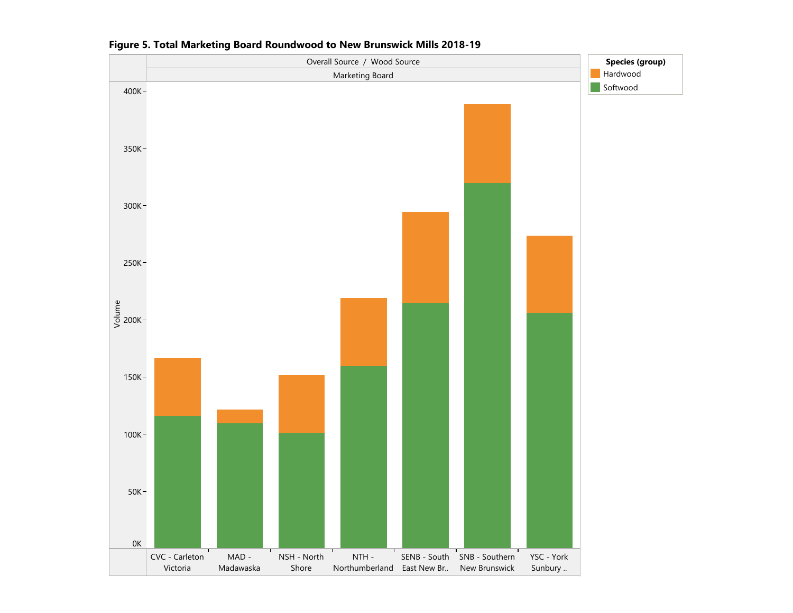

Figure 5. Total Marketing Board Roundwood to New Brunswick Mills 2018-19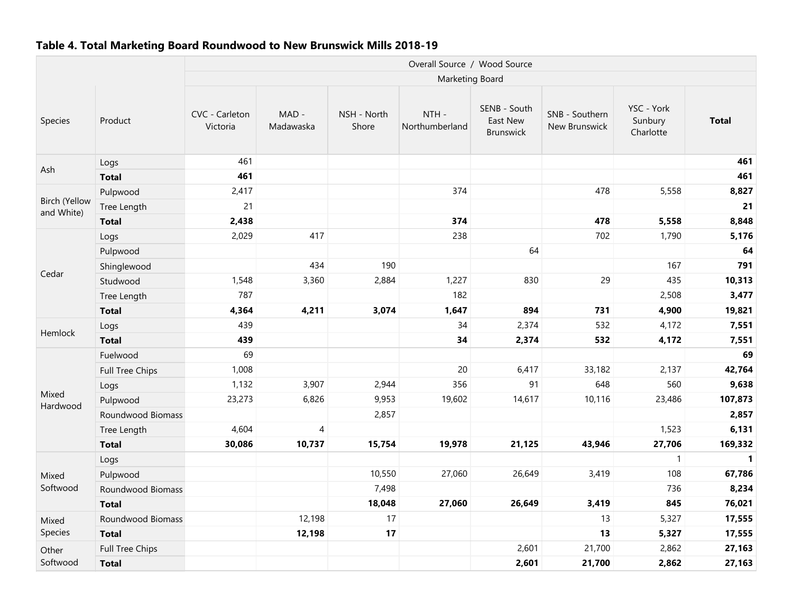#### Table 4. Total Marketing Board Roundwood to New Brunswick Mills 2018-19

|                                    |                        |                            |                    |                      | Overall Source / Wood Source |                                              |                                 |                                    |              |
|------------------------------------|------------------------|----------------------------|--------------------|----------------------|------------------------------|----------------------------------------------|---------------------------------|------------------------------------|--------------|
|                                    |                        |                            |                    |                      | Marketing Board              |                                              |                                 |                                    |              |
| Species                            | Product                | CVC - Carleton<br>Victoria | MAD -<br>Madawaska | NSH - North<br>Shore | NTH-<br>Northumberland       | SENB - South<br>East New<br><b>Brunswick</b> | SNB - Southern<br>New Brunswick | YSC - York<br>Sunbury<br>Charlotte | <b>Total</b> |
|                                    | Logs                   | 461                        |                    |                      |                              |                                              |                                 |                                    | 461          |
| Ash                                | <b>Total</b>           | 461                        |                    |                      |                              |                                              |                                 |                                    | 461          |
|                                    | Pulpwood               | 2,417                      |                    |                      | 374                          |                                              | 478                             | 5,558                              | 8,827        |
| <b>Birch (Yellow</b><br>and White) | Tree Length            | 21                         |                    |                      |                              |                                              |                                 |                                    | 21           |
|                                    | <b>Total</b>           | 2,438                      |                    |                      | 374                          |                                              | 478                             | 5,558                              | 8,848        |
|                                    | Logs                   | 2,029                      | 417                |                      | 238                          |                                              | 702                             | 1,790                              | 5,176        |
|                                    | Pulpwood               |                            |                    |                      |                              | 64                                           |                                 |                                    | 64           |
| Cedar                              | Shinglewood            |                            | 434                | 190                  |                              |                                              |                                 | 167                                | 791          |
|                                    | Studwood               | 1,548                      | 3,360              | 2,884                | 1,227                        | 830                                          | 29                              | 435                                | 10,313       |
| Hemlock                            | Tree Length            | 787                        |                    |                      | 182                          |                                              |                                 | 2,508                              | 3,477        |
|                                    | <b>Total</b>           | 4,364                      | 4,211              | 3,074                | 1,647                        | 894                                          | 731                             | 4,900                              | 19,821       |
|                                    | Logs                   | 439                        |                    |                      | 34                           | 2,374                                        | 532                             | 4,172                              | 7,551        |
|                                    | <b>Total</b>           | 439                        |                    |                      | 34                           | 2,374                                        | 532                             | 4,172                              | 7,551        |
|                                    | Fuelwood               | 69                         |                    |                      |                              |                                              |                                 |                                    | 69           |
|                                    | Full Tree Chips        | 1,008                      |                    |                      | 20                           | 6,417                                        | 33,182                          | 2,137                              | 42,764       |
|                                    | Logs                   | 1,132                      | 3,907              | 2,944                | 356                          | 91                                           | 648                             | 560                                | 9,638        |
| Mixed<br>Hardwood                  | Pulpwood               | 23,273                     | 6,826              | 9,953                | 19,602                       | 14,617                                       | 10,116                          | 23,486                             | 107,873      |
|                                    | Roundwood Biomass      |                            |                    | 2,857                |                              |                                              |                                 |                                    | 2,857        |
|                                    | Tree Length            | 4,604                      | 4                  |                      |                              |                                              |                                 | 1,523                              | 6,131        |
|                                    | <b>Total</b>           | 30,086                     | 10,737             | 15,754               | 19,978                       | 21,125                                       | 43,946                          | 27,706                             | 169,332      |
|                                    | Logs                   |                            |                    |                      |                              |                                              |                                 | $\mathbf{1}$                       | $\mathbf{1}$ |
| Mixed                              | Pulpwood               |                            |                    | 10,550               | 27,060                       | 26,649                                       | 3,419                           | 108                                | 67,786       |
| Softwood                           | Roundwood Biomass      |                            |                    | 7,498                |                              |                                              |                                 | 736                                | 8,234        |
|                                    | <b>Total</b>           |                            |                    | 18,048               | 27,060                       | 26,649                                       | 3,419                           | 845                                | 76,021       |
| Mixed                              | Roundwood Biomass      |                            | 12,198             | 17                   |                              |                                              | 13                              | 5,327                              | 17,555       |
| Species                            | <b>Total</b>           |                            | 12,198             | 17                   |                              |                                              | 13                              | 5,327                              | 17,555       |
| Other                              | <b>Full Tree Chips</b> |                            |                    |                      |                              | 2,601                                        | 21,700                          | 2,862                              | 27,163       |
| Softwood                           | <b>Total</b>           |                            |                    |                      |                              | 2,601                                        | 21,700                          | 2,862                              | 27,163       |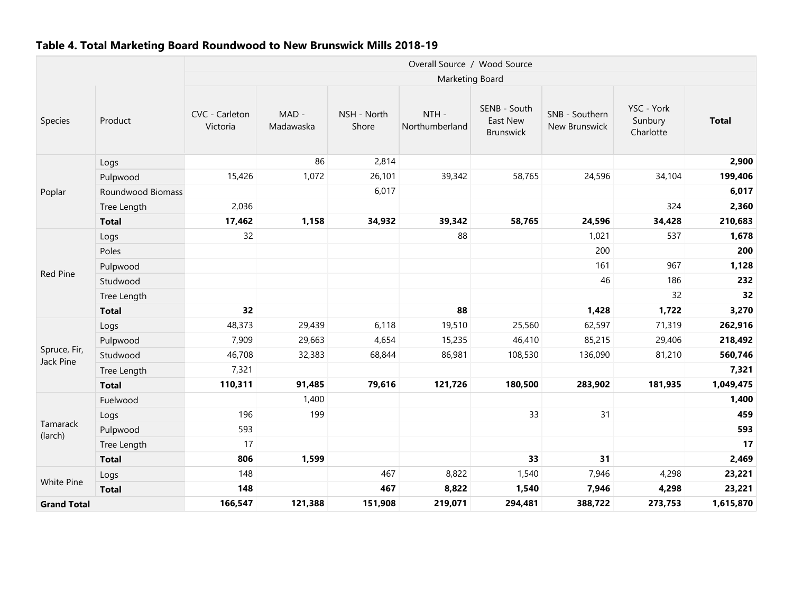#### Table 4. Total Marketing Board Roundwood to New Brunswick Mills 2018-19

|                           |                                                                                                 |                            |                    |                      | Overall Source / Wood Source |                                       |                                 |                                    |              |
|---------------------------|-------------------------------------------------------------------------------------------------|----------------------------|--------------------|----------------------|------------------------------|---------------------------------------|---------------------------------|------------------------------------|--------------|
|                           |                                                                                                 |                            |                    |                      | Marketing Board              |                                       |                                 |                                    |              |
| Species                   | Product                                                                                         | CVC - Carleton<br>Victoria | MAD -<br>Madawaska | NSH - North<br>Shore | NTH-<br>Northumberland       | SENB - South<br>East New<br>Brunswick | SNB - Southern<br>New Brunswick | YSC - York<br>Sunbury<br>Charlotte | <b>Total</b> |
|                           | Logs                                                                                            |                            | 86                 | 2,814                |                              |                                       |                                 |                                    | 2,900        |
|                           | Pulpwood                                                                                        | 15,426                     | 1,072              | 26,101               | 39,342                       | 58,765                                | 24,596                          | 34,104                             | 199,406      |
| Poplar                    | Roundwood Biomass                                                                               |                            |                    | 6,017                |                              |                                       |                                 |                                    | 6,017        |
|                           | Tree Length                                                                                     | 2,036                      |                    |                      |                              |                                       |                                 | 324                                | 2,360        |
|                           | <b>Total</b>                                                                                    | 17,462                     | 1,158              | 34,932               | 39,342                       | 58,765                                | 24,596                          | 34,428                             | 210,683      |
|                           | Logs                                                                                            | 32                         |                    |                      | 88                           |                                       | 1,021                           | 537                                | 1,678        |
| Red Pine                  | Poles                                                                                           |                            |                    |                      |                              |                                       | 200                             |                                    | 200          |
|                           | Pulpwood                                                                                        |                            |                    |                      |                              |                                       | 161                             | 967                                | 1,128        |
|                           | Studwood                                                                                        |                            |                    |                      |                              |                                       | 46                              | 186                                | 232          |
|                           | Tree Length                                                                                     |                            |                    |                      |                              |                                       |                                 | 32                                 | 32           |
|                           | <b>Total</b>                                                                                    | 32                         |                    |                      | 88                           |                                       | 1,428                           | 1,722                              | 3,270        |
|                           | Logs                                                                                            | 48,373                     | 29,439             | 6,118                | 19,510                       | 25,560                                | 62,597                          | 71,319                             | 262,916      |
|                           | Pulpwood                                                                                        | 7,909                      | 29,663             | 4,654                | 15,235                       | 46,410                                | 85,215                          | 29,406                             | 218,492      |
| Spruce, Fir,<br>Jack Pine | Studwood                                                                                        | 46,708                     | 32,383             | 68,844               | 86,981                       | 108,530                               | 136,090                         | 81,210                             | 560,746      |
|                           | Tree Length                                                                                     | 7,321                      |                    |                      |                              |                                       |                                 |                                    | 7,321        |
|                           | <b>Total</b>                                                                                    | 110,311                    | 91,485             | 79,616               | 121,726                      | 180,500                               | 283,902                         | 181,935                            | 1,049,475    |
|                           | Fuelwood                                                                                        |                            | 1,400              |                      |                              |                                       |                                 |                                    | 1,400        |
|                           | Logs                                                                                            | 196                        | 199                |                      |                              | 33                                    | 31                              |                                    | 459          |
| Tamarack<br>(larch)       | Pulpwood                                                                                        | 593                        |                    |                      |                              |                                       |                                 |                                    | 593          |
|                           | Tree Length                                                                                     | 17                         |                    |                      |                              |                                       |                                 |                                    | 17           |
|                           | <b>Total</b>                                                                                    | 806                        | 1,599              |                      |                              | 33                                    | 31                              |                                    | 2,469        |
| White Pine                | Logs                                                                                            | 148                        |                    | 467                  | 8,822                        | 1,540                                 | 7,946                           | 4,298                              | 23,221       |
|                           | <b>Total</b>                                                                                    | 148                        |                    | 467                  | 8,822                        | 1,540                                 | 7,946                           | 4,298                              | 23,221       |
|                           | 121,388<br>166,547<br>151,908<br>219,071<br>294,481<br>388,722<br>273,753<br><b>Grand Total</b> |                            |                    |                      |                              |                                       | 1,615,870                       |                                    |              |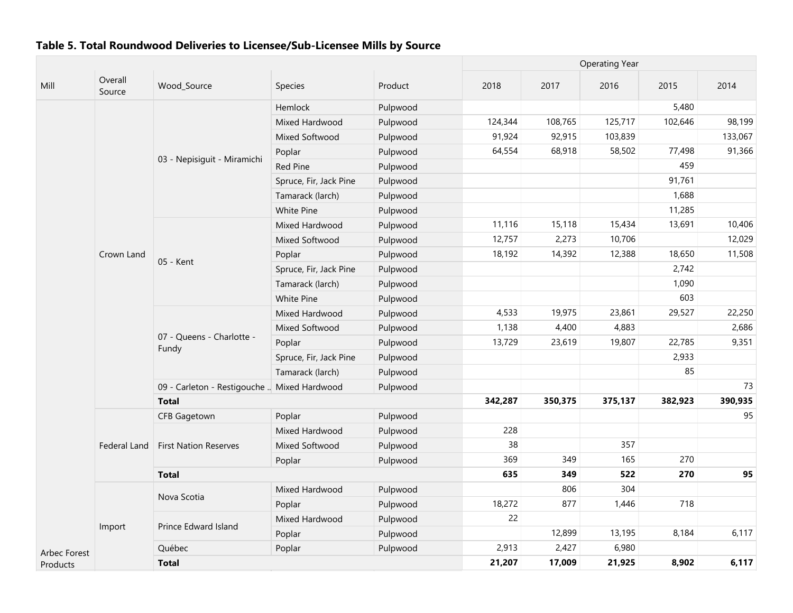|              |                   |                                             |                        |          |         |         | <b>Operating Year</b> |         |         |
|--------------|-------------------|---------------------------------------------|------------------------|----------|---------|---------|-----------------------|---------|---------|
| Mill         | Overall<br>Source | Wood_Source                                 | <b>Species</b>         | Product  | 2018    | 2017    | 2016                  | 2015    | 2014    |
|              |                   |                                             | Hemlock                | Pulpwood |         |         |                       | 5,480   |         |
|              |                   |                                             | Mixed Hardwood         | Pulpwood | 124,344 | 108,765 | 125,717               | 102,646 | 98,199  |
|              |                   |                                             | Mixed Softwood         | Pulpwood | 91,924  | 92,915  | 103,839               |         | 133,067 |
|              |                   |                                             | Poplar                 | Pulpwood | 64,554  | 68,918  | 58,502                | 77,498  | 91,366  |
|              |                   | 03 - Nepisiguit - Miramichi                 | Red Pine               | Pulpwood |         |         |                       | 459     |         |
|              |                   |                                             | Spruce, Fir, Jack Pine | Pulpwood |         |         |                       | 91,761  |         |
|              |                   |                                             | Tamarack (larch)       | Pulpwood |         |         |                       | 1,688   |         |
|              |                   |                                             | White Pine             | Pulpwood |         |         |                       | 11,285  |         |
|              |                   |                                             | Mixed Hardwood         | Pulpwood | 11,116  | 15,118  | 15,434                | 13,691  | 10,406  |
|              |                   |                                             | Mixed Softwood         | Pulpwood | 12,757  | 2,273   | 10,706                |         | 12,029  |
|              | Crown Land        |                                             | Poplar                 | Pulpwood | 18,192  | 14,392  | 12,388                | 18,650  | 11,508  |
|              |                   | 05 - Kent                                   | Spruce, Fir, Jack Pine | Pulpwood |         |         |                       | 2,742   |         |
|              |                   |                                             | Tamarack (larch)       | Pulpwood |         |         |                       | 1,090   |         |
|              |                   |                                             | White Pine             | Pulpwood |         |         |                       | 603     |         |
|              |                   | 07 - Queens - Charlotte -<br>Fundy          | Mixed Hardwood         | Pulpwood | 4,533   | 19,975  | 23,861                | 29,527  | 22,250  |
|              |                   |                                             | Mixed Softwood         | Pulpwood | 1,138   | 4,400   | 4,883                 |         | 2,686   |
|              |                   |                                             | Poplar                 | Pulpwood | 13,729  | 23,619  | 19,807                | 22,785  | 9,351   |
|              |                   |                                             | Spruce, Fir, Jack Pine | Pulpwood |         |         |                       | 2,933   |         |
|              |                   |                                             | Tamarack (larch)       | Pulpwood |         |         |                       | 85      |         |
|              |                   | 09 - Carleton - Restigouche  Mixed Hardwood |                        | Pulpwood |         |         |                       |         | 73      |
|              |                   | <b>Total</b>                                |                        |          | 342,287 | 350,375 | 375,137               | 382,923 | 390,935 |
|              |                   | <b>CFB Gagetown</b>                         | Poplar                 | Pulpwood |         |         |                       |         | 95      |
|              |                   |                                             | Mixed Hardwood         | Pulpwood | 228     |         |                       |         |         |
|              | Federal Land      | <b>First Nation Reserves</b>                | Mixed Softwood         | Pulpwood | 38      |         | 357                   |         |         |
|              |                   |                                             | Poplar                 | Pulpwood | 369     | 349     | 165                   | 270     |         |
|              |                   | <b>Total</b>                                |                        |          | 635     | 349     | 522                   | 270     | 95      |
|              |                   |                                             | Mixed Hardwood         | Pulpwood |         | 806     | 304                   |         |         |
|              |                   | Nova Scotia                                 | Poplar                 | Pulpwood | 18,272  | 877     | 1,446                 | 718     |         |
|              |                   |                                             | Mixed Hardwood         | Pulpwood | 22      |         |                       |         |         |
|              | Import            | Prince Edward Island                        | Poplar                 | Pulpwood |         | 12,899  | 13,195                | 8,184   | 6,117   |
| Arbec Forest |                   | Québec                                      | Poplar                 | Pulpwood | 2,913   | 2,427   | 6,980                 |         |         |
| Products     |                   | <b>Total</b>                                |                        |          | 21,207  | 17,009  | 21,925                | 8,902   | 6,117   |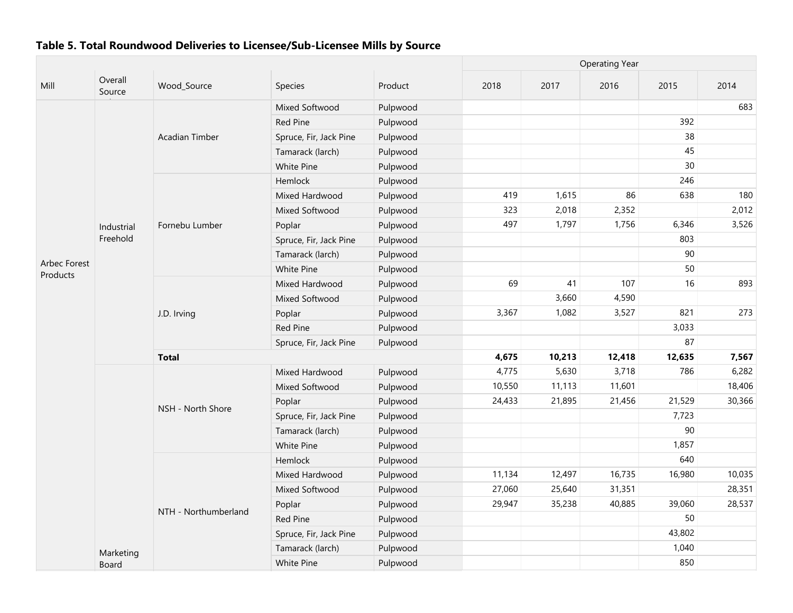|              |                   |                      |                        |          |        |        | <b>Operating Year</b> |        |        |
|--------------|-------------------|----------------------|------------------------|----------|--------|--------|-----------------------|--------|--------|
| Mill         | Overall<br>Source | Wood Source          | Species                | Product  | 2018   | 2017   | 2016                  | 2015   | 2014   |
|              |                   |                      | Mixed Softwood         | Pulpwood |        |        |                       |        | 683    |
|              |                   |                      | <b>Red Pine</b>        | Pulpwood |        |        |                       | 392    |        |
|              |                   | Acadian Timber       | Spruce, Fir, Jack Pine | Pulpwood |        |        |                       | 38     |        |
|              |                   |                      | Tamarack (larch)       | Pulpwood |        |        |                       | 45     |        |
|              |                   |                      | White Pine             | Pulpwood |        |        |                       | 30     |        |
|              |                   |                      | Hemlock                | Pulpwood |        |        |                       | 246    |        |
|              |                   |                      | Mixed Hardwood         | Pulpwood | 419    | 1,615  | 86                    | 638    | 180    |
|              |                   |                      | Mixed Softwood         | Pulpwood | 323    | 2,018  | 2,352                 |        | 2,012  |
|              | Industrial        | Fornebu Lumber       | Poplar                 | Pulpwood | 497    | 1,797  | 1,756                 | 6,346  | 3,526  |
|              | Freehold          |                      | Spruce, Fir, Jack Pine | Pulpwood |        |        |                       | 803    |        |
|              |                   |                      | Tamarack (larch)       | Pulpwood |        |        |                       | 90     |        |
| Arbec Forest |                   |                      | White Pine             | Pulpwood |        |        |                       | 50     |        |
| Products     |                   |                      | Mixed Hardwood         | Pulpwood | 69     | 41     | 107                   | 16     | 893    |
|              |                   |                      | Mixed Softwood         | Pulpwood |        | 3,660  | 4,590                 |        |        |
|              |                   | J.D. Irving          | Poplar                 | Pulpwood | 3,367  | 1,082  | 3,527                 | 821    | 273    |
|              |                   |                      | <b>Red Pine</b>        | Pulpwood |        |        |                       | 3,033  |        |
|              |                   |                      | Spruce, Fir, Jack Pine | Pulpwood |        |        |                       | 87     |        |
|              |                   | <b>Total</b>         | 4,675                  | 10,213   | 12,418 | 12,635 | 7,567                 |        |        |
|              |                   |                      | Mixed Hardwood         | Pulpwood | 4,775  | 5,630  | 3,718                 | 786    | 6,282  |
|              |                   |                      | Mixed Softwood         | Pulpwood | 10,550 | 11,113 | 11,601                |        | 18,406 |
|              |                   |                      | Poplar                 | Pulpwood | 24,433 | 21,895 | 21,456                | 21,529 | 30,366 |
|              |                   | NSH - North Shore    | Spruce, Fir, Jack Pine | Pulpwood |        |        |                       | 7,723  |        |
|              |                   |                      | Tamarack (larch)       | Pulpwood |        |        |                       | 90     |        |
|              |                   |                      | White Pine             | Pulpwood |        |        |                       | 1,857  |        |
|              |                   |                      | Hemlock                | Pulpwood |        |        |                       | 640    |        |
|              |                   |                      | Mixed Hardwood         | Pulpwood | 11,134 | 12,497 | 16,735                | 16,980 | 10,035 |
|              |                   |                      | Mixed Softwood         | Pulpwood | 27,060 | 25,640 | 31,351                |        | 28,351 |
|              |                   |                      | Poplar                 | Pulpwood | 29,947 | 35,238 | 40,885                | 39,060 | 28,537 |
|              |                   | NTH - Northumberland | <b>Red Pine</b>        | Pulpwood |        |        |                       | 50     |        |
|              |                   |                      | Spruce, Fir, Jack Pine | Pulpwood |        |        |                       | 43,802 |        |
|              | Marketing         |                      | Tamarack (larch)       | Pulpwood |        |        |                       | 1,040  |        |
|              | Board             |                      | White Pine             | Pulpwood |        |        |                       | 850    |        |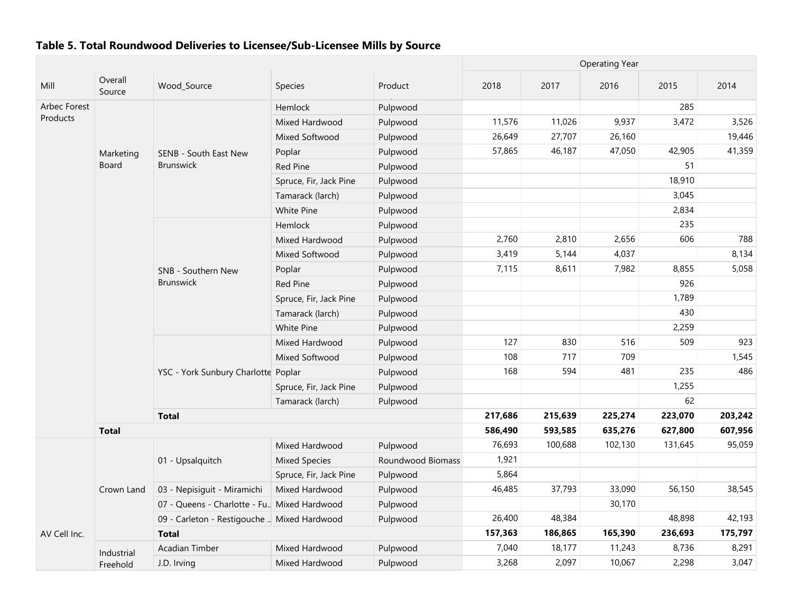|              |                   |                                               |                        |                   | <b>Operating Year</b> |         |         |         |         |  |
|--------------|-------------------|-----------------------------------------------|------------------------|-------------------|-----------------------|---------|---------|---------|---------|--|
| Mill         | Overall<br>Source | Wood_Source                                   | Species                | Product           | 2018                  | 2017    | 2016    | 2015    | 2014    |  |
| Arbec Forest |                   |                                               | Hemlock                | Pulpwood          |                       |         |         | 285     |         |  |
| Products     |                   |                                               | Mixed Hardwood         | Pulpwood          | 11,576                | 11,026  | 9,937   | 3,472   | 3,526   |  |
|              |                   |                                               | Mixed Softwood         | Pulpwood          | 26,649                | 27,707  | 26,160  |         | 19,446  |  |
|              | Marketing         | SENB - South East New                         | Poplar                 | Pulpwood          | 57,865                | 46,187  | 47,050  | 42,905  | 41,359  |  |
|              | Board             | <b>Brunswick</b>                              | <b>Red Pine</b>        | Pulpwood          |                       |         |         | 51      |         |  |
|              |                   |                                               | Spruce, Fir, Jack Pine | Pulpwood          |                       |         |         | 18,910  |         |  |
|              |                   |                                               | Tamarack (larch)       | Pulpwood          |                       |         |         | 3,045   |         |  |
|              |                   |                                               | <b>White Pine</b>      | Pulpwood          |                       |         |         | 2,834   |         |  |
|              |                   |                                               | Hemlock                | Pulpwood          |                       |         |         | 235     |         |  |
|              |                   |                                               | Mixed Hardwood         | Pulpwood          | 2,760                 | 2,810   | 2,656   | 606     | 788     |  |
|              |                   |                                               | Mixed Softwood         | Pulpwood          | 3,419                 | 5,144   | 4,037   |         | 8,134   |  |
|              |                   | SNB - Southern New                            | Poplar                 | Pulpwood          | 7,115                 | 8,611   | 7,982   | 8,855   | 5,058   |  |
|              |                   | Brunswick                                     | <b>Red Pine</b>        | Pulpwood          |                       |         |         | 926     |         |  |
|              |                   |                                               | Spruce, Fir, Jack Pine | Pulpwood          |                       |         |         | 1,789   |         |  |
|              |                   |                                               | Tamarack (larch)       | Pulpwood          |                       |         |         | 430     |         |  |
|              |                   |                                               | White Pine             | Pulpwood          |                       |         |         | 2,259   |         |  |
|              |                   |                                               | Mixed Hardwood         | Pulpwood          | 127                   | 830     | 516     | 509     | 923     |  |
|              |                   |                                               | Mixed Softwood         | Pulpwood          | 108                   | 717     | 709     |         | 1,545   |  |
|              |                   | YSC - York Sunbury Charlotte Poplar           |                        | Pulpwood          | 168                   | 594     | 481     | 235     | 486     |  |
|              |                   |                                               | Spruce, Fir, Jack Pine | Pulpwood          |                       |         |         | 1,255   |         |  |
|              |                   |                                               | Tamarack (larch)       | Pulpwood          |                       |         |         | 62      |         |  |
|              |                   | <b>Total</b>                                  |                        |                   | 217,686               | 215,639 | 225,274 | 223,070 | 203,242 |  |
|              | <b>Total</b>      |                                               |                        |                   | 586,490               | 593,585 | 635,276 | 627,800 | 607,956 |  |
|              |                   |                                               | Mixed Hardwood         | Pulpwood          | 76,693                | 100,688 | 102,130 | 131,645 | 95,059  |  |
|              |                   | 01 - Upsalquitch                              | <b>Mixed Species</b>   | Roundwood Biomass | 1,921                 |         |         |         |         |  |
|              |                   |                                               | Spruce, Fir, Jack Pine | Pulpwood          | 5,864                 |         |         |         |         |  |
|              | Crown Land        | 03 - Nepisiguit - Miramichi                   | Mixed Hardwood         | Pulpwood          | 46,485                | 37,793  | 33,090  | 56,150  | 38,545  |  |
|              |                   | 07 - Queens - Charlotte - Fu., Mixed Hardwood |                        | Pulpwood          |                       |         | 30,170  |         |         |  |
|              |                   | 09 - Carleton - Restigouche  Mixed Hardwood   |                        | Pulpwood          | 26,400                | 48,384  |         | 48,898  | 42,193  |  |
| AV Cell Inc. |                   | <b>Total</b>                                  |                        |                   | 157,363               | 186,865 | 165,390 | 236,693 | 175,797 |  |
|              | Industrial        | <b>Acadian Timber</b>                         | Mixed Hardwood         | Pulpwood          | 7,040                 | 18,177  | 11,243  | 8,736   | 8,291   |  |
|              | Freehold          | J.D. Irving                                   | Mixed Hardwood         | Pulpwood          | 3,268                 | 2,097   | 10,067  | 2,298   | 3,047   |  |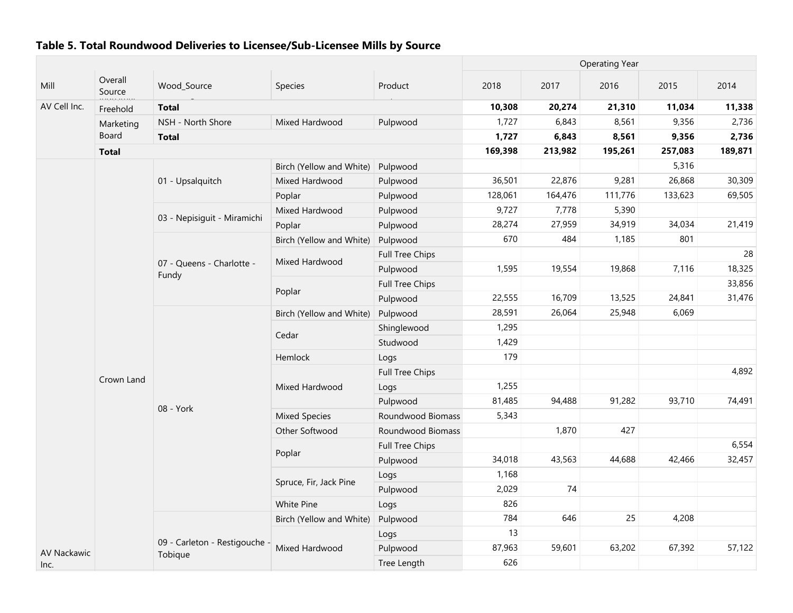|              |                    |                                    |                          |                   |         | <b>Operating Year</b> |         |         |         |
|--------------|--------------------|------------------------------------|--------------------------|-------------------|---------|-----------------------|---------|---------|---------|
| Mill         | Overall<br>Source  | Wood Source                        | Species                  | Product           | 2018    | 2017                  | 2016    | 2015    | 2014    |
| AV Cell Inc. | .<br>Freehold      | <b>Total</b>                       |                          |                   | 10,308  | 20,274                | 21,310  | 11,034  | 11,338  |
|              | Marketing          | NSH - North Shore                  | Mixed Hardwood           | Pulpwood          | 1,727   | 6,843                 | 8,561   | 9,356   | 2,736   |
|              | Board              | <b>Total</b>                       |                          |                   | 1,727   | 6,843                 | 8,561   | 9,356   | 2,736   |
|              | <b>Total</b>       |                                    |                          |                   | 169,398 | 213,982               | 195,261 | 257,083 | 189,871 |
|              |                    |                                    | Birch (Yellow and White) | Pulpwood          |         |                       |         | 5,316   |         |
|              |                    | 01 - Upsalquitch                   | Mixed Hardwood           | Pulpwood          | 36,501  | 22,876                | 9,281   | 26,868  | 30,309  |
|              |                    |                                    | Poplar                   | Pulpwood          | 128,061 | 164,476               | 111,776 | 133,623 | 69,505  |
|              |                    | 03 - Nepisiquit - Miramichi        | Mixed Hardwood           | Pulpwood          | 9,727   | 7,778                 | 5,390   |         |         |
|              |                    |                                    | Poplar                   | Pulpwood          | 28,274  | 27,959                | 34,919  | 34,034  | 21,419  |
|              |                    |                                    | Birch (Yellow and White) | Pulpwood          | 670     | 484                   | 1,185   | 801     |         |
|              |                    |                                    | Mixed Hardwood           | Full Tree Chips   |         |                       |         |         | 28      |
|              |                    | 07 - Queens - Charlotte -<br>Fundy |                          | Pulpwood          | 1,595   | 19,554                | 19,868  | 7,116   | 18,325  |
|              |                    |                                    |                          | Full Tree Chips   |         |                       |         |         | 33,856  |
|              |                    |                                    | Poplar                   | Pulpwood          | 22,555  | 16,709                | 13,525  | 24,841  | 31,476  |
|              |                    |                                    | Birch (Yellow and White) | Pulpwood          | 28,591  | 26,064                | 25,948  | 6,069   |         |
|              |                    |                                    | Cedar                    | Shinglewood       | 1,295   |                       |         |         |         |
|              |                    |                                    |                          | Studwood          | 1,429   |                       |         |         |         |
|              |                    |                                    | Hemlock                  | Logs              | 179     |                       |         |         |         |
|              |                    |                                    |                          | Full Tree Chips   |         |                       |         |         | 4,892   |
|              | Crown Land         |                                    | Mixed Hardwood           | Logs              | 1,255   |                       |         |         |         |
|              |                    |                                    |                          | Pulpwood          | 81,485  | 94,488                | 91,282  | 93,710  | 74,491  |
|              |                    | 08 - York                          | <b>Mixed Species</b>     | Roundwood Biomass | 5,343   |                       |         |         |         |
|              |                    |                                    | Other Softwood           | Roundwood Biomass |         | 1,870                 | 427     |         |         |
|              |                    |                                    |                          | Full Tree Chips   |         |                       |         |         | 6,554   |
|              |                    |                                    | Poplar                   | Pulpwood          | 34,018  | 43,563                | 44,688  | 42,466  | 32,457  |
|              |                    |                                    |                          | Logs              | 1,168   |                       |         |         |         |
|              |                    |                                    | Spruce, Fir, Jack Pine   | Pulpwood          | 2,029   | 74                    |         |         |         |
|              |                    |                                    | <b>White Pine</b>        | Logs              | 826     |                       |         |         |         |
|              |                    |                                    | Birch (Yellow and White) | Pulpwood          | 784     | 646                   | 25      | 4,208   |         |
|              |                    |                                    |                          | Logs              | 13      |                       |         |         |         |
|              |                    | 09 - Carleton - Restigouche        | Mixed Hardwood           | Pulpwood          | 87,963  | 59,601                | 63,202  | 67,392  | 57,122  |
| Inc.         | <b>AV Nackawic</b> | Tobique                            |                          | Tree Length       | 626     |                       |         |         |         |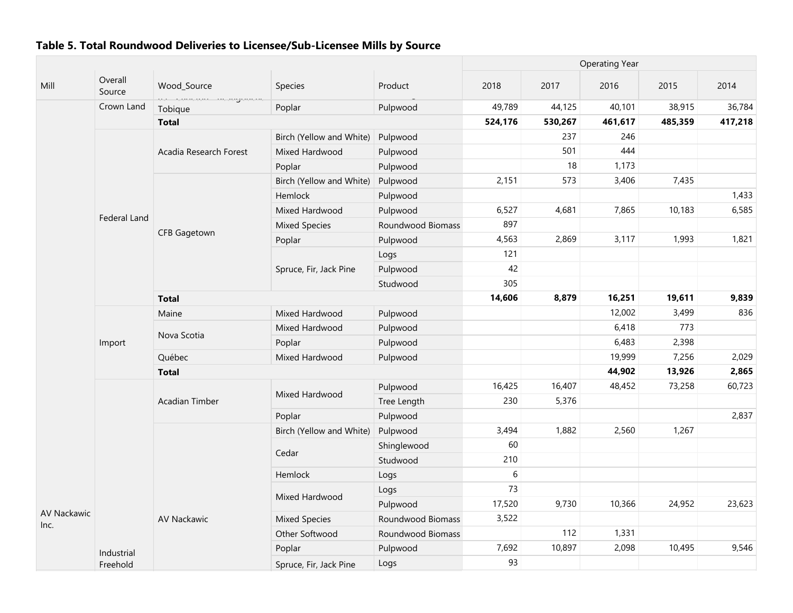|                            |                        |                                  |                          |                   | <b>Operating Year</b> |         |         |         |         |
|----------------------------|------------------------|----------------------------------|--------------------------|-------------------|-----------------------|---------|---------|---------|---------|
| Mill                       | Overall<br>Source      | Wood_Source                      | Species                  | Product           | 2018                  | 2017    | 2016    | 2015    | 2014    |
|                            | Crown Land             | uu canconi ncuaguache<br>Tobique | Poplar                   | Pulpwood          | 49,789                | 44,125  | 40,101  | 38,915  | 36,784  |
|                            |                        | <b>Total</b>                     |                          |                   | 524,176               | 530,267 | 461,617 | 485,359 | 417,218 |
|                            |                        |                                  | Birch (Yellow and White) | Pulpwood          |                       | 237     | 246     |         |         |
|                            |                        | Acadia Research Forest           | Mixed Hardwood           | Pulpwood          |                       | 501     | 444     |         |         |
|                            |                        |                                  | Poplar                   | Pulpwood          |                       | 18      | 1,173   |         |         |
|                            |                        |                                  | Birch (Yellow and White) | Pulpwood          | 2,151                 | 573     | 3,406   | 7,435   |         |
|                            |                        |                                  | Hemlock                  | Pulpwood          |                       |         |         |         | 1,433   |
|                            |                        |                                  | Mixed Hardwood           | Pulpwood          | 6,527                 | 4,681   | 7,865   | 10,183  | 6,585   |
|                            | Federal Land           |                                  | <b>Mixed Species</b>     | Roundwood Biomass | 897                   |         |         |         |         |
|                            |                        | <b>CFB Gagetown</b>              | Poplar                   | Pulpwood          | 4,563                 | 2,869   | 3,117   | 1,993   | 1,821   |
|                            |                        |                                  |                          | Logs              | 121                   |         |         |         |         |
|                            |                        |                                  | Spruce, Fir, Jack Pine   | Pulpwood          | 42                    |         |         |         |         |
|                            |                        |                                  |                          | Studwood          | 305                   |         |         |         |         |
|                            |                        | <b>Total</b>                     |                          |                   |                       | 8,879   | 16,251  | 19,611  | 9,839   |
|                            |                        | Maine                            | Mixed Hardwood           | Pulpwood          |                       |         | 12,002  | 3,499   | 836     |
|                            |                        | Nova Scotia                      | Mixed Hardwood           | Pulpwood          |                       |         | 6,418   | 773     |         |
|                            | Import                 |                                  | Poplar                   | Pulpwood          |                       |         | 6,483   | 2,398   |         |
|                            |                        | Québec                           | Mixed Hardwood           | Pulpwood          |                       |         | 19,999  | 7,256   | 2,029   |
|                            |                        | <b>Total</b>                     |                          |                   |                       |         | 44,902  | 13,926  | 2,865   |
|                            |                        |                                  | Mixed Hardwood           | Pulpwood          | 16,425                | 16,407  | 48,452  | 73,258  | 60,723  |
|                            |                        | Acadian Timber                   |                          | Tree Length       | 230                   | 5,376   |         |         |         |
|                            |                        |                                  | Poplar                   | Pulpwood          |                       |         |         |         | 2,837   |
|                            |                        |                                  | Birch (Yellow and White) | Pulpwood          | 3,494                 | 1,882   | 2,560   | 1,267   |         |
|                            |                        |                                  |                          | Shinglewood       | 60                    |         |         |         |         |
|                            |                        |                                  | Cedar                    | Studwood          | 210                   |         |         |         |         |
|                            |                        |                                  | Hemlock                  | Logs              | 6                     |         |         |         |         |
|                            |                        |                                  |                          | Logs              | 73                    |         |         |         |         |
|                            |                        |                                  | Mixed Hardwood           | Pulpwood          | 17,520                | 9,730   | 10,366  | 24,952  | 23,623  |
| <b>AV Nackawic</b><br>Inc. |                        | <b>AV Nackawic</b>               | <b>Mixed Species</b>     | Roundwood Biomass | 3,522                 |         |         |         |         |
|                            |                        |                                  | Other Softwood           | Roundwood Biomass |                       | 112     | 1,331   |         |         |
|                            |                        |                                  | Poplar                   | Pulpwood          | 7,692                 | 10,897  | 2,098   | 10,495  | 9,546   |
|                            | Industrial<br>Freehold |                                  | Spruce, Fir, Jack Pine   | Logs              | 93                    |         |         |         |         |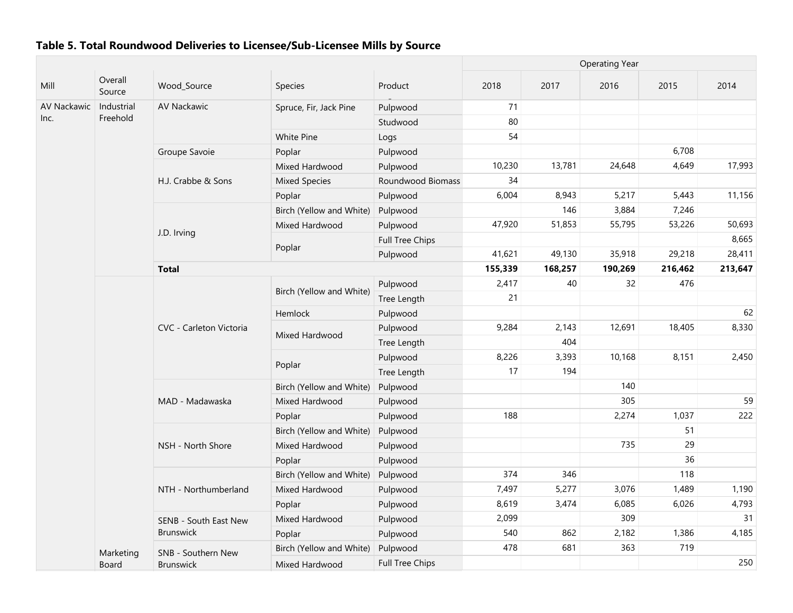|             |                   |                         |                          |                        | <b>Operating Year</b> |         |         |         |         |
|-------------|-------------------|-------------------------|--------------------------|------------------------|-----------------------|---------|---------|---------|---------|
| Mill        | Overall<br>Source | Wood_Source             | Species                  | Product                | 2018                  | 2017    | 2016    | 2015    | 2014    |
| AV Nackawic | Industrial        | <b>AV Nackawic</b>      | Spruce, Fir, Jack Pine   | Pulpwood               | 71                    |         |         |         |         |
| Inc.        | Freehold          |                         |                          | Studwood               | 80                    |         |         |         |         |
|             |                   |                         | White Pine               | Logs                   | 54                    |         |         |         |         |
|             |                   | Groupe Savoie           | Poplar                   | Pulpwood               |                       |         |         | 6,708   |         |
|             |                   |                         | Mixed Hardwood           | Pulpwood               | 10,230                | 13,781  | 24,648  | 4,649   | 17,993  |
|             |                   | H.J. Crabbe & Sons      | <b>Mixed Species</b>     | Roundwood Biomass      | 34                    |         |         |         |         |
|             |                   |                         | Poplar                   | Pulpwood               | 6,004                 | 8,943   | 5,217   | 5,443   | 11,156  |
|             |                   |                         | Birch (Yellow and White) | Pulpwood               |                       | 146     | 3,884   | 7,246   |         |
|             |                   |                         | Mixed Hardwood           | Pulpwood               | 47,920                | 51,853  | 55,795  | 53,226  | 50,693  |
|             |                   | J.D. Irving             |                          | <b>Full Tree Chips</b> |                       |         |         |         | 8,665   |
|             |                   |                         | Poplar                   | Pulpwood               | 41,621                | 49,130  | 35,918  | 29,218  | 28,411  |
|             |                   | <b>Total</b>            |                          |                        | 155,339               | 168,257 | 190,269 | 216,462 | 213,647 |
|             |                   |                         |                          | Pulpwood               | 2,417                 | 40      | 32      | 476     |         |
|             |                   |                         | Birch (Yellow and White) | Tree Length            | 21                    |         |         |         |         |
|             |                   |                         | Hemlock                  | Pulpwood               |                       |         |         |         | 62      |
|             |                   | CVC - Carleton Victoria | Mixed Hardwood           | Pulpwood               | 9,284                 | 2,143   | 12,691  | 18,405  | 8,330   |
|             |                   |                         |                          | Tree Length            |                       | 404     |         |         |         |
|             |                   |                         | Poplar                   | Pulpwood               | 8,226                 | 3,393   | 10,168  | 8,151   | 2,450   |
|             |                   |                         |                          | Tree Length            | 17                    | 194     |         |         |         |
|             |                   |                         | Birch (Yellow and White) | Pulpwood               |                       |         | 140     |         |         |
|             |                   | MAD - Madawaska         | Mixed Hardwood           | Pulpwood               |                       |         | 305     |         | 59      |
|             |                   |                         | Poplar                   | Pulpwood               | 188                   |         | 2,274   | 1,037   | 222     |
|             |                   |                         | Birch (Yellow and White) | Pulpwood               |                       |         |         | 51      |         |
|             |                   | NSH - North Shore       | Mixed Hardwood           | Pulpwood               |                       |         | 735     | 29      |         |
|             |                   |                         | Poplar                   | Pulpwood               |                       |         |         | 36      |         |
|             |                   |                         | Birch (Yellow and White) | Pulpwood               | 374                   | 346     |         | 118     |         |
|             |                   | NTH - Northumberland    | Mixed Hardwood           | Pulpwood               | 7,497                 | 5,277   | 3,076   | 1,489   | 1,190   |
|             |                   |                         | Poplar                   | Pulpwood               | 8,619                 | 3,474   | 6,085   | 6,026   | 4,793   |
|             |                   | SENB - South East New   | Mixed Hardwood           | Pulpwood               | 2,099                 |         | 309     |         | 31      |
|             |                   | <b>Brunswick</b>        | Poplar                   | Pulpwood               | 540                   | 862     | 2,182   | 1,386   | 4,185   |
|             | Marketing         | SNB - Southern New      | Birch (Yellow and White) | Pulpwood               | 478                   | 681     | 363     | 719     |         |
|             | Board             | <b>Brunswick</b>        | Mixed Hardwood           | <b>Full Tree Chips</b> |                       |         |         |         | 250     |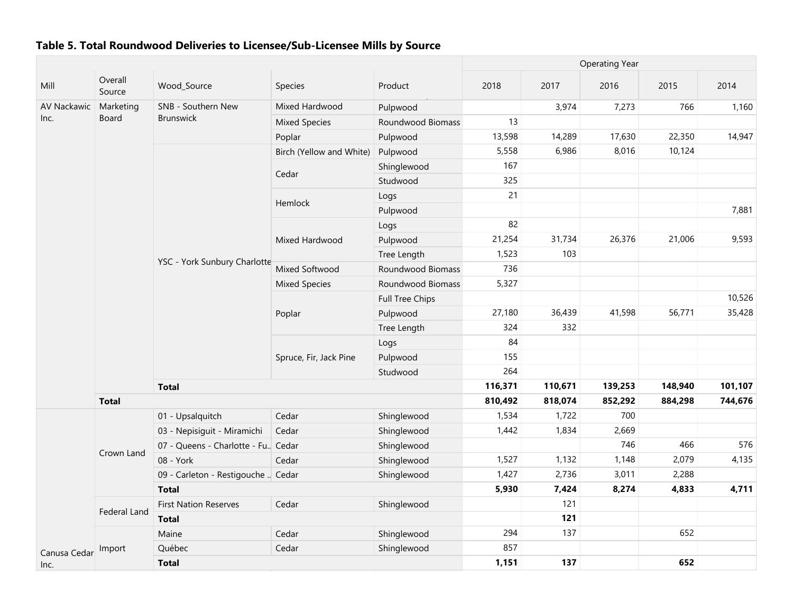|              |                   |                                      |                          |                        | <b>Operating Year</b> |         |         |         |         |  |
|--------------|-------------------|--------------------------------------|--------------------------|------------------------|-----------------------|---------|---------|---------|---------|--|
| Mill         | Overall<br>Source | Wood_Source                          | Species                  | Product                | 2018                  | 2017    | 2016    | 2015    | 2014    |  |
| AV Nackawic  | Marketing         | SNB - Southern New                   | Mixed Hardwood           | Pulpwood               |                       | 3,974   | 7,273   | 766     | 1,160   |  |
| Inc.         | Board             | Brunswick                            | <b>Mixed Species</b>     | Roundwood Biomass      | 13                    |         |         |         |         |  |
|              |                   |                                      | Poplar                   | Pulpwood               | 13,598                | 14,289  | 17,630  | 22,350  | 14,947  |  |
|              |                   |                                      | Birch (Yellow and White) | Pulpwood               | 5,558                 | 6,986   | 8,016   | 10,124  |         |  |
|              |                   |                                      |                          | Shinglewood            | 167                   |         |         |         |         |  |
|              |                   |                                      | Cedar                    | Studwood               | 325                   |         |         |         |         |  |
|              |                   |                                      |                          | Logs                   | 21                    |         |         |         |         |  |
|              |                   |                                      | Hemlock                  | Pulpwood               |                       |         |         |         | 7,881   |  |
|              |                   |                                      |                          | Logs                   | 82                    |         |         |         |         |  |
|              |                   |                                      | Mixed Hardwood           | Pulpwood               | 21,254                | 31,734  | 26,376  | 21,006  | 9,593   |  |
|              |                   |                                      |                          | Tree Length            | 1,523                 | 103     |         |         |         |  |
|              |                   | YSC - York Sunbury Charlotte         | Mixed Softwood           | Roundwood Biomass      | 736                   |         |         |         |         |  |
|              |                   |                                      | <b>Mixed Species</b>     | Roundwood Biomass      | 5,327                 |         |         |         |         |  |
|              |                   |                                      |                          | <b>Full Tree Chips</b> |                       |         |         |         | 10,526  |  |
|              |                   |                                      | Poplar                   | Pulpwood               | 27,180                | 36,439  | 41,598  | 56,771  | 35,428  |  |
|              |                   |                                      |                          | Tree Length            | 324                   | 332     |         |         |         |  |
|              |                   |                                      | Spruce, Fir, Jack Pine   | Logs                   | 84                    |         |         |         |         |  |
|              |                   |                                      |                          | Pulpwood               | 155                   |         |         |         |         |  |
|              |                   |                                      |                          | Studwood               | 264                   |         |         |         |         |  |
|              |                   | <b>Total</b>                         |                          |                        | 116,371               | 110,671 | 139,253 | 148,940 | 101,107 |  |
|              | <b>Total</b>      |                                      |                          |                        | 810,492               | 818,074 | 852,292 | 884,298 | 744,676 |  |
|              |                   | 01 - Upsalquitch                     | Cedar                    | Shinglewood            | 1,534                 | 1,722   | 700     |         |         |  |
|              |                   | 03 - Nepisiguit - Miramichi          | Cedar                    | Shinglewood            | 1,442                 | 1,834   | 2,669   |         |         |  |
|              |                   | 07 - Queens - Charlotte - Fu., Cedar |                          | Shinglewood            |                       |         | 746     | 466     | 576     |  |
|              | Crown Land        | 08 - York                            | Cedar                    | Shinglewood            | 1,527                 | 1,132   | 1,148   | 2,079   | 4,135   |  |
|              |                   | 09 - Carleton - Restigouche  Cedar   |                          | Shinglewood            | 1,427                 | 2,736   | 3,011   | 2,288   |         |  |
|              |                   | <b>Total</b>                         |                          |                        | 5,930                 | 7,424   | 8,274   | 4,833   | 4,711   |  |
|              | Federal Land      | <b>First Nation Reserves</b>         | Cedar                    | Shinglewood            |                       | 121     |         |         |         |  |
|              |                   | <b>Total</b>                         |                          |                        |                       | 121     |         |         |         |  |
|              |                   | Maine                                | Cedar                    | Shinglewood            | 294                   | 137     |         | 652     |         |  |
| Canusa Cedar | Import            | Québec                               | Cedar                    | Shinglewood            | 857                   |         |         |         |         |  |
| Inc.         |                   | <b>Total</b>                         |                          |                        | 1,151                 | 137     |         | 652     |         |  |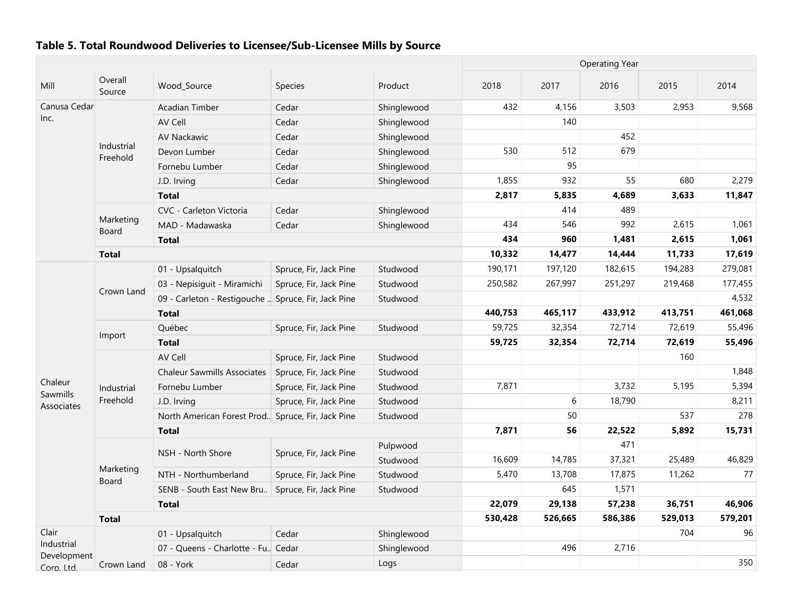|                           |                        |                                                     |                        |             | <b>Operating Year</b> |         |         |         |         |
|---------------------------|------------------------|-----------------------------------------------------|------------------------|-------------|-----------------------|---------|---------|---------|---------|
| Mill                      | Overall<br>Source      | Wood_Source                                         | <b>Species</b>         | Product     | 2018                  | 2017    | 2016    | 2015    | 2014    |
| Canusa Cedar              |                        | Acadian Timber                                      | Cedar                  | Shinglewood | 432                   | 4,156   | 3,503   | 2,953   | 9,568   |
| Inc.                      |                        | AV Cell                                             | Cedar                  | Shinglewood |                       | 140     |         |         |         |
|                           |                        | <b>AV Nackawic</b>                                  | Cedar                  | Shinglewood |                       |         | 452     |         |         |
|                           | Industrial<br>Freehold | Devon Lumber                                        | Cedar                  | Shinglewood | 530                   | 512     | 679     |         |         |
|                           |                        | Fornebu Lumber                                      | Cedar                  | Shinglewood |                       | 95      |         |         |         |
|                           |                        | J.D. Irving                                         | Cedar                  | Shinglewood | 1,855                 | 932     | 55      | 680     | 2,279   |
|                           |                        | <b>Total</b>                                        |                        |             | 2,817                 | 5,835   | 4,689   | 3,633   | 11,847  |
|                           |                        | CVC - Carleton Victoria                             | Cedar                  | Shinglewood |                       | 414     | 489     |         |         |
|                           | Marketing<br>Board     | MAD - Madawaska                                     | Cedar                  | Shinglewood | 434                   | 546     | 992     | 2,615   | 1,061   |
|                           |                        | <b>Total</b>                                        |                        |             | 434                   | 960     | 1,481   | 2,615   | 1,061   |
|                           | <b>Total</b>           |                                                     |                        |             | 10,332                | 14,477  | 14,444  | 11,733  | 17,619  |
|                           |                        | 01 - Upsalquitch                                    | Spruce, Fir, Jack Pine | Studwood    | 190,171               | 197,120 | 182,615 | 194,283 | 279,081 |
|                           |                        | 03 - Nepisiguit - Miramichi                         | Spruce, Fir, Jack Pine | Studwood    | 250,582               | 267,997 | 251,297 | 219,468 | 177,455 |
|                           | Crown Land             | 09 - Carleton - Restigouche  Spruce, Fir, Jack Pine |                        | Studwood    |                       |         |         |         | 4,532   |
|                           |                        | <b>Total</b>                                        |                        |             | 440,753               | 465,117 | 433,912 | 413,751 | 461,068 |
|                           | Import                 | Québec                                              | Spruce, Fir, Jack Pine | Studwood    | 59,725                | 32,354  | 72,714  | 72,619  | 55,496  |
|                           |                        | <b>Total</b>                                        |                        |             | 59,725                | 32,354  | 72,714  | 72,619  | 55,496  |
|                           |                        | AV Cell                                             | Spruce, Fir, Jack Pine | Studwood    |                       |         |         | 160     |         |
|                           |                        | <b>Chaleur Sawmills Associates</b>                  | Spruce, Fir, Jack Pine | Studwood    |                       |         |         |         | 1,848   |
| Chaleur<br>Sawmills       | Industrial             | Fornebu Lumber                                      | Spruce, Fir, Jack Pine | Studwood    | 7,871                 |         | 3,732   | 5,195   | 5,394   |
| Associates                | Freehold               | J.D. Irving                                         | Spruce, Fir, Jack Pine | Studwood    |                       | 6       | 18,790  |         | 8,211   |
|                           |                        | North American Forest Prod. Spruce, Fir, Jack Pine  |                        | Studwood    |                       | 50      |         | 537     | 278     |
|                           |                        | <b>Total</b>                                        |                        |             | 7,871                 | 56      | 22,522  | 5,892   | 15,731  |
|                           |                        | NSH - North Shore                                   | Spruce, Fir, Jack Pine | Pulpwood    |                       |         | 471     |         |         |
|                           |                        |                                                     |                        | Studwood    | 16,609                | 14,785  | 37,321  | 25,489  | 46,829  |
|                           | Marketing<br>Board     | NTH - Northumberland                                | Spruce, Fir, Jack Pine | Studwood    | 5,470                 | 13,708  | 17,875  | 11,262  | 77      |
|                           |                        | SENB - South East New Bru                           | Spruce, Fir, Jack Pine | Studwood    |                       | 645     | 1,571   |         |         |
|                           |                        | <b>Total</b>                                        |                        |             | 22,079                | 29,138  | 57,238  | 36,751  | 46,906  |
|                           | <b>Total</b>           |                                                     |                        |             | 530,428               | 526,665 | 586,386 | 529,013 | 579,201 |
| Clair                     |                        | 01 - Upsalquitch                                    | Cedar                  | Shinglewood |                       |         |         | 704     | 96      |
| Industrial<br>Development |                        | 07 - Queens - Charlotte - Fu. Cedar                 |                        | Shinglewood |                       | 496     | 2,716   |         |         |
| Corp. Ltd.                | Crown Land             | 08 - York                                           | Cedar                  | Logs        |                       |         |         |         | 350     |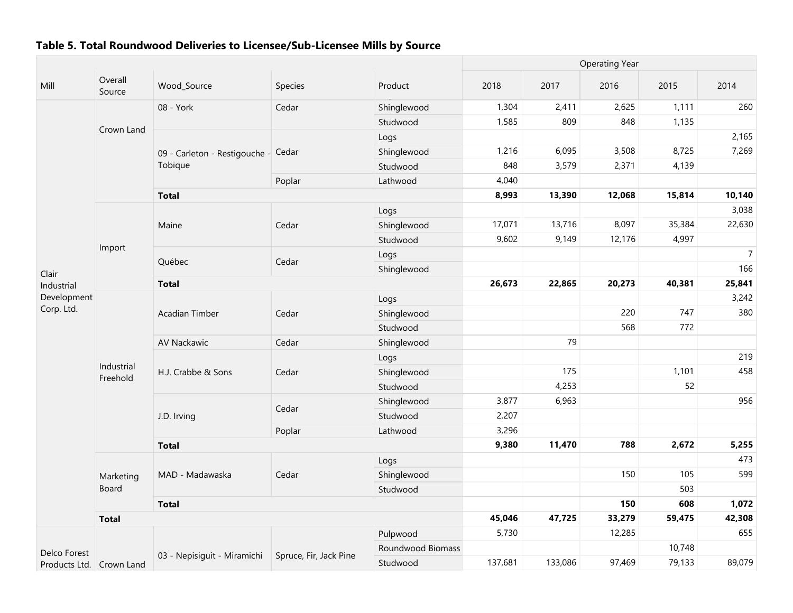|                          |                        |                                     | <b>Operating Year</b>  |                   |         |         |        |        |                |
|--------------------------|------------------------|-------------------------------------|------------------------|-------------------|---------|---------|--------|--------|----------------|
| Mill                     | Overall<br>Source      | Wood_Source                         | Species                | Product           | 2018    | 2017    | 2016   | 2015   | 2014           |
|                          |                        | 08 - York                           | Cedar                  | Shinglewood       | 1,304   | 2,411   | 2,625  | 1,111  | 260            |
|                          |                        |                                     |                        | Studwood          | 1,585   | 809     | 848    | 1,135  |                |
|                          | Crown Land             |                                     |                        | Logs              |         |         |        |        | 2,165          |
|                          |                        | 09 - Carleton - Restigouche - Cedar |                        | Shinglewood       | 1,216   | 6,095   | 3,508  | 8,725  | 7,269          |
|                          |                        | Tobique                             |                        | Studwood          | 848     | 3,579   | 2,371  | 4,139  |                |
|                          |                        |                                     | Poplar                 | Lathwood          | 4,040   |         |        |        |                |
|                          |                        | <b>Total</b>                        |                        |                   | 8,993   | 13,390  | 12,068 | 15,814 | 10,140         |
|                          |                        |                                     |                        | Logs              |         |         |        |        | 3,038          |
|                          |                        | Maine                               | Cedar                  | Shinglewood       | 17,071  | 13,716  | 8,097  | 35,384 | 22,630         |
|                          |                        |                                     |                        | Studwood          | 9,602   | 9,149   | 12,176 | 4,997  |                |
|                          | Import                 |                                     |                        | Logs              |         |         |        |        | $\overline{7}$ |
| Clair                    |                        | Québec                              | Cedar                  | Shinglewood       |         |         |        |        | 166            |
| Industrial               |                        | <b>Total</b>                        |                        |                   | 26,673  | 22,865  | 20,273 | 40,381 | 25,841         |
| Development              |                        |                                     |                        | Logs              |         |         |        |        | 3,242          |
| Corp. Ltd.               |                        | <b>Acadian Timber</b>               | Cedar                  | Shinglewood       |         |         | 220    | 747    | 380            |
|                          |                        |                                     |                        | Studwood          |         |         | 568    | 772    |                |
|                          |                        | AV Nackawic                         | Cedar                  | Shinglewood       |         | 79      |        |        |                |
|                          |                        |                                     | Cedar                  | Logs              |         |         |        |        | 219            |
|                          | Industrial<br>Freehold | H.J. Crabbe & Sons                  |                        | Shinglewood       |         | 175     |        | 1,101  | 458            |
|                          |                        |                                     |                        | Studwood          |         | 4,253   |        | 52     |                |
|                          |                        |                                     |                        | Shinglewood       | 3,877   | 6,963   |        |        | 956            |
|                          |                        | J.D. Irving                         | Cedar                  | Studwood          | 2,207   |         |        |        |                |
|                          |                        |                                     | Poplar                 | Lathwood          | 3,296   |         |        |        |                |
|                          |                        | <b>Total</b>                        |                        |                   | 9,380   | 11,470  | 788    | 2,672  | 5,255          |
|                          |                        |                                     |                        | Logs              |         |         |        |        | 473            |
|                          | Marketing              | MAD - Madawaska                     | Cedar                  | Shinglewood       |         |         | 150    | 105    | 599            |
|                          | Board                  |                                     |                        | Studwood          |         |         |        | 503    |                |
|                          |                        | <b>Total</b>                        |                        |                   |         |         | 150    | 608    | 1,072          |
|                          | <b>Total</b>           |                                     |                        |                   | 45,046  | 47,725  | 33,279 | 59,475 | 42,308         |
|                          |                        |                                     |                        | Pulpwood          | 5,730   |         | 12,285 |        | 655            |
| Delco Forest             |                        |                                     |                        | Roundwood Biomass |         |         |        | 10,748 |                |
| Products Ltd. Crown Land |                        | 03 - Nepisiguit - Miramichi         | Spruce, Fir, Jack Pine | Studwood          | 137,681 | 133,086 | 97,469 | 79,133 | 89,079         |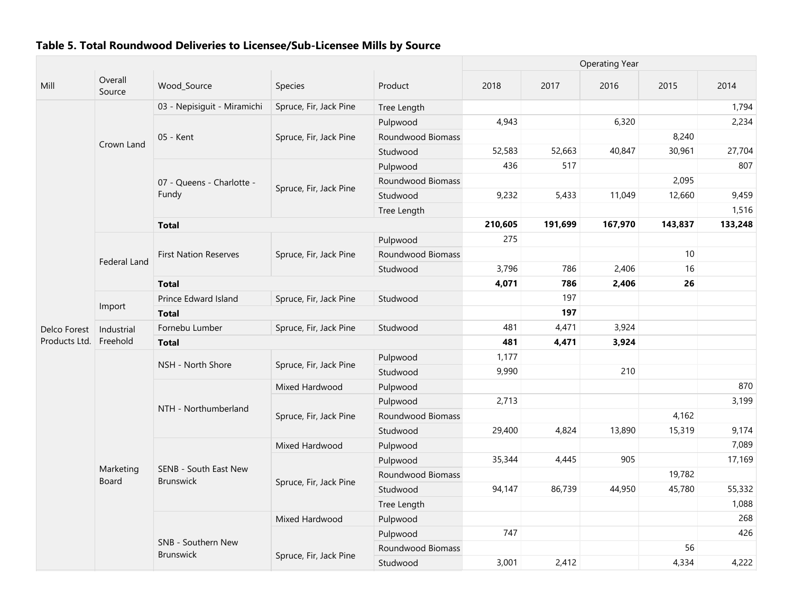|               |                        |                                           |                        |                   | <b>Operating Year</b> |         |         |         |         |  |  |
|---------------|------------------------|-------------------------------------------|------------------------|-------------------|-----------------------|---------|---------|---------|---------|--|--|
| Mill          | Overall<br>Source      | Wood_Source                               | Species                | Product           | 2018                  | 2017    | 2016    | 2015    | 2014    |  |  |
|               |                        | 03 - Nepisiguit - Miramichi               | Spruce, Fir, Jack Pine | Tree Length       |                       |         |         |         | 1,794   |  |  |
|               |                        |                                           |                        | Pulpwood          | 4,943                 |         | 6,320   |         | 2,234   |  |  |
|               |                        | 05 - Kent                                 | Spruce, Fir, Jack Pine | Roundwood Biomass |                       |         |         | 8,240   |         |  |  |
|               | Crown Land             |                                           |                        | Studwood          | 52,583                | 52,663  | 40,847  | 30,961  | 27,704  |  |  |
|               |                        |                                           |                        | Pulpwood          | 436                   | 517     |         |         | 807     |  |  |
|               |                        | 07 - Queens - Charlotte -                 |                        | Roundwood Biomass |                       |         |         | 2,095   |         |  |  |
|               |                        | Fundy                                     | Spruce, Fir, Jack Pine | Studwood          | 9,232                 | 5,433   | 11,049  | 12,660  | 9,459   |  |  |
|               |                        |                                           |                        | Tree Length       |                       |         |         |         | 1,516   |  |  |
|               |                        | <b>Total</b>                              |                        |                   | 210,605               | 191,699 | 167,970 | 143,837 | 133,248 |  |  |
|               |                        |                                           |                        | Pulpwood          | 275                   |         |         |         |         |  |  |
|               | Federal Land           | <b>First Nation Reserves</b>              | Spruce, Fir, Jack Pine | Roundwood Biomass |                       |         |         | 10      |         |  |  |
|               |                        |                                           |                        | Studwood          | 3,796                 | 786     | 2,406   | 16      |         |  |  |
|               |                        | <b>Total</b>                              |                        |                   | 4,071                 | 786     | 2,406   | 26      |         |  |  |
|               | Import                 | Prince Edward Island                      | Spruce, Fir, Jack Pine | Studwood          |                       | 197     |         |         |         |  |  |
|               |                        | <b>Total</b>                              |                        |                   |                       | 197     |         |         |         |  |  |
| Delco Forest  | Industrial<br>Freehold | Fornebu Lumber                            | Spruce, Fir, Jack Pine | Studwood          | 481                   | 4,471   | 3,924   |         |         |  |  |
| Products Ltd. |                        | <b>Total</b>                              |                        |                   | 481                   | 4,471   | 3,924   |         |         |  |  |
|               |                        | NSH - North Shore                         |                        | Pulpwood          | 1,177                 |         |         |         |         |  |  |
|               |                        |                                           | Spruce, Fir, Jack Pine | Studwood          | 9,990                 |         | 210     |         |         |  |  |
|               |                        |                                           | Mixed Hardwood         | Pulpwood          |                       |         |         |         | 870     |  |  |
|               |                        | NTH - Northumberland                      |                        | Pulpwood          | 2,713                 |         |         |         | 3,199   |  |  |
|               |                        |                                           | Spruce, Fir, Jack Pine | Roundwood Biomass |                       |         |         | 4,162   |         |  |  |
|               |                        |                                           |                        | Studwood          | 29,400                | 4,824   | 13,890  | 15,319  | 9,174   |  |  |
|               |                        |                                           | Mixed Hardwood         | Pulpwood          |                       |         |         |         | 7,089   |  |  |
|               |                        |                                           |                        | Pulpwood          | 35,344                | 4,445   | 905     |         | 17,169  |  |  |
|               | Marketing<br>Board     | SENB - South East New<br><b>Brunswick</b> | Spruce, Fir, Jack Pine | Roundwood Biomass |                       |         |         | 19,782  |         |  |  |
|               |                        |                                           |                        | Studwood          | 94,147                | 86,739  | 44,950  | 45,780  | 55,332  |  |  |
|               |                        |                                           |                        | Tree Length       |                       |         |         |         | 1,088   |  |  |
|               |                        |                                           | Mixed Hardwood         | Pulpwood          |                       |         |         |         | 268     |  |  |
|               |                        |                                           |                        | Pulpwood          | 747                   |         |         |         | 426     |  |  |
|               |                        | SNB - Southern New                        | Spruce, Fir, Jack Pine | Roundwood Biomass |                       |         |         | 56      |         |  |  |
|               |                        | <b>Brunswick</b>                          |                        | Studwood          | 3,001                 | 2,412   |         | 4,334   | 4,222   |  |  |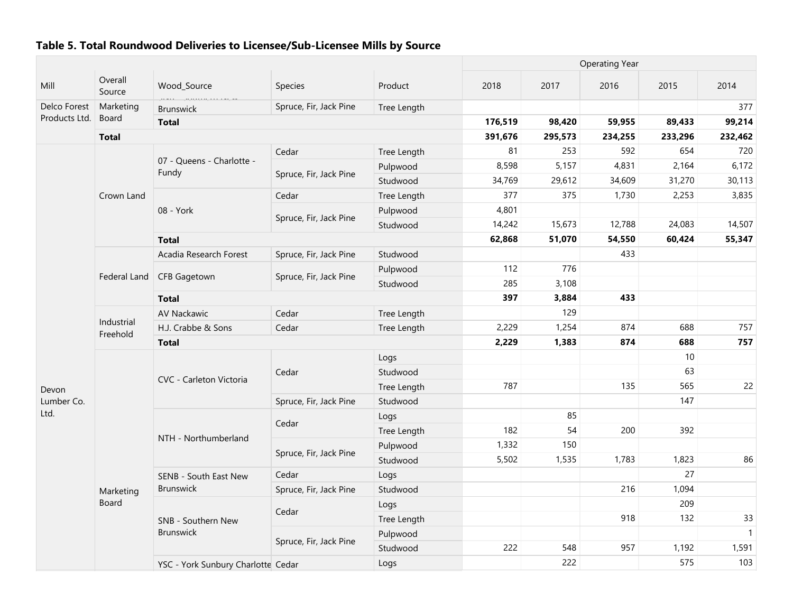|               |                        |                                    |                        |             | <b>Operating Year</b> |         |         |         |                |  |
|---------------|------------------------|------------------------------------|------------------------|-------------|-----------------------|---------|---------|---------|----------------|--|
| Mill          | Overall<br>Source      | Wood_Source                        | Species                | Product     | 2018                  | 2017    | 2016    | 2015    | 2014           |  |
| Delco Forest  | Marketing              | ana couponing<br><b>Brunswick</b>  | Spruce, Fir, Jack Pine | Tree Length |                       |         |         |         | 377            |  |
| Products Ltd. | Board                  | <b>Total</b>                       |                        |             | 176,519               | 98,420  | 59,955  | 89,433  | 99,214         |  |
|               | <b>Total</b>           |                                    |                        |             | 391,676               | 295,573 | 234,255 | 233,296 | 232,462        |  |
|               |                        |                                    | Cedar                  | Tree Length | 81                    | 253     | 592     | 654     | 720            |  |
|               |                        | 07 - Queens - Charlotte -<br>Fundy |                        | Pulpwood    | 8,598                 | 5,157   | 4,831   | 2,164   | 6,172          |  |
|               |                        |                                    | Spruce, Fir, Jack Pine | Studwood    | 34,769                | 29,612  | 34,609  | 31,270  | 30,113         |  |
|               | Crown Land             |                                    | Cedar                  | Tree Length | 377                   | 375     | 1,730   | 2,253   | 3,835          |  |
|               |                        | 08 - York                          |                        | Pulpwood    | 4,801                 |         |         |         |                |  |
|               |                        |                                    | Spruce, Fir, Jack Pine | Studwood    | 14,242                | 15,673  | 12,788  | 24,083  | 14,507         |  |
|               |                        | <b>Total</b>                       |                        |             | 62,868                | 51,070  | 54,550  | 60,424  | 55,347         |  |
|               |                        | Acadia Research Forest             | Spruce, Fir, Jack Pine | Studwood    |                       |         | 433     |         |                |  |
|               |                        |                                    |                        | Pulpwood    | 112                   | 776     |         |         |                |  |
|               | Federal Land           | <b>CFB Gagetown</b>                | Spruce, Fir, Jack Pine | Studwood    | 285                   | 3,108   |         |         |                |  |
|               |                        | <b>Total</b>                       |                        |             | 397                   | 3,884   | 433     |         |                |  |
|               |                        | <b>AV Nackawic</b>                 | Cedar                  | Tree Length |                       | 129     |         |         |                |  |
|               | Industrial<br>Freehold | H.J. Crabbe & Sons                 | Cedar                  | Tree Length | 2,229                 | 1,254   | 874     | 688     | 757            |  |
|               |                        | <b>Total</b>                       |                        |             | 2,229                 | 1,383   | 874     | 688     | 757            |  |
|               |                        |                                    |                        | Logs        |                       |         |         | 10      |                |  |
|               |                        |                                    | Cedar                  | Studwood    |                       |         |         | 63      |                |  |
| Devon         |                        | CVC - Carleton Victoria            |                        | Tree Length | 787                   |         | 135     | 565     | 22             |  |
| Lumber Co.    |                        |                                    | Spruce, Fir, Jack Pine | Studwood    |                       |         |         | 147     |                |  |
| Ltd.          |                        |                                    |                        | Logs        |                       | 85      |         |         |                |  |
|               |                        |                                    | Cedar                  | Tree Length | 182                   | 54      | 200     | 392     |                |  |
|               |                        | NTH - Northumberland               |                        | Pulpwood    | 1,332                 | 150     |         |         |                |  |
|               |                        |                                    | Spruce, Fir, Jack Pine | Studwood    | 5,502                 | 1,535   | 1,783   | 1,823   | 86             |  |
|               |                        | SENB - South East New              | Cedar                  | Logs        |                       |         |         | 27      |                |  |
|               | Marketing              | Brunswick                          | Spruce, Fir, Jack Pine | Studwood    |                       |         | 216     | 1,094   |                |  |
|               | Board                  |                                    |                        | Logs        |                       |         |         | 209     |                |  |
|               |                        | SNB - Southern New                 | Cedar                  | Tree Length |                       |         | 918     | 132     | 33             |  |
|               |                        | <b>Brunswick</b>                   |                        | Pulpwood    |                       |         |         |         | $\overline{1}$ |  |
|               |                        |                                    | Spruce, Fir, Jack Pine | Studwood    | 222                   | 548     | 957     | 1,192   | 1,591          |  |
|               |                        | YSC - York Sunbury Charlotte Cedar |                        | Logs        |                       | 222     |         | 575     | 103            |  |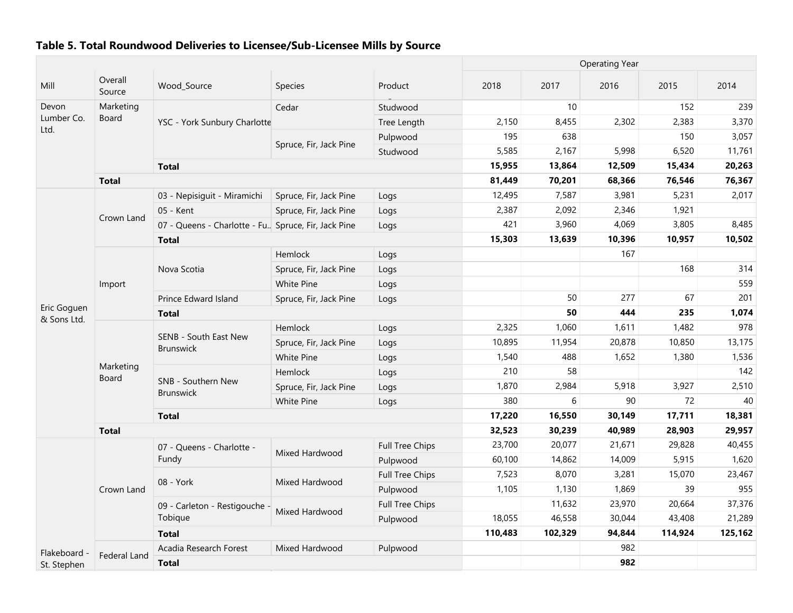|                            |                     |                                                      |                        | <b>Operating Year</b>  |         |         |        |         |         |
|----------------------------|---------------------|------------------------------------------------------|------------------------|------------------------|---------|---------|--------|---------|---------|
| Mill                       | Overall<br>Source   | Wood_Source                                          | <b>Species</b>         | Product                | 2018    | 2017    | 2016   | 2015    | 2014    |
| Devon                      | Marketing           |                                                      | Cedar                  | Studwood               |         | 10      |        | 152     | 239     |
| Lumber Co.                 | <b>Board</b>        | YSC - York Sunbury Charlotte                         |                        | Tree Length            | 2,150   | 8,455   | 2,302  | 2,383   | 3,370   |
| Ltd.                       |                     |                                                      | Spruce, Fir, Jack Pine | Pulpwood               | 195     | 638     |        | 150     | 3,057   |
|                            |                     |                                                      |                        | Studwood               | 5,585   | 2,167   | 5,998  | 6,520   | 11,761  |
|                            |                     | <b>Total</b>                                         |                        |                        | 15,955  | 13,864  | 12,509 | 15,434  | 20,263  |
|                            | <b>Total</b>        |                                                      |                        |                        | 81,449  | 70,201  | 68,366 | 76,546  | 76,367  |
|                            |                     | 03 - Nepisiguit - Miramichi                          | Spruce, Fir, Jack Pine | Logs                   | 12,495  | 7,587   | 3,981  | 5,231   | 2,017   |
|                            | Crown Land          | 05 - Kent                                            | Spruce, Fir, Jack Pine | Logs                   | 2,387   | 2,092   | 2,346  | 1,921   |         |
|                            |                     | 07 - Queens - Charlotte - Fu. Spruce, Fir, Jack Pine |                        | Logs                   | 421     | 3,960   | 4,069  | 3,805   | 8,485   |
|                            |                     | <b>Total</b>                                         |                        |                        | 15,303  | 13,639  | 10,396 | 10,957  | 10,502  |
|                            |                     |                                                      | Hemlock                | Logs                   |         |         | 167    |         |         |
|                            |                     | Nova Scotia                                          | Spruce, Fir, Jack Pine | Logs                   |         |         |        | 168     | 314     |
|                            | Import              |                                                      | White Pine             | Logs                   |         |         |        |         | 559     |
|                            |                     | Prince Edward Island                                 | Spruce, Fir, Jack Pine | Logs                   |         | 50      | 277    | 67      | 201     |
| Eric Goguen<br>& Sons Ltd. |                     | <b>Total</b>                                         |                        |                        |         | 50      | 444    | 235     | 1,074   |
|                            |                     |                                                      | Hemlock                | Logs                   | 2,325   | 1,060   | 1,611  | 1,482   | 978     |
|                            |                     | SENB - South East New<br><b>Brunswick</b>            | Spruce, Fir, Jack Pine | Logs                   | 10,895  | 11,954  | 20,878 | 10,850  | 13,175  |
|                            |                     |                                                      | White Pine             | Logs                   | 1,540   | 488     | 1,652  | 1,380   | 1,536   |
|                            | Marketing<br>Board  |                                                      | Hemlock                | Logs                   | 210     | 58      |        |         | 142     |
|                            |                     | SNB - Southern New<br><b>Brunswick</b>               | Spruce, Fir, Jack Pine | Logs                   | 1,870   | 2,984   | 5,918  | 3,927   | 2,510   |
|                            |                     |                                                      | White Pine             | Logs                   | 380     | 6       | 90     | 72      | 40      |
|                            |                     | <b>Total</b>                                         |                        |                        | 17,220  | 16,550  | 30,149 | 17,711  | 18,381  |
|                            | <b>Total</b>        |                                                      |                        |                        | 32,523  | 30,239  | 40,989 | 28,903  | 29,957  |
|                            |                     | 07 - Queens - Charlotte -                            | Mixed Hardwood         | <b>Full Tree Chips</b> | 23,700  | 20,077  | 21,671 | 29,828  | 40,455  |
|                            |                     | Fundy                                                |                        | Pulpwood               | 60,100  | 14,862  | 14,009 | 5,915   | 1,620   |
|                            |                     | 08 - York                                            | Mixed Hardwood         | <b>Full Tree Chips</b> | 7,523   | 8,070   | 3,281  | 15,070  | 23,467  |
|                            | Crown Land          |                                                      |                        | Pulpwood               | 1,105   | 1,130   | 1,869  | 39      | 955     |
|                            |                     | 09 - Carleton - Restigouche -                        | Mixed Hardwood         | Full Tree Chips        |         | 11,632  | 23,970 | 20,664  | 37,376  |
|                            |                     | Tobique                                              |                        | Pulpwood               | 18,055  | 46,558  | 30,044 | 43,408  | 21,289  |
|                            |                     | <b>Total</b>                                         |                        |                        | 110,483 | 102,329 | 94,844 | 114,924 | 125,162 |
| Flakeboard<br>St. Stephen  |                     | Acadia Research Forest                               | Mixed Hardwood         | Pulpwood               |         |         | 982    |         |         |
|                            | <b>Federal Land</b> | <b>Total</b>                                         |                        |                        |         |         | 982    |         |         |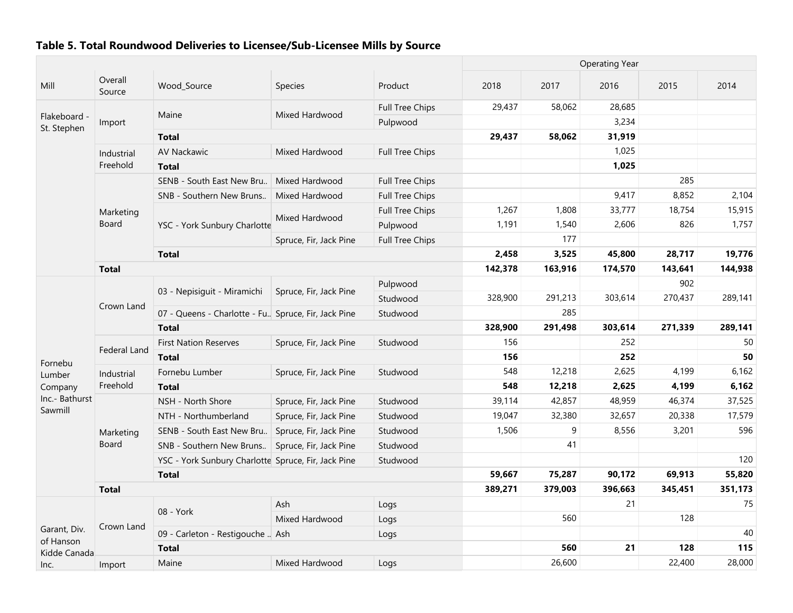|                           |                   |                                                      |                        |                        |         | <b>Operating Year</b> |         |         |         |  |  |
|---------------------------|-------------------|------------------------------------------------------|------------------------|------------------------|---------|-----------------------|---------|---------|---------|--|--|
| Mill                      | Overall<br>Source | Wood_Source                                          | <b>Species</b>         | Product                | 2018    | 2017                  | 2016    | 2015    | 2014    |  |  |
|                           |                   |                                                      |                        | Full Tree Chips        | 29,437  | 58,062                | 28,685  |         |         |  |  |
| Flakeboard<br>St. Stephen | Import            | Maine                                                | Mixed Hardwood         | Pulpwood               |         |                       | 3,234   |         |         |  |  |
|                           |                   | <b>Total</b>                                         |                        |                        | 29,437  | 58,062                | 31,919  |         |         |  |  |
|                           | Industrial        | <b>AV Nackawic</b>                                   | Mixed Hardwood         | Full Tree Chips        |         |                       | 1,025   |         |         |  |  |
|                           | Freehold          | <b>Total</b>                                         |                        |                        |         |                       | 1,025   |         |         |  |  |
|                           |                   | SENB - South East New Bru                            | Mixed Hardwood         | <b>Full Tree Chips</b> |         |                       |         | 285     |         |  |  |
|                           |                   | SNB - Southern New Bruns                             | Mixed Hardwood         | <b>Full Tree Chips</b> |         |                       | 9,417   | 8,852   | 2,104   |  |  |
|                           | Marketing         |                                                      |                        | <b>Full Tree Chips</b> | 1,267   | 1,808                 | 33,777  | 18,754  | 15,915  |  |  |
|                           | Board             | YSC - York Sunbury Charlotte                         | Mixed Hardwood         | Pulpwood               | 1,191   | 1,540                 | 2,606   | 826     | 1,757   |  |  |
|                           |                   |                                                      | Spruce, Fir, Jack Pine | <b>Full Tree Chips</b> |         | 177                   |         |         |         |  |  |
|                           |                   | <b>Total</b>                                         |                        |                        | 2,458   | 3,525                 | 45,800  | 28,717  | 19,776  |  |  |
|                           | <b>Total</b>      |                                                      |                        |                        | 142,378 | 163,916               | 174,570 | 143,641 | 144,938 |  |  |
|                           |                   |                                                      |                        | Pulpwood               |         |                       |         | 902     |         |  |  |
|                           |                   | 03 - Nepisiquit - Miramichi                          | Spruce, Fir, Jack Pine | Studwood               | 328,900 | 291,213               | 303,614 | 270,437 | 289,141 |  |  |
|                           | Crown Land        | 07 - Queens - Charlotte - Fu. Spruce, Fir, Jack Pine |                        | Studwood               |         | 285                   |         |         |         |  |  |
|                           |                   | <b>Total</b>                                         |                        |                        | 328,900 | 291,498               | 303,614 | 271,339 | 289,141 |  |  |
|                           |                   | <b>First Nation Reserves</b>                         | Spruce, Fir, Jack Pine | Studwood               | 156     |                       | 252     |         | 50      |  |  |
| Fornebu                   | Federal Land      | <b>Total</b>                                         |                        |                        | 156     |                       | 252     |         | 50      |  |  |
| Lumber                    | Industrial        | Fornebu Lumber                                       | Spruce, Fir, Jack Pine | Studwood               | 548     | 12,218                | 2,625   | 4,199   | 6,162   |  |  |
| Company                   | Freehold          | <b>Total</b>                                         |                        |                        | 548     | 12,218                | 2,625   | 4,199   | 6,162   |  |  |
| Inc.- Bathurst            |                   | NSH - North Shore                                    | Spruce, Fir, Jack Pine | Studwood               | 39,114  | 42,857                | 48,959  | 46,374  | 37,525  |  |  |
| Sawmill                   |                   | NTH - Northumberland                                 | Spruce, Fir, Jack Pine | Studwood               | 19,047  | 32,380                | 32,657  | 20,338  | 17,579  |  |  |
|                           | Marketing         | SENB - South East New Bru                            | Spruce, Fir, Jack Pine | Studwood               | 1,506   | 9                     | 8,556   | 3,201   | 596     |  |  |
|                           | Board             | SNB - Southern New Bruns                             | Spruce, Fir, Jack Pine | Studwood               |         | 41                    |         |         |         |  |  |
|                           |                   | YSC - York Sunbury Charlotte Spruce, Fir, Jack Pine  |                        | Studwood               |         |                       |         |         | 120     |  |  |
|                           |                   | <b>Total</b>                                         |                        |                        | 59,667  | 75,287                | 90,172  | 69,913  | 55,820  |  |  |
|                           | <b>Total</b>      |                                                      |                        |                        | 389,271 | 379,003               | 396,663 | 345,451 | 351,173 |  |  |
|                           |                   |                                                      | Ash                    | Logs                   |         |                       | 21      |         | 75      |  |  |
|                           |                   | 08 - York                                            | Mixed Hardwood         | Logs                   |         | 560                   |         | 128     |         |  |  |
| Garant, Div.              | Crown Land        | 09 - Carleton - Restigouche  Ash                     |                        | Logs                   |         |                       |         |         | 40      |  |  |
| of Hanson<br>Kidde Canada |                   | <b>Total</b>                                         |                        |                        |         | 560                   | 21      | 128     | 115     |  |  |
| Inc.                      | Import            | Maine                                                | Mixed Hardwood         | Logs                   |         | 26,600                |         | 22,400  | 28,000  |  |  |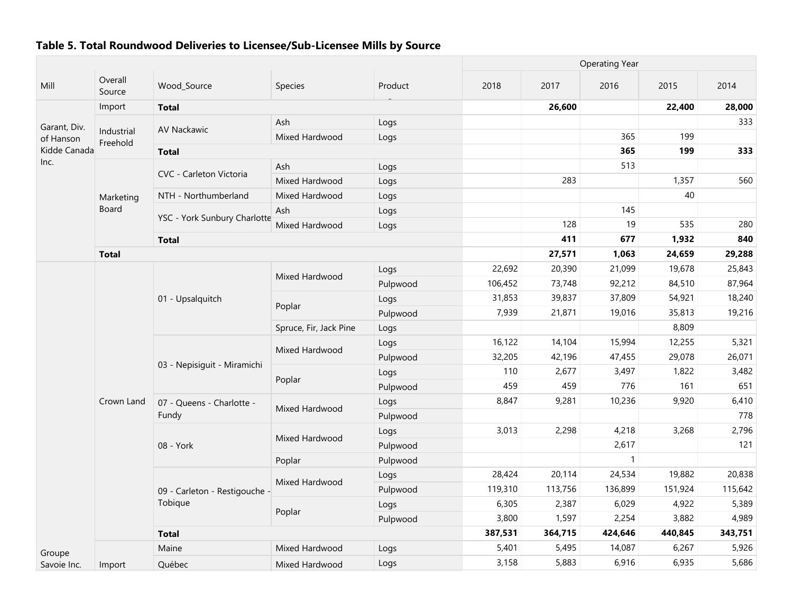|                                                                            |                           |                                          |                        |          | <b>Operating Year</b> |         |              |         |         |
|----------------------------------------------------------------------------|---------------------------|------------------------------------------|------------------------|----------|-----------------------|---------|--------------|---------|---------|
| Mill                                                                       | Overall<br>Source         | Wood_Source                              | Species                | Product  | 2018                  | 2017    | 2016         | 2015    | 2014    |
| Garant, Div.<br>of Hanson<br>Kidde Canada<br>Inc.<br>Groupe<br>Savoie Inc. | Import                    | <b>Total</b>                             |                        |          |                       | 26,600  |              | 22,400  | 28,000  |
|                                                                            | Industrial<br>Freehold    | <b>AV Nackawic</b>                       | Ash                    | Logs     |                       |         |              |         | 333     |
|                                                                            |                           |                                          | Mixed Hardwood         | Logs     |                       |         | 365          | 199     |         |
|                                                                            |                           | <b>Total</b>                             |                        |          |                       |         | 365          | 199     | 333     |
|                                                                            |                           | CVC - Carleton Victoria                  | Ash                    | Logs     |                       |         | 513          |         |         |
|                                                                            | Marketing<br><b>Board</b> |                                          | Mixed Hardwood         | Logs     |                       | 283     |              | 1,357   | 560     |
|                                                                            |                           | NTH - Northumberland                     | Mixed Hardwood         | Logs     |                       |         |              | 40      |         |
|                                                                            |                           | YSC - York Sunbury Charlotte             | Ash                    | Logs     |                       |         | 145          |         |         |
|                                                                            |                           |                                          | Mixed Hardwood         | Logs     |                       | 128     | 19           | 535     | 280     |
|                                                                            |                           | <b>Total</b>                             |                        |          |                       | 411     | 677          | 1,932   | 840     |
|                                                                            | <b>Total</b>              |                                          |                        |          |                       | 27,571  | 1,063        | 24,659  | 29,288  |
|                                                                            | Crown Land                | 01 - Upsalquitch                         | Mixed Hardwood         | Logs     | 22,692                | 20,390  | 21,099       | 19,678  | 25,843  |
|                                                                            |                           |                                          |                        | Pulpwood | 106,452               | 73,748  | 92,212       | 84,510  | 87,964  |
|                                                                            |                           |                                          | Poplar                 | Logs     | 31,853                | 39,837  | 37,809       | 54,921  | 18,240  |
|                                                                            |                           |                                          |                        | Pulpwood | 7,939                 | 21,871  | 19,016       | 35,813  | 19,216  |
|                                                                            |                           |                                          | Spruce, Fir, Jack Pine | Logs     |                       |         |              | 8,809   |         |
|                                                                            |                           | 03 - Nepisiguit - Miramichi              | Mixed Hardwood         | Logs     | 16,122                | 14,104  | 15,994       | 12,255  | 5,321   |
|                                                                            |                           |                                          |                        | Pulpwood | 32,205                | 42,196  | 47,455       | 29,078  | 26,071  |
|                                                                            |                           |                                          | Poplar                 | Logs     | 110                   | 2,677   | 3,497        | 1,822   | 3,482   |
|                                                                            |                           |                                          |                        | Pulpwood | 459                   | 459     | 776          | 161     | 651     |
|                                                                            |                           | 07 - Queens - Charlotte -<br>Fundy       | Mixed Hardwood         | Logs     | 8,847                 | 9,281   | 10,236       | 9,920   | 6,410   |
|                                                                            |                           |                                          |                        | Pulpwood |                       |         |              |         | 778     |
|                                                                            |                           | 08 - York                                | Mixed Hardwood         | Logs     | 3,013                 | 2,298   | 4,218        | 3,268   | 2,796   |
|                                                                            |                           |                                          |                        | Pulpwood |                       |         | 2,617        |         | 121     |
|                                                                            |                           |                                          | Poplar                 | Pulpwood |                       |         | $\mathbf{1}$ |         |         |
|                                                                            |                           | 09 - Carleton - Restigouche -<br>Tobique | Mixed Hardwood         | Logs     | 28,424                | 20,114  | 24,534       | 19,882  | 20,838  |
|                                                                            |                           |                                          |                        | Pulpwood | 119,310               | 113,756 | 136,899      | 151,924 | 115,642 |
|                                                                            |                           |                                          | Poplar                 | Logs     | 6,305                 | 2,387   | 6,029        | 4,922   | 5,389   |
|                                                                            |                           |                                          |                        | Pulpwood | 3,800                 | 1,597   | 2,254        | 3,882   | 4,989   |
|                                                                            |                           | <b>Total</b>                             |                        |          | 387,531               | 364,715 | 424,646      | 440,845 | 343,751 |
|                                                                            | Import                    | Maine                                    | Mixed Hardwood         | Logs     | 5,401                 | 5,495   | 14,087       | 6,267   | 5,926   |
|                                                                            |                           | Québec                                   | Mixed Hardwood         | Logs     | 3,158                 | 5,883   | 6,916        | 6,935   | 5,686   |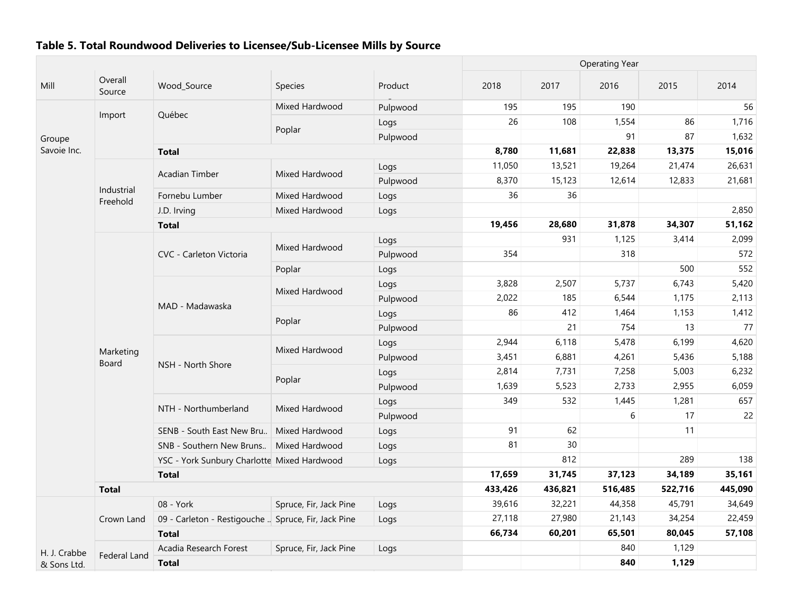|              |                        |                                                     |                        |          |         |         | <b>Operating Year</b> |         |         |
|--------------|------------------------|-----------------------------------------------------|------------------------|----------|---------|---------|-----------------------|---------|---------|
| Mill         | Overall<br>Source      | Wood_Source                                         | Species                | Product  | 2018    | 2017    | 2016                  | 2015    | 2014    |
|              |                        |                                                     | Mixed Hardwood         | Pulpwood | 195     | 195     | 190                   |         | 56      |
|              | Import                 | Québec                                              |                        | Logs     | 26      | 108     | 1,554                 | 86      | 1,716   |
| Groupe       |                        |                                                     | Poplar                 | Pulpwood |         |         | 91                    | 87      | 1,632   |
| Savoie Inc.  |                        | <b>Total</b>                                        |                        |          | 8,780   | 11,681  | 22,838                | 13,375  | 15,016  |
|              |                        |                                                     |                        | Logs     | 11,050  | 13,521  | 19,264                | 21,474  | 26,631  |
|              |                        | <b>Acadian Timber</b>                               | Mixed Hardwood         | Pulpwood | 8,370   | 15,123  | 12,614                | 12,833  | 21,681  |
|              | Industrial<br>Freehold | Fornebu Lumber                                      | Mixed Hardwood         | Logs     | 36      | 36      |                       |         |         |
|              |                        | J.D. Irving                                         | Mixed Hardwood         | Logs     |         |         |                       |         | 2,850   |
|              |                        | <b>Total</b>                                        |                        |          | 19,456  | 28,680  | 31,878                | 34,307  | 51,162  |
|              |                        |                                                     |                        | Logs     |         | 931     | 1,125                 | 3,414   | 2,099   |
|              |                        | CVC - Carleton Victoria                             | Mixed Hardwood         | Pulpwood | 354     |         | 318                   |         | 572     |
|              |                        |                                                     | Poplar                 | Logs     |         |         |                       | 500     | 552     |
|              |                        |                                                     |                        | Logs     | 3,828   | 2,507   | 5,737                 | 6,743   | 5,420   |
|              |                        |                                                     | Mixed Hardwood         | Pulpwood | 2,022   | 185     | 6,544                 | 1,175   | 2,113   |
|              |                        | MAD - Madawaska                                     |                        | Logs     | 86      | 412     | 1,464                 | 1,153   | 1,412   |
|              |                        |                                                     | Poplar                 | Pulpwood |         | 21      | 754                   | 13      | 77      |
|              |                        |                                                     |                        | Logs     | 2,944   | 6,118   | 5,478                 | 6,199   | 4,620   |
|              | Marketing<br>Board     |                                                     | Mixed Hardwood         | Pulpwood | 3,451   | 6,881   | 4,261                 | 5,436   | 5,188   |
|              |                        | NSH - North Shore                                   |                        | Logs     | 2,814   | 7,731   | 7,258                 | 5,003   | 6,232   |
|              |                        |                                                     | Poplar                 | Pulpwood | 1,639   | 5,523   | 2,733                 | 2,955   | 6,059   |
|              |                        |                                                     |                        | Logs     | 349     | 532     | 1,445                 | 1,281   | 657     |
|              |                        | NTH - Northumberland                                | Mixed Hardwood         | Pulpwood |         |         | 6                     | 17      | 22      |
|              |                        | SENB - South East New Bru                           | Mixed Hardwood         | Logs     | 91      | 62      |                       | 11      |         |
|              |                        | SNB - Southern New Bruns   Mixed Hardwood           |                        | Logs     | 81      | 30      |                       |         |         |
|              |                        | YSC - York Sunbury Charlotte Mixed Hardwood         |                        | Logs     |         | 812     |                       | 289     | 138     |
|              |                        | <b>Total</b>                                        |                        |          | 17,659  | 31,745  | 37,123                | 34,189  | 35,161  |
|              | <b>Total</b>           |                                                     |                        |          | 433,426 | 436,821 | 516,485               | 522,716 | 445,090 |
|              |                        | 08 - York                                           | Spruce, Fir, Jack Pine | Logs     | 39,616  | 32,221  | 44,358                | 45,791  | 34,649  |
|              | Crown Land             | 09 - Carleton - Restigouche  Spruce, Fir, Jack Pine |                        | Logs     | 27,118  | 27,980  | 21,143                | 34,254  | 22,459  |
|              |                        | <b>Total</b>                                        |                        |          | 66,734  | 60,201  | 65,501                | 80,045  | 57,108  |
| H. J. Crabbe |                        | Acadia Research Forest                              | Spruce, Fir, Jack Pine | Logs     |         |         | 840                   | 1,129   |         |
| & Sons Ltd.  | Federal Land           | <b>Total</b>                                        |                        |          |         |         | 840                   | 1,129   |         |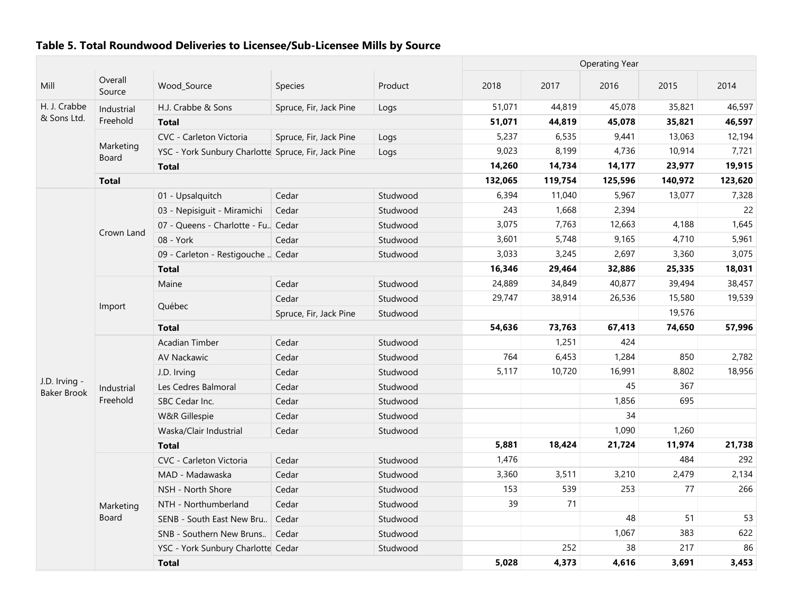|                                     |                    |                                                     |                        |          |         |         | <b>Operating Year</b> |         |         |
|-------------------------------------|--------------------|-----------------------------------------------------|------------------------|----------|---------|---------|-----------------------|---------|---------|
| Mill                                | Overall<br>Source  | Wood_Source                                         | <b>Species</b>         | Product  | 2018    | 2017    | 2016                  | 2015    | 2014    |
| H. J. Crabbe                        | Industrial         | H.J. Crabbe & Sons                                  | Spruce, Fir, Jack Pine | Logs     | 51,071  | 44,819  | 45,078                | 35,821  | 46,597  |
| & Sons Ltd.                         | Freehold           | <b>Total</b>                                        |                        |          | 51,071  | 44,819  | 45,078                | 35,821  | 46,597  |
|                                     |                    | CVC - Carleton Victoria                             | Spruce, Fir, Jack Pine | Logs     | 5,237   | 6,535   | 9,441                 | 13,063  | 12,194  |
|                                     | Marketing<br>Board | YSC - York Sunbury Charlotte Spruce, Fir, Jack Pine |                        | Logs     | 9,023   | 8,199   | 4,736                 | 10,914  | 7,721   |
|                                     |                    | <b>Total</b>                                        |                        |          | 14,260  | 14,734  | 14,177                | 23,977  | 19,915  |
|                                     | <b>Total</b>       |                                                     |                        |          | 132,065 | 119,754 | 125,596               | 140,972 | 123,620 |
|                                     |                    | 01 - Upsalquitch                                    | Cedar                  | Studwood | 6,394   | 11,040  | 5,967                 | 13,077  | 7,328   |
|                                     |                    | 03 - Nepisiguit - Miramichi                         | Cedar                  | Studwood | 243     | 1,668   | 2,394                 |         | 22      |
|                                     |                    | 07 - Queens - Charlotte - Fu., Cedar                |                        | Studwood | 3,075   | 7,763   | 12,663                | 4,188   | 1,645   |
|                                     | Crown Land         | 08 - York                                           | Cedar                  | Studwood | 3,601   | 5,748   | 9,165                 | 4,710   | 5,961   |
|                                     |                    | 09 - Carleton - Restigouche  Cedar                  |                        | Studwood | 3,033   | 3,245   | 2,697                 | 3,360   | 3,075   |
|                                     |                    | <b>Total</b>                                        |                        |          | 16,346  | 29,464  | 32,886                | 25,335  | 18,031  |
|                                     |                    | Maine                                               | Cedar                  | Studwood | 24,889  | 34,849  | 40,877                | 39,494  | 38,457  |
|                                     |                    |                                                     | Cedar                  | Studwood | 29,747  | 38,914  | 26,536                | 15,580  | 19,539  |
|                                     | Import             | Québec                                              | Spruce, Fir, Jack Pine | Studwood |         |         |                       | 19,576  |         |
|                                     |                    | <b>Total</b>                                        |                        |          | 54,636  | 73,763  | 67,413                | 74,650  | 57,996  |
|                                     |                    | Acadian Timber                                      | Cedar                  | Studwood |         | 1,251   | 424                   |         |         |
|                                     |                    | <b>AV Nackawic</b>                                  | Cedar                  | Studwood | 764     | 6,453   | 1,284                 | 850     | 2,782   |
|                                     |                    | J.D. Irving                                         | Cedar                  | Studwood | 5,117   | 10,720  | 16,991                | 8,802   | 18,956  |
| J.D. Irving -<br><b>Baker Brook</b> | Industrial         | Les Cedres Balmoral                                 | Cedar                  | Studwood |         |         | 45                    | 367     |         |
|                                     | Freehold           | SBC Cedar Inc.                                      | Cedar                  | Studwood |         |         | 1,856                 | 695     |         |
|                                     |                    | W&R Gillespie                                       | Cedar                  | Studwood |         |         | 34                    |         |         |
|                                     |                    | Waska/Clair Industrial                              | Cedar                  | Studwood |         |         | 1,090                 | 1,260   |         |
|                                     |                    | <b>Total</b>                                        |                        |          | 5,881   | 18,424  | 21,724                | 11,974  | 21,738  |
|                                     |                    | CVC - Carleton Victoria                             | Cedar                  | Studwood | 1,476   |         |                       | 484     | 292     |
|                                     |                    | MAD - Madawaska                                     | Cedar                  | Studwood | 3,360   | 3,511   | 3,210                 | 2,479   | 2,134   |
|                                     |                    | NSH - North Shore                                   | Cedar                  | Studwood | 153     | 539     | 253                   | 77      | 266     |
|                                     | Marketing          | NTH - Northumberland                                | Cedar                  | Studwood | 39      | 71      |                       |         |         |
|                                     | Board              | SENB - South East New Bru                           | Cedar                  | Studwood |         |         | 48                    | 51      | 53      |
|                                     |                    | SNB - Southern New Bruns                            | Cedar                  | Studwood |         |         | 1,067                 | 383     | 622     |
|                                     |                    | YSC - York Sunbury Charlotte Cedar                  |                        | Studwood |         | 252     | 38                    | 217     | 86      |
|                                     |                    | <b>Total</b>                                        |                        |          | 5,028   | 4,373   | 4,616                 | 3,691   | 3,453   |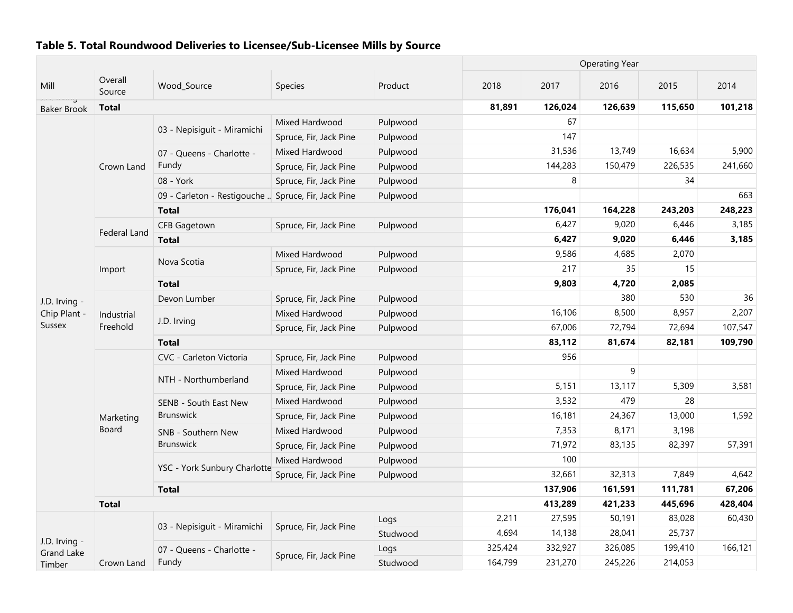|                                    |                     |                                                     |                        |          |         | <b>Operating Year</b> |         |         |         |  |  |
|------------------------------------|---------------------|-----------------------------------------------------|------------------------|----------|---------|-----------------------|---------|---------|---------|--|--|
| Mill                               | Overall<br>Source   | Wood_Source                                         | <b>Species</b>         | Product  | 2018    | 2017                  | 2016    | 2015    | 2014    |  |  |
| aaa meng<br><b>Baker Brook</b>     | <b>Total</b>        |                                                     |                        |          | 81,891  | 126,024               | 126,639 | 115,650 | 101,218 |  |  |
|                                    |                     |                                                     | Mixed Hardwood         | Pulpwood |         | 67                    |         |         |         |  |  |
|                                    |                     | 03 - Nepisiguit - Miramichi                         | Spruce, Fir, Jack Pine | Pulpwood |         | 147                   |         |         |         |  |  |
|                                    |                     | 07 - Queens - Charlotte -                           | Mixed Hardwood         | Pulpwood |         | 31,536                | 13,749  | 16,634  | 5,900   |  |  |
|                                    | Crown Land          | Fundy                                               | Spruce, Fir, Jack Pine | Pulpwood |         | 144,283               | 150,479 | 226,535 | 241,660 |  |  |
|                                    |                     | 08 - York                                           | Spruce, Fir, Jack Pine | Pulpwood |         | 8                     |         | 34      |         |  |  |
|                                    |                     | 09 - Carleton - Restigouche  Spruce, Fir, Jack Pine |                        | Pulpwood |         |                       |         |         | 663     |  |  |
|                                    |                     | <b>Total</b>                                        |                        |          |         | 176,041               | 164,228 | 243,203 | 248,223 |  |  |
|                                    |                     | <b>CFB Gagetown</b>                                 | Spruce, Fir, Jack Pine | Pulpwood |         | 6,427                 | 9,020   | 6,446   | 3,185   |  |  |
|                                    | <b>Federal Land</b> | <b>Total</b>                                        |                        |          |         | 6,427                 | 9,020   | 6,446   | 3,185   |  |  |
|                                    |                     |                                                     | Mixed Hardwood         | Pulpwood |         | 9,586                 | 4,685   | 2,070   |         |  |  |
|                                    | Import              | Nova Scotia                                         | Spruce, Fir, Jack Pine | Pulpwood |         | 217                   | 35      | 15      |         |  |  |
| J.D. Irving -<br>Chip Plant -      |                     | <b>Total</b>                                        |                        |          |         | 9,803                 | 4,720   | 2,085   |         |  |  |
|                                    |                     | Devon Lumber                                        | Spruce, Fir, Jack Pine | Pulpwood |         |                       | 380     | 530     | 36      |  |  |
|                                    | Industrial          |                                                     | Mixed Hardwood         | Pulpwood |         | 16,106                | 8,500   | 8,957   | 2,207   |  |  |
| <b>Sussex</b>                      | Freehold            | J.D. Irving                                         | Spruce, Fir, Jack Pine | Pulpwood |         | 67,006                | 72,794  | 72,694  | 107,547 |  |  |
|                                    |                     | <b>Total</b>                                        |                        |          |         | 83,112                | 81,674  | 82,181  | 109,790 |  |  |
|                                    |                     | CVC - Carleton Victoria                             | Spruce, Fir, Jack Pine | Pulpwood |         | 956                   |         |         |         |  |  |
|                                    |                     |                                                     | Mixed Hardwood         | Pulpwood |         |                       | 9       |         |         |  |  |
|                                    |                     | NTH - Northumberland                                | Spruce, Fir, Jack Pine | Pulpwood |         | 5,151                 | 13,117  | 5,309   | 3,581   |  |  |
|                                    |                     | SENB - South East New                               | Mixed Hardwood         | Pulpwood |         | 3,532                 | 479     | 28      |         |  |  |
|                                    | Marketing           | Brunswick                                           | Spruce, Fir, Jack Pine | Pulpwood |         | 16,181                | 24,367  | 13,000  | 1,592   |  |  |
|                                    | <b>Board</b>        | SNB - Southern New                                  | Mixed Hardwood         | Pulpwood |         | 7,353                 | 8,171   | 3,198   |         |  |  |
|                                    |                     | <b>Brunswick</b>                                    | Spruce, Fir, Jack Pine | Pulpwood |         | 71,972                | 83,135  | 82,397  | 57,391  |  |  |
|                                    |                     |                                                     | Mixed Hardwood         | Pulpwood |         | 100                   |         |         |         |  |  |
|                                    |                     | YSC - York Sunbury Charlotte                        | Spruce, Fir, Jack Pine | Pulpwood |         | 32,661                | 32,313  | 7,849   | 4,642   |  |  |
|                                    |                     | <b>Total</b>                                        |                        |          |         | 137,906               | 161,591 | 111,781 | 67,206  |  |  |
|                                    | <b>Total</b>        |                                                     |                        |          |         | 413,289               | 421,233 | 445,696 | 428,404 |  |  |
|                                    |                     |                                                     |                        | Logs     | 2,211   | 27,595                | 50,191  | 83,028  | 60,430  |  |  |
|                                    |                     | 03 - Nepisiguit - Miramichi                         | Spruce, Fir, Jack Pine | Studwood | 4,694   | 14,138                | 28,041  | 25,737  |         |  |  |
| J.D. Irving -<br><b>Grand Lake</b> |                     | 07 - Queens - Charlotte -                           |                        | Logs     | 325,424 | 332,927               | 326,085 | 199,410 | 166,121 |  |  |
| Timber                             | Crown Land          | Fundy                                               | Spruce, Fir, Jack Pine | Studwood | 164,799 | 231,270               | 245,226 | 214,053 |         |  |  |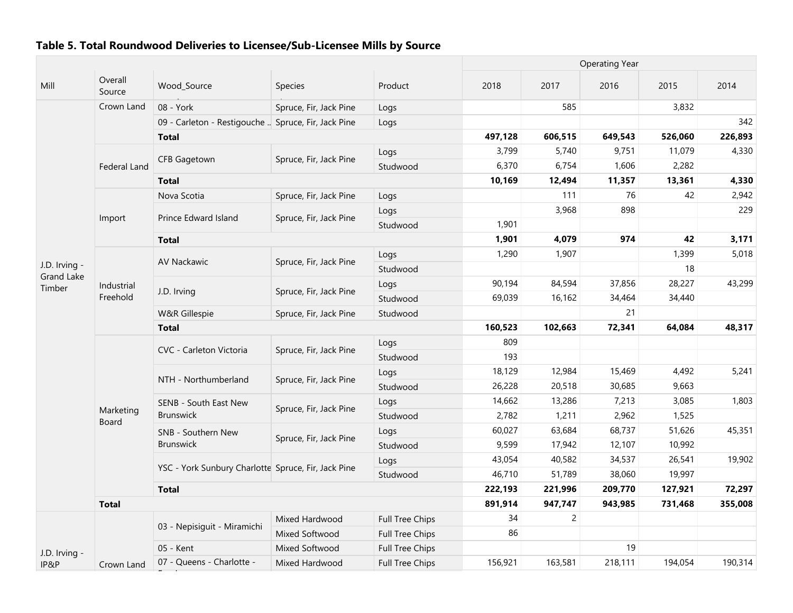|                             |                    |                                                     |                        |                        |         |                | <b>Operating Year</b> |         |         |
|-----------------------------|--------------------|-----------------------------------------------------|------------------------|------------------------|---------|----------------|-----------------------|---------|---------|
| Mill                        | Overall<br>Source  | Wood Source                                         | <b>Species</b>         | Product                | 2018    | 2017           | 2016                  | 2015    | 2014    |
|                             | Crown Land         | 08 - York                                           | Spruce, Fir, Jack Pine | Logs                   |         | 585            |                       | 3,832   |         |
|                             |                    | 09 - Carleton - Restigouche  Spruce, Fir, Jack Pine |                        | Logs                   |         |                |                       |         | 342     |
|                             |                    | <b>Total</b>                                        |                        |                        | 497,128 | 606,515        | 649,543               | 526,060 | 226,893 |
|                             |                    |                                                     |                        | Logs                   | 3,799   | 5,740          | 9,751                 | 11,079  | 4,330   |
|                             | Federal Land       | <b>CFB Gagetown</b>                                 | Spruce, Fir, Jack Pine | Studwood               | 6,370   | 6,754          | 1,606                 | 2,282   |         |
|                             |                    | <b>Total</b>                                        |                        |                        | 10,169  | 12,494         | 11,357                | 13,361  | 4,330   |
|                             |                    | Nova Scotia                                         | Spruce, Fir, Jack Pine | Logs                   |         | 111            | 76                    | 42      | 2,942   |
|                             |                    |                                                     |                        | Logs                   |         | 3,968          | 898                   |         | 229     |
|                             | Import             | Prince Edward Island                                | Spruce, Fir, Jack Pine | Studwood               | 1,901   |                |                       |         |         |
|                             |                    | <b>Total</b>                                        |                        |                        | 1,901   | 4,079          | 974                   | 42      | 3,171   |
|                             |                    |                                                     |                        | Logs                   | 1,290   | 1,907          |                       | 1,399   | 5,018   |
| J.D. Irving -               |                    | AV Nackawic                                         | Spruce, Fir, Jack Pine | Studwood               |         |                |                       | 18      |         |
| <b>Grand Lake</b><br>Timber | Industrial         |                                                     |                        | Logs                   | 90,194  | 84,594         | 37,856                | 28,227  | 43,299  |
|                             | Freehold           | J.D. Irving                                         | Spruce, Fir, Jack Pine | Studwood               | 69,039  | 16,162         | 34,464                | 34,440  |         |
|                             |                    | W&R Gillespie                                       | Spruce, Fir, Jack Pine | Studwood               |         |                | 21                    |         |         |
|                             |                    | <b>Total</b>                                        |                        |                        | 160,523 | 102,663        | 72,341                | 64,084  | 48,317  |
|                             |                    |                                                     |                        | Logs                   | 809     |                |                       |         |         |
|                             |                    | CVC - Carleton Victoria                             | Spruce, Fir, Jack Pine | Studwood               | 193     |                |                       |         |         |
|                             |                    |                                                     |                        | Logs                   | 18,129  | 12,984         | 15,469                | 4,492   | 5,241   |
|                             |                    | NTH - Northumberland                                | Spruce, Fir, Jack Pine | Studwood               | 26,228  | 20,518         | 30,685                | 9,663   |         |
|                             |                    | SENB - South East New                               |                        | Logs                   | 14,662  | 13,286         | 7,213                 | 3,085   | 1,803   |
|                             | Marketing<br>Board | <b>Brunswick</b>                                    | Spruce, Fir, Jack Pine | Studwood               | 2,782   | 1,211          | 2,962                 | 1,525   |         |
|                             |                    | SNB - Southern New                                  |                        | Logs                   | 60,027  | 63,684         | 68,737                | 51,626  | 45,351  |
|                             |                    | <b>Brunswick</b>                                    | Spruce, Fir, Jack Pine | Studwood               | 9,599   | 17,942         | 12,107                | 10,992  |         |
|                             |                    |                                                     |                        | Logs                   | 43,054  | 40,582         | 34,537                | 26,541  | 19,902  |
|                             |                    | YSC - York Sunbury Charlotte Spruce, Fir, Jack Pine |                        | Studwood               | 46,710  | 51,789         | 38,060                | 19,997  |         |
|                             |                    | <b>Total</b>                                        |                        |                        | 222,193 | 221,996        | 209,770               | 127,921 | 72,297  |
|                             | <b>Total</b>       |                                                     |                        |                        | 891,914 | 947,747        | 943,985               | 731,468 | 355,008 |
|                             |                    |                                                     | Mixed Hardwood         | Full Tree Chips        | 34      | $\overline{2}$ |                       |         |         |
|                             |                    | 03 - Nepisiguit - Miramichi                         | Mixed Softwood         | Full Tree Chips        | 86      |                |                       |         |         |
| J.D. Irving -               |                    | 05 - Kent                                           | Mixed Softwood         | <b>Full Tree Chips</b> |         |                | 19                    |         |         |
| IP&P                        | Crown Land         | 07 - Queens - Charlotte -                           | Mixed Hardwood         | <b>Full Tree Chips</b> | 156,921 | 163,581        | 218,111               | 194,054 | 190,314 |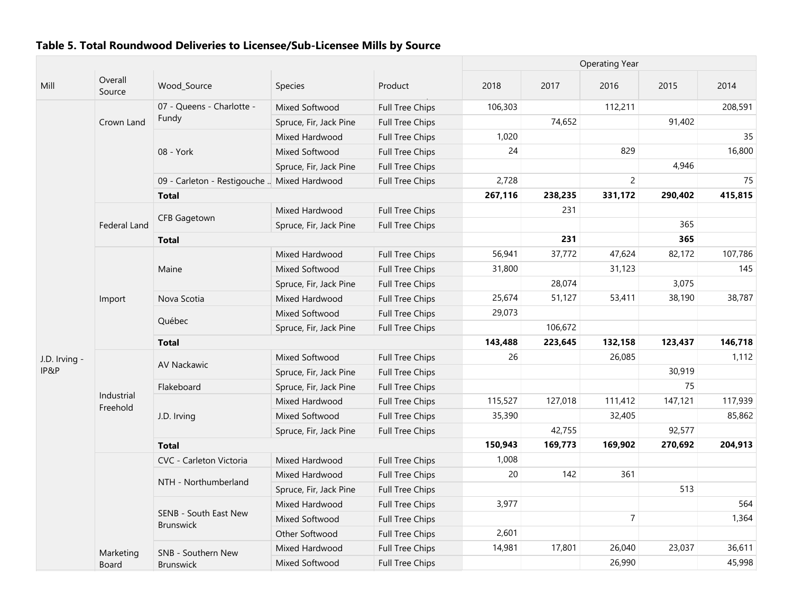|               |                        |                                             |                        |                        | <b>Operating Year</b> |         |                |         |         |  |
|---------------|------------------------|---------------------------------------------|------------------------|------------------------|-----------------------|---------|----------------|---------|---------|--|
| Mill          | Overall<br>Source      | Wood_Source                                 | Species                | Product                | 2018                  | 2017    | 2016           | 2015    | 2014    |  |
|               |                        | 07 - Queens - Charlotte -                   | Mixed Softwood         | Full Tree Chips        | 106,303               |         | 112,211        |         | 208,591 |  |
|               | Crown Land             | Fundy                                       | Spruce, Fir, Jack Pine | Full Tree Chips        |                       | 74,652  |                | 91,402  |         |  |
|               |                        |                                             | Mixed Hardwood         | Full Tree Chips        | 1,020                 |         |                |         | 35      |  |
|               |                        | 08 - York                                   | Mixed Softwood         | Full Tree Chips        | 24                    |         | 829            |         | 16,800  |  |
|               |                        |                                             | Spruce, Fir, Jack Pine | Full Tree Chips        |                       |         |                | 4,946   |         |  |
|               |                        | 09 - Carleton - Restigouche  Mixed Hardwood |                        | <b>Full Tree Chips</b> | 2,728                 |         | $\overline{2}$ |         | 75      |  |
|               |                        | <b>Total</b>                                |                        |                        | 267,116               | 238,235 | 331,172        | 290,402 | 415,815 |  |
|               |                        |                                             | Mixed Hardwood         | Full Tree Chips        |                       | 231     |                |         |         |  |
|               | Federal Land           | <b>CFB Gagetown</b>                         | Spruce, Fir, Jack Pine | Full Tree Chips        |                       |         |                | 365     |         |  |
|               |                        | <b>Total</b>                                |                        |                        |                       | 231     |                | 365     |         |  |
|               |                        |                                             | Mixed Hardwood         | Full Tree Chips        | 56,941                | 37,772  | 47,624         | 82,172  | 107,786 |  |
|               |                        | Maine                                       | Mixed Softwood         | Full Tree Chips        | 31,800                |         | 31,123         |         | 145     |  |
|               |                        |                                             | Spruce, Fir, Jack Pine | Full Tree Chips        |                       | 28,074  |                | 3,075   |         |  |
|               | Import                 | Nova Scotia                                 | Mixed Hardwood         | Full Tree Chips        | 25,674                | 51,127  | 53,411         | 38,190  | 38,787  |  |
|               |                        |                                             | Mixed Softwood         | Full Tree Chips        | 29,073                |         |                |         |         |  |
|               |                        | Québec                                      | Spruce, Fir, Jack Pine | <b>Full Tree Chips</b> |                       | 106,672 |                |         |         |  |
|               |                        | <b>Total</b>                                |                        | 143,488                | 223,645               | 132,158 | 123,437        | 146,718 |         |  |
| J.D. Irving - |                        |                                             | Mixed Softwood         | Full Tree Chips        | 26                    |         | 26,085         |         | 1,112   |  |
| IP&P          |                        | <b>AV Nackawic</b>                          | Spruce, Fir, Jack Pine | Full Tree Chips        |                       |         |                | 30,919  |         |  |
|               |                        | Flakeboard                                  | Spruce, Fir, Jack Pine | Full Tree Chips        |                       |         |                | 75      |         |  |
|               | Industrial<br>Freehold |                                             | Mixed Hardwood         | Full Tree Chips        | 115,527               | 127,018 | 111,412        | 147,121 | 117,939 |  |
|               |                        | J.D. Irving                                 | Mixed Softwood         | Full Tree Chips        | 35,390                |         | 32,405         |         | 85,862  |  |
|               |                        |                                             | Spruce, Fir, Jack Pine | Full Tree Chips        |                       | 42,755  |                | 92,577  |         |  |
|               |                        | <b>Total</b>                                |                        |                        | 150,943               | 169,773 | 169,902        | 270,692 | 204,913 |  |
|               |                        | CVC - Carleton Victoria                     | Mixed Hardwood         | Full Tree Chips        | 1,008                 |         |                |         |         |  |
|               |                        | NTH - Northumberland                        | Mixed Hardwood         | Full Tree Chips        | 20                    | 142     | 361            |         |         |  |
|               |                        |                                             | Spruce, Fir, Jack Pine | <b>Full Tree Chips</b> |                       |         |                | 513     |         |  |
|               |                        |                                             | Mixed Hardwood         | Full Tree Chips        | 3,977                 |         |                |         | 564     |  |
|               |                        | SENB - South East New<br><b>Brunswick</b>   | Mixed Softwood         | Full Tree Chips        |                       |         | $\overline{7}$ |         | 1,364   |  |
|               |                        |                                             | Other Softwood         | Full Tree Chips        | 2,601                 |         |                |         |         |  |
|               | Marketing              | SNB - Southern New                          | Mixed Hardwood         | Full Tree Chips        | 14,981                | 17,801  | 26,040         | 23,037  | 36,611  |  |
|               | Board                  | <b>Brunswick</b>                            | Mixed Softwood         | <b>Full Tree Chips</b> |                       |         | 26,990         |         | 45,998  |  |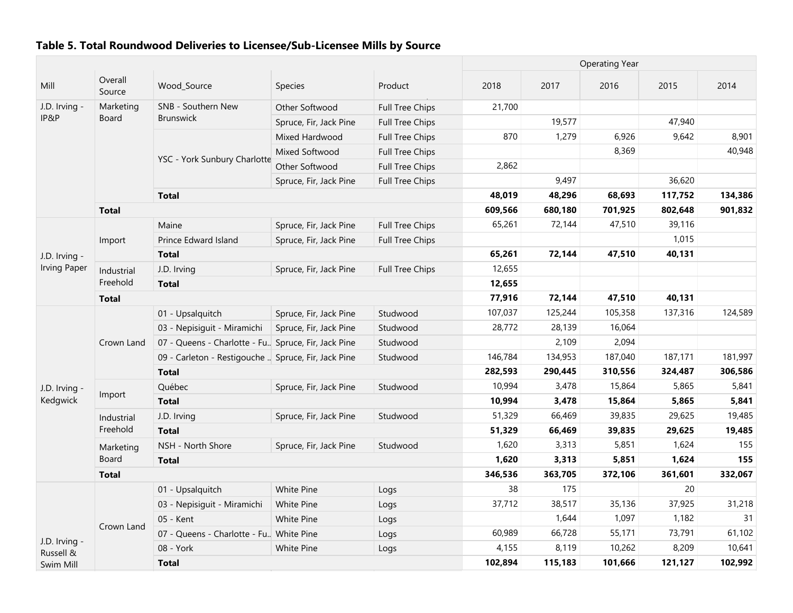|                            |                   |                                                      |                        | <b>Operating Year</b>  |         |         |         |         |         |
|----------------------------|-------------------|------------------------------------------------------|------------------------|------------------------|---------|---------|---------|---------|---------|
| Mill                       | Overall<br>Source | Wood_Source                                          | Species                | Product                | 2018    | 2017    | 2016    | 2015    | 2014    |
| J.D. Irving -              | Marketing         | SNB - Southern New                                   | Other Softwood         | Full Tree Chips        | 21,700  |         |         |         |         |
| IP&P                       | <b>Board</b>      | <b>Brunswick</b>                                     | Spruce, Fir, Jack Pine | <b>Full Tree Chips</b> |         | 19,577  |         | 47,940  |         |
|                            |                   |                                                      | Mixed Hardwood         | <b>Full Tree Chips</b> | 870     | 1,279   | 6,926   | 9,642   | 8,901   |
|                            |                   |                                                      | Mixed Softwood         | <b>Full Tree Chips</b> |         |         | 8,369   |         | 40,948  |
|                            |                   | YSC - York Sunbury Charlotte                         | Other Softwood         | <b>Full Tree Chips</b> | 2,862   |         |         |         |         |
|                            |                   |                                                      | Spruce, Fir, Jack Pine | <b>Full Tree Chips</b> |         | 9,497   |         | 36,620  |         |
|                            |                   | <b>Total</b>                                         |                        |                        | 48,019  | 48,296  | 68,693  | 117,752 | 134,386 |
|                            | <b>Total</b>      |                                                      |                        |                        | 609,566 | 680,180 | 701,925 | 802,648 | 901,832 |
|                            |                   | Maine                                                | Spruce, Fir, Jack Pine | <b>Full Tree Chips</b> | 65,261  | 72,144  | 47,510  | 39,116  |         |
|                            | Import            | Prince Edward Island                                 | Spruce, Fir, Jack Pine | <b>Full Tree Chips</b> |         |         |         | 1,015   |         |
| J.D. Irving -              |                   | <b>Total</b>                                         |                        |                        | 65,261  | 72,144  | 47,510  | 40,131  |         |
| <b>Irving Paper</b>        | Industrial        | J.D. Irving                                          | Spruce, Fir, Jack Pine | Full Tree Chips        | 12,655  |         |         |         |         |
|                            | Freehold          | <b>Total</b>                                         |                        |                        | 12,655  |         |         |         |         |
|                            | <b>Total</b>      |                                                      |                        |                        | 77,916  | 72,144  | 47,510  | 40,131  |         |
|                            |                   | 01 - Upsalquitch                                     | Spruce, Fir, Jack Pine | Studwood               | 107,037 | 125,244 | 105,358 | 137,316 | 124,589 |
|                            |                   | 03 - Nepisiguit - Miramichi                          | Spruce, Fir, Jack Pine | Studwood               | 28,772  | 28,139  | 16,064  |         |         |
|                            | Crown Land        | 07 - Queens - Charlotte - Fu. Spruce, Fir, Jack Pine |                        | Studwood               |         | 2,109   | 2,094   |         |         |
|                            |                   | 09 - Carleton - Restigouche  Spruce, Fir, Jack Pine  |                        | Studwood               | 146,784 | 134,953 | 187,040 | 187,171 | 181,997 |
|                            |                   | <b>Total</b>                                         |                        |                        | 282,593 | 290,445 | 310,556 | 324,487 | 306,586 |
| J.D. Irving -              |                   | Québec                                               | Spruce, Fir, Jack Pine | Studwood               | 10,994  | 3,478   | 15,864  | 5,865   | 5,841   |
| Kedgwick                   | Import            | <b>Total</b>                                         |                        |                        | 10,994  | 3,478   | 15,864  | 5,865   | 5,841   |
|                            | Industrial        | J.D. Irving                                          | Spruce, Fir, Jack Pine | Studwood               | 51,329  | 66,469  | 39,835  | 29,625  | 19,485  |
|                            | Freehold          | <b>Total</b>                                         |                        |                        | 51,329  | 66,469  | 39,835  | 29,625  | 19,485  |
|                            | Marketing         | NSH - North Shore                                    | Spruce, Fir, Jack Pine | Studwood               | 1,620   | 3,313   | 5,851   | 1,624   | 155     |
|                            | Board             | <b>Total</b>                                         |                        |                        | 1,620   | 3,313   | 5,851   | 1,624   | 155     |
|                            | <b>Total</b>      |                                                      |                        |                        | 346,536 | 363,705 | 372,106 | 361,601 | 332,067 |
|                            |                   | 01 - Upsalquitch                                     | White Pine             | Logs                   | 38      | 175     |         | 20      |         |
|                            |                   | 03 - Nepisiguit - Miramichi                          | White Pine             | Logs                   | 37,712  | 38,517  | 35,136  | 37,925  | 31,218  |
|                            |                   | 05 - Kent                                            | <b>White Pine</b>      | Logs                   |         | 1,644   | 1,097   | 1,182   | 31      |
|                            | Crown Land        | 07 - Queens - Charlotte - Fu. White Pine             |                        | Logs                   | 60,989  | 66,728  | 55,171  | 73,791  | 61,102  |
| J.D. Irving -<br>Russell & |                   | 08 - York                                            | <b>White Pine</b>      | Logs                   | 4,155   | 8,119   | 10,262  | 8,209   | 10,641  |
| Swim Mill                  |                   | <b>Total</b>                                         |                        |                        | 102,894 | 115,183 | 101,666 | 121,127 | 102,992 |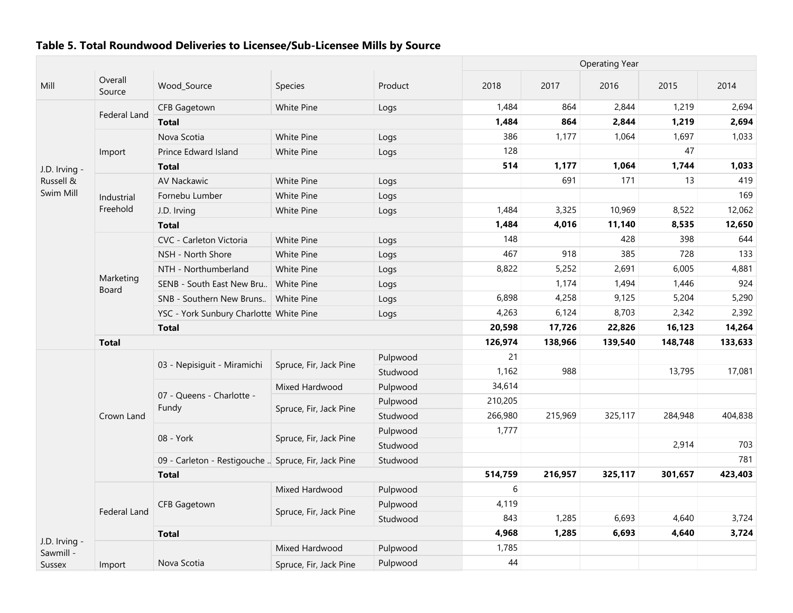|               |                    |                                                     |                        |          | <b>Operating Year</b> |         |         |         |         |  |
|---------------|--------------------|-----------------------------------------------------|------------------------|----------|-----------------------|---------|---------|---------|---------|--|
| Mill          | Overall<br>Source  | Wood_Source                                         | <b>Species</b>         | Product  | 2018                  | 2017    | 2016    | 2015    | 2014    |  |
|               |                    | <b>CFB Gagetown</b>                                 | <b>White Pine</b>      | Logs     | 1,484                 | 864     | 2,844   | 1,219   | 2,694   |  |
|               | Federal Land       | <b>Total</b>                                        |                        |          | 1,484                 | 864     | 2,844   | 1,219   | 2,694   |  |
|               |                    | Nova Scotia                                         | <b>White Pine</b>      | Logs     | 386                   | 1,177   | 1,064   | 1,697   | 1,033   |  |
|               | Import             | Prince Edward Island                                | White Pine             | Logs     | 128                   |         |         | 47      |         |  |
| J.D. Irving - |                    | <b>Total</b>                                        |                        |          | 514                   | 1,177   | 1,064   | 1,744   | 1,033   |  |
| Russell &     |                    | <b>AV Nackawic</b>                                  | White Pine             | Logs     |                       | 691     | 171     | 13      | 419     |  |
| Swim Mill     | Industrial         | Fornebu Lumber                                      | White Pine             | Logs     |                       |         |         |         | 169     |  |
|               | Freehold           | J.D. Irving                                         | White Pine             | Logs     | 1,484                 | 3,325   | 10,969  | 8,522   | 12,062  |  |
|               |                    | <b>Total</b>                                        |                        |          | 1,484                 | 4,016   | 11,140  | 8,535   | 12,650  |  |
|               |                    | CVC - Carleton Victoria                             | <b>White Pine</b>      | Logs     | 148                   |         | 428     | 398     | 644     |  |
|               |                    | NSH - North Shore                                   | White Pine             | Logs     | 467                   | 918     | 385     | 728     | 133     |  |
|               |                    | NTH - Northumberland                                | White Pine             | Logs     | 8,822                 | 5,252   | 2,691   | 6,005   | 4,881   |  |
|               | Marketing<br>Board | SENB - South East New Bru                           | White Pine             | Logs     |                       | 1,174   | 1,494   | 1,446   | 924     |  |
|               |                    | SNB - Southern New Bruns                            | White Pine             | Logs     | 6,898                 | 4,258   | 9,125   | 5,204   | 5,290   |  |
|               |                    | YSC - York Sunbury Charlotte White Pine             |                        | Logs     | 4,263                 | 6,124   | 8,703   | 2,342   | 2,392   |  |
|               |                    | <b>Total</b>                                        | 20,598                 | 17,726   | 22,826                | 16,123  | 14,264  |         |         |  |
|               | <b>Total</b>       |                                                     | 126,974                | 138,966  | 139,540               | 148,748 | 133,633 |         |         |  |
|               |                    |                                                     | Spruce, Fir, Jack Pine | Pulpwood | 21                    |         |         |         |         |  |
|               |                    | 03 - Nepisiguit - Miramichi                         |                        | Studwood | 1,162                 | 988     |         | 13,795  | 17,081  |  |
|               |                    |                                                     | Mixed Hardwood         | Pulpwood | 34,614                |         |         |         |         |  |
|               |                    | 07 - Queens - Charlotte -<br>Fundy                  | Spruce, Fir, Jack Pine | Pulpwood | 210,205               |         |         |         |         |  |
|               | Crown Land         |                                                     |                        | Studwood | 266,980               | 215,969 | 325,117 | 284,948 | 404,838 |  |
|               |                    | 08 - York                                           | Spruce, Fir, Jack Pine | Pulpwood | 1,777                 |         |         |         |         |  |
|               |                    |                                                     |                        | Studwood |                       |         |         | 2,914   | 703     |  |
|               |                    | 09 - Carleton - Restigouche  Spruce, Fir, Jack Pine |                        | Studwood |                       |         |         |         | 781     |  |
|               |                    | <b>Total</b>                                        |                        |          | 514,759               | 216,957 | 325,117 | 301,657 | 423,403 |  |
|               |                    |                                                     | Mixed Hardwood         | Pulpwood | 6                     |         |         |         |         |  |
|               | Federal Land       | <b>CFB Gagetown</b>                                 | Spruce, Fir, Jack Pine | Pulpwood | 4,119                 |         |         |         |         |  |
|               |                    |                                                     |                        | Studwood | 843                   | 1,285   | 6,693   | 4,640   | 3,724   |  |
| J.D. Irving - |                    | <b>Total</b>                                        |                        |          | 4,968                 | 1,285   | 6,693   | 4,640   | 3,724   |  |
| Sawmill -     |                    |                                                     | Mixed Hardwood         | Pulpwood | 1,785                 |         |         |         |         |  |
| <b>Sussex</b> | Import             | Nova Scotia                                         | Spruce, Fir, Jack Pine | Pulpwood | 44                    |         |         |         |         |  |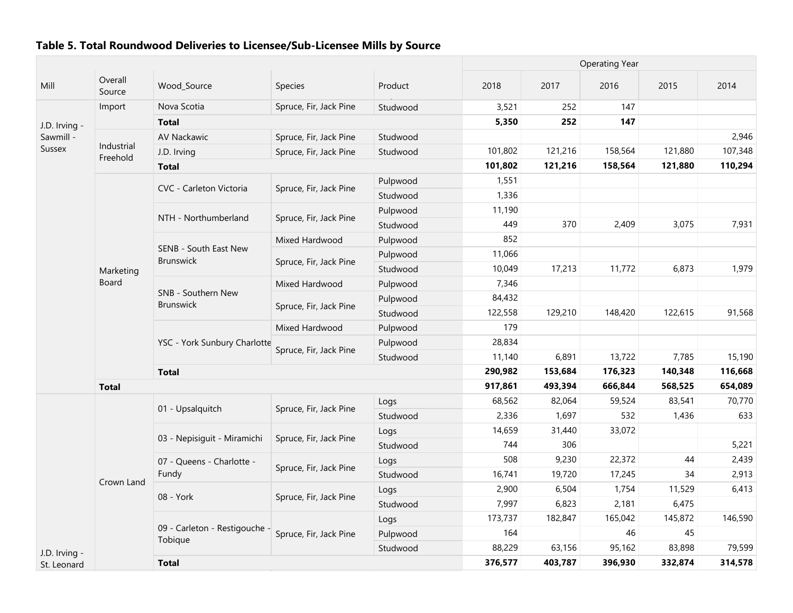|               |                        |                                           |                        |          |         |         | <b>Operating Year</b> |         |         |
|---------------|------------------------|-------------------------------------------|------------------------|----------|---------|---------|-----------------------|---------|---------|
| Mill          | Overall<br>Source      | Wood_Source                               | Species                | Product  | 2018    | 2017    | 2016                  | 2015    | 2014    |
|               | Import                 | Nova Scotia                               | Spruce, Fir, Jack Pine | Studwood | 3,521   | 252     | 147                   |         |         |
| J.D. Irving - |                        | <b>Total</b>                              |                        |          | 5,350   | 252     | 147                   |         |         |
| Sawmill -     |                        | AV Nackawic                               | Spruce, Fir, Jack Pine | Studwood |         |         |                       |         | 2,946   |
| <b>Sussex</b> | Industrial<br>Freehold | J.D. Irving                               | Spruce, Fir, Jack Pine | Studwood | 101,802 | 121,216 | 158,564               | 121,880 | 107,348 |
|               |                        | <b>Total</b>                              |                        |          | 101,802 | 121,216 | 158,564               | 121,880 | 110,294 |
|               |                        |                                           |                        | Pulpwood | 1,551   |         |                       |         |         |
|               |                        | CVC - Carleton Victoria                   | Spruce, Fir, Jack Pine | Studwood | 1,336   |         |                       |         |         |
|               |                        |                                           |                        | Pulpwood | 11,190  |         |                       |         |         |
|               |                        | NTH - Northumberland                      | Spruce, Fir, Jack Pine | Studwood | 449     | 370     | 2,409                 | 3,075   | 7,931   |
|               |                        |                                           | Mixed Hardwood         | Pulpwood | 852     |         |                       |         |         |
|               |                        | SENB - South East New<br><b>Brunswick</b> |                        | Pulpwood | 11,066  |         |                       |         |         |
|               | Marketing              |                                           | Spruce, Fir, Jack Pine | Studwood | 10,049  | 17,213  | 11,772                | 6,873   | 1,979   |
|               | Board                  |                                           | Mixed Hardwood         | Pulpwood | 7,346   |         |                       |         |         |
|               |                        | SNB - Southern New<br><b>Brunswick</b>    |                        | Pulpwood | 84,432  |         |                       |         |         |
|               |                        |                                           | Spruce, Fir, Jack Pine | Studwood | 122,558 | 129,210 | 148,420               | 122,615 | 91,568  |
|               |                        | YSC - York Sunbury Charlotte              | Mixed Hardwood         | Pulpwood | 179     |         |                       |         |         |
|               |                        |                                           |                        | Pulpwood | 28,834  |         |                       |         |         |
|               |                        |                                           | Spruce, Fir, Jack Pine | Studwood | 11,140  | 6,891   | 13,722                | 7,785   | 15,190  |
|               |                        | <b>Total</b>                              |                        |          | 290,982 | 153,684 | 176,323               | 140,348 | 116,668 |
|               | <b>Total</b>           |                                           |                        |          | 917,861 | 493,394 | 666,844               | 568,525 | 654,089 |
|               |                        |                                           |                        | Logs     | 68,562  | 82,064  | 59,524                | 83,541  | 70,770  |
|               |                        | 01 - Upsalquitch                          | Spruce, Fir, Jack Pine | Studwood | 2,336   | 1,697   | 532                   | 1,436   | 633     |
|               |                        |                                           |                        | Logs     | 14,659  | 31,440  | 33,072                |         |         |
|               |                        | 03 - Nepisiguit - Miramichi               | Spruce, Fir, Jack Pine | Studwood | 744     | 306     |                       |         | 5,221   |
|               |                        | 07 - Queens - Charlotte -                 |                        | Logs     | 508     | 9,230   | 22,372                | 44      | 2,439   |
|               |                        | Fundy                                     | Spruce, Fir, Jack Pine | Studwood | 16,741  | 19,720  | 17,245                | 34      | 2,913   |
|               | Crown Land             |                                           |                        | Logs     | 2,900   | 6,504   | 1,754                 | 11,529  | 6,413   |
|               |                        | 08 - York                                 | Spruce, Fir, Jack Pine | Studwood | 7,997   | 6,823   | 2,181                 | 6,475   |         |
|               |                        |                                           |                        | Logs     | 173,737 | 182,847 | 165,042               | 145,872 | 146,590 |
|               |                        | 09 - Carleton - Restigouche -<br>Tobique  | Spruce, Fir, Jack Pine | Pulpwood | 164     |         | 46                    | 45      |         |
| J.D. Irving - |                        |                                           |                        | Studwood | 88,229  | 63,156  | 95,162                | 83,898  | 79,599  |
| St. Leonard   |                        | <b>Total</b>                              |                        |          | 376,577 | 403,787 | 396,930               | 332,874 | 314,578 |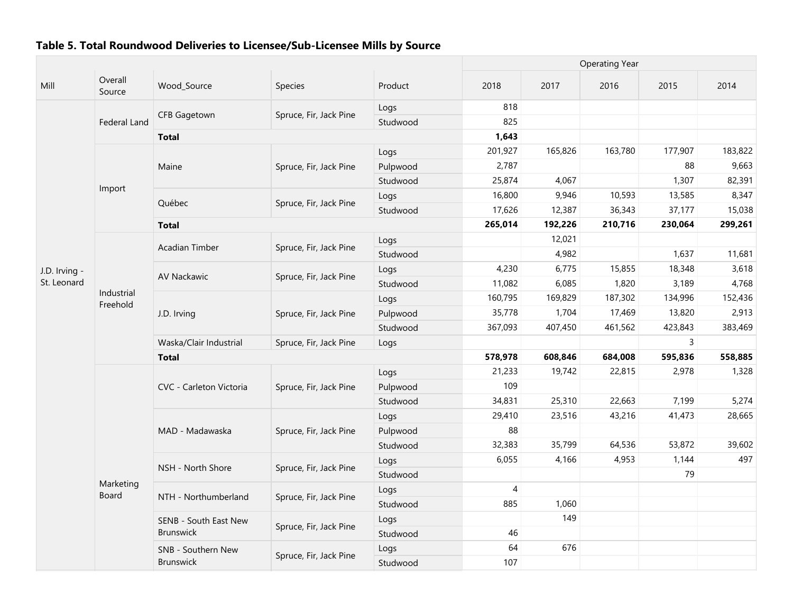|               |                   |                         |                        |          | <b>Operating Year</b> |         |         |         |         |  |
|---------------|-------------------|-------------------------|------------------------|----------|-----------------------|---------|---------|---------|---------|--|
| Mill          | Overall<br>Source | Wood_Source             | Species                | Product  | 2018                  | 2017    | 2016    | 2015    | 2014    |  |
|               |                   |                         |                        | Logs     | 818                   |         |         |         |         |  |
|               | Federal Land      | CFB Gagetown            | Spruce, Fir, Jack Pine | Studwood | 825                   |         |         |         |         |  |
|               |                   | <b>Total</b>            |                        |          | 1,643                 |         |         |         |         |  |
|               |                   |                         |                        | Logs     | 201,927               | 165,826 | 163,780 | 177,907 | 183,822 |  |
|               |                   | Maine                   | Spruce, Fir, Jack Pine | Pulpwood | 2,787                 |         |         | 88      | 9,663   |  |
|               |                   |                         |                        | Studwood | 25,874                | 4,067   |         | 1,307   | 82,391  |  |
|               | Import            | Québec                  |                        | Logs     | 16,800                | 9,946   | 10,593  | 13,585  | 8,347   |  |
|               |                   |                         | Spruce, Fir, Jack Pine | Studwood | 17,626                | 12,387  | 36,343  | 37,177  | 15,038  |  |
|               |                   | <b>Total</b>            |                        |          | 265,014               | 192,226 | 210,716 | 230,064 | 299,261 |  |
|               |                   |                         |                        | Logs     |                       | 12,021  |         |         |         |  |
|               |                   | Acadian Timber          | Spruce, Fir, Jack Pine | Studwood |                       | 4,982   |         | 1,637   | 11,681  |  |
| J.D. Irving - |                   |                         |                        | Logs     | 4,230                 | 6,775   | 15,855  | 18,348  | 3,618   |  |
| St. Leonard   |                   | AV Nackawic             | Spruce, Fir, Jack Pine | Studwood | 11,082                | 6,085   | 1,820   | 3,189   | 4,768   |  |
|               | Industrial        |                         |                        | Logs     | 160,795               | 169,829 | 187,302 | 134,996 | 152,436 |  |
|               | Freehold          | J.D. Irving             | Spruce, Fir, Jack Pine | Pulpwood | 35,778                | 1,704   | 17,469  | 13,820  | 2,913   |  |
|               |                   |                         |                        | Studwood | 367,093               | 407,450 | 461,562 | 423,843 | 383,469 |  |
|               |                   | Waska/Clair Industrial  | Spruce, Fir, Jack Pine | Logs     |                       |         |         | 3       |         |  |
|               |                   | <b>Total</b>            |                        |          | 578,978               | 608,846 | 684,008 | 595,836 | 558,885 |  |
|               |                   |                         |                        | Logs     | 21,233                | 19,742  | 22,815  | 2,978   | 1,328   |  |
|               |                   | CVC - Carleton Victoria | Spruce, Fir, Jack Pine | Pulpwood | 109                   |         |         |         |         |  |
|               |                   |                         |                        | Studwood | 34,831                | 25,310  | 22,663  | 7,199   | 5,274   |  |
|               |                   |                         |                        | Logs     | 29,410                | 23,516  | 43,216  | 41,473  | 28,665  |  |
|               |                   | MAD - Madawaska         | Spruce, Fir, Jack Pine | Pulpwood | 88                    |         |         |         |         |  |
|               |                   |                         |                        | Studwood | 32,383                | 35,799  | 64,536  | 53,872  | 39,602  |  |
|               |                   |                         |                        | Logs     | 6,055                 | 4,166   | 4,953   | 1,144   | 497     |  |
|               |                   | NSH - North Shore       | Spruce, Fir, Jack Pine | Studwood |                       |         |         | 79      |         |  |
|               | Marketing         |                         |                        | Logs     | 4                     |         |         |         |         |  |
|               | Board             | NTH - Northumberland    | Spruce, Fir, Jack Pine | Studwood | 885                   | 1,060   |         |         |         |  |
|               |                   | SENB - South East New   |                        | Logs     |                       | 149     |         |         |         |  |
|               |                   | <b>Brunswick</b>        | Spruce, Fir, Jack Pine | Studwood | 46                    |         |         |         |         |  |
|               |                   | SNB - Southern New      |                        | Logs     | 64                    | 676     |         |         |         |  |
|               |                   | Brunswick               | Spruce, Fir, Jack Pine | Studwood | 107                   |         |         |         |         |  |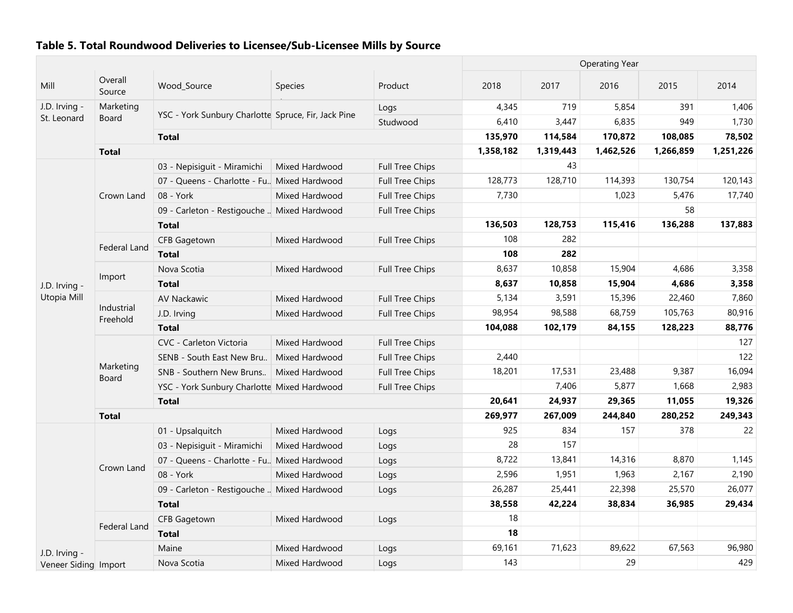|                              |                        |                                                     |                |                        |           |           | <b>Operating Year</b> |           |           |
|------------------------------|------------------------|-----------------------------------------------------|----------------|------------------------|-----------|-----------|-----------------------|-----------|-----------|
| Mill                         | Overall<br>Source      | Wood_Source                                         | <b>Species</b> | Product                | 2018      | 2017      | 2016                  | 2015      | 2014      |
| J.D. Irving -                | Marketing              |                                                     |                | Logs                   | 4,345     | 719       | 5,854                 | 391       | 1,406     |
| St. Leonard                  | Board                  | YSC - York Sunbury Charlotte Spruce, Fir, Jack Pine |                | Studwood               | 6,410     | 3,447     | 6,835                 | 949       | 1,730     |
|                              |                        | <b>Total</b>                                        |                |                        | 135,970   | 114,584   | 170,872               | 108,085   | 78,502    |
|                              | <b>Total</b>           |                                                     |                |                        | 1,358,182 | 1,319,443 | 1,462,526             | 1,266,859 | 1,251,226 |
|                              |                        | 03 - Nepisiguit - Miramichi                         | Mixed Hardwood | Full Tree Chips        |           | 43        |                       |           |           |
|                              |                        | 07 - Queens - Charlotte - Fu. Mixed Hardwood        |                | <b>Full Tree Chips</b> | 128,773   | 128,710   | 114,393               | 130,754   | 120,143   |
|                              | Crown Land             | 08 - York                                           | Mixed Hardwood | Full Tree Chips        | 7,730     |           | 1,023                 | 5,476     | 17,740    |
|                              |                        | 09 - Carleton - Restigouche  Mixed Hardwood         |                | <b>Full Tree Chips</b> |           |           |                       | 58        |           |
|                              |                        | <b>Total</b>                                        |                |                        | 136,503   | 128,753   | 115,416               | 136,288   | 137,883   |
|                              |                        | <b>CFB Gagetown</b>                                 | Mixed Hardwood | Full Tree Chips        | 108       | 282       |                       |           |           |
|                              | Federal Land           | <b>Total</b>                                        |                |                        | 108       | 282       |                       |           |           |
|                              |                        | Nova Scotia                                         | Mixed Hardwood | <b>Full Tree Chips</b> | 8,637     | 10,858    | 15,904                | 4,686     | 3,358     |
| J.D. Irving -<br>Utopia Mill | Import                 | <b>Total</b>                                        |                |                        | 8,637     | 10,858    | 15,904                | 4,686     | 3,358     |
|                              |                        | <b>AV Nackawic</b>                                  | Mixed Hardwood | Full Tree Chips        | 5,134     | 3,591     | 15,396                | 22,460    | 7,860     |
|                              | Industrial<br>Freehold | J.D. Irving                                         | Mixed Hardwood | Full Tree Chips        | 98,954    | 98,588    | 68,759                | 105,763   | 80,916    |
|                              |                        | <b>Total</b>                                        |                |                        | 104,088   | 102,179   | 84,155                | 128,223   | 88,776    |
|                              |                        | CVC - Carleton Victoria                             | Mixed Hardwood | Full Tree Chips        |           |           |                       |           | 127       |
|                              |                        | SENB - South East New Bru                           | Mixed Hardwood | <b>Full Tree Chips</b> | 2,440     |           |                       |           | 122       |
|                              | Marketing<br>Board     | SNB - Southern New Bruns                            | Mixed Hardwood | Full Tree Chips        | 18,201    | 17,531    | 23,488                | 9,387     | 16,094    |
|                              |                        | YSC - York Sunbury Charlotte Mixed Hardwood         |                | Full Tree Chips        |           | 7,406     | 5,877                 | 1,668     | 2,983     |
|                              |                        | <b>Total</b>                                        |                |                        | 20,641    | 24,937    | 29,365                | 11,055    | 19,326    |
|                              | <b>Total</b>           |                                                     |                |                        | 269,977   | 267,009   | 244,840               | 280,252   | 249,343   |
|                              |                        | 01 - Upsalquitch                                    | Mixed Hardwood | Logs                   | 925       | 834       | 157                   | 378       | 22        |
|                              |                        | 03 - Nepisiguit - Miramichi                         | Mixed Hardwood | Logs                   | 28        | 157       |                       |           |           |
|                              | Crown Land             | 07 - Queens - Charlotte - Fu. Mixed Hardwood        |                | Logs                   | 8,722     | 13,841    | 14,316                | 8,870     | 1,145     |
|                              |                        | 08 - York                                           | Mixed Hardwood | Logs                   | 2,596     | 1,951     | 1,963                 | 2,167     | 2,190     |
|                              |                        | 09 - Carleton - Restigouche  Mixed Hardwood         |                | Logs                   | 26,287    | 25,441    | 22,398                | 25,570    | 26,077    |
|                              |                        | <b>Total</b>                                        |                |                        | 38,558    | 42,224    | 38,834                | 36,985    | 29,434    |
|                              | Federal Land           | CFB Gagetown                                        | Mixed Hardwood | Logs                   | 18        |           |                       |           |           |
|                              |                        | <b>Total</b>                                        |                |                        | 18        |           |                       |           |           |
| J.D. Irving -                |                        | Maine                                               | Mixed Hardwood | Logs                   | 69,161    | 71,623    | 89,622                | 67,563    | 96,980    |
| Veneer Siding Import         |                        | Nova Scotia                                         | Mixed Hardwood | Logs                   | 143       |           | 29                    |           | 429       |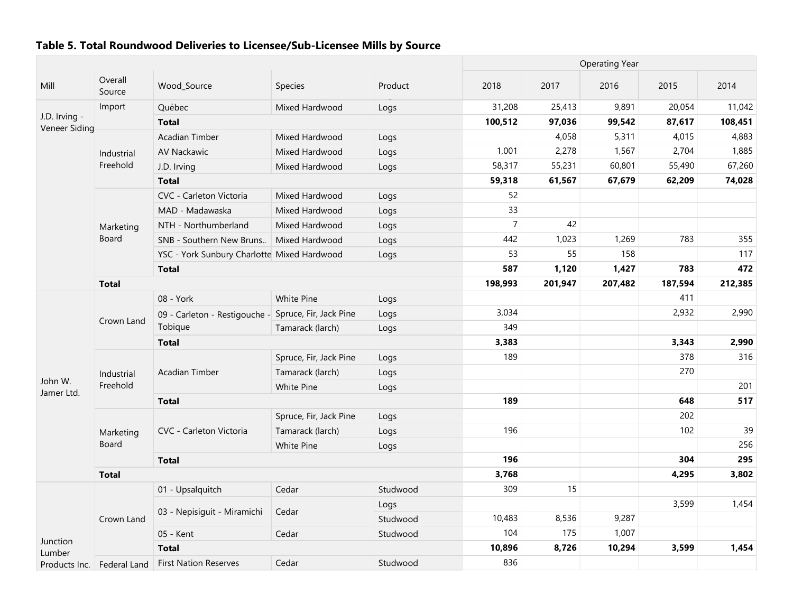|                                |                   |                                             |                        |          | <b>Operating Year</b> |         |         |         |         |
|--------------------------------|-------------------|---------------------------------------------|------------------------|----------|-----------------------|---------|---------|---------|---------|
| Mill                           | Overall<br>Source | Wood_Source                                 | Species                | Product  | 2018                  | 2017    | 2016    | 2015    | 2014    |
|                                | Import            | Québec                                      | Mixed Hardwood         | Logs     | 31,208                | 25,413  | 9,891   | 20,054  | 11,042  |
| J.D. Irving -<br>Veneer Siding |                   | <b>Total</b>                                |                        |          | 100,512               | 97,036  | 99,542  | 87,617  | 108,451 |
|                                |                   | Acadian Timber                              | Mixed Hardwood         | Logs     |                       | 4,058   | 5,311   | 4,015   | 4,883   |
|                                | Industrial        | AV Nackawic                                 | Mixed Hardwood         | Logs     | 1,001                 | 2,278   | 1,567   | 2,704   | 1,885   |
|                                | Freehold          | J.D. Irving                                 | Mixed Hardwood         | Logs     | 58,317                | 55,231  | 60,801  | 55,490  | 67,260  |
|                                |                   | <b>Total</b>                                |                        |          | 59,318                | 61,567  | 67,679  | 62,209  | 74,028  |
|                                |                   | CVC - Carleton Victoria                     | Mixed Hardwood         | Logs     | 52                    |         |         |         |         |
|                                |                   | MAD - Madawaska                             | Mixed Hardwood         | Logs     | 33                    |         |         |         |         |
|                                | Marketing         | NTH - Northumberland                        | Mixed Hardwood         | Logs     | $\overline{7}$        | 42      |         |         |         |
|                                | Board             | SNB - Southern New Bruns                    | Mixed Hardwood         | Logs     | 442                   | 1,023   | 1,269   | 783     | 355     |
|                                |                   | YSC - York Sunbury Charlotte Mixed Hardwood |                        | Logs     | 53                    | 55      | 158     |         | 117     |
|                                |                   | <b>Total</b>                                |                        |          | 587                   | 1,120   | 1,427   | 783     | 472     |
|                                | <b>Total</b>      |                                             |                        |          | 198,993               | 201,947 | 207,482 | 187,594 | 212,385 |
|                                |                   | 08 - York                                   | White Pine             | Logs     |                       |         |         | 411     |         |
|                                | Crown Land        | 09 - Carleton - Restigouche -               | Spruce, Fir, Jack Pine | Logs     | 3,034                 |         |         | 2,932   | 2,990   |
|                                |                   | Tobique                                     | Tamarack (larch)       | Logs     | 349                   |         |         |         |         |
|                                |                   | <b>Total</b>                                |                        |          | 3,383                 |         |         | 3,343   | 2,990   |
|                                |                   |                                             | Spruce, Fir, Jack Pine | Logs     | 189                   |         |         | 378     | 316     |
|                                | Industrial        | Acadian Timber                              | Tamarack (larch)       | Logs     |                       |         |         | 270     |         |
| John W.<br>Jamer Ltd.          | Freehold          |                                             | White Pine             | Logs     |                       |         |         |         | 201     |
|                                |                   | <b>Total</b>                                |                        |          | 189                   |         |         | 648     | 517     |
|                                |                   |                                             | Spruce, Fir, Jack Pine | Logs     |                       |         |         | 202     |         |
|                                | Marketing         | CVC - Carleton Victoria                     | Tamarack (larch)       | Logs     | 196                   |         |         | 102     | 39      |
|                                | Board             |                                             | White Pine             | Logs     |                       |         |         |         | 256     |
|                                |                   | <b>Total</b>                                |                        |          | 196                   |         |         | 304     | 295     |
|                                | <b>Total</b>      |                                             |                        |          | 3,768                 |         |         | 4,295   | 3,802   |
|                                |                   | 01 - Upsalquitch                            | Cedar                  | Studwood | 309                   | 15      |         |         |         |
|                                |                   | 03 - Nepisiguit - Miramichi                 | Cedar                  | Logs     |                       |         |         | 3,599   | 1,454   |
|                                | Crown Land        |                                             |                        | Studwood | 10,483                | 8,536   | 9,287   |         |         |
| Junction                       |                   | 05 - Kent                                   | Cedar                  | Studwood | 104                   | 175     | 1,007   |         |         |
| Lumber                         |                   | <b>Total</b>                                |                        |          | 10,896                | 8,726   | 10,294  | 3,599   | 1,454   |
| Products Inc.                  | Federal Land      | <b>First Nation Reserves</b>                | Cedar                  | Studwood | 836                   |         |         |         |         |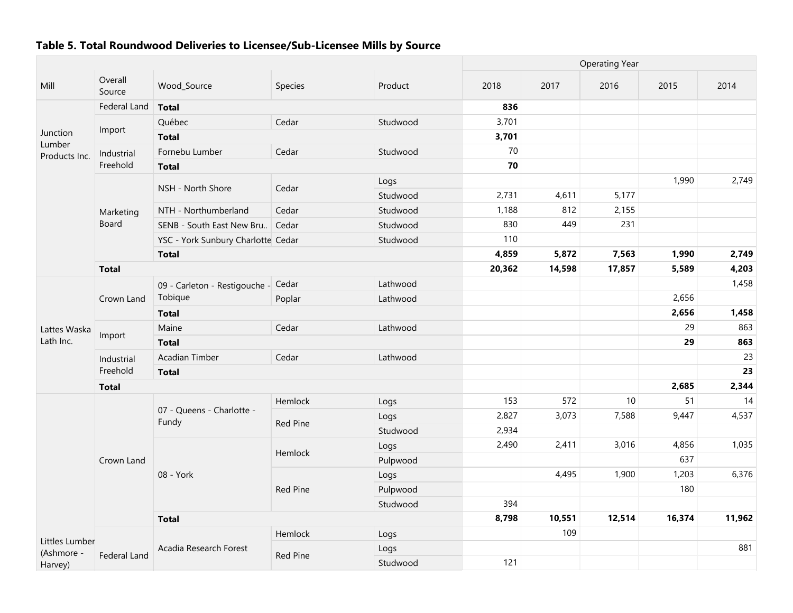|                         |                   |                                     |                 | <b>Operating Year</b> |        |        |        |        |        |
|-------------------------|-------------------|-------------------------------------|-----------------|-----------------------|--------|--------|--------|--------|--------|
| Mill                    | Overall<br>Source | Wood_Source                         | Species         | Product               | 2018   | 2017   | 2016   | 2015   | 2014   |
|                         | Federal Land      | <b>Total</b>                        |                 |                       | 836    |        |        |        |        |
|                         |                   | Québec                              | Cedar           | Studwood              | 3,701  |        |        |        |        |
| Junction                | Import            | <b>Total</b>                        |                 |                       | 3,701  |        |        |        |        |
| Lumber<br>Products Inc. | Industrial        | Fornebu Lumber                      | Cedar           | Studwood              | 70     |        |        |        |        |
|                         | Freehold          | <b>Total</b>                        |                 |                       | 70     |        |        |        |        |
|                         |                   |                                     |                 | Logs                  |        |        |        | 1,990  | 2,749  |
|                         |                   | NSH - North Shore                   | Cedar           | Studwood              | 2,731  | 4,611  | 5,177  |        |        |
|                         | Marketing         | NTH - Northumberland                | Cedar           | Studwood              | 1,188  | 812    | 2,155  |        |        |
|                         | Board             | SENB - South East New Bru           | Cedar           | Studwood              | 830    | 449    | 231    |        |        |
|                         |                   | YSC - York Sunbury Charlotte Cedar  |                 | Studwood              | 110    |        |        |        |        |
|                         |                   | <b>Total</b>                        |                 |                       | 4,859  | 5,872  | 7,563  | 1,990  | 2,749  |
|                         | <b>Total</b>      |                                     |                 |                       | 20,362 | 14,598 | 17,857 | 5,589  | 4,203  |
|                         |                   | 09 - Carleton - Restigouche - Cedar |                 | Lathwood              |        |        |        |        | 1,458  |
|                         | Crown Land        | Tobique                             | Poplar          | Lathwood              |        |        |        | 2,656  |        |
|                         |                   | <b>Total</b>                        |                 |                       |        |        |        | 2,656  | 1,458  |
| Lattes Waska            | Import            | Maine                               | Cedar           | Lathwood              |        |        |        | 29     | 863    |
| Lath Inc.               |                   | <b>Total</b>                        |                 |                       |        |        |        | 29     | 863    |
|                         | Industrial        | Acadian Timber                      | Cedar           | Lathwood              |        |        |        |        | 23     |
|                         | Freehold          | <b>Total</b>                        |                 |                       |        |        |        |        | 23     |
|                         | <b>Total</b>      |                                     |                 |                       |        |        |        | 2,685  | 2,344  |
|                         |                   |                                     | Hemlock         | Logs                  | 153    | 572    | $10$   | 51     | 14     |
|                         |                   | 07 - Queens - Charlotte -<br>Fundy  | <b>Red Pine</b> | Logs                  | 2,827  | 3,073  | 7,588  | 9,447  | 4,537  |
|                         |                   |                                     |                 | Studwood              | 2,934  |        |        |        |        |
|                         |                   |                                     | Hemlock         | Logs                  | 2,490  | 2,411  | 3,016  | 4,856  | 1,035  |
|                         | Crown Land        |                                     |                 | Pulpwood              |        |        |        | 637    |        |
|                         |                   | 08 - York                           |                 | Logs                  |        | 4,495  | 1,900  | 1,203  | 6,376  |
|                         |                   |                                     | <b>Red Pine</b> | Pulpwood              |        |        |        | 180    |        |
|                         |                   |                                     |                 | Studwood              | 394    |        |        |        |        |
|                         |                   | <b>Total</b>                        |                 |                       | 8,798  | 10,551 | 12,514 | 16,374 | 11,962 |
| Littles Lumber          |                   |                                     | Hemlock         | Logs                  |        | 109    |        |        |        |
| (Ashmore -              |                   | Acadia Research Forest              |                 | Logs                  |        |        |        |        | 881    |
| Harvey)                 | Federal Land      |                                     | <b>Red Pine</b> | Studwood              | 121    |        |        |        |        |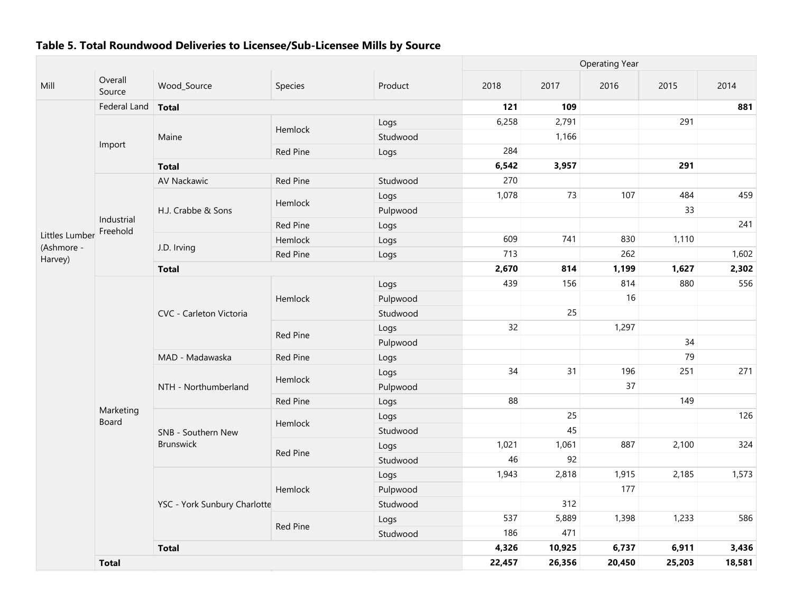|                              |                           |                              | <b>Operating Year</b> |          |        |        |        |        |        |
|------------------------------|---------------------------|------------------------------|-----------------------|----------|--------|--------|--------|--------|--------|
| Mill                         | Overall<br>Source         | Wood_Source                  | Species               | Product  | 2018   | 2017   | 2016   | 2015   | 2014   |
|                              | Federal Land              | <b>Total</b>                 |                       |          | 121    | 109    |        |        | 881    |
|                              |                           |                              | Hemlock               | Logs     | 6,258  | 2,791  |        | 291    |        |
|                              | Import                    | Maine                        |                       | Studwood |        | 1,166  |        |        |        |
|                              |                           |                              | Red Pine              | Logs     | 284    |        |        |        |        |
|                              |                           | <b>Total</b>                 |                       |          | 6,542  | 3,957  |        | 291    |        |
|                              |                           | <b>AV Nackawic</b>           | <b>Red Pine</b>       | Studwood | 270    |        |        |        |        |
|                              |                           |                              | Hemlock               | Logs     | 1,078  | 73     | 107    | 484    | 459    |
|                              |                           | H.J. Crabbe & Sons           |                       | Pulpwood |        |        |        | 33     |        |
|                              | Industrial<br>Freehold    |                              | <b>Red Pine</b>       | Logs     |        |        |        |        | 241    |
| Littles Lumber<br>(Ashmore - |                           | J.D. Irving                  | Hemlock               | Logs     | 609    | 741    | 830    | 1,110  |        |
| Harvey)                      |                           |                              | Red Pine              | Logs     | 713    |        | 262    |        | 1,602  |
|                              |                           | <b>Total</b>                 |                       |          | 2,670  | 814    | 1,199  | 1,627  | 2,302  |
|                              |                           | CVC - Carleton Victoria      |                       | Logs     | 439    | 156    | 814    | 880    | 556    |
|                              |                           |                              | Hemlock               | Pulpwood |        |        | 16     |        |        |
|                              |                           |                              |                       | Studwood |        | 25     |        |        |        |
|                              |                           |                              | Red Pine              | Logs     | 32     |        | 1,297  |        |        |
|                              |                           |                              |                       | Pulpwood |        |        |        | 34     |        |
|                              |                           | MAD - Madawaska              | Red Pine              | Logs     |        |        |        | 79     |        |
|                              |                           |                              | Hemlock               | Logs     | 34     | 31     | 196    | 251    | 271    |
|                              |                           | NTH - Northumberland         |                       | Pulpwood |        |        | 37     |        |        |
|                              |                           |                              | Red Pine              | Logs     | 88     |        |        | 149    |        |
|                              | Marketing<br><b>Board</b> |                              | Hemlock               | Logs     |        | 25     |        |        | 126    |
|                              |                           | SNB - Southern New           |                       | Studwood |        | 45     |        |        |        |
|                              |                           | <b>Brunswick</b>             | Red Pine              | Logs     | 1,021  | 1,061  | 887    | 2,100  | 324    |
|                              |                           |                              |                       | Studwood | 46     | 92     |        |        |        |
|                              |                           |                              |                       | Logs     | 1,943  | 2,818  | 1,915  | 2,185  | 1,573  |
|                              |                           |                              | Hemlock               | Pulpwood |        |        | 177    |        |        |
|                              |                           | YSC - York Sunbury Charlotte |                       | Studwood |        | 312    |        |        |        |
|                              |                           |                              | <b>Red Pine</b>       | Logs     | 537    | 5,889  | 1,398  | 1,233  | 586    |
|                              |                           |                              |                       | Studwood | 186    | 471    |        |        |        |
|                              |                           | <b>Total</b>                 |                       |          | 4,326  | 10,925 | 6,737  | 6,911  | 3,436  |
|                              | <b>Total</b>              |                              |                       |          | 22,457 | 26,356 | 20,450 | 25,203 | 18,581 |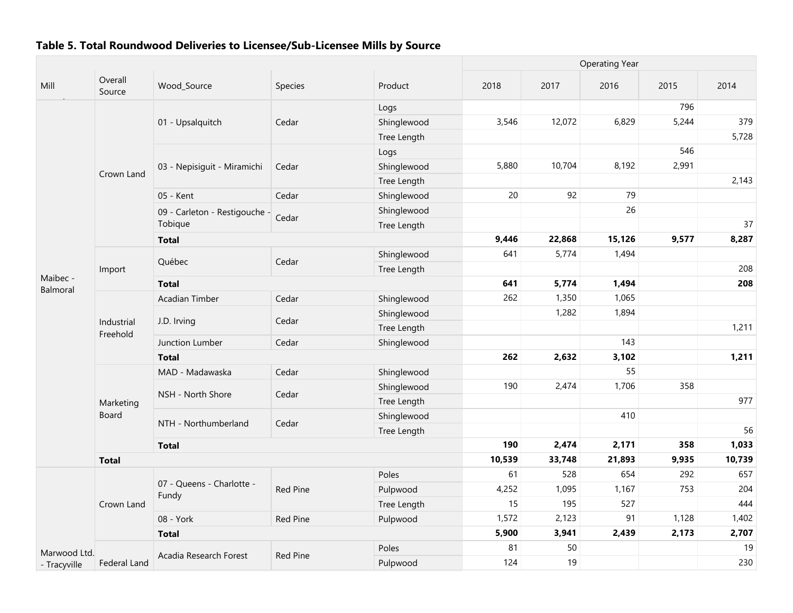|                      |                        |                               |                 |             |        |        | <b>Operating Year</b> |       |        |
|----------------------|------------------------|-------------------------------|-----------------|-------------|--------|--------|-----------------------|-------|--------|
| Mill                 | Overall<br>Source      | Wood_Source                   | Species         | Product     | 2018   | 2017   | 2016                  | 2015  | 2014   |
|                      |                        |                               |                 | Logs        |        |        |                       | 796   |        |
|                      |                        | 01 - Upsalquitch              | Cedar           | Shinglewood | 3,546  | 12,072 | 6,829                 | 5,244 | 379    |
|                      |                        |                               |                 | Tree Length |        |        |                       |       | 5,728  |
|                      |                        |                               |                 | Logs        |        |        |                       | 546   |        |
|                      |                        | 03 - Nepisiguit - Miramichi   | Cedar           | Shinglewood | 5,880  | 10,704 | 8,192                 | 2,991 |        |
|                      | Crown Land             |                               |                 | Tree Length |        |        |                       |       | 2,143  |
|                      |                        | 05 - Kent                     | Cedar           | Shinglewood | 20     | 92     | 79                    |       |        |
|                      |                        | 09 - Carleton - Restigouche - | Cedar           | Shinglewood |        |        | 26                    |       |        |
|                      |                        | Tobique                       |                 | Tree Length |        |        |                       |       | 37     |
|                      |                        | <b>Total</b>                  |                 |             | 9,446  | 22,868 | 15,126                | 9,577 | 8,287  |
|                      |                        | Québec                        | Cedar           | Shinglewood | 641    | 5,774  | 1,494                 |       |        |
|                      | Import                 |                               |                 | Tree Length |        |        |                       |       | 208    |
| Maibec -<br>Balmoral |                        | <b>Total</b>                  |                 |             | 641    | 5,774  | 1,494                 |       | 208    |
|                      |                        | Acadian Timber                | Cedar           | Shinglewood | 262    | 1,350  | 1,065                 |       |        |
|                      |                        | J.D. Irving                   | Cedar           | Shinglewood |        | 1,282  | 1,894                 |       |        |
|                      | Industrial<br>Freehold |                               |                 | Tree Length |        |        |                       |       | 1,211  |
|                      |                        | Junction Lumber               | Cedar           | Shinglewood |        |        | 143                   |       |        |
|                      |                        | <b>Total</b>                  |                 |             | 262    | 2,632  | 3,102                 |       | 1,211  |
|                      |                        | MAD - Madawaska               | Cedar           | Shinglewood |        |        | 55                    |       |        |
|                      |                        | NSH - North Shore             | Cedar           | Shinglewood | 190    | 2,474  | 1,706                 | 358   |        |
|                      | Marketing              |                               |                 | Tree Length |        |        |                       |       | 977    |
|                      | Board                  | NTH - Northumberland          | Cedar           | Shinglewood |        |        | 410                   |       |        |
|                      |                        |                               |                 | Tree Length |        |        |                       |       | 56     |
|                      |                        | <b>Total</b>                  |                 |             | 190    | 2,474  | 2,171                 | 358   | 1,033  |
|                      | <b>Total</b>           |                               |                 |             | 10,539 | 33,748 | 21,893                | 9,935 | 10,739 |
|                      |                        | 07 - Queens - Charlotte -     |                 | Poles       | 61     | 528    | 654                   | 292   | 657    |
|                      |                        | Fundy                         | <b>Red Pine</b> | Pulpwood    | 4,252  | 1,095  | 1,167                 | 753   | 204    |
|                      | Crown Land             |                               |                 | Tree Length | 15     | 195    | 527                   |       | 444    |
|                      |                        | 08 - York                     | Red Pine        | Pulpwood    | 1,572  | 2,123  | 91                    | 1,128 | 1,402  |
|                      |                        | <b>Total</b>                  |                 |             | 5,900  | 3,941  | 2,439                 | 2,173 | 2,707  |
| Marwood Ltd.         |                        | Acadia Research Forest        | <b>Red Pine</b> | Poles       | 81     | 50     |                       |       | 19     |
| - Tracyville         | Federal Land           |                               |                 | Pulpwood    | 124    | 19     |                       |       | 230    |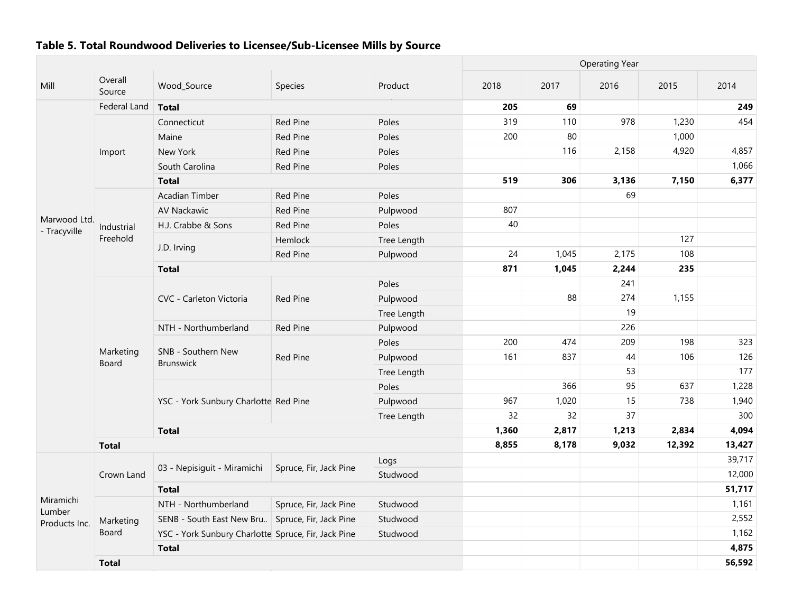|                              |                           |                                                     |                        |             | <b>Operating Year</b> |       |       |        |        |  |
|------------------------------|---------------------------|-----------------------------------------------------|------------------------|-------------|-----------------------|-------|-------|--------|--------|--|
| Mill                         | Overall<br>Source         | Wood_Source                                         | Species                | Product     | 2018                  | 2017  | 2016  | 2015   | 2014   |  |
|                              | Federal Land              | <b>Total</b>                                        |                        |             | 205                   | 69    |       |        | 249    |  |
|                              |                           | Connecticut                                         | Red Pine               | Poles       | 319                   | 110   | 978   | 1,230  | 454    |  |
|                              |                           | Maine                                               | Red Pine               | Poles       | 200                   | 80    |       | 1,000  |        |  |
|                              | Import                    | New York                                            | Red Pine               | Poles       |                       | 116   | 2,158 | 4,920  | 4,857  |  |
|                              |                           | South Carolina                                      | Red Pine               | Poles       |                       |       |       |        | 1,066  |  |
|                              |                           | <b>Total</b>                                        |                        |             | 519                   | 306   | 3,136 | 7,150  | 6,377  |  |
|                              |                           | Acadian Timber                                      | Red Pine               | Poles       |                       |       | 69    |        |        |  |
|                              |                           | AV Nackawic                                         | Red Pine               | Pulpwood    | 807                   |       |       |        |        |  |
| Marwood Ltd.<br>- Tracyville | Industrial                | H.J. Crabbe & Sons                                  | Red Pine               | Poles       | 40                    |       |       |        |        |  |
|                              | Freehold                  |                                                     | Hemlock                | Tree Length |                       |       |       | 127    |        |  |
|                              |                           | J.D. Irving                                         | Red Pine               | Pulpwood    | 24                    | 1,045 | 2,175 | 108    |        |  |
|                              |                           | <b>Total</b>                                        |                        |             | 871                   | 1,045 | 2,244 | 235    |        |  |
|                              |                           |                                                     |                        | Poles       |                       |       | 241   |        |        |  |
|                              |                           | CVC - Carleton Victoria                             | <b>Red Pine</b>        | Pulpwood    |                       | 88    | 274   | 1,155  |        |  |
|                              |                           |                                                     |                        | Tree Length |                       |       | 19    |        |        |  |
|                              |                           | NTH - Northumberland                                | <b>Red Pine</b>        | Pulpwood    |                       |       | 226   |        |        |  |
|                              |                           | SNB - Southern New<br><b>Brunswick</b>              |                        | Poles       | 200                   | 474   | 209   | 198    | 323    |  |
|                              | Marketing<br><b>Board</b> |                                                     | Red Pine               | Pulpwood    | 161                   | 837   | 44    | 106    | 126    |  |
|                              |                           |                                                     |                        | Tree Length |                       |       | 53    |        | 177    |  |
|                              |                           |                                                     |                        | Poles       |                       | 366   | 95    | 637    | 1,228  |  |
|                              |                           | YSC - York Sunbury Charlotte Red Pine               |                        | Pulpwood    | 967                   | 1,020 | 15    | 738    | 1,940  |  |
|                              |                           |                                                     |                        | Tree Length | 32                    | 32    | 37    |        | 300    |  |
|                              |                           | <b>Total</b>                                        |                        |             | 1,360                 | 2,817 | 1,213 | 2,834  | 4,094  |  |
|                              | <b>Total</b>              |                                                     |                        |             | 8,855                 | 8,178 | 9,032 | 12,392 | 13,427 |  |
|                              |                           | 03 - Nepisiguit - Miramichi                         | Spruce, Fir, Jack Pine | Logs        |                       |       |       |        | 39,717 |  |
|                              | Crown Land                |                                                     |                        | Studwood    |                       |       |       |        | 12,000 |  |
|                              |                           | <b>Total</b>                                        |                        |             |                       |       |       |        | 51,717 |  |
| Miramichi<br>Lumber          |                           | NTH - Northumberland                                | Spruce, Fir, Jack Pine | Studwood    |                       |       |       |        | 1,161  |  |
| Products Inc.                | Marketing                 | SENB - South East New Bru Spruce, Fir, Jack Pine    |                        | Studwood    |                       |       |       |        | 2,552  |  |
|                              | Board                     | YSC - York Sunbury Charlotte Spruce, Fir, Jack Pine |                        | Studwood    |                       |       |       |        | 1,162  |  |
|                              |                           | <b>Total</b>                                        |                        |             |                       |       |       |        | 4,875  |  |
|                              | <b>Total</b>              |                                                     |                        |             |                       |       |       |        | 56,592 |  |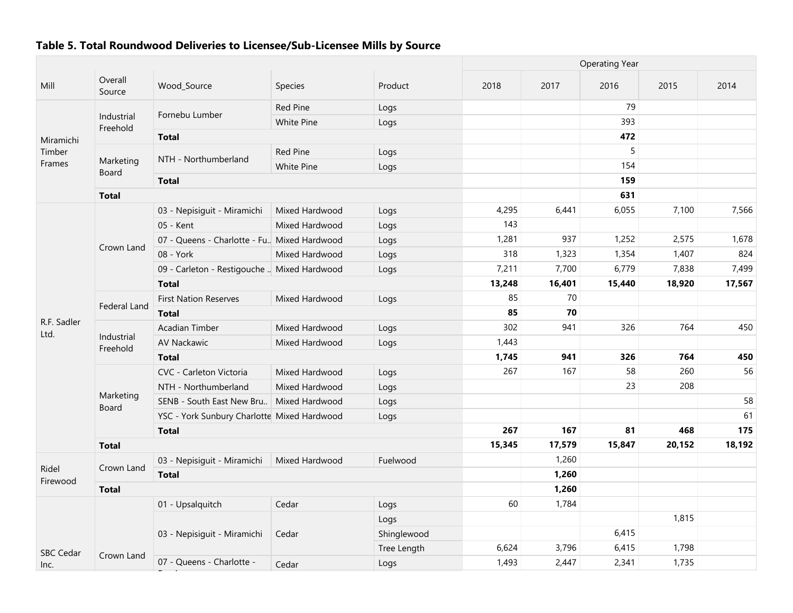|                          |                        |                                               |                 |             |        |        | <b>Operating Year</b> |        |        |  |  |  |
|--------------------------|------------------------|-----------------------------------------------|-----------------|-------------|--------|--------|-----------------------|--------|--------|--|--|--|
| Mill                     | Overall<br>Source      | Wood_Source                                   | Species         | Product     | 2018   | 2017   | 2016                  | 2015   | 2014   |  |  |  |
|                          |                        |                                               | <b>Red Pine</b> | Logs        |        |        | 79                    |        |        |  |  |  |
|                          | Industrial<br>Freehold | Fornebu Lumber                                | White Pine      | Logs        |        |        | 393                   |        |        |  |  |  |
| Miramichi                |                        | <b>Total</b>                                  |                 |             |        |        | 472                   |        |        |  |  |  |
| Timber                   |                        |                                               | <b>Red Pine</b> | Logs        |        |        | 5                     |        |        |  |  |  |
| Frames                   | Marketing<br>Board     | NTH - Northumberland                          | White Pine      | Logs        |        |        | 154                   |        |        |  |  |  |
|                          |                        | <b>Total</b>                                  |                 |             |        |        | 159                   |        |        |  |  |  |
|                          | <b>Total</b>           |                                               |                 |             |        |        | 631                   |        |        |  |  |  |
|                          |                        | 03 - Nepisiguit - Miramichi                   | Mixed Hardwood  | Logs        | 4,295  | 6,441  | 6,055                 | 7,100  | 7,566  |  |  |  |
|                          |                        | 05 - Kent                                     | Mixed Hardwood  | Logs        | 143    |        |                       |        |        |  |  |  |
|                          |                        | 07 - Queens - Charlotte - Fu., Mixed Hardwood |                 | Logs        | 1,281  | 937    | 1,252                 | 2,575  | 1,678  |  |  |  |
|                          | Crown Land             | 08 - York                                     | Mixed Hardwood  | Logs        | 318    | 1,323  | 1,354                 | 1,407  | 824    |  |  |  |
|                          |                        | 09 - Carleton - Restigouche  Mixed Hardwood   |                 | Logs        | 7,211  | 7,700  | 6,779                 | 7,838  | 7,499  |  |  |  |
|                          |                        | <b>Total</b>                                  |                 |             | 13,248 | 16,401 | 15,440                | 18,920 | 17,567 |  |  |  |
|                          |                        | <b>First Nation Reserves</b>                  | Mixed Hardwood  | Logs        | 85     | 70     |                       |        |        |  |  |  |
|                          | Federal Land           | <b>Total</b>                                  |                 |             | 85     | 70     |                       |        |        |  |  |  |
| R.F. Sadler<br>Ltd.      | Industrial<br>Freehold | Acadian Timber                                | Mixed Hardwood  | Logs        | 302    | 941    | 326                   | 764    | 450    |  |  |  |
|                          |                        | AV Nackawic                                   | Mixed Hardwood  | Logs        | 1,443  |        |                       |        |        |  |  |  |
|                          |                        | <b>Total</b>                                  |                 |             | 1,745  | 941    | 326                   | 764    | 450    |  |  |  |
|                          |                        | CVC - Carleton Victoria                       | Mixed Hardwood  | Logs        | 267    | 167    | 58                    | 260    | 56     |  |  |  |
|                          |                        | NTH - Northumberland                          | Mixed Hardwood  | Logs        |        |        | 23                    | 208    |        |  |  |  |
|                          | Marketing<br>Board     | SENB - South East New Bru                     | Mixed Hardwood  | Logs        |        |        |                       |        | 58     |  |  |  |
|                          |                        | YSC - York Sunbury Charlotte Mixed Hardwood   |                 | Logs        |        |        |                       |        | 61     |  |  |  |
|                          |                        | <b>Total</b>                                  |                 |             | 267    | 167    | 81                    | 468    | 175    |  |  |  |
|                          | <b>Total</b>           |                                               |                 |             | 15,345 | 17,579 | 15,847                | 20,152 | 18,192 |  |  |  |
|                          |                        | 03 - Nepisiguit - Miramichi                   | Mixed Hardwood  | Fuelwood    |        | 1,260  |                       |        |        |  |  |  |
| Ridel                    | Crown Land             | <b>Total</b>                                  |                 |             |        | 1,260  |                       |        |        |  |  |  |
| Firewood                 | <b>Total</b>           |                                               |                 |             |        | 1,260  |                       |        |        |  |  |  |
|                          |                        | 01 - Upsalquitch                              | Cedar           | Logs        | 60     | 1,784  |                       |        |        |  |  |  |
|                          |                        |                                               |                 | Logs        |        |        |                       | 1,815  |        |  |  |  |
|                          |                        | 03 - Nepisiguit - Miramichi                   | Cedar           | Shinglewood |        |        | 6,415                 |        |        |  |  |  |
|                          |                        |                                               |                 | Tree Length | 6,624  | 3,796  | 6,415                 | 1,798  |        |  |  |  |
| <b>SBC Cedar</b><br>Inc. | Crown Land             | 07 - Queens - Charlotte -                     | Cedar           | Logs        | 1,493  | 2,447  | 2,341                 | 1,735  |        |  |  |  |

Fundy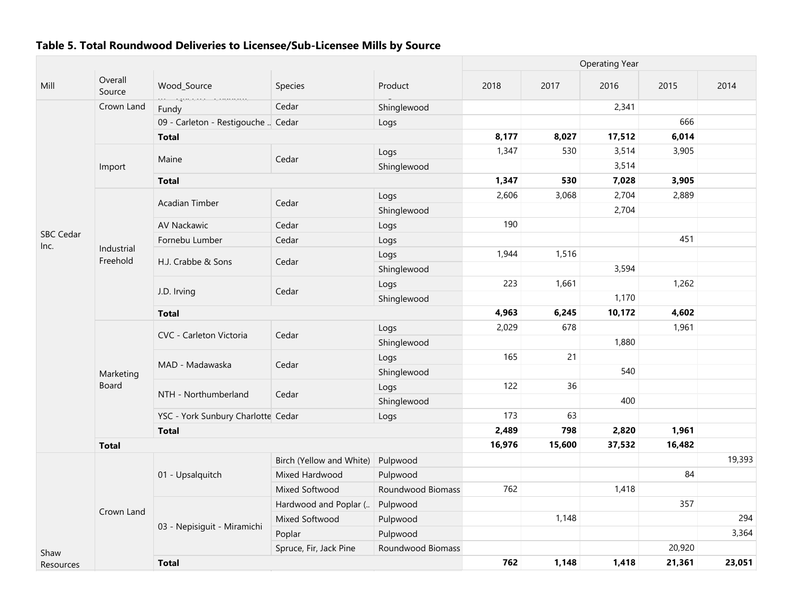|                  |                        |                                    |                          |                   | <b>Operating Year</b> |        |        |        |        |  |
|------------------|------------------------|------------------------------------|--------------------------|-------------------|-----------------------|--------|--------|--------|--------|--|
| Mill             | Overall<br>Source      | Wood_Source                        | <b>Species</b>           | Product           | 2018                  | 2017   | 2016   | 2015   | 2014   |  |
|                  | Crown Land             | ur Queens chanone<br>Fundy         | Cedar                    | Shinglewood       |                       |        | 2,341  |        |        |  |
|                  |                        | 09 - Carleton - Restigouche  Cedar |                          | Logs              |                       |        |        | 666    |        |  |
|                  |                        | <b>Total</b>                       |                          |                   | 8,177                 | 8,027  | 17,512 | 6,014  |        |  |
|                  |                        |                                    |                          | Logs              | 1,347                 | 530    | 3,514  | 3,905  |        |  |
|                  | Import                 | Maine                              | Cedar                    | Shinglewood       |                       |        | 3,514  |        |        |  |
|                  |                        | <b>Total</b>                       |                          |                   | 1,347                 | 530    | 7,028  | 3,905  |        |  |
|                  |                        |                                    |                          | Logs              | 2,606                 | 3,068  | 2,704  | 2,889  |        |  |
|                  |                        | Acadian Timber                     | Cedar                    | Shinglewood       |                       |        | 2,704  |        |        |  |
|                  |                        | <b>AV Nackawic</b>                 | Cedar                    | Logs              | 190                   |        |        |        |        |  |
| <b>SBC Cedar</b> |                        | Fornebu Lumber                     | Cedar                    | Logs              |                       |        |        | 451    |        |  |
| Inc.             | Industrial<br>Freehold |                                    |                          | Logs              | 1,944                 | 1,516  |        |        |        |  |
|                  |                        | H.J. Crabbe & Sons                 | Cedar                    | Shinglewood       |                       |        | 3,594  |        |        |  |
|                  |                        |                                    |                          | Logs              | 223                   | 1,661  |        | 1,262  |        |  |
|                  |                        | J.D. Irving                        | Cedar                    | Shinglewood       |                       |        | 1,170  |        |        |  |
|                  |                        | <b>Total</b>                       |                          |                   | 4,963                 | 6,245  | 10,172 | 4,602  |        |  |
|                  |                        | CVC - Carleton Victoria            |                          | Logs              | 2,029                 | 678    |        | 1,961  |        |  |
|                  |                        |                                    | Cedar                    | Shinglewood       |                       |        | 1,880  |        |        |  |
|                  |                        |                                    |                          | Logs              | 165                   | 21     |        |        |        |  |
|                  | Marketing              | MAD - Madawaska                    | Cedar                    | Shinglewood       |                       |        | 540    |        |        |  |
|                  | Board                  |                                    |                          | Logs              | 122                   | 36     |        |        |        |  |
|                  |                        | NTH - Northumberland               | Cedar                    | Shinglewood       |                       |        | 400    |        |        |  |
|                  |                        | YSC - York Sunbury Charlotte Cedar |                          | Logs              | 173                   | 63     |        |        |        |  |
|                  |                        | <b>Total</b>                       |                          |                   | 2,489                 | 798    | 2,820  | 1,961  |        |  |
|                  | <b>Total</b>           |                                    |                          |                   | 16,976                | 15,600 | 37,532 | 16,482 |        |  |
|                  |                        |                                    | Birch (Yellow and White) | Pulpwood          |                       |        |        |        | 19,393 |  |
|                  |                        | 01 - Upsalquitch                   | Mixed Hardwood           | Pulpwood          |                       |        |        | 84     |        |  |
|                  |                        |                                    | Mixed Softwood           | Roundwood Biomass | 762                   |        | 1,418  |        |        |  |
|                  |                        |                                    | Hardwood and Poplar (    | Pulpwood          |                       |        |        | 357    |        |  |
|                  | Crown Land             |                                    | Mixed Softwood           | Pulpwood          |                       | 1,148  |        |        | 294    |  |
|                  |                        | 03 - Nepisiguit - Miramichi        | Poplar                   | Pulpwood          |                       |        |        |        | 3,364  |  |
| Shaw             |                        |                                    | Spruce, Fir, Jack Pine   | Roundwood Biomass |                       |        |        | 20,920 |        |  |
| Resources        |                        | <b>Total</b>                       |                          |                   | 762                   | 1,148  | 1,418  | 21,361 | 23,051 |  |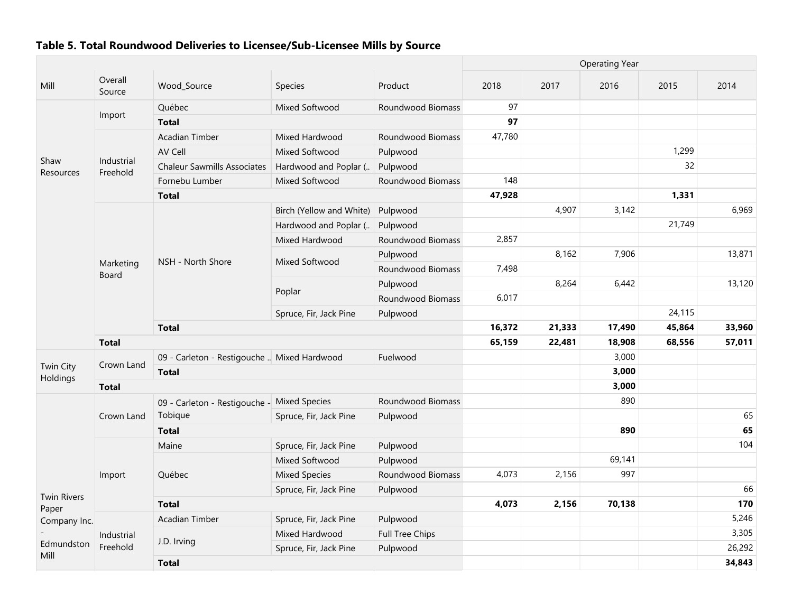|                                             |                           |                                             |                          |                   | <b>Operating Year</b> |        |        |        |        |  |
|---------------------------------------------|---------------------------|---------------------------------------------|--------------------------|-------------------|-----------------------|--------|--------|--------|--------|--|
| Mill                                        | Overall<br>Source         | Wood_Source                                 | Species                  | Product           | 2018                  | 2017   | 2016   | 2015   | 2014   |  |
|                                             |                           | Québec                                      | Mixed Softwood           | Roundwood Biomass | 97                    |        |        |        |        |  |
|                                             | Import                    | <b>Total</b>                                |                          |                   | 97                    |        |        |        |        |  |
|                                             |                           | Acadian Timber                              | Mixed Hardwood           | Roundwood Biomass | 47,780                |        |        |        |        |  |
|                                             |                           | AV Cell                                     | Mixed Softwood           | Pulpwood          |                       |        |        | 1,299  |        |  |
| Shaw<br>Resources                           | Industrial<br>Freehold    | <b>Chaleur Sawmills Associates</b>          | Hardwood and Poplar (    | Pulpwood          |                       |        |        | 32     |        |  |
|                                             |                           | Fornebu Lumber                              | Mixed Softwood           | Roundwood Biomass | 148                   |        |        |        |        |  |
|                                             |                           | <b>Total</b>                                |                          |                   | 47,928                |        |        | 1,331  |        |  |
|                                             |                           |                                             | Birch (Yellow and White) | Pulpwood          |                       | 4,907  | 3,142  |        | 6,969  |  |
|                                             |                           |                                             | Hardwood and Poplar (    | Pulpwood          |                       |        |        | 21,749 |        |  |
|                                             |                           |                                             | Mixed Hardwood           | Roundwood Biomass | 2,857                 |        |        |        |        |  |
|                                             |                           |                                             |                          | Pulpwood          |                       | 8,162  | 7,906  |        | 13,871 |  |
|                                             | Marketing<br><b>Board</b> | NSH - North Shore                           | Mixed Softwood           | Roundwood Biomass | 7,498                 |        |        |        |        |  |
|                                             |                           |                                             |                          | Pulpwood          |                       | 8,264  | 6,442  |        | 13,120 |  |
|                                             |                           |                                             | Poplar                   | Roundwood Biomass | 6,017                 |        |        |        |        |  |
|                                             |                           |                                             | Spruce, Fir, Jack Pine   | Pulpwood          |                       |        |        | 24,115 |        |  |
|                                             |                           | <b>Total</b>                                |                          |                   |                       | 21,333 | 17,490 | 45,864 | 33,960 |  |
|                                             | <b>Total</b>              |                                             |                          |                   | 65,159                | 22,481 | 18,908 | 68,556 | 57,011 |  |
|                                             |                           | 09 - Carleton - Restigouche  Mixed Hardwood |                          | Fuelwood          |                       |        | 3,000  |        |        |  |
| Twin City<br>Holdings                       | Crown Land                | <b>Total</b>                                |                          |                   |                       |        | 3,000  |        |        |  |
|                                             | <b>Total</b>              |                                             |                          |                   |                       |        | 3,000  |        |        |  |
|                                             |                           | 09 - Carleton - Restigouche - Mixed Species |                          | Roundwood Biomass |                       |        | 890    |        |        |  |
|                                             | Crown Land                | Tobique                                     | Spruce, Fir, Jack Pine   | Pulpwood          |                       |        |        |        | 65     |  |
|                                             |                           | <b>Total</b>                                |                          |                   |                       |        | 890    |        | 65     |  |
|                                             |                           | Maine                                       | Spruce, Fir, Jack Pine   | Pulpwood          |                       |        |        |        | 104    |  |
|                                             |                           |                                             | Mixed Softwood           | Pulpwood          |                       |        | 69,141 |        |        |  |
| <b>Twin Rivers</b><br>Paper<br>Company Inc. | Import                    | Québec                                      | <b>Mixed Species</b>     | Roundwood Biomass | 4,073                 | 2,156  | 997    |        |        |  |
|                                             |                           |                                             | Spruce, Fir, Jack Pine   | Pulpwood          |                       |        |        |        | 66     |  |
|                                             |                           | <b>Total</b>                                |                          |                   | 4,073                 | 2,156  | 70,138 |        | 170    |  |
|                                             |                           | <b>Acadian Timber</b>                       | Spruce, Fir, Jack Pine   | Pulpwood          |                       |        |        |        | 5,246  |  |
|                                             | Industrial                |                                             | Mixed Hardwood           | Full Tree Chips   |                       |        |        |        | 3,305  |  |
| Edmundston                                  | Freehold                  | J.D. Irving                                 | Spruce, Fir, Jack Pine   | Pulpwood          |                       |        |        |        | 26,292 |  |
| Mill                                        |                           | <b>Total</b>                                |                          |                   |                       |        |        |        | 34,843 |  |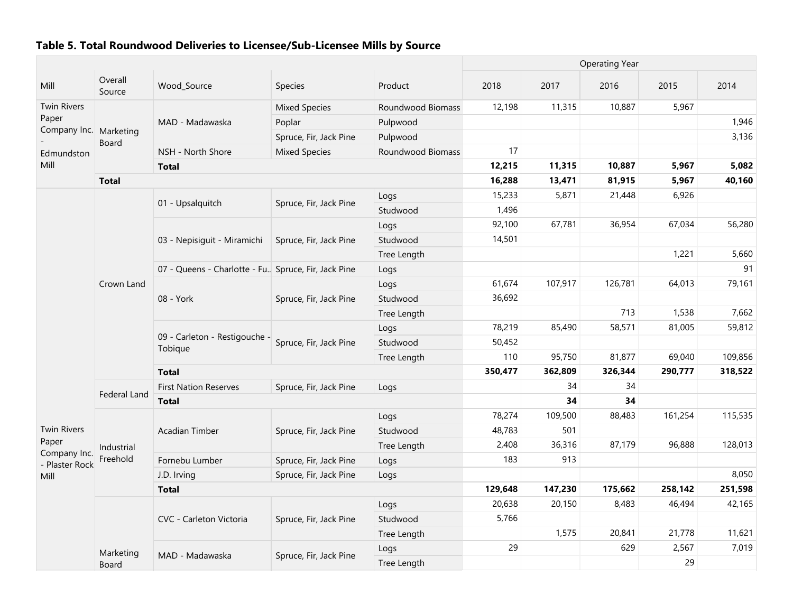|                                |                     |                                                       |                        |                   | <b>Operating Year</b> |         |         |         |         |  |
|--------------------------------|---------------------|-------------------------------------------------------|------------------------|-------------------|-----------------------|---------|---------|---------|---------|--|
| Mill                           | Overall<br>Source   | Wood_Source                                           | Species                | Product           | 2018                  | 2017    | 2016    | 2015    | 2014    |  |
| <b>Twin Rivers</b>             |                     |                                                       | <b>Mixed Species</b>   | Roundwood Biomass | 12,198                | 11,315  | 10,887  | 5,967   |         |  |
| Paper                          |                     | MAD - Madawaska                                       | Poplar                 | Pulpwood          |                       |         |         |         | 1,946   |  |
| Company Inc.                   | Marketing           |                                                       | Spruce, Fir, Jack Pine | Pulpwood          |                       |         |         |         | 3,136   |  |
| Edmundston                     | Board               | NSH - North Shore                                     | <b>Mixed Species</b>   | Roundwood Biomass | 17                    |         |         |         |         |  |
| Mill                           |                     | <b>Total</b>                                          |                        |                   | 12,215                | 11,315  | 10,887  | 5,967   | 5,082   |  |
|                                | <b>Total</b>        |                                                       |                        |                   | 16,288                | 13,471  | 81,915  | 5,967   | 40,160  |  |
|                                |                     |                                                       |                        | Logs              | 15,233                | 5,871   | 21,448  | 6,926   |         |  |
|                                |                     | 01 - Upsalquitch                                      | Spruce, Fir, Jack Pine | Studwood          | 1,496                 |         |         |         |         |  |
|                                |                     |                                                       |                        | Logs              | 92,100                | 67,781  | 36,954  | 67,034  | 56,280  |  |
|                                |                     | 03 - Nepisiguit - Miramichi                           | Spruce, Fir, Jack Pine | Studwood          | 14,501                |         |         |         |         |  |
|                                |                     |                                                       |                        | Tree Length       |                       |         |         | 1,221   | 5,660   |  |
|                                |                     | 07 - Queens - Charlotte - Fu., Spruce, Fir, Jack Pine |                        | Logs              |                       |         |         |         | 91      |  |
|                                | Crown Land          |                                                       |                        | Logs              | 61,674                | 107,917 | 126,781 | 64,013  | 79,161  |  |
|                                |                     | 08 - York                                             | Spruce, Fir, Jack Pine | Studwood          | 36,692                |         |         |         |         |  |
|                                |                     |                                                       |                        | Tree Length       |                       |         | 713     | 1,538   | 7,662   |  |
|                                |                     | 09 - Carleton - Restigouche -<br>Tobique              |                        | Logs              | 78,219                | 85,490  | 58,571  | 81,005  | 59,812  |  |
|                                |                     |                                                       | Spruce, Fir, Jack Pine | Studwood          | 50,452                |         |         |         |         |  |
|                                |                     |                                                       |                        | Tree Length       | 110                   | 95,750  | 81,877  | 69,040  | 109,856 |  |
|                                |                     | <b>Total</b>                                          |                        |                   | 350,477               | 362,809 | 326,344 | 290,777 | 318,522 |  |
|                                |                     | <b>First Nation Reserves</b>                          | Spruce, Fir, Jack Pine | Logs              |                       | 34      | 34      |         |         |  |
|                                | <b>Federal Land</b> | <b>Total</b>                                          |                        |                   |                       | 34      | 34      |         |         |  |
|                                |                     |                                                       |                        | Logs              | 78,274                | 109,500 | 88,483  | 161,254 | 115,535 |  |
| <b>Twin Rivers</b>             |                     | <b>Acadian Timber</b>                                 | Spruce, Fir, Jack Pine | Studwood          | 48,783                | 501     |         |         |         |  |
| Paper                          | Industrial          |                                                       |                        | Tree Length       | 2,408                 | 36,316  | 87,179  | 96,888  | 128,013 |  |
| Company Inc.<br>- Plaster Rock | Freehold            | Fornebu Lumber                                        | Spruce, Fir, Jack Pine | Logs              | 183                   | 913     |         |         |         |  |
| Mill                           |                     | J.D. Irving                                           | Spruce, Fir, Jack Pine | Logs              |                       |         |         |         | 8,050   |  |
|                                |                     | <b>Total</b>                                          |                        |                   | 129,648               | 147,230 | 175,662 | 258,142 | 251,598 |  |
|                                |                     |                                                       |                        | Logs              | 20,638                | 20,150  | 8,483   | 46,494  | 42,165  |  |
|                                |                     | CVC - Carleton Victoria                               | Spruce, Fir, Jack Pine | Studwood          | 5,766                 |         |         |         |         |  |
|                                |                     |                                                       |                        | Tree Length       |                       | 1,575   | 20,841  | 21,778  | 11,621  |  |
|                                |                     |                                                       |                        | Logs              | 29                    |         | 629     | 2,567   | 7,019   |  |
|                                | Marketing<br>Board  | MAD - Madawaska                                       | Spruce, Fir, Jack Pine | Tree Length       |                       |         |         | 29      |         |  |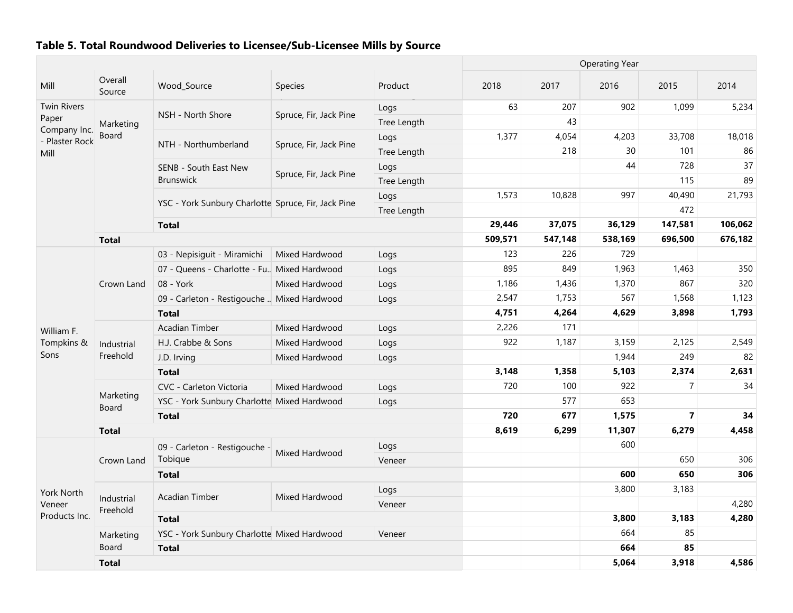|                                       |                        |                                                     |                        |             |         |         | <b>Operating Year</b> |                         |         |
|---------------------------------------|------------------------|-----------------------------------------------------|------------------------|-------------|---------|---------|-----------------------|-------------------------|---------|
| Mill                                  | Overall<br>Source      | Wood Source                                         | Species                | Product     | 2018    | 2017    | 2016                  | 2015                    | 2014    |
| <b>Twin Rivers</b>                    |                        |                                                     |                        | Logs        | 63      | 207     | 902                   | 1,099                   | 5,234   |
| Paper                                 | Marketing              | NSH - North Shore                                   | Spruce, Fir, Jack Pine | Tree Length |         | 43      |                       |                         |         |
| Company Inc.<br>- Plaster Rock        | Board                  |                                                     |                        | Logs        | 1,377   | 4,054   | 4,203                 | 33,708                  | 18,018  |
| Mill                                  |                        | NTH - Northumberland                                | Spruce, Fir, Jack Pine | Tree Length |         | 218     | 30                    | 101                     | 86      |
|                                       |                        | SENB - South East New                               |                        | Logs        |         |         | 44                    | 728                     | 37      |
|                                       |                        | <b>Brunswick</b>                                    | Spruce, Fir, Jack Pine | Tree Length |         |         |                       | 115                     | 89      |
|                                       |                        |                                                     |                        | Logs        | 1,573   | 10,828  | 997                   | 40,490                  | 21,793  |
|                                       |                        | YSC - York Sunbury Charlotte Spruce, Fir, Jack Pine |                        | Tree Length |         |         |                       | 472                     |         |
|                                       |                        | <b>Total</b>                                        |                        |             | 29,446  | 37,075  | 36,129                | 147,581                 | 106,062 |
|                                       | <b>Total</b>           |                                                     |                        |             | 509,571 | 547,148 | 538,169               | 696,500                 | 676,182 |
|                                       |                        | 03 - Nepisiguit - Miramichi                         | Mixed Hardwood         | Logs        | 123     | 226     | 729                   |                         |         |
|                                       |                        | 07 - Queens - Charlotte - Fu., Mixed Hardwood       |                        | Logs        | 895     | 849     | 1,963                 | 1,463                   | 350     |
|                                       | Crown Land             | 08 - York                                           | Mixed Hardwood         | Logs        | 1,186   | 1,436   | 1,370                 | 867                     | 320     |
|                                       |                        | 09 - Carleton - Restigouche  Mixed Hardwood         |                        | Logs        | 2,547   | 1,753   | 567                   | 1,568                   | 1,123   |
|                                       |                        | <b>Total</b>                                        |                        |             | 4,751   | 4,264   | 4,629                 | 3,898                   | 1,793   |
| William F.                            | Industrial             | <b>Acadian Timber</b>                               | Mixed Hardwood         | Logs        | 2,226   | 171     |                       |                         |         |
| Tompkins &                            |                        | H.J. Crabbe & Sons                                  | Mixed Hardwood         | Logs        | 922     | 1,187   | 3,159                 | 2,125                   | 2,549   |
| Sons                                  | Freehold               | J.D. Irving                                         | Mixed Hardwood         | Logs        |         |         | 1,944                 | 249                     | 82      |
|                                       |                        | <b>Total</b>                                        |                        |             | 3,148   | 1,358   | 5,103                 | 2,374                   | 2,631   |
|                                       |                        | CVC - Carleton Victoria                             | Mixed Hardwood         | Logs        | 720     | 100     | 922                   | $\overline{7}$          | 34      |
|                                       | Marketing<br>Board     | YSC - York Sunbury Charlotte Mixed Hardwood         |                        | Logs        |         | 577     | 653                   |                         |         |
|                                       |                        | <b>Total</b>                                        |                        |             | 720     | 677     | 1,575                 | $\overline{\mathbf{z}}$ | 34      |
|                                       | <b>Total</b>           |                                                     |                        |             | 8,619   | 6,299   | 11,307                | 6,279                   | 4,458   |
|                                       |                        | 09 - Carleton - Restigouche -                       |                        | Logs        |         |         | 600                   |                         |         |
|                                       | Crown Land             | Tobique                                             | Mixed Hardwood         | Veneer      |         |         |                       | 650                     | 306     |
|                                       |                        | <b>Total</b>                                        |                        |             |         |         | 600                   | 650                     | 306     |
|                                       |                        |                                                     |                        | Logs        |         |         | 3,800                 | 3,183                   |         |
| York North<br>Veneer<br>Products Inc. | Industrial<br>Freehold | <b>Acadian Timber</b>                               | Mixed Hardwood         | Veneer      |         |         |                       |                         | 4,280   |
|                                       |                        | <b>Total</b>                                        |                        |             |         |         | 3,800                 | 3,183                   | 4,280   |
|                                       | Marketing              | YSC - York Sunbury Charlotte Mixed Hardwood         |                        | Veneer      |         |         | 664                   | 85                      |         |
|                                       | Board                  | <b>Total</b>                                        |                        |             |         |         | 664                   | 85                      |         |
|                                       | <b>Total</b>           |                                                     |                        |             |         |         | 5,064                 | 3,918                   | 4,586   |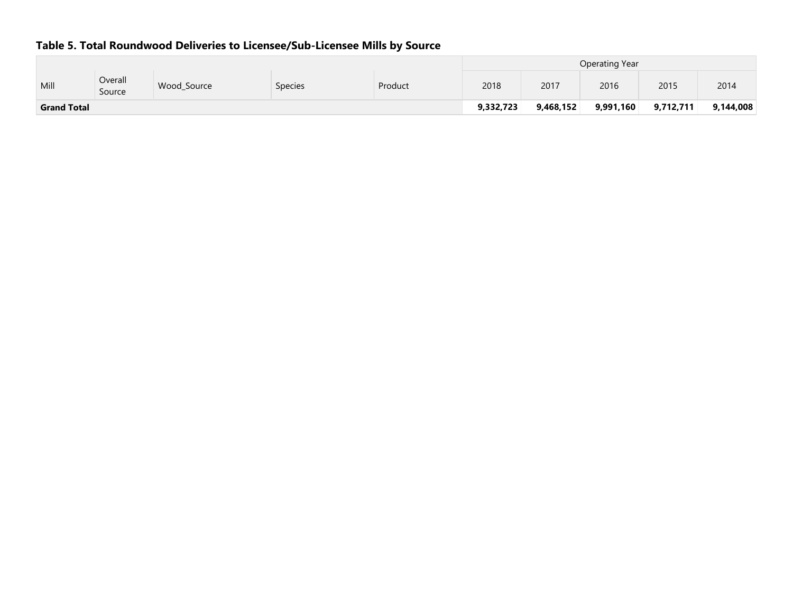|                    |                   |             |                |         |      | Operating Year |           |           |           |  |  |
|--------------------|-------------------|-------------|----------------|---------|------|----------------|-----------|-----------|-----------|--|--|
| Mill               | Overall<br>Source | Wood Source | <b>Species</b> | Product | 2018 | 2017           | 2016      | 2015      | 2014      |  |  |
| <b>Grand Total</b> |                   |             |                |         |      | 9,468,152      | 9,991,160 | 9,712,711 | 9,144,008 |  |  |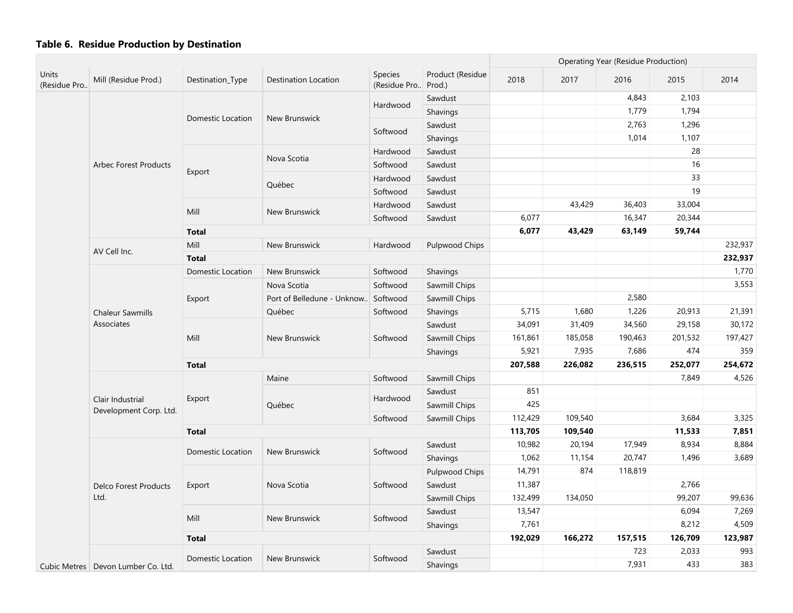|                              |                                            |                          |                            |                         |                            | <b>Operating Year (Residue Production)</b> |         |         |         |         |
|------------------------------|--------------------------------------------|--------------------------|----------------------------|-------------------------|----------------------------|--------------------------------------------|---------|---------|---------|---------|
| <b>Units</b><br>(Residue Pro | Mill (Residue Prod.)                       | Destination_Type         | Destination Location       | Species<br>(Residue Pro | Product (Residue<br>Prod.) | 2018                                       | 2017    | 2016    | 2015    | 2014    |
|                              |                                            |                          |                            |                         | Sawdust                    |                                            |         | 4,843   | 2,103   |         |
|                              |                                            |                          |                            | Hardwood                | Shavings                   |                                            |         | 1,779   | 1,794   |         |
|                              |                                            | Domestic Location        | <b>New Brunswick</b>       |                         | Sawdust                    |                                            |         | 2,763   | 1,296   |         |
|                              |                                            |                          |                            | Softwood                | Shavings                   |                                            |         | 1,014   | 1,107   |         |
|                              |                                            |                          |                            | Hardwood                | Sawdust                    |                                            |         |         | 28      |         |
|                              | <b>Arbec Forest Products</b>               |                          | Nova Scotia                | Softwood                | Sawdust                    |                                            |         |         | 16      |         |
|                              |                                            | Export                   |                            | Hardwood                | Sawdust                    |                                            |         |         | 33      |         |
|                              |                                            |                          | Québec                     | Softwood                | Sawdust                    |                                            |         |         | 19      |         |
|                              |                                            |                          |                            | Hardwood                | Sawdust                    |                                            | 43,429  | 36,403  | 33,004  |         |
|                              |                                            | Mill                     | New Brunswick              | Softwood                | Sawdust                    | 6,077                                      |         | 16,347  | 20,344  |         |
|                              |                                            | <b>Total</b>             |                            |                         |                            | 6,077                                      | 43,429  | 63,149  | 59,744  |         |
|                              | AV Cell Inc.                               | Mill                     | New Brunswick              | Hardwood                | <b>Pulpwood Chips</b>      |                                            |         |         |         | 232,937 |
|                              |                                            | <b>Total</b>             |                            |                         |                            |                                            |         |         |         | 232,937 |
|                              |                                            | <b>Domestic Location</b> | New Brunswick              | Softwood                | Shavings                   |                                            |         |         |         | 1,770   |
|                              |                                            |                          | Nova Scotia                | Softwood                | Sawmill Chips              |                                            |         |         |         | 3,553   |
|                              |                                            | Export                   | Port of Belledune - Unknow | Softwood                | Sawmill Chips              |                                            |         | 2,580   |         |         |
|                              | <b>Chaleur Sawmills</b>                    |                          | Québec                     | Softwood                | Shavings                   | 5,715                                      | 1,680   | 1,226   | 20,913  | 21,391  |
|                              | Associates                                 | Mill                     |                            |                         | Sawdust                    | 34,091                                     | 31,409  | 34,560  | 29,158  | 30,172  |
|                              |                                            |                          | New Brunswick              | Softwood                | Sawmill Chips              | 161,861                                    | 185,058 | 190,463 | 201,532 | 197,427 |
|                              |                                            |                          |                            |                         | Shavings                   | 5,921                                      | 7,935   | 7,686   | 474     | 359     |
|                              |                                            | <b>Total</b>             |                            |                         |                            | 207,588                                    | 226,082 | 236,515 | 252,077 | 254,672 |
|                              |                                            |                          | Maine                      | Softwood                | Sawmill Chips              |                                            |         |         | 7,849   | 4,526   |
|                              |                                            |                          |                            | Hardwood                | Sawdust                    | 851                                        |         |         |         |         |
|                              | Clair Industrial<br>Development Corp. Ltd. | Export                   | Québec                     |                         | Sawmill Chips              | 425                                        |         |         |         |         |
|                              |                                            |                          |                            | Softwood                | Sawmill Chips              | 112,429                                    | 109,540 |         | 3,684   | 3,325   |
|                              |                                            | <b>Total</b>             |                            |                         |                            | 113,705                                    | 109,540 |         | 11,533  | 7,851   |
|                              |                                            | <b>Domestic Location</b> | New Brunswick              | Softwood                | Sawdust                    | 10,982                                     | 20,194  | 17,949  | 8,934   | 8,884   |
|                              |                                            |                          |                            |                         | Shavings                   | 1,062                                      | 11,154  | 20,747  | 1,496   | 3,689   |
|                              |                                            |                          |                            |                         | Pulpwood Chips             | 14,791                                     | 874     | 118,819 |         |         |
|                              | <b>Delco Forest Products</b>               | Export                   | Nova Scotia                | Softwood                | Sawdust                    | 11,387                                     |         |         | 2,766   |         |
|                              | Ltd.                                       |                          |                            |                         | Sawmill Chips              | 132,499                                    | 134,050 |         | 99,207  | 99,636  |
|                              |                                            | Mill                     | New Brunswick              | Softwood                | Sawdust                    | 13,547                                     |         |         | 6,094   | 7,269   |
|                              |                                            |                          |                            |                         | Shavings                   | 7,761                                      |         |         | 8,212   | 4,509   |
|                              |                                            | <b>Total</b>             |                            |                         |                            | 192,029                                    | 166,272 | 157,515 | 126,709 | 123,987 |
|                              |                                            | Domestic Location        | <b>New Brunswick</b>       | Softwood                | Sawdust                    |                                            |         | 723     | 2,033   | 993     |
|                              | Cubic Metres   Devon Lumber Co. Ltd.       |                          |                            |                         | Shavings                   |                                            |         | 7,931   | 433     | 383     |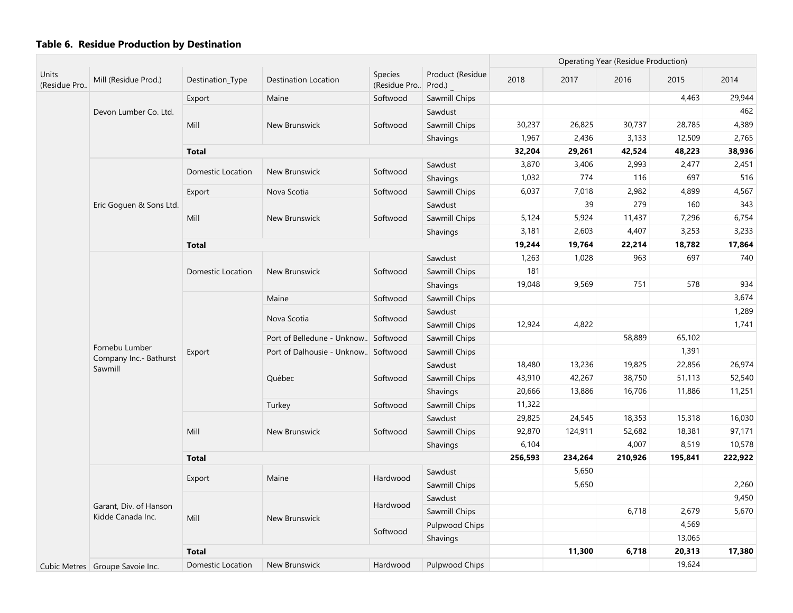|                       |                                             |                          |                                      |                                |                            | <b>Operating Year (Residue Production)</b> |         |         |         |         |
|-----------------------|---------------------------------------------|--------------------------|--------------------------------------|--------------------------------|----------------------------|--------------------------------------------|---------|---------|---------|---------|
| Units<br>(Residue Pro | Mill (Residue Prod.)                        | Destination_Type         | <b>Destination Location</b>          | <b>Species</b><br>(Residue Pro | Product (Residue<br>Prod.) | 2018                                       | 2017    | 2016    | 2015    | 2014    |
|                       |                                             | Export                   | Maine                                | Softwood                       | Sawmill Chips              |                                            |         |         | 4,463   | 29,944  |
|                       | Devon Lumber Co. Ltd.                       |                          |                                      |                                | Sawdust                    |                                            |         |         |         | 462     |
|                       |                                             | Mill                     | New Brunswick                        | Softwood                       | Sawmill Chips              | 30,237                                     | 26,825  | 30,737  | 28,785  | 4,389   |
|                       |                                             |                          |                                      |                                | Shavings                   | 1,967                                      | 2,436   | 3,133   | 12,509  | 2,765   |
|                       |                                             | <b>Total</b>             |                                      |                                |                            | 32,204                                     | 29,261  | 42,524  | 48,223  | 38,936  |
|                       |                                             | <b>Domestic Location</b> | New Brunswick                        | Softwood                       | Sawdust                    | 3,870                                      | 3,406   | 2,993   | 2,477   | 2,451   |
|                       |                                             |                          |                                      |                                | Shavings                   | 1,032                                      | 774     | 116     | 697     | 516     |
|                       |                                             | Export                   | Nova Scotia                          | Softwood                       | Sawmill Chips              | 6,037                                      | 7,018   | 2,982   | 4,899   | 4,567   |
|                       | Eric Goguen & Sons Ltd.                     |                          |                                      |                                | Sawdust                    |                                            | 39      | 279     | 160     | 343     |
|                       |                                             | Mill                     | New Brunswick                        | Softwood                       | Sawmill Chips              | 5,124                                      | 5,924   | 11,437  | 7,296   | 6,754   |
|                       |                                             |                          |                                      |                                | Shavings                   | 3,181                                      | 2,603   | 4,407   | 3,253   | 3,233   |
|                       |                                             | <b>Total</b>             |                                      |                                |                            | 19,244                                     | 19,764  | 22,214  | 18,782  | 17,864  |
|                       |                                             |                          |                                      |                                | Sawdust                    | 1,263                                      | 1,028   | 963     | 697     | 740     |
|                       |                                             | Domestic Location        | New Brunswick                        | Softwood                       | Sawmill Chips              | 181                                        |         |         |         |         |
|                       |                                             |                          |                                      |                                | Shavings                   | 19,048                                     | 9,569   | 751     | 578     | 934     |
|                       |                                             |                          | Maine                                | Softwood                       | Sawmill Chips              |                                            |         |         |         | 3,674   |
|                       |                                             |                          | Nova Scotia                          | Softwood                       | Sawdust                    |                                            |         |         |         | 1,289   |
|                       |                                             | Export                   |                                      |                                | Sawmill Chips              | 12,924                                     | 4,822   |         |         | 1,741   |
|                       |                                             |                          | Port of Belledune - Unknow. Softwood |                                | Sawmill Chips              |                                            |         | 58,889  | 65,102  |         |
|                       | Fornebu Lumber<br>Company Inc.- Bathurst    |                          | Port of Dalhousie - Unknow Softwood  |                                | Sawmill Chips              |                                            |         |         | 1,391   |         |
|                       | Sawmill                                     |                          |                                      |                                | Sawdust                    | 18,480                                     | 13,236  | 19,825  | 22,856  | 26,974  |
|                       |                                             |                          | Québec                               | Softwood                       | Sawmill Chips              | 43,910                                     | 42,267  | 38,750  | 51,113  | 52,540  |
|                       |                                             |                          |                                      |                                | Shavings                   | 20,666                                     | 13,886  | 16,706  | 11,886  | 11,251  |
|                       |                                             |                          | Turkey                               | Softwood                       | Sawmill Chips              | 11,322                                     |         |         |         |         |
|                       |                                             |                          |                                      |                                | Sawdust                    | 29,825                                     | 24,545  | 18,353  | 15,318  | 16,030  |
|                       |                                             | Mill                     | New Brunswick                        | Softwood                       | Sawmill Chips              | 92,870                                     | 124,911 | 52,682  | 18,381  | 97,171  |
|                       |                                             |                          |                                      |                                | Shavings                   | 6,104                                      |         | 4,007   | 8,519   | 10,578  |
|                       |                                             | <b>Total</b>             |                                      |                                |                            | 256,593                                    | 234,264 | 210,926 | 195,841 | 222,922 |
|                       |                                             | Export                   | Maine                                | Hardwood                       | Sawdust                    |                                            | 5,650   |         |         |         |
|                       |                                             |                          |                                      |                                | Sawmill Chips              |                                            | 5,650   |         |         | 2,260   |
|                       |                                             |                          |                                      | Hardwood                       | Sawdust                    |                                            |         |         |         | 9,450   |
|                       | Garant, Div. of Hanson<br>Kidde Canada Inc. | Mill                     | New Brunswick                        |                                | Sawmill Chips              |                                            |         | 6,718   | 2,679   | 5,670   |
|                       |                                             |                          |                                      | Softwood                       | Pulpwood Chips             |                                            |         |         | 4,569   |         |
|                       |                                             |                          |                                      |                                | Shavings                   |                                            |         |         | 13,065  |         |
|                       |                                             | <b>Total</b>             |                                      |                                |                            |                                            | 11,300  | 6,718   | 20,313  | 17,380  |
|                       | Cubic Metres   Groupe Savoie Inc.           | Domestic Location        | New Brunswick                        | Hardwood                       | <b>Pulpwood Chips</b>      |                                            |         |         | 19,624  |         |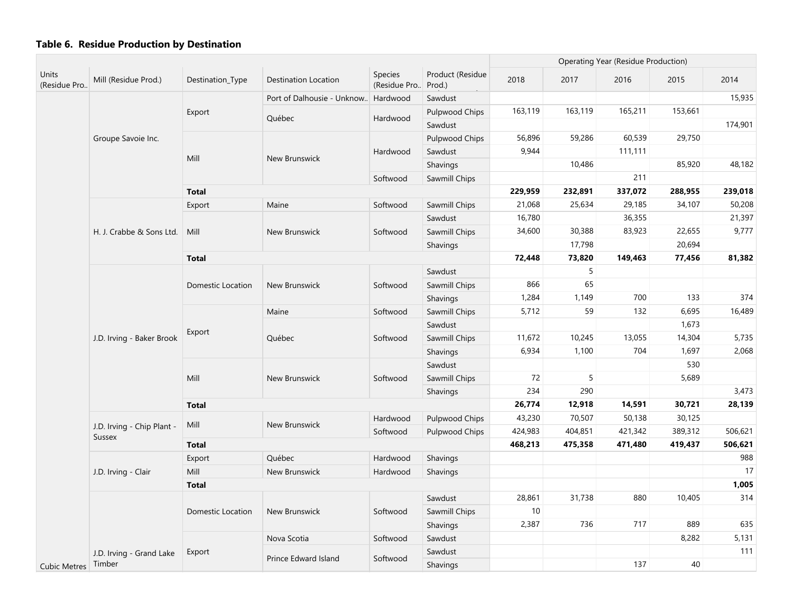|                       |                                      |                                |                            |                         |                            | <b>Operating Year (Residue Production)</b> |                |         |         |         |
|-----------------------|--------------------------------------|--------------------------------|----------------------------|-------------------------|----------------------------|--------------------------------------------|----------------|---------|---------|---------|
| Units<br>(Residue Pro | Mill (Residue Prod.)                 | Destination_Type               | Destination Location       | Species<br>(Residue Pro | Product (Residue<br>Prod.) | 2018                                       | 2017           | 2016    | 2015    | 2014    |
|                       |                                      |                                | Port of Dalhousie - Unknow | Hardwood                | Sawdust                    |                                            |                |         |         | 15,935  |
|                       |                                      | Export                         | Québec                     | Hardwood                | Pulpwood Chips             | 163,119                                    | 163,119        | 165,211 | 153,661 |         |
|                       |                                      |                                |                            |                         | Sawdust                    |                                            |                |         |         | 174,901 |
|                       | Groupe Savoie Inc.                   |                                |                            |                         | Pulpwood Chips             | 56,896                                     | 59,286         | 60,539  | 29,750  |         |
|                       |                                      | Mill                           | New Brunswick              | Hardwood                | Sawdust                    | 9,944                                      |                | 111,111 |         |         |
|                       |                                      |                                |                            |                         | Shavings                   |                                            | 10,486         |         | 85,920  | 48,182  |
|                       |                                      |                                |                            | Softwood                | Sawmill Chips              |                                            |                | 211     |         |         |
|                       |                                      | <b>Total</b>                   |                            |                         |                            | 229,959                                    | 232,891        | 337,072 | 288,955 | 239,018 |
|                       |                                      | Export                         | Maine                      | Softwood                | Sawmill Chips              | 21,068                                     | 25,634         | 29,185  | 34,107  | 50,208  |
|                       |                                      |                                |                            |                         | Sawdust                    | 16,780                                     |                | 36,355  |         | 21,397  |
|                       | H. J. Crabbe & Sons Ltd.             | Mill                           | New Brunswick              | Softwood                | Sawmill Chips              | 34,600                                     | 30,388         | 83,923  | 22,655  | 9,777   |
|                       |                                      |                                |                            |                         | Shavings                   |                                            | 17,798         |         | 20,694  |         |
|                       |                                      | <b>Total</b>                   |                            |                         |                            | 72,448                                     | 73,820         | 149,463 | 77,456  | 81,382  |
|                       |                                      |                                |                            |                         | Sawdust                    |                                            | 5              |         |         |         |
|                       |                                      | <b>Domestic Location</b>       | New Brunswick              | Softwood                | Sawmill Chips              | 866                                        | 65             |         |         |         |
|                       |                                      |                                |                            |                         | Shavings                   | 1,284                                      | 1,149          | 700     | 133     | 374     |
|                       | J.D. Irving - Baker Brook            |                                | Maine                      | Softwood                | Sawmill Chips              | 5,712                                      | 59             | 132     | 6,695   | 16,489  |
|                       |                                      |                                |                            |                         | Sawdust                    |                                            |                |         | 1,673   |         |
|                       |                                      | Export                         | Québec                     | Softwood                | Sawmill Chips              | 11,672                                     | 10,245         | 13,055  | 14,304  | 5,735   |
|                       |                                      |                                |                            |                         | Shavings                   | 6,934                                      | 1,100          | 704     | 1,697   | 2,068   |
|                       |                                      |                                |                            |                         | Sawdust                    |                                            |                |         | 530     |         |
|                       |                                      | Mill                           | New Brunswick              | Softwood                | Sawmill Chips              | 72                                         | $\overline{5}$ |         | 5,689   |         |
|                       |                                      |                                |                            |                         | Shavings                   | 234                                        | 290            |         |         | 3,473   |
|                       |                                      | <b>Total</b>                   |                            |                         |                            | 26,774                                     | 12,918         | 14,591  | 30,721  | 28,139  |
|                       |                                      |                                |                            | Hardwood                | Pulpwood Chips             | 43,230                                     | 70,507         | 50,138  | 30,125  |         |
|                       | J.D. Irving - Chip Plant -<br>Sussex | Mill                           | New Brunswick              | Softwood                | Pulpwood Chips             | 424,983                                    | 404,851        | 421,342 | 389,312 | 506,621 |
|                       |                                      | <b>Total</b>                   |                            |                         |                            | 468,213                                    | 475,358        | 471,480 | 419,437 | 506,621 |
|                       |                                      | Export                         | Québec                     | Hardwood                | Shavings                   |                                            |                |         |         | 988     |
|                       | J.D. Irving - Clair                  | Mill                           | New Brunswick              | Hardwood                | Shavings                   |                                            |                |         |         | 17      |
| Cubic Metres Timber   |                                      | <b>Total</b>                   |                            |                         |                            |                                            |                |         |         | 1,005   |
|                       |                                      |                                |                            |                         | Sawdust                    | 28,861                                     | 31,738         | 880     | 10,405  | 314     |
|                       |                                      | <b>Domestic Location</b>       | New Brunswick              | Softwood                | Sawmill Chips              | $10$                                       |                |         |         |         |
|                       |                                      |                                |                            |                         | Shavings                   | 2,387                                      | 736            | 717     | 889     | 635     |
|                       |                                      |                                | Nova Scotia                | Softwood                | Sawdust                    |                                            |                |         | 8,282   | 5,131   |
|                       | J.D. Irving - Grand Lake             | Export<br>Prince Edward Island |                            | Sawdust                 |                            |                                            |                |         | 111     |         |
|                       |                                      |                                |                            | Softwood                | Shavings                   |                                            |                | 137     | 40      |         |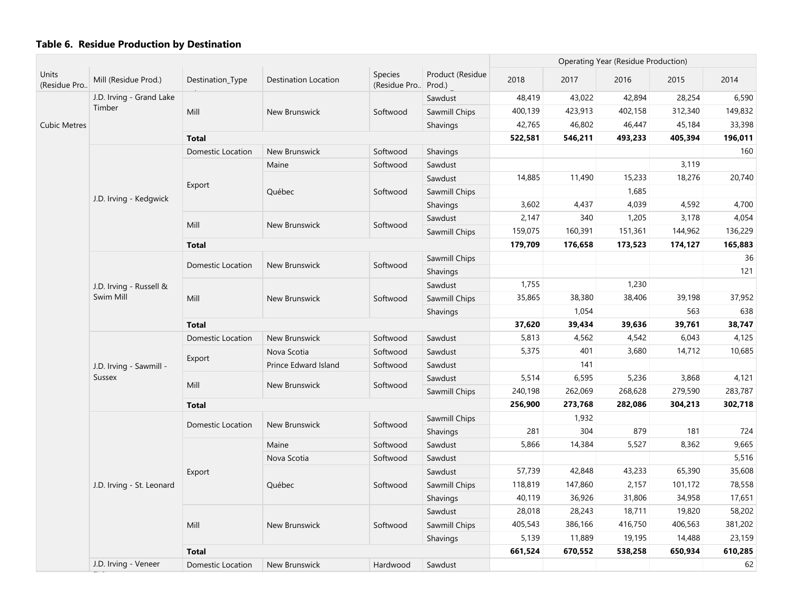| Units               |                           |                          |                      |                                |                            |         |         | <b>Operating Year (Residue Production)</b> |         |         |
|---------------------|---------------------------|--------------------------|----------------------|--------------------------------|----------------------------|---------|---------|--------------------------------------------|---------|---------|
| (Residue Pro        | Mill (Residue Prod.)      | Destination_Type         | Destination Location | <b>Species</b><br>(Residue Pro | Product (Residue<br>Prod.) | 2018    | 2017    | 2016                                       | 2015    | 2014    |
|                     | J.D. Irving - Grand Lake  |                          |                      |                                | Sawdust                    | 48,419  | 43,022  | 42,894                                     | 28,254  | 6,590   |
|                     | Timber                    | Mill                     | <b>New Brunswick</b> | Softwood                       | Sawmill Chips              | 400,139 | 423,913 | 402,158                                    | 312,340 | 149,832 |
| <b>Cubic Metres</b> |                           |                          |                      |                                | Shavings                   | 42,765  | 46,802  | 46,447                                     | 45,184  | 33,398  |
|                     |                           | <b>Total</b>             |                      |                                |                            | 522,581 | 546,211 | 493,233                                    | 405,394 | 196,011 |
|                     |                           | <b>Domestic Location</b> | New Brunswick        | Softwood                       | Shavings                   |         |         |                                            |         | 160     |
|                     |                           |                          | Maine                | Softwood                       | Sawdust                    |         |         |                                            | 3,119   |         |
|                     |                           | Export                   |                      |                                | Sawdust                    | 14,885  | 11,490  | 15,233                                     | 18,276  | 20,740  |
|                     | J.D. Irving - Kedgwick    |                          | Québec               | Softwood                       | Sawmill Chips              |         |         | 1,685                                      |         |         |
|                     |                           |                          |                      |                                | Shavings                   | 3,602   | 4,437   | 4,039                                      | 4,592   | 4,700   |
|                     |                           | Mill                     | New Brunswick        | Softwood                       | Sawdust                    | 2,147   | 340     | 1,205                                      | 3,178   | 4,054   |
|                     |                           |                          |                      |                                | Sawmill Chips              | 159,075 | 160,391 | 151,361                                    | 144,962 | 136,229 |
|                     |                           | <b>Total</b>             |                      |                                |                            | 179,709 | 176,658 | 173,523                                    | 174,127 | 165,883 |
|                     |                           | <b>Domestic Location</b> | New Brunswick        | Softwood                       | Sawmill Chips              |         |         |                                            |         | 36      |
|                     |                           |                          |                      |                                | Shavings                   |         |         |                                            |         | 121     |
|                     | J.D. Irving - Russell &   |                          |                      |                                | Sawdust                    | 1,755   |         | 1,230                                      |         |         |
|                     | Swim Mill                 | Mill                     | New Brunswick        | Softwood                       | Sawmill Chips              | 35,865  | 38,380  | 38,406                                     | 39,198  | 37,952  |
|                     |                           |                          |                      |                                | Shavings                   |         | 1,054   |                                            | 563     | 638     |
|                     |                           | <b>Total</b>             |                      |                                | 37,620                     | 39,434  | 39,636  | 39,761                                     | 38,747  |         |
|                     |                           | Domestic Location        | New Brunswick        | Softwood                       | Sawdust                    | 5,813   | 4,562   | 4,542                                      | 6,043   | 4,125   |
|                     |                           | Export                   | Nova Scotia          | Softwood                       | Sawdust                    | 5,375   | 401     | 3,680                                      | 14,712  | 10,685  |
|                     | J.D. Irving - Sawmill -   |                          | Prince Edward Island | Softwood                       | Sawdust                    |         | 141     |                                            |         |         |
|                     | <b>Sussex</b>             | Mill                     | New Brunswick        | Softwood                       | Sawdust                    | 5,514   | 6,595   | 5,236                                      | 3,868   | 4,121   |
|                     |                           |                          |                      |                                | Sawmill Chips              | 240,198 | 262,069 | 268,628                                    | 279,590 | 283,787 |
|                     |                           | <b>Total</b>             |                      |                                |                            | 256,900 | 273,768 | 282,086                                    | 304,213 | 302,718 |
|                     |                           | Domestic Location        | New Brunswick        | Softwood                       | Sawmill Chips              |         | 1,932   |                                            |         |         |
|                     |                           |                          |                      |                                | Shavings                   | 281     | 304     | 879                                        | 181     | 724     |
|                     |                           |                          | Maine                | Softwood                       | Sawdust                    | 5,866   | 14,384  | 5,527                                      | 8,362   | 9,665   |
|                     |                           |                          | Nova Scotia          | Softwood                       | Sawdust                    |         |         |                                            |         | 5,516   |
|                     |                           | Export                   |                      |                                | Sawdust                    | 57,739  | 42,848  | 43,233                                     | 65,390  | 35,608  |
|                     | J.D. Irving - St. Leonard |                          | Québec               | Softwood                       | Sawmill Chips              | 118,819 | 147,860 | 2,157                                      | 101,172 | 78,558  |
|                     |                           |                          |                      |                                | Shavings                   | 40,119  | 36,926  | 31,806                                     | 34,958  | 17,651  |
|                     |                           |                          |                      |                                | Sawdust                    | 28,018  | 28,243  | 18,711                                     | 19,820  | 58,202  |
|                     |                           | Mill                     | New Brunswick        | Softwood                       | Sawmill Chips              | 405,543 | 386,166 | 416,750                                    | 406,563 | 381,202 |
|                     |                           |                          |                      |                                | Shavings                   | 5,139   | 11,889  | 19,195                                     | 14,488  | 23,159  |
|                     |                           | <b>Total</b>             |                      |                                |                            | 661,524 | 670,552 | 538,258                                    | 650,934 | 610,285 |
|                     | J.D. Irving - Veneer      | Domestic Location        | New Brunswick        | Hardwood                       | Sawdust                    |         |         |                                            |         | 62      |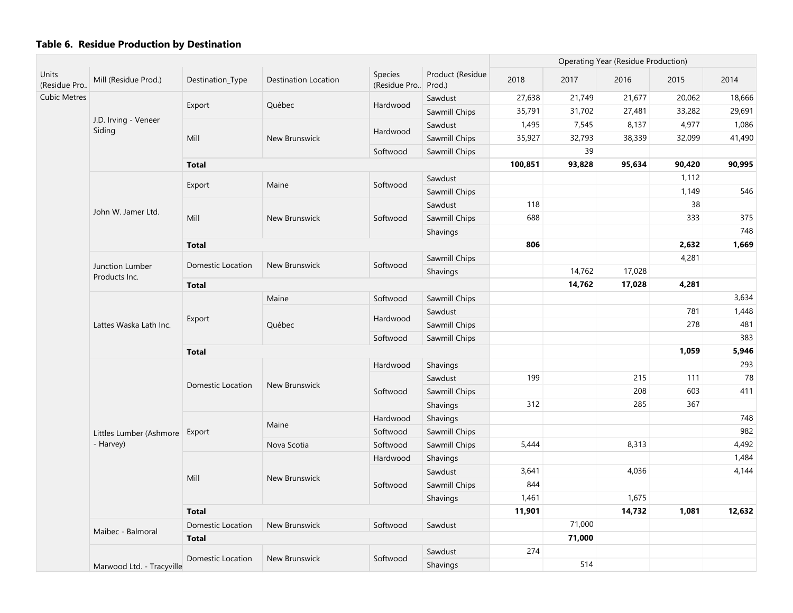|                       |                                  |                   |                      |                         |                            |         | <b>Operating Year (Residue Production)</b> |        |        |        |
|-----------------------|----------------------------------|-------------------|----------------------|-------------------------|----------------------------|---------|--------------------------------------------|--------|--------|--------|
| Units<br>(Residue Pro | Mill (Residue Prod.)             | Destination_Type  | Destination Location | Species<br>(Residue Pro | Product (Residue<br>Prod.) | 2018    | 2017                                       | 2016   | 2015   | 2014   |
| <b>Cubic Metres</b>   |                                  |                   |                      |                         | Sawdust                    | 27,638  | 21,749                                     | 21,677 | 20,062 | 18,666 |
|                       |                                  | Export            | Québec               | Hardwood                | Sawmill Chips              | 35,791  | 31,702                                     | 27,481 | 33,282 | 29,691 |
|                       | J.D. Irving - Veneer<br>Siding   |                   |                      |                         | Sawdust                    | 1,495   | 7,545                                      | 8,137  | 4,977  | 1,086  |
|                       |                                  | Mill              | New Brunswick        | Hardwood                | Sawmill Chips              | 35,927  | 32,793                                     | 38,339 | 32,099 | 41,490 |
|                       |                                  |                   |                      | Softwood                | Sawmill Chips              |         | 39                                         |        |        |        |
|                       |                                  | <b>Total</b>      |                      |                         |                            | 100,851 | 93,828                                     | 95,634 | 90,420 | 90,995 |
|                       |                                  |                   |                      |                         | Sawdust                    |         |                                            |        | 1,112  |        |
|                       |                                  | Export            | Maine                | Softwood                | Sawmill Chips              |         |                                            |        | 1,149  | 546    |
|                       |                                  |                   |                      |                         | Sawdust                    | 118     |                                            |        | 38     |        |
|                       | John W. Jamer Ltd.               | Mill              | New Brunswick        | Softwood                | Sawmill Chips              | 688     |                                            |        | 333    | 375    |
|                       |                                  |                   |                      |                         | Shavings                   |         |                                            |        |        | 748    |
|                       |                                  | <b>Total</b>      |                      |                         |                            | 806     |                                            |        | 2,632  | 1,669  |
|                       |                                  |                   |                      |                         | Sawmill Chips              |         |                                            |        | 4,281  |        |
|                       | Junction Lumber<br>Products Inc. | Domestic Location | New Brunswick        | Softwood                | Shavings                   |         | 14,762                                     | 17,028 |        |        |
|                       |                                  | <b>Total</b>      |                      |                         |                            |         | 14,762                                     | 17,028 | 4,281  |        |
|                       | Lattes Waska Lath Inc.           |                   | Maine                | Softwood                | Sawmill Chips              |         |                                            |        |        | 3,634  |
|                       |                                  |                   |                      |                         | Sawdust                    |         |                                            |        | 781    | 1,448  |
|                       |                                  | Export            | Québec               | Hardwood                | Sawmill Chips              |         |                                            |        | 278    | 481    |
|                       |                                  |                   |                      | Softwood                |                            |         |                                            |        | 383    |        |
|                       |                                  | <b>Total</b>      |                      |                         |                            |         |                                            |        | 1,059  | 5,946  |
|                       |                                  |                   |                      | Hardwood                | Shavings                   |         |                                            |        |        | 293    |
|                       |                                  |                   |                      |                         | Sawdust                    | 199     |                                            | 215    | 111    | 78     |
|                       |                                  | Domestic Location | New Brunswick        | Softwood                | Sawmill Chips              |         |                                            | 208    | 603    | 411    |
|                       |                                  |                   |                      |                         | Shavings                   | 312     |                                            | 285    | 367    |        |
|                       |                                  |                   |                      | Hardwood                | Shavings                   |         |                                            |        |        | 748    |
|                       | Littles Lumber (Ashmore          | Export            | Maine                | Softwood                | Sawmill Chips              |         |                                            |        |        | 982    |
|                       | - Harvey)                        |                   | Nova Scotia          | Softwood                | Sawmill Chips              | 5,444   |                                            | 8,313  |        | 4,492  |
|                       |                                  |                   |                      | Hardwood                | Shavings                   |         |                                            |        |        | 1,484  |
|                       |                                  |                   |                      |                         | Sawdust                    | 3,641   |                                            | 4,036  |        | 4,144  |
|                       |                                  | Mill              | New Brunswick        | Softwood                | Sawmill Chips              | 844     |                                            |        |        |        |
|                       |                                  |                   |                      |                         | Shavings                   | 1,461   |                                            | 1,675  |        |        |
|                       |                                  | <b>Total</b>      |                      |                         |                            | 11,901  |                                            | 14,732 | 1,081  | 12,632 |
|                       |                                  | Domestic Location | New Brunswick        | Softwood                | Sawdust                    |         | 71,000                                     |        |        |        |
|                       | Maibec - Balmoral                | <b>Total</b>      |                      |                         |                            |         | 71,000                                     |        |        |        |
|                       |                                  |                   |                      |                         | Sawdust                    | 274     |                                            |        |        |        |
|                       | Marwood Ltd. - Tracyville        | Domestic Location | New Brunswick        | Softwood                | Shavings                   |         | 514                                        |        |        |        |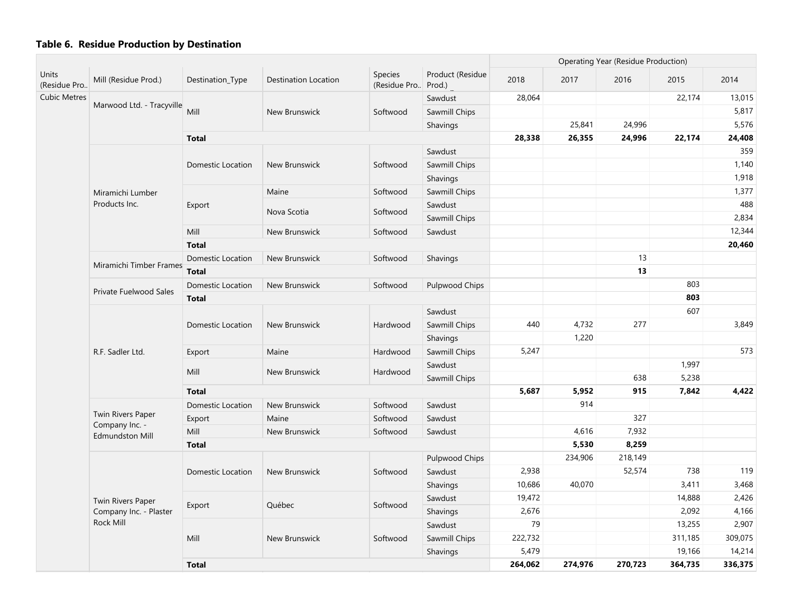| <b>Units</b>        |                                          |                          |                             |                         |                            |         |         | <b>Operating Year (Residue Production)</b> |         |         |
|---------------------|------------------------------------------|--------------------------|-----------------------------|-------------------------|----------------------------|---------|---------|--------------------------------------------|---------|---------|
| (Residue Pro        | Mill (Residue Prod.)                     | Destination_Type         | <b>Destination Location</b> | Species<br>(Residue Pro | Product (Residue<br>Prod.) | 2018    | 2017    | 2016                                       | 2015    | 2014    |
| <b>Cubic Metres</b> |                                          |                          |                             |                         | Sawdust                    | 28,064  |         |                                            | 22,174  | 13,015  |
|                     | Marwood Ltd. - Tracyville                | Mill                     | New Brunswick               | Softwood                | Sawmill Chips              |         |         |                                            |         | 5,817   |
|                     |                                          |                          |                             |                         | Shavings                   |         | 25,841  | 24,996                                     |         | 5,576   |
|                     |                                          | <b>Total</b>             |                             |                         |                            | 28,338  | 26,355  | 24,996                                     | 22,174  | 24,408  |
|                     |                                          |                          |                             |                         | Sawdust                    |         |         |                                            |         | 359     |
|                     |                                          | Domestic Location        | New Brunswick               | Softwood                | Sawmill Chips              |         |         |                                            |         | 1,140   |
|                     |                                          |                          |                             |                         | Shavings                   |         |         |                                            |         | 1,918   |
|                     | Miramichi Lumber                         |                          | Maine                       | Softwood                | Sawmill Chips              |         |         |                                            |         | 1,377   |
|                     | Products Inc.                            | Export                   |                             |                         | Sawdust                    |         |         |                                            |         | 488     |
|                     |                                          |                          | Nova Scotia                 | Softwood                | Sawmill Chips              |         |         |                                            |         | 2,834   |
|                     |                                          | Mill                     | New Brunswick               | Softwood                | Sawdust                    |         |         |                                            |         | 12,344  |
|                     |                                          | <b>Total</b>             |                             |                         |                            |         |         |                                            |         | 20,460  |
|                     |                                          | <b>Domestic Location</b> | New Brunswick               | Softwood                | Shavings                   |         |         | 13                                         |         |         |
|                     | Miramichi Timber Frames                  | <b>Total</b>             |                             |                         |                            |         |         | 13                                         |         |         |
|                     |                                          | <b>Domestic Location</b> | New Brunswick               | Softwood                | Pulpwood Chips             |         |         |                                            | 803     |         |
|                     | Private Fuelwood Sales                   | <b>Total</b>             |                             |                         |                            |         |         |                                            | 803     |         |
|                     |                                          |                          |                             |                         | Sawdust                    |         |         |                                            | 607     |         |
|                     |                                          | <b>Domestic Location</b> | New Brunswick               | Hardwood                | Sawmill Chips              | 440     | 4,732   | 277                                        |         | 3,849   |
|                     |                                          |                          |                             |                         | Shavings                   |         | 1,220   |                                            |         |         |
|                     | R.F. Sadler Ltd.                         | Export                   | Maine                       | Hardwood                | Sawmill Chips              | 5,247   |         |                                            |         | 573     |
|                     |                                          | Mill                     |                             |                         | Sawdust                    |         |         |                                            | 1,997   |         |
|                     |                                          |                          | New Brunswick               | Hardwood                | Sawmill Chips              |         |         | 638                                        | 5,238   |         |
|                     |                                          | <b>Total</b>             |                             |                         |                            | 5,687   | 5,952   | 915                                        | 7,842   | 4,422   |
|                     |                                          | <b>Domestic Location</b> | New Brunswick               | Softwood                | Sawdust                    |         | 914     |                                            |         |         |
|                     | Twin Rivers Paper                        | Export                   | Maine                       | Softwood                | Sawdust                    |         |         | 327                                        |         |         |
|                     | Company Inc. -<br><b>Edmundston Mill</b> | Mill                     | New Brunswick               | Softwood                | Sawdust                    |         | 4,616   | 7,932                                      |         |         |
|                     |                                          | <b>Total</b>             |                             |                         |                            |         | 5,530   | 8,259                                      |         |         |
|                     |                                          |                          |                             |                         | Pulpwood Chips             |         | 234,906 | 218,149                                    |         |         |
|                     |                                          | <b>Domestic Location</b> | New Brunswick               | Softwood                | Sawdust                    | 2,938   |         | 52,574                                     | 738     | 119     |
|                     |                                          |                          |                             |                         | Shavings                   | 10,686  | 40,070  |                                            | 3,411   | 3,468   |
|                     | Twin Rivers Paper                        |                          |                             |                         | Sawdust                    | 19,472  |         |                                            | 14,888  | 2,426   |
|                     | Company Inc. - Plaster                   | Export                   | Québec                      | Softwood                | Shavings                   | 2,676   |         |                                            | 2,092   | 4,166   |
|                     | Rock Mill                                |                          |                             |                         | Sawdust                    | 79      |         |                                            | 13,255  | 2,907   |
|                     |                                          | Mill                     | New Brunswick               | Softwood                | Sawmill Chips              | 222,732 |         |                                            | 311,185 | 309,075 |
|                     |                                          |                          |                             |                         | Shavings                   | 5,479   |         |                                            | 19,166  | 14,214  |
|                     |                                          | <b>Total</b>             |                             |                         |                            | 264,062 | 274,976 | 270,723                                    | 364,735 | 336,375 |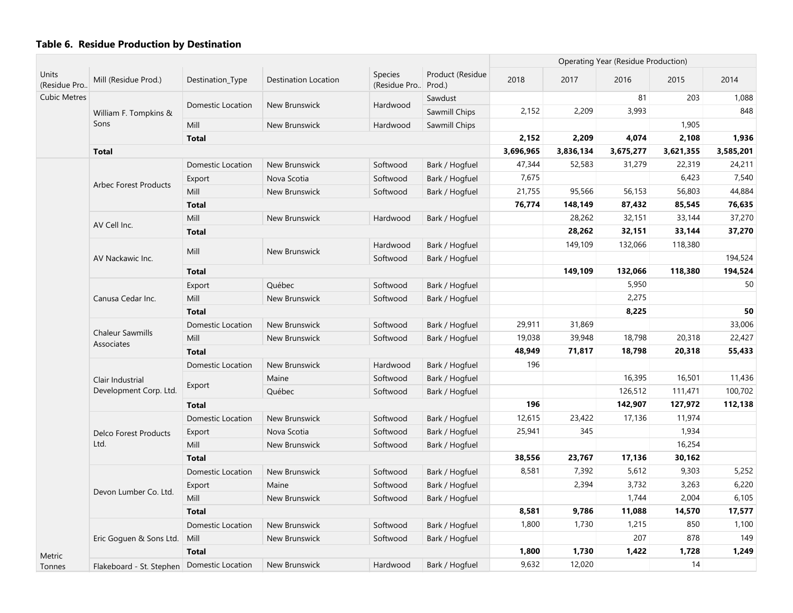|                       |                                              |                   |                      |                                 |                            |           |           | <b>Operating Year (Residue Production)</b> |           |           |
|-----------------------|----------------------------------------------|-------------------|----------------------|---------------------------------|----------------------------|-----------|-----------|--------------------------------------------|-----------|-----------|
| Units<br>(Residue Pro | Mill (Residue Prod.)                         | Destination_Type  | Destination Location | <b>Species</b><br>(Residue Pro) | Product (Residue<br>Prod.) | 2018      | 2017      | 2016                                       | 2015      | 2014      |
| <b>Cubic Metres</b>   |                                              |                   |                      |                                 | Sawdust                    |           |           | 81                                         | 203       | 1,088     |
|                       | William F. Tompkins &                        | Domestic Location | New Brunswick        | Hardwood                        | Sawmill Chips              | 2,152     | 2,209     | 3,993                                      |           | 848       |
|                       | Sons                                         | Mill              | New Brunswick        | Hardwood                        | Sawmill Chips              |           |           |                                            | 1,905     |           |
|                       |                                              | <b>Total</b>      |                      |                                 |                            | 2,152     | 2,209     | 4,074                                      | 2,108     | 1,936     |
|                       | <b>Total</b>                                 |                   |                      |                                 |                            | 3,696,965 | 3,836,134 | 3,675,277                                  | 3,621,355 | 3,585,201 |
|                       |                                              | Domestic Location | New Brunswick        | Softwood                        | Bark / Hogfuel             | 47,344    | 52,583    | 31,279                                     | 22,319    | 24,211    |
|                       | <b>Arbec Forest Products</b>                 | Export            | Nova Scotia          | Softwood                        | Bark / Hogfuel             | 7,675     |           |                                            | 6,423     | 7,540     |
|                       |                                              | Mill              | New Brunswick        | Softwood                        | Bark / Hogfuel             | 21,755    | 95,566    | 56,153                                     | 56,803    | 44,884    |
|                       |                                              | <b>Total</b>      |                      |                                 |                            | 76,774    | 148,149   | 87,432                                     | 85,545    | 76,635    |
|                       | AV Cell Inc.                                 | Mill              | New Brunswick        | Hardwood                        | Bark / Hogfuel             |           | 28,262    | 32,151                                     | 33,144    | 37,270    |
|                       |                                              | <b>Total</b>      |                      |                                 |                            |           | 28,262    | 32,151                                     | 33,144    | 37,270    |
|                       |                                              |                   |                      | Hardwood                        | Bark / Hogfuel             |           | 149,109   | 132,066                                    | 118,380   |           |
|                       | AV Nackawic Inc.                             | Mill              | New Brunswick        | Softwood                        | Bark / Hogfuel             |           |           |                                            |           | 194,524   |
|                       |                                              | <b>Total</b>      |                      |                                 |                            |           | 149,109   | 132,066                                    | 118,380   | 194,524   |
|                       |                                              | Export            | Québec               | Softwood                        | Bark / Hogfuel             |           |           | 5,950                                      |           | 50        |
|                       | Canusa Cedar Inc.                            | Mill              | New Brunswick        | Softwood                        | Bark / Hogfuel             |           |           | 2,275                                      |           |           |
|                       |                                              | <b>Total</b>      |                      |                                 |                            |           |           | 8,225                                      |           | 50        |
|                       | <b>Chaleur Sawmills</b><br>Associates        | Domestic Location | New Brunswick        | Softwood                        | Bark / Hogfuel             | 29,911    | 31,869    |                                            |           | 33,006    |
|                       |                                              | Mill              | New Brunswick        | Softwood                        | Bark / Hogfuel             | 19,038    | 39,948    | 18,798                                     | 20,318    | 22,427    |
|                       |                                              | <b>Total</b>      |                      |                                 |                            | 48,949    | 71,817    | 18,798                                     | 20,318    | 55,433    |
|                       |                                              | Domestic Location | New Brunswick        | Hardwood                        | Bark / Hogfuel             | 196       |           |                                            |           |           |
|                       | Clair Industrial                             |                   | Maine                | Softwood                        | Bark / Hogfuel             |           |           | 16,395                                     | 16,501    | 11,436    |
|                       | Development Corp. Ltd.                       | Export            | Québec               | Softwood                        | Bark / Hogfuel             |           |           | 126,512                                    | 111,471   | 100,702   |
|                       |                                              | <b>Total</b>      |                      |                                 |                            | 196       |           | 142,907                                    | 127,972   | 112,138   |
|                       |                                              | Domestic Location | New Brunswick        | Softwood                        | Bark / Hogfuel             | 12,615    | 23,422    | 17,136                                     | 11,974    |           |
|                       | <b>Delco Forest Products</b>                 | Export            | Nova Scotia          | Softwood                        | Bark / Hogfuel             | 25,941    | 345       |                                            | 1,934     |           |
|                       | Ltd.                                         | Mill              | New Brunswick        | Softwood                        | Bark / Hogfuel             |           |           |                                            | 16,254    |           |
|                       |                                              | <b>Total</b>      |                      |                                 |                            | 38,556    | 23,767    | 17,136                                     | 30,162    |           |
|                       |                                              | Domestic Location | New Brunswick        | Softwood                        | Bark / Hogfuel             | 8,581     | 7,392     | 5,612                                      | 9,303     | 5,252     |
|                       |                                              | Export            | Maine                | Softwood                        | Bark / Hogfuel             |           | 2,394     | 3,732                                      | 3,263     | 6,220     |
|                       | Devon Lumber Co. Ltd.                        | Mill              | New Brunswick        | Softwood                        | Bark / Hogfuel             |           |           | 1,744                                      | 2,004     | 6,105     |
|                       |                                              | <b>Total</b>      |                      |                                 |                            | 8,581     | 9,786     | 11,088                                     | 14,570    | 17,577    |
|                       |                                              | Domestic Location | New Brunswick        | Softwood                        | Bark / Hogfuel             | 1,800     | 1,730     | 1,215                                      | 850       | 1,100     |
|                       | Eric Goguen & Sons Ltd.                      | Mill              | New Brunswick        | Softwood                        | Bark / Hogfuel             |           |           | 207                                        | 878       | 149       |
| Metric                |                                              | <b>Total</b>      |                      |                                 |                            | 1,800     | 1,730     | 1,422                                      | 1,728     | 1,249     |
| Tonnes                | Flakeboard - St. Stephen   Domestic Location |                   | New Brunswick        | Hardwood                        | Bark / Hogfuel             | 9,632     | 12,020    |                                            | 14        |           |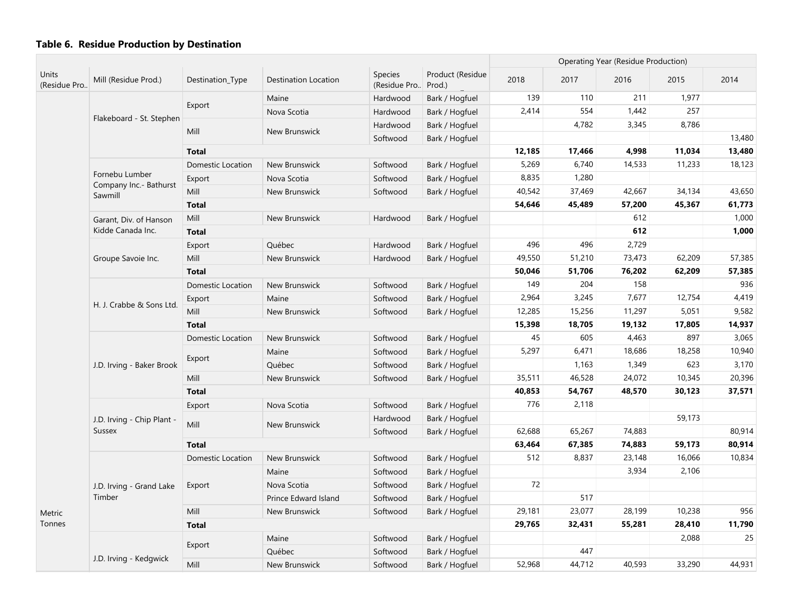| <b>Units</b> |                                   |                          |                      |                                |                            |        |        | <b>Operating Year (Residue Production)</b> |        |        |
|--------------|-----------------------------------|--------------------------|----------------------|--------------------------------|----------------------------|--------|--------|--------------------------------------------|--------|--------|
| (Residue Pro | Mill (Residue Prod.)              | Destination_Type         | Destination Location | <b>Species</b><br>(Residue Pro | Product (Residue<br>Prod.) | 2018   | 2017   | 2016                                       | 2015   | 2014   |
|              |                                   |                          | Maine                | Hardwood                       | Bark / Hogfuel             | 139    | 110    | 211                                        | 1,977  |        |
|              |                                   | Export                   | Nova Scotia          | Hardwood                       | Bark / Hogfuel             | 2,414  | 554    | 1,442                                      | 257    |        |
|              | Flakeboard - St. Stephen          |                          |                      | Hardwood                       | Bark / Hogfuel             |        | 4,782  | 3,345                                      | 8,786  |        |
|              |                                   | Mill                     | New Brunswick        | Softwood                       | Bark / Hogfuel             |        |        |                                            |        | 13,480 |
|              |                                   | <b>Total</b>             |                      |                                |                            | 12,185 | 17,466 | 4,998                                      | 11,034 | 13,480 |
|              |                                   | Domestic Location        | New Brunswick        | Softwood                       | Bark / Hogfuel             | 5,269  | 6,740  | 14,533                                     | 11,233 | 18,123 |
|              | Fornebu Lumber                    | Export                   | Nova Scotia          | Softwood                       | Bark / Hogfuel             | 8,835  | 1,280  |                                            |        |        |
|              | Company Inc.- Bathurst<br>Sawmill | Mill                     | New Brunswick        | Softwood                       | Bark / Hogfuel             | 40,542 | 37,469 | 42,667                                     | 34,134 | 43,650 |
|              |                                   | <b>Total</b>             |                      |                                |                            | 54,646 | 45,489 | 57,200                                     | 45,367 | 61,773 |
|              | Garant, Div. of Hanson            | Mill                     | New Brunswick        | Hardwood                       | Bark / Hogfuel             |        |        | 612                                        |        | 1,000  |
|              | Kidde Canada Inc.                 | <b>Total</b>             |                      |                                |                            |        |        | 612                                        |        | 1,000  |
|              |                                   | Export                   | Québec               | Hardwood                       | Bark / Hogfuel             | 496    | 496    | 2,729                                      |        |        |
|              | Groupe Savoie Inc.                | Mill                     | New Brunswick        | Hardwood                       | Bark / Hogfuel             | 49,550 | 51,210 | 73,473                                     | 62,209 | 57,385 |
|              |                                   | <b>Total</b>             |                      |                                |                            | 50,046 | 51,706 | 76,202                                     | 62,209 | 57,385 |
|              |                                   | Domestic Location        | New Brunswick        | Softwood                       | Bark / Hogfuel             | 149    | 204    | 158                                        |        | 936    |
|              | H. J. Crabbe & Sons Ltd.          | Export                   | Maine                | Softwood                       | Bark / Hogfuel             | 2,964  | 3,245  | 7,677                                      | 12,754 | 4,419  |
|              |                                   | Mill                     | New Brunswick        | Softwood                       | Bark / Hogfuel             | 12,285 | 15,256 | 11,297                                     | 5,051  | 9,582  |
|              |                                   | <b>Total</b>             |                      |                                |                            | 15,398 | 18,705 | 19,132                                     | 17,805 | 14,937 |
|              |                                   | Domestic Location        | New Brunswick        | Softwood                       | Bark / Hogfuel             | 45     | 605    | 4,463                                      | 897    | 3,065  |
|              |                                   |                          | Maine                | Softwood                       | Bark / Hogfuel             | 5,297  | 6,471  | 18,686                                     | 18,258 | 10,940 |
|              | J.D. Irving - Baker Brook         | Export                   | Québec               | Softwood                       | Bark / Hogfuel             |        | 1,163  | 1,349                                      | 623    | 3,170  |
|              |                                   | Mill                     | New Brunswick        | Softwood                       | Bark / Hogfuel             | 35,511 | 46,528 | 24,072                                     | 10,345 | 20,396 |
|              |                                   | <b>Total</b>             |                      |                                |                            | 40,853 | 54,767 | 48,570                                     | 30,123 | 37,571 |
|              |                                   | Export                   | Nova Scotia          | Softwood                       | Bark / Hogfuel             | 776    | 2,118  |                                            |        |        |
|              | J.D. Irving - Chip Plant -        |                          |                      | Hardwood                       | Bark / Hogfuel             |        |        |                                            | 59,173 |        |
|              | Sussex                            | Mill                     | New Brunswick        | Softwood                       | Bark / Hogfuel             | 62,688 | 65,267 | 74,883                                     |        | 80,914 |
|              |                                   | <b>Total</b>             |                      |                                |                            | 63,464 | 67,385 | 74,883                                     | 59,173 | 80,914 |
|              |                                   | <b>Domestic Location</b> | New Brunswick        | Softwood                       | Bark / Hogfuel             | 512    | 8,837  | 23,148                                     | 16,066 | 10,834 |
|              |                                   |                          | Maine                | Softwood                       | Bark / Hogfuel             |        |        | 3,934                                      | 2,106  |        |
| Metric       | J.D. Irving - Grand Lake          | Export                   | Nova Scotia          | Softwood                       | Bark / Hogfuel             | 72     |        |                                            |        |        |
|              | Timber                            |                          | Prince Edward Island | Softwood                       | Bark / Hogfuel             |        | 517    |                                            |        |        |
|              |                                   | Mill                     | New Brunswick        | Softwood                       | Bark / Hogfuel             | 29,181 | 23,077 | 28,199                                     | 10,238 | 956    |
| Tonnes       |                                   | <b>Total</b>             |                      |                                |                            | 29,765 | 32,431 | 55,281                                     | 28,410 | 11,790 |
|              |                                   |                          | Maine                | Softwood                       | Bark / Hogfuel             |        |        |                                            | 2,088  | 25     |
|              |                                   | Export                   | Québec               | Softwood                       | Bark / Hogfuel             |        | 447    |                                            |        |        |
|              | J.D. Irving - Kedgwick            | Mill                     | New Brunswick        | Softwood                       | Bark / Hogfuel             | 52,968 | 44,712 | 40,593                                     | 33,290 | 44,931 |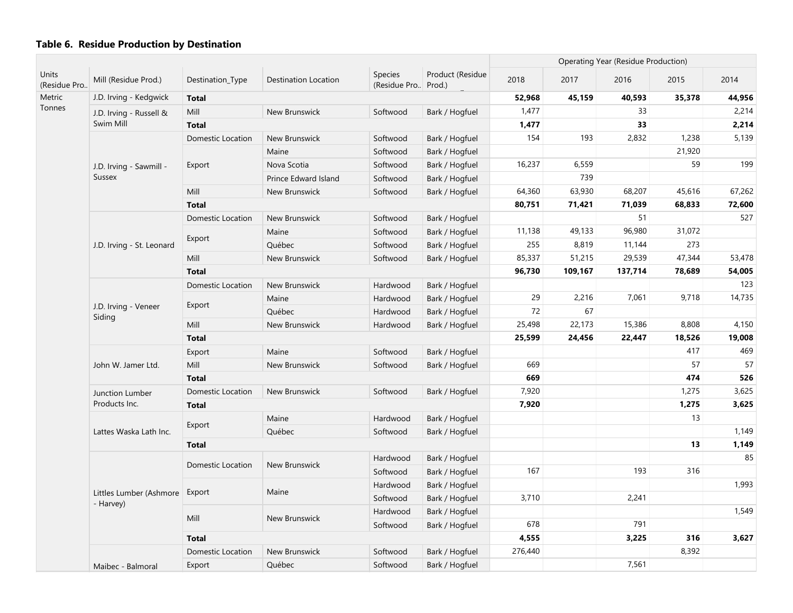| Units        |                                |                          |                      |                                       |                  |         |         | Operating Year (Residue Production) |        |        |
|--------------|--------------------------------|--------------------------|----------------------|---------------------------------------|------------------|---------|---------|-------------------------------------|--------|--------|
| (Residue Pro | Mill (Residue Prod.)           | Destination_Type         | Destination Location | <b>Species</b><br>(Residue Pro Prod.) | Product (Residue | 2018    | 2017    | 2016                                | 2015   | 2014   |
| Metric       | J.D. Irving - Kedgwick         | <b>Total</b>             |                      |                                       |                  | 52,968  | 45,159  | 40,593                              | 35,378 | 44,956 |
| Tonnes       | J.D. Irving - Russell &        | Mill                     | New Brunswick        | Softwood                              | Bark / Hogfuel   | 1,477   |         | 33                                  |        | 2,214  |
|              | Swim Mill                      | <b>Total</b>             |                      |                                       |                  | 1,477   |         | 33                                  |        | 2,214  |
|              |                                | Domestic Location        | New Brunswick        | Softwood                              | Bark / Hogfuel   | 154     | 193     | 2,832                               | 1,238  | 5,139  |
|              |                                |                          | Maine                | Softwood                              | Bark / Hogfuel   |         |         |                                     | 21,920 |        |
|              | J.D. Irving - Sawmill -        | Export                   | Nova Scotia          | Softwood                              | Bark / Hogfuel   | 16,237  | 6,559   |                                     | 59     | 199    |
|              | <b>Sussex</b>                  |                          | Prince Edward Island | Softwood                              | Bark / Hogfuel   |         | 739     |                                     |        |        |
|              |                                | Mill                     | New Brunswick        | Softwood                              | Bark / Hogfuel   | 64,360  | 63,930  | 68,207                              | 45,616 | 67,262 |
|              |                                | <b>Total</b>             |                      |                                       |                  | 80,751  | 71,421  | 71,039                              | 68,833 | 72,600 |
|              |                                | Domestic Location        | New Brunswick        | Softwood                              | Bark / Hogfuel   |         |         | 51                                  |        | 527    |
|              |                                |                          | Maine                | Softwood                              | Bark / Hogfuel   | 11,138  | 49,133  | 96,980                              | 31,072 |        |
|              | J.D. Irving - St. Leonard      | Export                   | Québec               | Softwood                              | Bark / Hogfuel   | 255     | 8,819   | 11,144                              | 273    |        |
|              |                                | Mill                     | New Brunswick        | Softwood                              | Bark / Hogfuel   | 85,337  | 51,215  | 29,539                              | 47,344 | 53,478 |
|              |                                | <b>Total</b>             |                      |                                       |                  | 96,730  | 109,167 | 137,714                             | 78,689 | 54,005 |
|              |                                | <b>Domestic Location</b> | New Brunswick        | Hardwood                              | Bark / Hogfuel   |         |         |                                     |        | 123    |
|              | J.D. Irving - Veneer<br>Siding |                          | Maine                | Hardwood                              | Bark / Hogfuel   | 29      | 2,216   | 7,061                               | 9,718  | 14,735 |
|              |                                | Export                   | Québec               | Hardwood                              | Bark / Hogfuel   | 72      | 67      |                                     |        |        |
|              |                                | Mill                     | New Brunswick        | Hardwood                              | Bark / Hogfuel   | 25,498  | 22,173  | 15,386                              | 8,808  | 4,150  |
|              |                                | <b>Total</b>             |                      |                                       |                  | 25,599  | 24,456  | 22,447                              | 18,526 | 19,008 |
|              |                                | Export                   | Maine                | Softwood                              | Bark / Hogfuel   |         |         |                                     | 417    | 469    |
|              | John W. Jamer Ltd.             | Mill                     | New Brunswick        | Softwood                              | Bark / Hogfuel   | 669     |         |                                     | 57     | 57     |
|              |                                | <b>Total</b>             |                      |                                       |                  | 669     |         |                                     | 474    | 526    |
|              | Junction Lumber                | Domestic Location        | New Brunswick        | Softwood                              | Bark / Hogfuel   | 7,920   |         |                                     | 1,275  | 3,625  |
|              | Products Inc.                  | <b>Total</b>             |                      |                                       |                  | 7,920   |         |                                     | 1,275  | 3,625  |
|              |                                |                          | Maine                | Hardwood                              | Bark / Hogfuel   |         |         |                                     | 13     |        |
|              | Lattes Waska Lath Inc.         | Export                   | Québec               | Softwood                              | Bark / Hogfuel   |         |         |                                     |        | 1,149  |
|              |                                | <b>Total</b>             |                      |                                       |                  |         |         |                                     | 13     | 1,149  |
|              |                                |                          |                      | Hardwood                              | Bark / Hogfuel   |         |         |                                     |        | 85     |
|              |                                | Domestic Location        | New Brunswick        | Softwood                              | Bark / Hogfuel   | 167     |         | 193                                 | 316    |        |
|              |                                |                          |                      | Hardwood                              | Bark / Hogfuel   |         |         |                                     |        | 1,993  |
|              | Littles Lumber (Ashmore        | Export                   | Maine                | Softwood                              | Bark / Hogfuel   | 3,710   |         | 2,241                               |        |        |
|              | - Harvey)                      |                          |                      | Hardwood                              | Bark / Hogfuel   |         |         |                                     |        | 1,549  |
|              |                                | Mill                     | New Brunswick        | Softwood                              | Bark / Hogfuel   | 678     |         | 791                                 |        |        |
|              |                                | <b>Total</b>             |                      |                                       |                  | 4,555   |         | 3,225                               | 316    | 3,627  |
|              |                                | Domestic Location        | New Brunswick        | Softwood                              | Bark / Hogfuel   | 276,440 |         |                                     | 8,392  |        |
|              | Maibec - Balmoral              | Export                   | Québec               | Softwood                              | Bark / Hogfuel   |         |         | 7,561                               |        |        |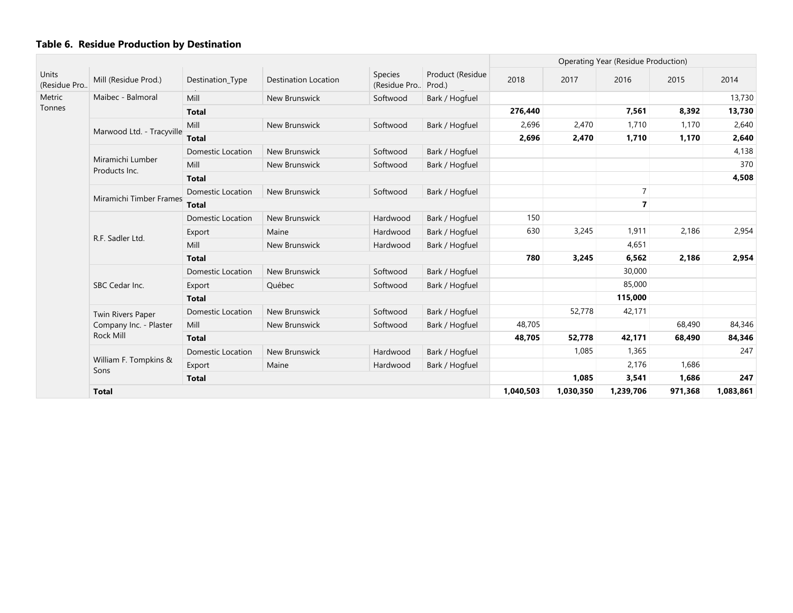|                       |                                   |                          |                             |                          |                            |         |           | Operating Year (Residue Production) |         |           |
|-----------------------|-----------------------------------|--------------------------|-----------------------------|--------------------------|----------------------------|---------|-----------|-------------------------------------|---------|-----------|
| Units<br>(Residue Pro | Mill (Residue Prod.)              | Destination_Type         | <b>Destination Location</b> | Species<br>(Residue Pro) | Product (Residue<br>Prod.) | 2018    | 2017      | 2016                                | 2015    | 2014      |
| Metric                | Maibec - Balmoral                 | Mill                     | New Brunswick               | Softwood                 | Bark / Hogfuel             |         |           |                                     |         | 13,730    |
| Tonnes                |                                   | <b>Total</b>             |                             |                          |                            | 276,440 |           | 7,561                               | 8,392   | 13,730    |
|                       |                                   | Mill                     | New Brunswick               | Softwood                 | Bark / Hogfuel             | 2,696   | 2,470     | 1,710                               | 1,170   | 2,640     |
|                       | Marwood Ltd. - Tracyville         | <b>Total</b>             |                             |                          |                            | 2,696   | 2,470     | 1,710                               | 1,170   | 2,640     |
|                       |                                   | <b>Domestic Location</b> | New Brunswick               | Softwood                 | Bark / Hogfuel             |         |           |                                     |         | 4,138     |
|                       | Miramichi Lumber<br>Products Inc. | Mill                     | New Brunswick               | Softwood                 | Bark / Hogfuel             |         |           |                                     |         | 370       |
|                       |                                   | <b>Total</b>             |                             |                          |                            |         |           |                                     |         | 4,508     |
|                       |                                   | <b>Domestic Location</b> | New Brunswick               | Softwood                 | Bark / Hogfuel             |         |           | $\overline{7}$                      |         |           |
|                       | Miramichi Timber Frames           | <b>Total</b>             |                             |                          |                            |         |           | $\overline{7}$                      |         |           |
|                       |                                   | <b>Domestic Location</b> | New Brunswick               | Hardwood                 | Bark / Hogfuel             | 150     |           |                                     |         |           |
|                       | R.F. Sadler Ltd.                  | Export                   | Maine                       | Hardwood                 | Bark / Hogfuel             | 630     | 3,245     | 1,911                               | 2,186   | 2,954     |
|                       |                                   | Mill                     | New Brunswick               | Hardwood                 | Bark / Hogfuel             |         |           | 4,651                               |         |           |
|                       |                                   | <b>Total</b>             |                             |                          |                            | 780     | 3,245     | 6,562                               | 2,186   | 2,954     |
|                       |                                   | <b>Domestic Location</b> | New Brunswick               | Softwood                 | Bark / Hogfuel             |         |           | 30,000                              |         |           |
|                       | SBC Cedar Inc.                    | Export                   | Québec                      | Softwood                 | Bark / Hogfuel             |         |           | 85,000                              |         |           |
|                       |                                   | <b>Total</b>             |                             |                          |                            |         |           | 115,000                             |         |           |
|                       | Twin Rivers Paper                 | <b>Domestic Location</b> | New Brunswick               | Softwood                 | Bark / Hogfuel             |         | 52,778    | 42,171                              |         |           |
|                       | Company Inc. - Plaster            | Mill                     | New Brunswick               | Softwood                 | Bark / Hogfuel             | 48,705  |           |                                     | 68,490  | 84,346    |
|                       | <b>Rock Mill</b>                  | <b>Total</b>             |                             |                          |                            | 48,705  | 52,778    | 42,171                              | 68,490  | 84,346    |
|                       |                                   | <b>Domestic Location</b> | New Brunswick               | Hardwood                 | Bark / Hogfuel             |         | 1,085     | 1,365                               |         | 247       |
|                       | William F. Tompkins &<br>Sons     | Export                   | Maine                       | Hardwood                 | Bark / Hogfuel             |         |           | 2,176                               | 1,686   |           |
|                       |                                   | <b>Total</b>             |                             |                          |                            |         | 1,085     | 3,541                               | 1,686   | 247       |
|                       | <b>Total</b>                      |                          |                             |                          |                            |         | 1,030,350 | 1,239,706                           | 971,368 | 1,083,861 |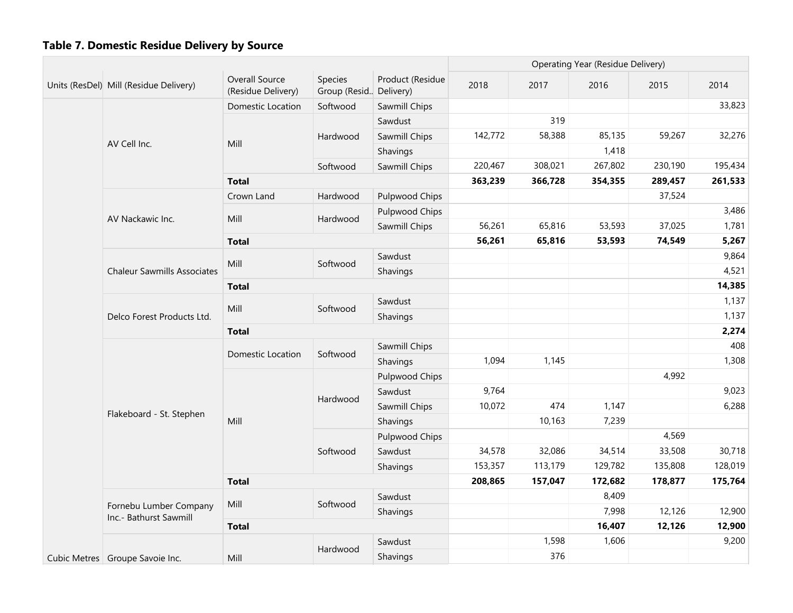|  |                                                  |                                      |                                     |                  |         |         | Operating Year (Residue Delivery) |         |         |
|--|--------------------------------------------------|--------------------------------------|-------------------------------------|------------------|---------|---------|-----------------------------------|---------|---------|
|  | Units (ResDel) Mill (Residue Delivery)           | Overall Source<br>(Residue Delivery) | Species<br>Group (Resid., Delivery) | Product (Residue | 2018    | 2017    | 2016                              | 2015    | 2014    |
|  |                                                  | <b>Domestic Location</b>             | Softwood                            | Sawmill Chips    |         |         |                                   |         | 33,823  |
|  |                                                  |                                      |                                     | Sawdust          |         | 319     |                                   |         |         |
|  |                                                  |                                      | Hardwood                            | Sawmill Chips    | 142,772 | 58,388  | 85,135                            | 59,267  | 32,276  |
|  | AV Cell Inc.                                     | Mill                                 |                                     | Shavings         |         |         | 1,418                             |         |         |
|  |                                                  |                                      | Softwood                            | Sawmill Chips    | 220,467 | 308,021 | 267,802                           | 230,190 | 195,434 |
|  |                                                  | <b>Total</b>                         |                                     |                  | 363,239 | 366,728 | 354,355                           | 289,457 | 261,533 |
|  |                                                  | Crown Land                           | Hardwood                            | Pulpwood Chips   |         |         |                                   | 37,524  |         |
|  |                                                  |                                      |                                     | Pulpwood Chips   |         |         |                                   |         | 3,486   |
|  | AV Nackawic Inc.                                 | Mill                                 | Hardwood                            | Sawmill Chips    | 56,261  | 65,816  | 53,593                            | 37,025  | 1,781   |
|  |                                                  | <b>Total</b>                         |                                     |                  | 56,261  | 65,816  | 53,593                            | 74,549  | 5,267   |
|  |                                                  | Mill                                 | Softwood                            | Sawdust          |         |         |                                   |         | 9,864   |
|  | <b>Chaleur Sawmills Associates</b>               |                                      |                                     | Shavings         |         |         |                                   |         | 4,521   |
|  |                                                  | <b>Total</b>                         |                                     |                  |         |         |                                   |         | 14,385  |
|  | Delco Forest Products Ltd.                       | Mill                                 | Softwood                            | Sawdust          |         |         |                                   |         | 1,137   |
|  |                                                  |                                      |                                     | Shavings         |         |         |                                   |         | 1,137   |
|  |                                                  | <b>Total</b>                         |                                     |                  |         |         |                                   |         | 2,274   |
|  |                                                  |                                      |                                     | Sawmill Chips    |         |         |                                   |         | 408     |
|  |                                                  | <b>Domestic Location</b>             | Softwood                            | Shavings         | 1,094   | 1,145   |                                   |         | 1,308   |
|  |                                                  |                                      |                                     | Pulpwood Chips   |         |         |                                   | 4,992   |         |
|  |                                                  |                                      | Hardwood                            | Sawdust          | 9,764   |         |                                   |         | 9,023   |
|  |                                                  |                                      |                                     | Sawmill Chips    | 10,072  | 474     | 1,147                             |         | 6,288   |
|  | Flakeboard - St. Stephen                         | Mill                                 |                                     | Shavings         |         | 10,163  | 7,239                             |         |         |
|  |                                                  |                                      |                                     | Pulpwood Chips   |         |         |                                   | 4,569   |         |
|  |                                                  |                                      | Softwood                            | Sawdust          | 34,578  | 32,086  | 34,514                            | 33,508  | 30,718  |
|  |                                                  |                                      |                                     | Shavings         | 153,357 | 113,179 | 129,782                           | 135,808 | 128,019 |
|  |                                                  | <b>Total</b>                         |                                     |                  | 208,865 | 157,047 | 172,682                           | 178,877 | 175,764 |
|  |                                                  | Mill                                 | Softwood                            | Sawdust          |         |         | 8,409                             |         |         |
|  | Fornebu Lumber Company<br>Inc.- Bathurst Sawmill |                                      |                                     | Shavings         |         |         | 7,998                             | 12,126  | 12,900  |
|  |                                                  | <b>Total</b>                         |                                     |                  |         |         | 16,407                            | 12,126  | 12,900  |
|  |                                                  |                                      | Hardwood                            | Sawdust          |         | 1,598   | 1,606                             |         | 9,200   |
|  | Cubic Metres   Groupe Savoie Inc.                | Mill                                 |                                     | Shavings         |         | 376     |                                   |         |         |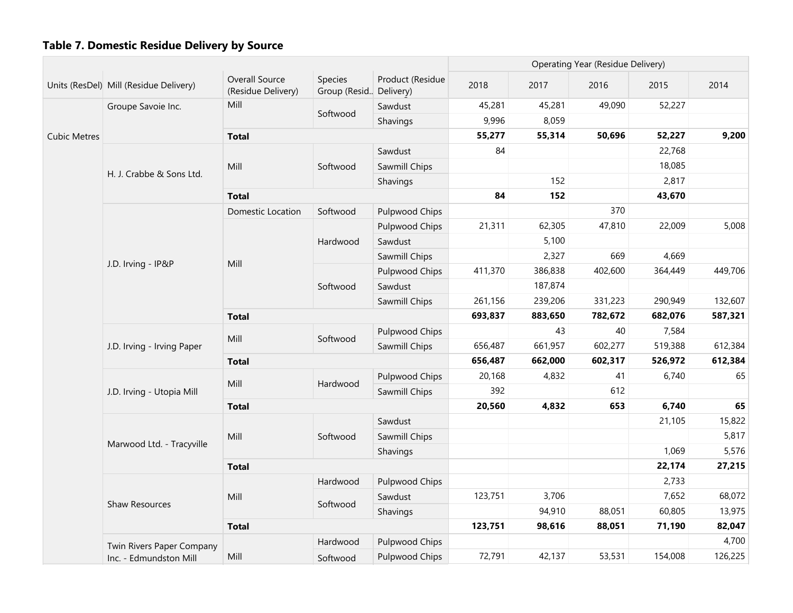|                     |                                        |                                      |                                     |                       |         |         | Operating Year (Residue Delivery) |         |         |
|---------------------|----------------------------------------|--------------------------------------|-------------------------------------|-----------------------|---------|---------|-----------------------------------|---------|---------|
|                     | Units (ResDel) Mill (Residue Delivery) | Overall Source<br>(Residue Delivery) | Species<br>Group (Resid., Delivery) | Product (Residue      | 2018    | 2017    | 2016                              | 2015    | 2014    |
|                     | Groupe Savoie Inc.                     | Mill                                 |                                     | Sawdust               | 45,281  | 45,281  | 49,090                            | 52,227  |         |
|                     |                                        |                                      | Softwood                            | Shavings              | 9,996   | 8,059   |                                   |         |         |
| <b>Cubic Metres</b> |                                        | <b>Total</b>                         |                                     |                       | 55,277  | 55,314  | 50,696                            | 52,227  | 9,200   |
|                     |                                        |                                      |                                     | Sawdust               | 84      |         |                                   | 22,768  |         |
|                     | H. J. Crabbe & Sons Ltd.               | Mill                                 | Softwood                            | Sawmill Chips         |         |         |                                   | 18,085  |         |
|                     |                                        |                                      |                                     | Shavings              |         | 152     |                                   | 2,817   |         |
|                     |                                        | <b>Total</b>                         |                                     |                       | 84      | 152     |                                   | 43,670  |         |
|                     |                                        | Domestic Location                    | Softwood                            | Pulpwood Chips        |         |         | 370                               |         |         |
|                     |                                        |                                      |                                     | Pulpwood Chips        | 21,311  | 62,305  | 47,810                            | 22,009  | 5,008   |
|                     |                                        |                                      | Hardwood                            | Sawdust               |         | 5,100   |                                   |         |         |
|                     |                                        | Mill                                 |                                     | Sawmill Chips         |         | 2,327   | 669                               | 4,669   |         |
|                     | J.D. Irving - IP&P                     |                                      | Softwood                            | Pulpwood Chips        | 411,370 | 386,838 | 402,600                           | 364,449 | 449,706 |
|                     |                                        |                                      |                                     | Sawdust               |         | 187,874 |                                   |         |         |
|                     |                                        |                                      |                                     | Sawmill Chips         | 261,156 | 239,206 | 331,223                           | 290,949 | 132,607 |
|                     |                                        | <b>Total</b>                         | 693,837                             | 883,650               | 782,672 | 682,076 | 587,321                           |         |         |
|                     |                                        |                                      |                                     | Pulpwood Chips        |         | 43      | 40                                | 7,584   |         |
|                     | J.D. Irving - Irving Paper             | Mill<br>Softwood                     |                                     | Sawmill Chips         | 656,487 | 661,957 | 602,277                           | 519,388 | 612,384 |
|                     |                                        | <b>Total</b>                         |                                     |                       | 656,487 | 662,000 | 602,317                           | 526,972 | 612,384 |
|                     |                                        | Mill                                 | Hardwood                            | Pulpwood Chips        | 20,168  | 4,832   | 41                                | 6,740   | 65      |
|                     | J.D. Irving - Utopia Mill              |                                      |                                     | Sawmill Chips         | 392     |         | 612                               |         |         |
|                     |                                        | <b>Total</b>                         |                                     |                       | 20,560  | 4,832   | 653                               | 6,740   | 65      |
|                     |                                        |                                      |                                     | Sawdust               |         |         |                                   | 21,105  | 15,822  |
|                     | Marwood Ltd. - Tracyville              | Mill                                 | Softwood                            | Sawmill Chips         |         |         |                                   |         | 5,817   |
|                     |                                        |                                      |                                     | Shavings              |         |         |                                   | 1,069   | 5,576   |
|                     |                                        | <b>Total</b>                         |                                     |                       |         |         |                                   | 22,174  | 27,215  |
|                     |                                        |                                      | Hardwood                            | Pulpwood Chips        |         |         |                                   | 2,733   |         |
|                     | Shaw Resources                         | Mill                                 | Softwood                            | Sawdust               | 123,751 | 3,706   |                                   | 7,652   | 68,072  |
|                     |                                        |                                      |                                     | Shavings              |         | 94,910  | 88,051                            | 60,805  | 13,975  |
|                     |                                        | <b>Total</b>                         |                                     |                       | 123,751 | 98,616  | 88,051                            | 71,190  | 82,047  |
|                     | Twin Rivers Paper Company              |                                      | Hardwood                            | <b>Pulpwood Chips</b> |         |         |                                   |         | 4,700   |
|                     | Inc. - Edmundston Mill                 | Mill                                 | Softwood                            | <b>Pulpwood Chips</b> | 72,791  | 42,137  | 53,531                            | 154,008 | 126,225 |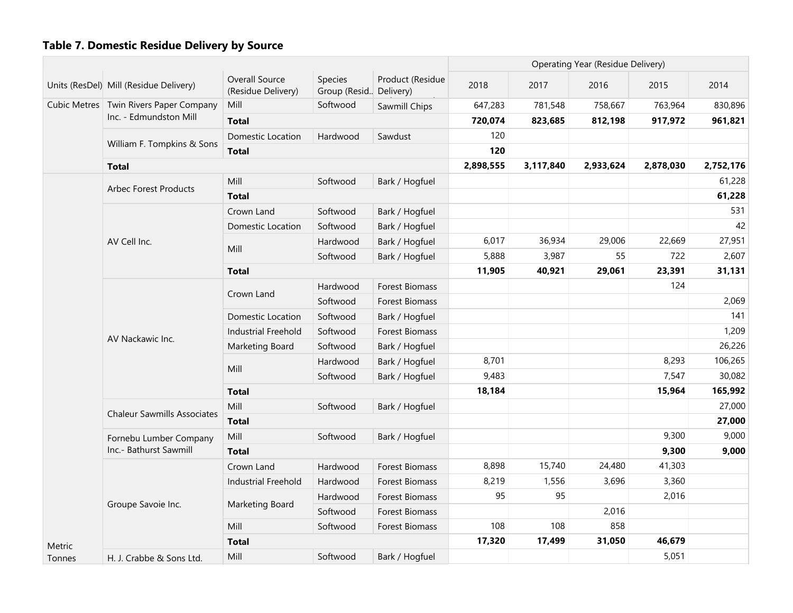|        |                                          |                                      |                                   |                       |           |           | <b>Operating Year (Residue Delivery)</b> |           |           |
|--------|------------------------------------------|--------------------------------------|-----------------------------------|-----------------------|-----------|-----------|------------------------------------------|-----------|-----------|
|        | Units (ResDel) Mill (Residue Delivery)   | Overall Source<br>(Residue Delivery) | Species<br>Group (Resid Delivery) | Product (Residue      | 2018      | 2017      | 2016                                     | 2015      | 2014      |
|        | Cubic Metres   Twin Rivers Paper Company | Mill                                 | Softwood                          | Sawmill Chips         | 647,283   | 781,548   | 758,667                                  | 763,964   | 830,896   |
|        | Inc. - Edmundston Mill                   | <b>Total</b>                         |                                   |                       | 720,074   | 823,685   | 812,198                                  | 917,972   | 961,821   |
|        |                                          | Domestic Location                    | Hardwood                          | Sawdust               | 120       |           |                                          |           |           |
|        | William F. Tompkins & Sons               | <b>Total</b>                         |                                   |                       | 120       |           |                                          |           |           |
|        | <b>Total</b>                             |                                      |                                   |                       | 2,898,555 | 3,117,840 | 2,933,624                                | 2,878,030 | 2,752,176 |
|        |                                          | Mill                                 | Softwood                          | Bark / Hogfuel        |           |           |                                          |           | 61,228    |
|        | <b>Arbec Forest Products</b>             | <b>Total</b>                         |                                   |                       |           |           |                                          |           | 61,228    |
|        |                                          | Crown Land                           | Softwood                          | Bark / Hogfuel        |           |           |                                          |           | 531       |
|        |                                          | Domestic Location                    | Softwood                          | Bark / Hogfuel        |           |           |                                          |           | 42        |
|        | AV Cell Inc.                             |                                      | Hardwood                          | Bark / Hogfuel        | 6,017     | 36,934    | 29,006                                   | 22,669    | 27,951    |
|        |                                          | Mill                                 | Softwood                          | Bark / Hogfuel        | 5,888     | 3,987     | 55                                       | 722       | 2,607     |
|        |                                          | <b>Total</b>                         |                                   |                       | 11,905    | 40,921    | 29,061                                   | 23,391    | 31,131    |
|        |                                          |                                      | Hardwood                          | <b>Forest Biomass</b> |           |           |                                          | 124       |           |
|        |                                          | Crown Land                           | Softwood                          | Forest Biomass        |           |           |                                          |           | 2,069     |
|        |                                          | Domestic Location                    | Softwood                          | Bark / Hogfuel        |           |           |                                          |           | 141       |
|        | AV Nackawic Inc.                         | <b>Industrial Freehold</b>           | Softwood                          | Forest Biomass        |           |           |                                          |           | 1,209     |
|        |                                          | Marketing Board                      | Softwood                          | Bark / Hogfuel        |           |           |                                          |           | 26,226    |
|        |                                          | Mill                                 | Hardwood                          | Bark / Hogfuel        | 8,701     |           |                                          | 8,293     | 106,265   |
|        |                                          |                                      | Softwood                          | Bark / Hogfuel        | 9,483     |           |                                          | 7,547     | 30,082    |
|        |                                          | <b>Total</b>                         |                                   |                       | 18,184    |           |                                          | 15,964    | 165,992   |
|        | <b>Chaleur Sawmills Associates</b>       | Mill                                 | Softwood                          | Bark / Hogfuel        |           |           |                                          |           | 27,000    |
|        |                                          | <b>Total</b>                         |                                   |                       |           |           |                                          |           | 27,000    |
|        | Fornebu Lumber Company                   | Mill                                 | Softwood                          | Bark / Hogfuel        |           |           |                                          | 9,300     | 9,000     |
|        | Inc.- Bathurst Sawmill                   | <b>Total</b>                         |                                   |                       |           |           |                                          | 9,300     | 9,000     |
|        |                                          | Crown Land                           | Hardwood                          | <b>Forest Biomass</b> | 8,898     | 15,740    | 24,480                                   | 41,303    |           |
|        |                                          | Industrial Freehold                  | Hardwood                          | Forest Biomass        | 8,219     | 1,556     | 3,696                                    | 3,360     |           |
|        | Groupe Savoie Inc.                       | Marketing Board                      | Hardwood                          | Forest Biomass        | 95        | 95        |                                          | 2,016     |           |
|        |                                          |                                      | Softwood                          | Forest Biomass        |           |           | 2,016                                    |           |           |
|        |                                          | Mill                                 | Softwood                          | <b>Forest Biomass</b> | 108       | 108       | 858                                      |           |           |
| Metric |                                          | <b>Total</b>                         |                                   |                       | 17,320    | 17,499    | 31,050                                   | 46,679    |           |
| Tonnes | H. J. Crabbe & Sons Ltd.                 | Mill                                 | Softwood                          | Bark / Hogfuel        |           |           |                                          | 5,051     |           |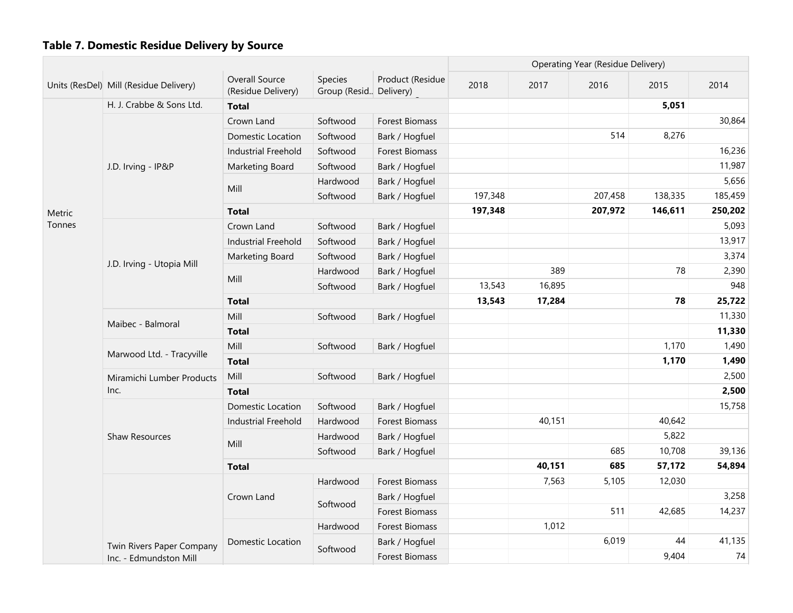|        |                                        |                                      |                                     |                       |         |        | <b>Operating Year (Residue Delivery)</b> |         |         |
|--------|----------------------------------------|--------------------------------------|-------------------------------------|-----------------------|---------|--------|------------------------------------------|---------|---------|
|        | Units (ResDel) Mill (Residue Delivery) | Overall Source<br>(Residue Delivery) | Species<br>Group (Resid., Delivery) | Product (Residue      | 2018    | 2017   | 2016                                     | 2015    | 2014    |
|        | H. J. Crabbe & Sons Ltd.               | <b>Total</b>                         |                                     |                       |         |        |                                          | 5,051   |         |
|        |                                        | Crown Land                           | Softwood                            | <b>Forest Biomass</b> |         |        |                                          |         | 30,864  |
|        |                                        | Domestic Location                    | Softwood                            | Bark / Hogfuel        |         |        | 514                                      | 8,276   |         |
|        |                                        | <b>Industrial Freehold</b>           | Softwood                            | <b>Forest Biomass</b> |         |        |                                          |         | 16,236  |
|        | J.D. Irving - IP&P                     | Marketing Board                      | Softwood                            | Bark / Hogfuel        |         |        |                                          |         | 11,987  |
|        |                                        | Mill                                 | Hardwood                            | Bark / Hogfuel        |         |        |                                          |         | 5,656   |
|        |                                        |                                      | Softwood                            | Bark / Hogfuel        | 197,348 |        | 207,458                                  | 138,335 | 185,459 |
| Metric |                                        | <b>Total</b>                         |                                     |                       | 197,348 |        | 207,972                                  | 146,611 | 250,202 |
| Tonnes |                                        | Crown Land                           | Softwood                            | Bark / Hogfuel        |         |        |                                          |         | 5,093   |
|        |                                        | <b>Industrial Freehold</b>           | Softwood                            | Bark / Hogfuel        |         |        |                                          |         | 13,917  |
|        |                                        | Marketing Board                      | Softwood                            | Bark / Hogfuel        |         |        |                                          |         | 3,374   |
|        | J.D. Irving - Utopia Mill              |                                      | Hardwood                            | Bark / Hogfuel        |         | 389    |                                          | 78      | 2,390   |
|        |                                        | Mill                                 | Softwood                            | Bark / Hogfuel        | 13,543  | 16,895 |                                          |         | 948     |
|        |                                        | <b>Total</b>                         |                                     |                       | 13,543  | 17,284 |                                          | 78      | 25,722  |
|        | Maibec - Balmoral                      | Mill                                 | Softwood                            | Bark / Hogfuel        |         |        |                                          |         | 11,330  |
|        |                                        | <b>Total</b>                         |                                     |                       |         |        |                                          |         | 11,330  |
|        | Marwood Ltd. - Tracyville              | Mill                                 | Softwood                            | Bark / Hogfuel        |         |        |                                          | 1,170   | 1,490   |
|        |                                        | <b>Total</b>                         |                                     |                       |         | 1,170  | 1,490                                    |         |         |
|        | Miramichi Lumber Products              | Mill                                 | Softwood                            | Bark / Hogfuel        |         |        |                                          |         | 2,500   |
|        | Inc.                                   | <b>Total</b>                         |                                     |                       |         |        |                                          |         | 2,500   |
|        |                                        | Domestic Location                    | Softwood                            | Bark / Hogfuel        |         |        |                                          |         | 15,758  |
|        |                                        | <b>Industrial Freehold</b>           | Hardwood                            | <b>Forest Biomass</b> |         | 40,151 |                                          | 40,642  |         |
|        | Shaw Resources                         | Mill                                 | Hardwood                            | Bark / Hogfuel        |         |        |                                          | 5,822   |         |
|        |                                        |                                      | Softwood                            | Bark / Hogfuel        |         |        | 685                                      | 10,708  | 39,136  |
|        |                                        | <b>Total</b>                         |                                     |                       |         | 40,151 | 685                                      | 57,172  | 54,894  |
|        |                                        |                                      | Hardwood                            | <b>Forest Biomass</b> |         | 7,563  | 5,105                                    | 12,030  |         |
|        |                                        | Crown Land                           | Softwood                            | Bark / Hogfuel        |         |        |                                          |         | 3,258   |
|        |                                        |                                      |                                     | <b>Forest Biomass</b> |         |        | 511                                      | 42,685  | 14,237  |
|        |                                        |                                      | Hardwood                            | <b>Forest Biomass</b> |         | 1,012  |                                          |         |         |
|        | Twin Rivers Paper Company              | Domestic Location                    | Softwood                            | Bark / Hogfuel        |         |        | 6,019                                    | 44      | 41,135  |
|        | Inc. - Edmundston Mill                 |                                      |                                     | <b>Forest Biomass</b> |         |        |                                          | 9,404   | 74      |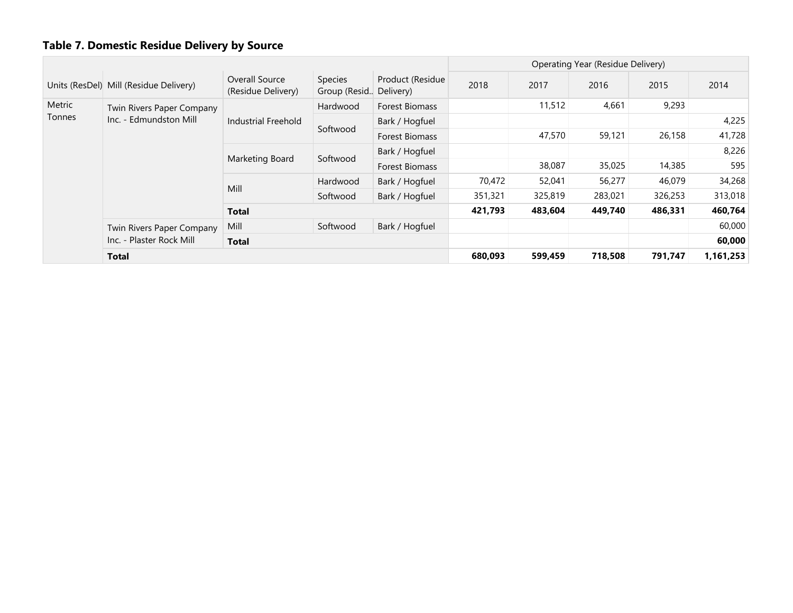|               |                                        |                                      | Operating Year (Residue Delivery) |                               |         |         |         |         |           |
|---------------|----------------------------------------|--------------------------------------|-----------------------------------|-------------------------------|---------|---------|---------|---------|-----------|
|               | Units (ResDel) Mill (Residue Delivery) | Overall Source<br>(Residue Delivery) | Species<br>Group (Resid           | Product (Residue<br>Delivery) | 2018    | 2017    | 2016    | 2015    | 2014      |
| Metric        | Twin Rivers Paper Company              |                                      | Hardwood                          | Forest Biomass                |         | 11,512  | 4,661   | 9,293   |           |
| <b>Tonnes</b> | Inc. - Edmundston Mill                 | Industrial Freehold                  | Softwood                          | Bark / Hogfuel                |         |         |         |         | 4,225     |
|               |                                        |                                      |                                   | <b>Forest Biomass</b>         |         | 47,570  | 59,121  | 26,158  | 41,728    |
|               |                                        |                                      |                                   | Bark / Hogfuel                |         |         |         |         | 8,226     |
|               |                                        | Marketing Board                      | Softwood                          | <b>Forest Biomass</b>         |         | 38,087  | 35,025  | 14,385  | 595       |
|               |                                        |                                      | Hardwood                          | Bark / Hogfuel                | 70,472  | 52,041  | 56,277  | 46,079  | 34,268    |
|               |                                        | Mill                                 | Softwood                          | Bark / Hogfuel                | 351,321 | 325,819 | 283,021 | 326,253 | 313,018   |
|               |                                        | <b>Total</b>                         |                                   |                               | 421,793 | 483,604 | 449,740 | 486,331 | 460,764   |
|               | Mill<br>Twin Rivers Paper Company      |                                      | Softwood                          | Bark / Hogfuel                |         |         |         |         | 60,000    |
|               | Inc. - Plaster Rock Mill               | Total                                |                                   |                               |         |         |         |         | 60,000    |
|               | Total                                  |                                      |                                   |                               | 680,093 | 599,459 | 718,508 | 791,747 | 1,161,253 |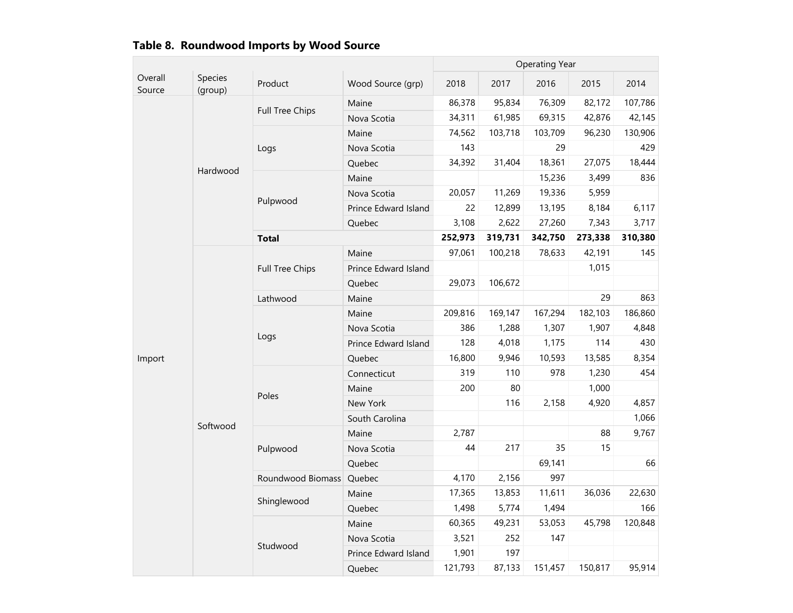|                   |                    |                        |                      |         |         | <b>Operating Year</b> |         |         |
|-------------------|--------------------|------------------------|----------------------|---------|---------|-----------------------|---------|---------|
| Overall<br>Source | Species<br>(group) | Product                | Wood Source (grp)    | 2018    | 2017    | 2016                  | 2015    | 2014    |
|                   |                    | <b>Full Tree Chips</b> | Maine                | 86,378  | 95,834  | 76,309                | 82,172  | 107,786 |
|                   |                    |                        | Nova Scotia          | 34,311  | 61,985  | 69,315                | 42,876  | 42,145  |
|                   |                    |                        | Maine                | 74,562  | 103,718 | 103,709               | 96,230  | 130,906 |
|                   |                    | Logs                   | Nova Scotia          | 143     |         | 29                    |         | 429     |
|                   | Hardwood           |                        | Quebec               | 34,392  | 31,404  | 18,361                | 27,075  | 18,444  |
|                   |                    |                        | Maine                |         |         | 15,236                | 3,499   | 836     |
|                   |                    |                        | Nova Scotia          | 20,057  | 11,269  | 19,336                | 5,959   |         |
|                   |                    | Pulpwood               | Prince Edward Island | 22      | 12,899  | 13,195                | 8,184   | 6,117   |
|                   |                    |                        | Quebec               | 3,108   | 2,622   | 27,260                | 7,343   | 3,717   |
|                   |                    | <b>Total</b>           |                      | 252,973 | 319,731 | 342,750               | 273,338 | 310,380 |
|                   |                    |                        | Maine                | 97,061  | 100,218 | 78,633                | 42,191  | 145     |
|                   |                    | <b>Full Tree Chips</b> | Prince Edward Island |         |         |                       | 1,015   |         |
|                   |                    |                        | Quebec               | 29,073  | 106,672 |                       |         |         |
|                   |                    | Lathwood               | Maine                |         |         |                       | 29      | 863     |
|                   |                    |                        | Maine                | 209,816 | 169,147 | 167,294               | 182,103 | 186,860 |
|                   |                    | Logs                   | Nova Scotia          | 386     | 1,288   | 1,307                 | 1,907   | 4,848   |
|                   |                    |                        | Prince Edward Island | 128     | 4,018   | 1,175                 | 114     | 430     |
| Import            |                    |                        | Quebec               | 16,800  | 9,946   | 10,593                | 13,585  | 8,354   |
|                   |                    |                        | Connecticut          | 319     | 110     | 978                   | 1,230   | 454     |
|                   |                    | Poles                  | Maine                | 200     | 80      |                       | 1,000   |         |
|                   |                    |                        | New York             |         | 116     | 2,158                 | 4,920   | 4,857   |
|                   | Softwood           |                        | South Carolina       |         |         |                       |         | 1,066   |
|                   |                    |                        | Maine                | 2,787   |         |                       | 88      | 9,767   |
|                   |                    | Pulpwood               | Nova Scotia          | 44      | 217     | 35                    | 15      |         |
|                   |                    |                        | Quebec               |         |         | 69,141                |         | 66      |
|                   |                    | Roundwood Biomass      | Quebec               | 4,170   | 2,156   | 997                   |         |         |
|                   |                    | Shinglewood            | Maine                | 17,365  | 13,853  | 11,611                | 36,036  | 22,630  |
|                   |                    |                        | Quebec               | 1,498   | 5,774   | 1,494                 |         | 166     |
|                   |                    |                        | Maine                | 60,365  | 49,231  | 53,053                | 45,798  | 120,848 |
|                   |                    |                        | Nova Scotia          | 3,521   | 252     | 147                   |         |         |
|                   |                    | Studwood               | Prince Edward Island | 1,901   | 197     |                       |         |         |
|                   |                    |                        | Quebec               | 121,793 | 87,133  | 151,457               | 150,817 | 95,914  |

# Table 8. Roundwood Imports by Wood Source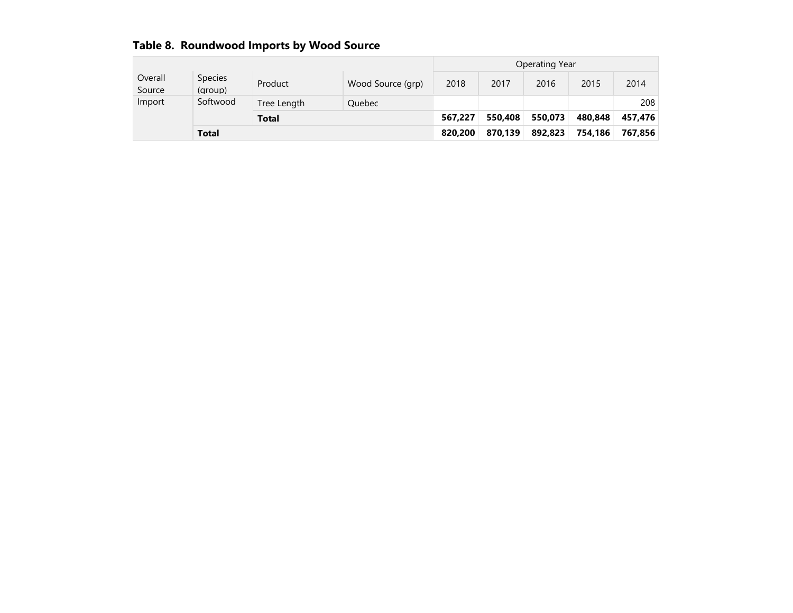| Table of Nonnawood Imports by Wood Source |                    |              |                   |                |         |         |         |         |  |
|-------------------------------------------|--------------------|--------------|-------------------|----------------|---------|---------|---------|---------|--|
|                                           |                    |              |                   | Operating Year |         |         |         |         |  |
| Overall<br>Source                         | Species<br>(group) | Product      | Wood Source (grp) | 2018           | 2017    | 2016    | 2015    | 2014    |  |
| Import                                    | Softwood           | Tree Length  | <b>Ouebec</b>     |                |         |         |         | 208     |  |
|                                           |                    | <b>Total</b> |                   | 567,227        | 550.408 | 550.073 | 480.848 | 457.476 |  |
|                                           | <b>Total</b>       |              |                   |                | 870.139 | 892.823 | 754,186 | 767.856 |  |

## Table8.RoundwoodImportsbyWoodSource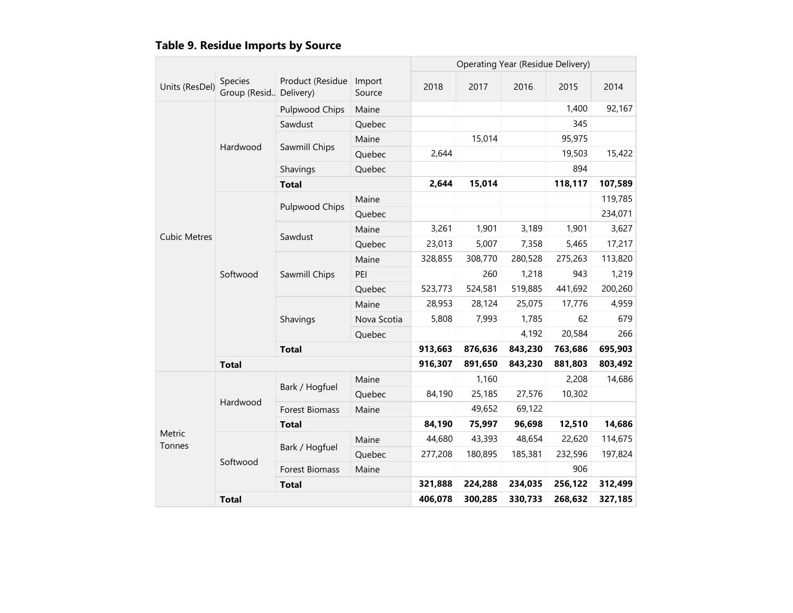|  | Table 9. Residue Imports by Source |
|--|------------------------------------|
|  |                                    |

|                     |                                     |                       |                  |         | Operating Year (Residue Delivery) |         |         |         |
|---------------------|-------------------------------------|-----------------------|------------------|---------|-----------------------------------|---------|---------|---------|
| Units (ResDel)      | Species<br>Group (Resid., Delivery) | Product (Residue      | Import<br>Source | 2018    | 2017                              | 2016    | 2015    | 2014    |
|                     |                                     | Pulpwood Chips        | Maine            |         |                                   |         | 1,400   | 92,167  |
|                     |                                     | Sawdust               | Quebec           |         |                                   |         | 345     |         |
|                     |                                     |                       | Maine            |         | 15,014                            |         | 95,975  |         |
|                     | Hardwood                            | Sawmill Chips         | Quebec           | 2,644   |                                   |         | 19,503  | 15,422  |
|                     |                                     | Shavings              | Quebec           |         |                                   |         | 894     |         |
|                     |                                     | <b>Total</b>          | 2,644            | 15,014  |                                   | 118,117 | 107,589 |         |
|                     |                                     | Pulpwood Chips        | Maine            |         |                                   |         |         | 119,785 |
|                     |                                     |                       | Quebec           |         |                                   |         |         | 234,071 |
| <b>Cubic Metres</b> |                                     |                       | Maine            | 3,261   | 1,901                             | 3,189   | 1,901   | 3,627   |
|                     |                                     | Sawdust               | Quebec           | 23,013  | 5,007                             | 7,358   | 5,465   | 17,217  |
|                     |                                     |                       | Maine            | 328,855 | 308,770                           | 280,528 | 275,263 | 113,820 |
|                     | Softwood                            | Sawmill Chips         | PEI              |         | 260                               | 1,218   | 943     | 1,219   |
|                     |                                     |                       | Quebec           | 523,773 | 524,581                           | 519,885 | 441,692 | 200,260 |
|                     |                                     | Shavings              | Maine            | 28,953  | 28,124                            | 25,075  | 17,776  | 4,959   |
|                     |                                     |                       | Nova Scotia      | 5,808   | 7,993                             | 1,785   | 62      | 679     |
|                     |                                     |                       | Quebec           |         |                                   | 4,192   | 20,584  | 266     |
|                     |                                     | <b>Total</b>          |                  | 913,663 | 876,636                           | 843,230 | 763,686 | 695,903 |
|                     | <b>Total</b>                        |                       |                  | 916,307 | 891,650                           | 843,230 | 881,803 | 803,492 |
|                     |                                     | Bark / Hogfuel        | Maine            |         | 1,160                             |         | 2,208   | 14,686  |
|                     |                                     |                       | Quebec           | 84,190  | 25,185                            | 27,576  | 10,302  |         |
|                     | Hardwood                            | <b>Forest Biomass</b> | Maine            |         | 49,652                            | 69,122  |         |         |
|                     |                                     | <b>Total</b>          |                  | 84,190  | 75,997                            | 96,698  | 12,510  | 14,686  |
| Metric<br>Tonnes    |                                     |                       | Maine            | 44,680  | 43,393                            | 48,654  | 22,620  | 114,675 |
|                     |                                     | Bark / Hogfuel        | Quebec           | 277,208 | 180,895                           | 185,381 | 232,596 | 197,824 |
|                     | Softwood                            | Forest Biomass        | Maine            |         |                                   |         | 906     |         |
|                     |                                     | <b>Total</b>          |                  | 321,888 | 224,288                           | 234,035 | 256,122 | 312,499 |
|                     | <b>Total</b>                        |                       |                  | 406,078 | 300,285                           | 330,733 | 268,632 | 327,185 |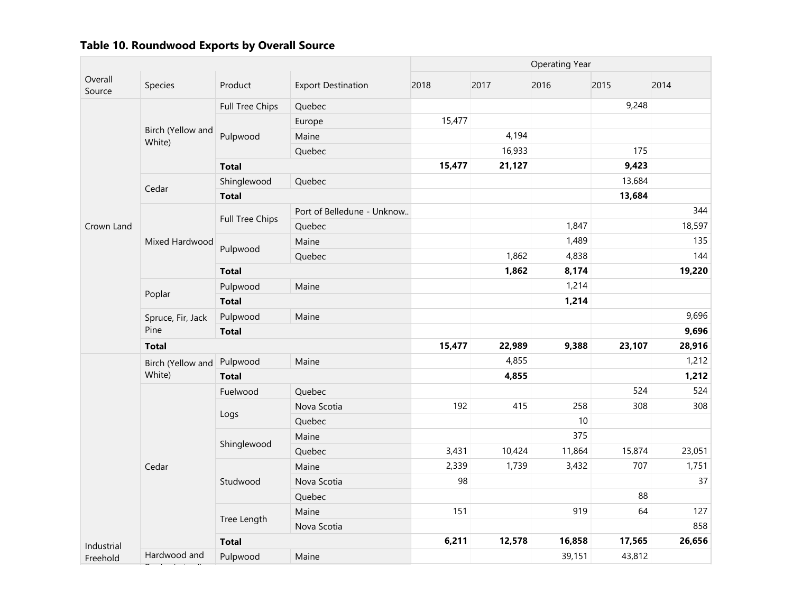|                   |                             |                 |                            | <b>Operating Year</b> |        |        |        |        |  |
|-------------------|-----------------------------|-----------------|----------------------------|-----------------------|--------|--------|--------|--------|--|
| Overall<br>Source | Species                     | Product         | <b>Export Destination</b>  | 2018                  | 2017   | 2016   | 2015   | 2014   |  |
|                   |                             | Full Tree Chips | Quebec                     |                       |        |        | 9,248  |        |  |
|                   |                             |                 | Europe                     | 15,477                |        |        |        |        |  |
|                   | Birch (Yellow and<br>White) | Pulpwood        | Maine                      |                       | 4,194  |        |        |        |  |
|                   |                             |                 | Quebec                     |                       | 16,933 |        | 175    |        |  |
|                   |                             | <b>Total</b>    |                            | 15,477                | 21,127 |        | 9,423  |        |  |
|                   |                             | Shinglewood     | Quebec                     |                       |        |        | 13,684 |        |  |
|                   | Cedar                       | <b>Total</b>    |                            |                       |        |        | 13,684 |        |  |
|                   |                             |                 | Port of Belledune - Unknow |                       |        |        |        | 344    |  |
| Crown Land        |                             | Full Tree Chips | Quebec                     |                       |        | 1,847  |        | 18,597 |  |
|                   | Mixed Hardwood              |                 | Maine                      |                       |        | 1,489  |        | 135    |  |
|                   |                             | Pulpwood        | Quebec                     |                       | 1,862  | 4,838  |        | 144    |  |
|                   |                             | <b>Total</b>    |                            |                       | 1,862  | 8,174  |        | 19,220 |  |
|                   |                             | Pulpwood        | Maine                      |                       |        | 1,214  |        |        |  |
|                   | Poplar                      | <b>Total</b>    |                            |                       |        | 1,214  |        |        |  |
|                   | Spruce, Fir, Jack           | Pulpwood        | Maine                      |                       |        |        |        | 9,696  |  |
|                   | Pine                        | <b>Total</b>    |                            |                       |        |        |        | 9,696  |  |
|                   | <b>Total</b>                |                 |                            | 15,477                | 22,989 | 9,388  | 23,107 | 28,916 |  |
|                   | Birch (Yellow and           | Pulpwood        | Maine                      |                       | 4,855  |        |        | 1,212  |  |
|                   | White)                      | <b>Total</b>    |                            |                       | 4,855  |        |        | 1,212  |  |
|                   |                             | Fuelwood        | Quebec                     |                       |        |        | 524    | 524    |  |
|                   |                             |                 | Nova Scotia                | 192                   | 415    | 258    | 308    | 308    |  |
|                   |                             | Logs            | Quebec                     |                       |        | 10     |        |        |  |
|                   |                             | Shinglewood     | Maine                      |                       |        | 375    |        |        |  |
|                   |                             |                 | Quebec                     | 3,431                 | 10,424 | 11,864 | 15,874 | 23,051 |  |
|                   | Cedar                       |                 | Maine                      | 2,339                 | 1,739  | 3,432  | 707    | 1,751  |  |
|                   |                             | Studwood        | Nova Scotia                | 98                    |        |        |        | 37     |  |
|                   |                             |                 | Quebec                     |                       |        |        | 88     |        |  |
|                   |                             |                 | Maine                      | 151                   |        | 919    | 64     | 127    |  |
|                   |                             | Tree Length     | Nova Scotia                |                       |        |        |        | 858    |  |
| Industrial        |                             | <b>Total</b>    |                            | 6,211                 | 12,578 | 16,858 | 17,565 | 26,656 |  |
| Freehold          | Hardwood and                | Pulpwood        | Maine                      |                       |        | 39,151 | 43,812 |        |  |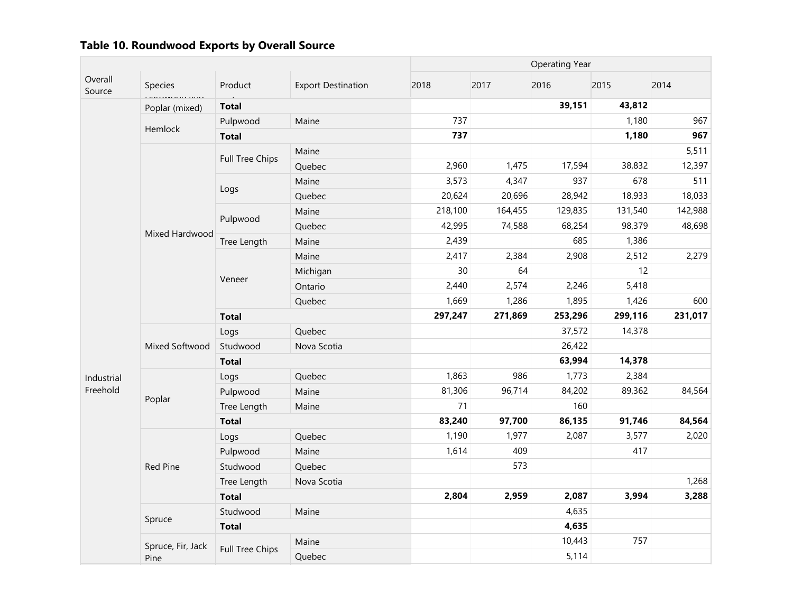|                   |                                         |                        |                           |         | <b>Operating Year</b> |         |         |         |  |  |  |
|-------------------|-----------------------------------------|------------------------|---------------------------|---------|-----------------------|---------|---------|---------|--|--|--|
| Overall<br>Source | Species<br>.<br>ಇದು ಅಂಶಲ್ <i>ಲಾ ಕಾಣ</i> | Product                | <b>Export Destination</b> | 2018    | 2017                  | 2016    | 2015    | 2014    |  |  |  |
|                   | Poplar (mixed)                          | <b>Total</b>           |                           |         |                       | 39,151  | 43,812  |         |  |  |  |
|                   | Hemlock                                 | Pulpwood               | Maine                     | 737     |                       |         | 1,180   | 967     |  |  |  |
|                   |                                         | <b>Total</b>           |                           | 737     |                       |         | 1,180   | 967     |  |  |  |
|                   |                                         | Full Tree Chips        | Maine                     |         |                       |         |         | 5,511   |  |  |  |
|                   |                                         |                        | Quebec                    | 2,960   | 1,475                 | 17,594  | 38,832  | 12,397  |  |  |  |
|                   |                                         |                        | Maine                     | 3,573   | 4,347                 | 937     | 678     | 511     |  |  |  |
|                   |                                         | Logs                   | Quebec                    | 20,624  | 20,696                | 28,942  | 18,933  | 18,033  |  |  |  |
|                   |                                         | Pulpwood               | Maine                     | 218,100 | 164,455               | 129,835 | 131,540 | 142,988 |  |  |  |
|                   | Mixed Hardwood                          |                        | Quebec                    | 42,995  | 74,588                | 68,254  | 98,379  | 48,698  |  |  |  |
|                   |                                         | Tree Length            | Maine                     | 2,439   |                       | 685     | 1,386   |         |  |  |  |
|                   |                                         | Veneer                 | Maine                     | 2,417   | 2,384                 | 2,908   | 2,512   | 2,279   |  |  |  |
|                   |                                         |                        | Michigan                  | 30      | 64                    |         | 12      |         |  |  |  |
|                   |                                         |                        | Ontario                   | 2,440   | 2,574                 | 2,246   | 5,418   |         |  |  |  |
|                   |                                         |                        | Quebec                    | 1,669   | 1,286                 | 1,895   | 1,426   | 600     |  |  |  |
|                   |                                         | <b>Total</b>           |                           | 297,247 | 271,869               | 253,296 | 299,116 | 231,017 |  |  |  |
|                   |                                         | Logs                   | Quebec                    |         |                       | 37,572  | 14,378  |         |  |  |  |
|                   | Mixed Softwood                          | Studwood               | Nova Scotia               |         |                       | 26,422  |         |         |  |  |  |
|                   |                                         | <b>Total</b>           |                           |         |                       | 63,994  | 14,378  |         |  |  |  |
| Industrial        |                                         | Logs                   | Quebec                    | 1,863   | 986                   | 1,773   | 2,384   |         |  |  |  |
| Freehold          |                                         | Pulpwood               | Maine                     | 81,306  | 96,714                | 84,202  | 89,362  | 84,564  |  |  |  |
|                   | Poplar                                  | Tree Length            | Maine                     | 71      |                       | 160     |         |         |  |  |  |
|                   |                                         | <b>Total</b>           |                           | 83,240  | 97,700                | 86,135  | 91,746  | 84,564  |  |  |  |
|                   |                                         | Logs                   | Quebec                    | 1,190   | 1,977                 | 2,087   | 3,577   | 2,020   |  |  |  |
|                   |                                         | Pulpwood               | Maine                     | 1,614   | 409                   |         | 417     |         |  |  |  |
|                   | <b>Red Pine</b>                         | Studwood               | Quebec                    |         | 573                   |         |         |         |  |  |  |
|                   |                                         | Tree Length            | Nova Scotia               |         |                       |         |         | 1,268   |  |  |  |
|                   |                                         | <b>Total</b>           |                           | 2,804   | 2,959                 | 2,087   | 3,994   | 3,288   |  |  |  |
|                   |                                         | Studwood               | Maine                     |         |                       | 4,635   |         |         |  |  |  |
|                   | Spruce                                  | <b>Total</b>           |                           |         |                       | 4,635   |         |         |  |  |  |
|                   | Spruce, Fir, Jack                       |                        | Maine                     |         |                       | 10,443  | 757     |         |  |  |  |
|                   | Pine                                    | <b>Full Tree Chips</b> | Quebec                    |         |                       | 5,114   |         |         |  |  |  |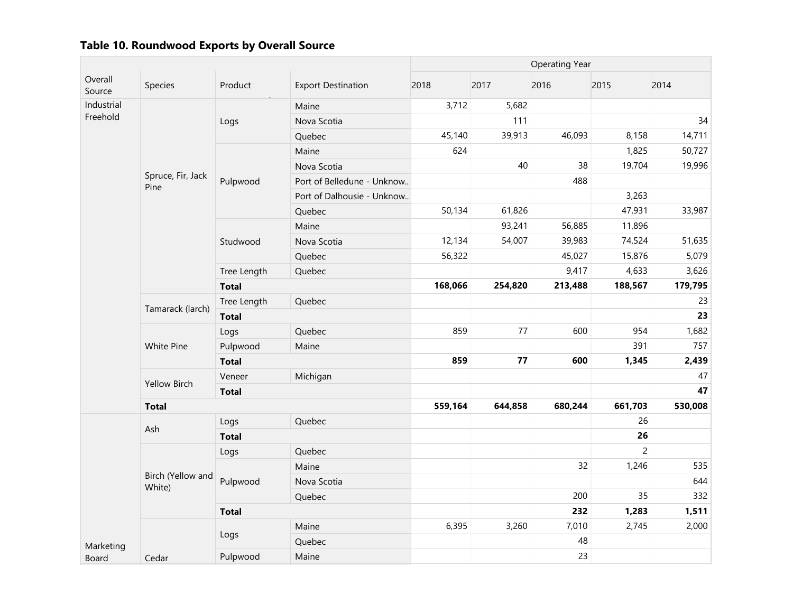|                        |                             |              |                            | <b>Operating Year</b> |         |         |                |         |  |
|------------------------|-----------------------------|--------------|----------------------------|-----------------------|---------|---------|----------------|---------|--|
| Overall<br>Source      | Species                     | Product      | <b>Export Destination</b>  | 2018                  | 2017    | 2016    | 2015           | 2014    |  |
| Industrial<br>Freehold |                             | Logs         | Maine                      | 3,712                 | 5,682   |         |                |         |  |
|                        |                             |              | Nova Scotia                |                       | 111     |         |                | 34      |  |
|                        |                             |              | Quebec                     | 45,140                | 39,913  | 46,093  | 8,158          | 14,711  |  |
|                        |                             |              | Maine                      | 624                   |         |         | 1,825          | 50,727  |  |
|                        |                             |              | Nova Scotia                |                       | 40      | 38      | 19,704         | 19,996  |  |
|                        | Spruce, Fir, Jack<br>Pine   | Pulpwood     | Port of Belledune - Unknow |                       |         | 488     |                |         |  |
|                        |                             |              | Port of Dalhousie - Unknow |                       |         |         | 3,263          |         |  |
|                        |                             |              | Quebec                     | 50,134                | 61,826  |         | 47,931         | 33,987  |  |
|                        |                             | Studwood     | Maine                      |                       | 93,241  | 56,885  | 11,896         |         |  |
|                        |                             |              | Nova Scotia                | 12,134                | 54,007  | 39,983  | 74,524         | 51,635  |  |
|                        |                             |              | Quebec                     | 56,322                |         | 45,027  | 15,876         | 5,079   |  |
|                        |                             | Tree Length  | Quebec                     |                       |         | 9,417   | 4,633          | 3,626   |  |
|                        |                             | <b>Total</b> |                            | 168,066               | 254,820 | 213,488 | 188,567        | 179,795 |  |
|                        | Tamarack (larch)            | Tree Length  | Quebec                     |                       |         |         |                | 23      |  |
|                        |                             | <b>Total</b> |                            |                       |         |         |                | 23      |  |
|                        | White Pine                  | Logs         | Quebec                     | 859                   | 77      | 600     | 954            | 1,682   |  |
|                        |                             | Pulpwood     | Maine                      |                       |         |         | 391            | 757     |  |
|                        |                             | <b>Total</b> |                            | 859                   | 77      | 600     | 1,345          | 2,439   |  |
|                        | <b>Yellow Birch</b>         | Veneer       | Michigan                   |                       |         |         |                | 47      |  |
|                        |                             | <b>Total</b> |                            |                       |         |         |                | 47      |  |
|                        | <b>Total</b>                |              |                            | 559,164               | 644,858 | 680,244 | 661,703        | 530,008 |  |
|                        | Ash                         | Logs         | Quebec                     |                       |         |         | 26             |         |  |
|                        |                             | <b>Total</b> |                            |                       |         |         | 26             |         |  |
|                        |                             | Logs         | Quebec                     |                       |         |         | $\overline{c}$ |         |  |
|                        |                             |              | Maine                      |                       |         | 32      | 1,246          | 535     |  |
|                        | Birch (Yellow and<br>White) | Pulpwood     | Nova Scotia                |                       |         |         |                | 644     |  |
|                        |                             |              | Quebec                     |                       |         | 200     | 35             | 332     |  |
|                        |                             | <b>Total</b> |                            |                       |         | 232     | 1,283          | 1,511   |  |
|                        |                             | Logs         | Maine                      | 6,395                 | 3,260   | 7,010   | 2,745          | 2,000   |  |
| Marketing              |                             |              | Quebec                     |                       |         | 48      |                |         |  |
| Board                  | Cedar                       | Pulpwood     | Maine                      |                       |         | 23      |                |         |  |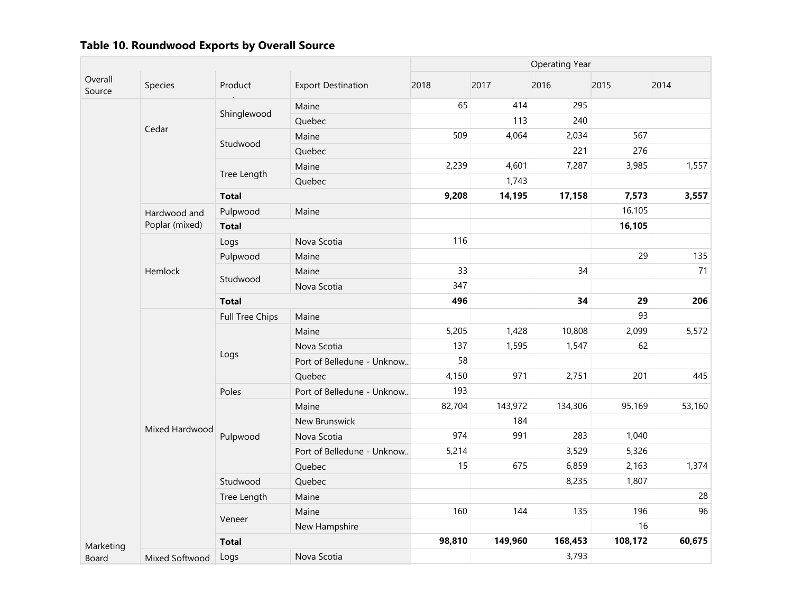|                   |                |                 |                            | <b>Operating Year</b> |         |         |         |        |  |
|-------------------|----------------|-----------------|----------------------------|-----------------------|---------|---------|---------|--------|--|
| Overall<br>Source | Species        | Product         | <b>Export Destination</b>  | 2018                  | 2017    | 2016    | 2015    | 2014   |  |
|                   |                |                 | Maine                      | 65                    | 414     | 295     |         |        |  |
|                   |                | Shinglewood     | Quebec                     |                       | 113     | 240     |         |        |  |
|                   | Cedar          | Studwood        | Maine                      | 509                   | 4,064   | 2,034   | 567     |        |  |
|                   |                |                 | Quebec                     |                       |         | 221     | 276     |        |  |
|                   |                |                 | Maine                      | 2,239                 | 4,601   | 7,287   | 3,985   | 1,557  |  |
|                   |                | Tree Length     | Quebec                     |                       | 1,743   |         |         |        |  |
|                   |                | <b>Total</b>    |                            | 9,208                 | 14,195  | 17,158  | 7,573   | 3,557  |  |
|                   | Hardwood and   | Pulpwood        | Maine                      |                       |         |         | 16,105  |        |  |
|                   | Poplar (mixed) | <b>Total</b>    |                            |                       |         |         | 16,105  |        |  |
|                   |                | Logs            | Nova Scotia                | 116                   |         |         |         |        |  |
|                   |                | Pulpwood        | Maine                      |                       |         |         | 29      | 135    |  |
|                   | Hemlock        | Studwood        | Maine                      | 33                    |         | 34      |         | 71     |  |
|                   |                |                 | Nova Scotia                | 347                   |         |         |         |        |  |
|                   |                | <b>Total</b>    |                            | 496                   |         | 34      | 29      | 206    |  |
|                   |                | Full Tree Chips | Maine                      |                       |         |         | 93      |        |  |
|                   |                | Logs            | Maine                      | 5,205                 | 1,428   | 10,808  | 2,099   | 5,572  |  |
|                   |                |                 | Nova Scotia                | 137                   | 1,595   | 1,547   | 62      |        |  |
|                   |                |                 | Port of Belledune - Unknow | 58                    |         |         |         |        |  |
|                   |                |                 | Quebec                     | 4,150                 | 971     | 2,751   | 201     | 445    |  |
|                   |                | Poles           | Port of Belledune - Unknow | 193                   |         |         |         |        |  |
|                   |                |                 | Maine                      | 82,704                | 143,972 | 134,306 | 95,169  | 53,160 |  |
|                   | Mixed Hardwood |                 | New Brunswick              |                       | 184     |         |         |        |  |
|                   |                | Pulpwood        | Nova Scotia                | 974                   | 991     | 283     | 1,040   |        |  |
|                   |                |                 | Port of Belledune - Unknow | 5,214                 |         | 3,529   | 5,326   |        |  |
|                   |                |                 | Quebec                     | 15                    | 675     | 6,859   | 2,163   | 1,374  |  |
|                   |                | Studwood        | Quebec                     |                       |         | 8,235   | 1,807   |        |  |
|                   |                | Tree Length     | Maine                      |                       |         |         |         | 28     |  |
|                   |                | Veneer          | Maine                      | 160                   | 144     | 135     | 196     | 96     |  |
|                   |                |                 | New Hampshire              |                       |         |         | 16      |        |  |
| Marketing         |                | <b>Total</b>    |                            | 98,810                | 149,960 | 168,453 | 108,172 | 60,675 |  |
| Board             | Mixed Softwood | Logs            | Nova Scotia                |                       |         | 3,793   |         |        |  |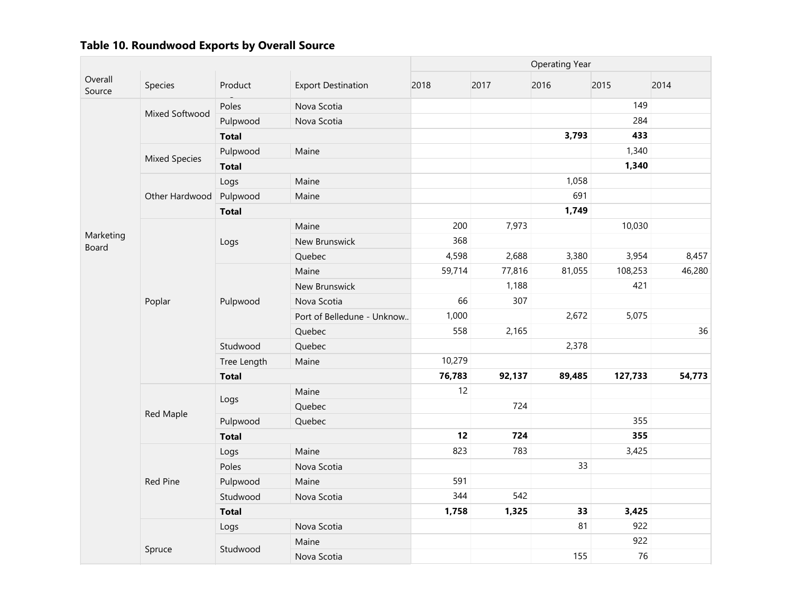|                    |                      |              |                            | <b>Operating Year</b> |        |        |         |        |  |
|--------------------|----------------------|--------------|----------------------------|-----------------------|--------|--------|---------|--------|--|
| Overall<br>Source  | Species              | Product      | <b>Export Destination</b>  | 2018                  | 2017   | 2016   | 2015    | 2014   |  |
|                    | Mixed Softwood       | Poles        | Nova Scotia                |                       |        |        | 149     |        |  |
|                    |                      | Pulpwood     | Nova Scotia                |                       |        |        | 284     |        |  |
|                    |                      | <b>Total</b> |                            |                       |        | 3,793  | 433     |        |  |
|                    | <b>Mixed Species</b> | Pulpwood     | Maine                      |                       |        |        | 1,340   |        |  |
|                    |                      | <b>Total</b> |                            |                       |        |        | 1,340   |        |  |
|                    |                      | Logs         | Maine                      |                       |        | 1,058  |         |        |  |
|                    | Other Hardwood       | Pulpwood     | Maine                      |                       |        | 691    |         |        |  |
|                    |                      | <b>Total</b> |                            |                       |        | 1,749  |         |        |  |
|                    |                      |              | Maine                      | 200                   | 7,973  |        | 10,030  |        |  |
| Marketing<br>Board |                      | Logs         | New Brunswick              | 368                   |        |        |         |        |  |
|                    |                      |              | Quebec                     | 4,598                 | 2,688  | 3,380  | 3,954   | 8,457  |  |
|                    |                      |              | Maine                      | 59,714                | 77,816 | 81,055 | 108,253 | 46,280 |  |
|                    |                      |              | New Brunswick              |                       | 1,188  |        | 421     |        |  |
|                    | Poplar               | Pulpwood     | Nova Scotia                | 66                    | 307    |        |         |        |  |
|                    |                      |              | Port of Belledune - Unknow | 1,000                 |        | 2,672  | 5,075   |        |  |
|                    |                      |              | Quebec                     | 558                   | 2,165  |        |         | 36     |  |
|                    |                      | Studwood     | Quebec                     |                       |        | 2,378  |         |        |  |
|                    |                      | Tree Length  | Maine                      | 10,279                |        |        |         |        |  |
|                    |                      | <b>Total</b> |                            | 76,783                | 92,137 | 89,485 | 127,733 | 54,773 |  |
|                    |                      |              | Maine                      | 12                    |        |        |         |        |  |
|                    |                      | Logs         | Quebec                     |                       | 724    |        |         |        |  |
|                    | Red Maple            | Pulpwood     | Quebec                     |                       |        |        | 355     |        |  |
|                    |                      | <b>Total</b> |                            | 12                    | 724    |        | 355     |        |  |
|                    |                      | Logs         | Maine                      | 823                   | 783    |        | 3,425   |        |  |
|                    |                      | Poles        | Nova Scotia                |                       |        | 33     |         |        |  |
|                    | Red Pine             | Pulpwood     | Maine                      | 591                   |        |        |         |        |  |
|                    |                      | Studwood     | Nova Scotia                | 344                   | 542    |        |         |        |  |
|                    |                      | <b>Total</b> |                            | 1,758                 | 1,325  | 33     | 3,425   |        |  |
|                    |                      | Logs         | Nova Scotia                |                       |        | 81     | 922     |        |  |
|                    |                      | Studwood     | Maine                      |                       |        |        | 922     |        |  |
|                    | Spruce               |              | Nova Scotia                |                       |        | 155    | 76      |        |  |